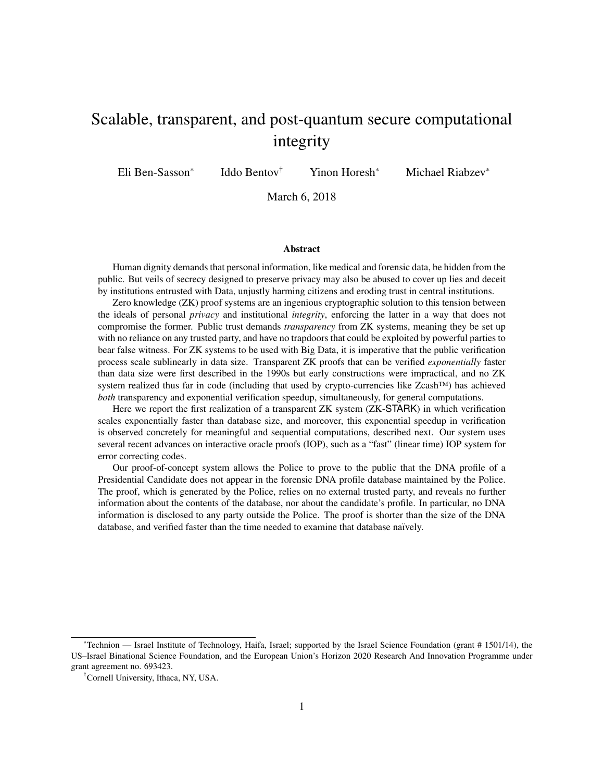# Scalable, transparent, and post-quantum secure computational integrity

Eli Ben-Sasson\* Iddo Bentov† Yinon Horesh\* Michael Riabzev\*

March 6, 2018

#### Abstract

Human dignity demands that personal information, like medical and forensic data, be hidden from the public. But veils of secrecy designed to preserve privacy may also be abused to cover up lies and deceit by institutions entrusted with Data, unjustly harming citizens and eroding trust in central institutions.

Zero knowledge (ZK) proof systems are an ingenious cryptographic solution to this tension between the ideals of personal *privacy* and institutional *integrity*, enforcing the latter in a way that does not compromise the former. Public trust demands *transparency* from ZK systems, meaning they be set up with no reliance on any trusted party, and have no trapdoors that could be exploited by powerful parties to bear false witness. For ZK systems to be used with Big Data, it is imperative that the public verification process scale sublinearly in data size. Transparent ZK proofs that can be verified *exponentially* faster than data size were first described in the 1990s but early constructions were impractical, and no ZK system realized thus far in code (including that used by crypto-currencies like Zcash™) has achieved *both* transparency and exponential verification speedup, simultaneously, for general computations.

Here we report the first realization of a transparent ZK system (ZK-STARK) in which verification scales exponentially faster than database size, and moreover, this exponential speedup in verification is observed concretely for meaningful and sequential computations, described next. Our system uses several recent advances on interactive oracle proofs (IOP), such as a "fast" (linear time) IOP system for error correcting codes.

Our proof-of-concept system allows the Police to prove to the public that the DNA profile of a Presidential Candidate does not appear in the forensic DNA profile database maintained by the Police. The proof, which is generated by the Police, relies on no external trusted party, and reveals no further information about the contents of the database, nor about the candidate's profile. In particular, no DNA information is disclosed to any party outside the Police. The proof is shorter than the size of the DNA database, and verified faster than the time needed to examine that database naïvely.

<sup>\*</sup>Technion — Israel Institute of Technology, Haifa, Israel; supported by the Israel Science Foundation (grant # 1501/14), the US–Israel Binational Science Foundation, and the European Union's Horizon 2020 Research And Innovation Programme under grant agreement no. 693423.

<sup>†</sup>Cornell University, Ithaca, NY, USA.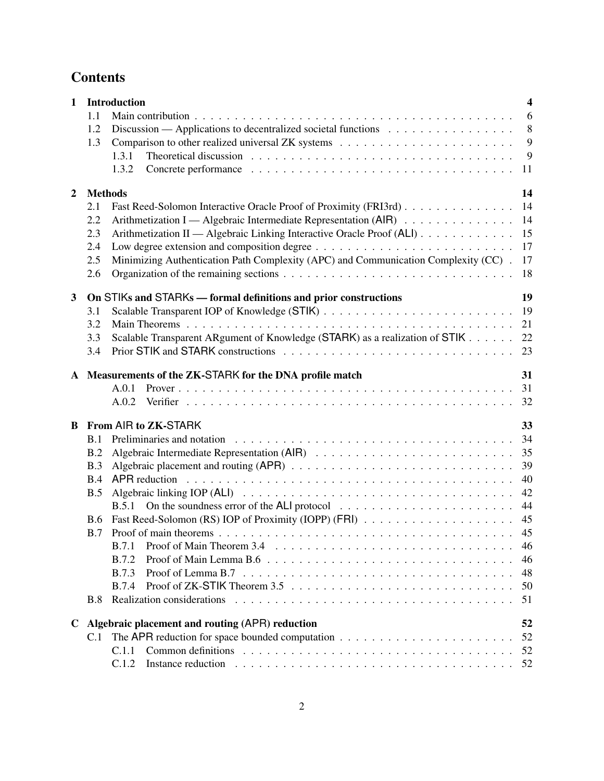# **Contents**

| 1              | <b>Introduction</b>                                                                                                         | $\overline{\mathbf{4}}$ |
|----------------|-----------------------------------------------------------------------------------------------------------------------------|-------------------------|
|                | 1.1                                                                                                                         | 6                       |
|                | Discussion — Applications to decentralized societal functions<br>1.2                                                        | 8                       |
|                | 1.3                                                                                                                         | 9                       |
|                | 1.3.1                                                                                                                       | 9                       |
|                | 1.3.2                                                                                                                       | 11                      |
| $\overline{2}$ | <b>Methods</b>                                                                                                              | 14                      |
|                | Fast Reed-Solomon Interactive Oracle Proof of Proximity (FRI3rd)<br>2.1                                                     | 14                      |
|                | Arithmetization I — Algebraic Intermediate Representation $(AIR)$<br>2.2                                                    | 14                      |
|                | Arithmetization II — Algebraic Linking Interactive Oracle Proof (ALI)<br>2.3                                                | 15                      |
|                | Low degree extension and composition degree $\dots \dots \dots \dots \dots \dots \dots \dots \dots \dots$<br>2.4            | 17                      |
|                | Minimizing Authentication Path Complexity (APC) and Communication Complexity (CC).<br>2.5                                   | 17                      |
|                | Organization of the remaining sections $\dots \dots \dots \dots \dots \dots \dots \dots \dots \dots \dots \dots$<br>2.6     | 18                      |
| $\mathbf{3}$   | On STIKs and STARKs — formal definitions and prior constructions                                                            | 19                      |
|                | 3.1                                                                                                                         |                         |
|                | 3.2                                                                                                                         | 21                      |
|                | Scalable Transparent ARgument of Knowledge (STARK) as a realization of STIK<br>3.3                                          | 22                      |
|                | 3.4                                                                                                                         | 23                      |
|                | A Measurements of the ZK-STARK for the DNA profile match<br>A.0.1<br>A.0.2                                                  | 31<br>32                |
| R.             | From AIR to ZK-STARK                                                                                                        | 33                      |
|                | B.1                                                                                                                         | 34                      |
|                | B.2                                                                                                                         | 35                      |
|                | B.3                                                                                                                         | 39                      |
|                | B.4                                                                                                                         | 40                      |
|                | B.5                                                                                                                         | 42                      |
|                |                                                                                                                             | 44                      |
|                | <b>B.6</b>                                                                                                                  |                         |
|                | Proof of main theorems $\ldots \ldots \ldots \ldots \ldots \ldots \ldots \ldots \ldots \ldots \ldots \ldots \ldots$<br>B.7  | 45                      |
|                | <b>B.7.1</b>                                                                                                                | 46                      |
|                | <b>B.7.2</b>                                                                                                                | 46                      |
|                | <b>B.7.3</b>                                                                                                                | 48                      |
|                | <b>B.7.4</b>                                                                                                                | 50                      |
|                | Realization considerations<br>B.8                                                                                           | 51                      |
|                | C Algebraic placement and routing (APR) reduction                                                                           | 52                      |
|                | C.1                                                                                                                         | 52                      |
|                | C.1.1                                                                                                                       | 52                      |
|                | C.1.2<br>Instance reduction $\ldots \ldots \ldots \ldots \ldots \ldots \ldots \ldots \ldots \ldots \ldots \ldots \ldots 52$ |                         |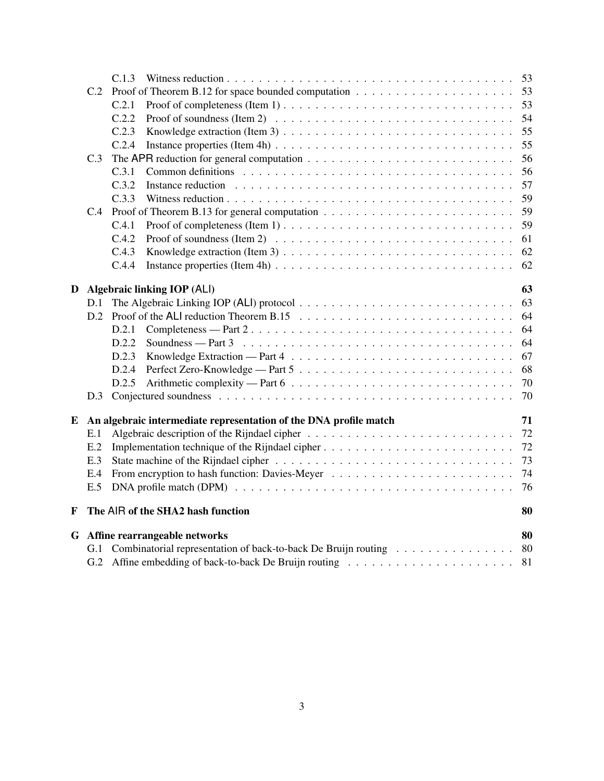|    | C.2 |       |                                                                                                                        |    |  |  |  |  |
|----|-----|-------|------------------------------------------------------------------------------------------------------------------------|----|--|--|--|--|
|    |     | C.2.1 |                                                                                                                        | 53 |  |  |  |  |
|    |     | C.2.2 | Proof of soundness (Item 2) $\ldots \ldots \ldots \ldots \ldots \ldots \ldots \ldots \ldots \ldots$                    | 54 |  |  |  |  |
|    |     | C.2.3 | Knowledge extraction (Item 3) $\dots \dots \dots \dots \dots \dots \dots \dots \dots \dots \dots \dots$                | 55 |  |  |  |  |
|    |     | C.2.4 | Instance properties (Item 4h) $\ldots \ldots \ldots \ldots \ldots \ldots \ldots \ldots \ldots \ldots$                  | 55 |  |  |  |  |
|    | C.3 |       |                                                                                                                        | 56 |  |  |  |  |
|    |     | C.3.1 |                                                                                                                        | 56 |  |  |  |  |
|    |     | C.3.2 |                                                                                                                        | 57 |  |  |  |  |
|    |     | C.3.3 |                                                                                                                        | 59 |  |  |  |  |
|    | C.4 |       |                                                                                                                        | 59 |  |  |  |  |
|    |     | C.4.1 |                                                                                                                        | 59 |  |  |  |  |
|    |     | C.4.2 | Proof of soundness (Item 2) $\ldots \ldots \ldots \ldots \ldots \ldots \ldots \ldots \ldots \ldots$                    | 61 |  |  |  |  |
|    |     | C.4.3 | Knowledge extraction (Item 3) $\dots \dots \dots \dots \dots \dots \dots \dots \dots \dots \dots \dots$                | 62 |  |  |  |  |
|    |     | C.4.4 | Instance properties (Item 4h) $\ldots \ldots \ldots \ldots \ldots \ldots \ldots \ldots \ldots \ldots \ldots \ldots 62$ |    |  |  |  |  |
| D  |     |       | <b>Algebraic linking IOP (ALI)</b>                                                                                     | 63 |  |  |  |  |
|    | D.1 |       |                                                                                                                        | 63 |  |  |  |  |
|    | D.2 |       |                                                                                                                        | 64 |  |  |  |  |
|    |     | D.2.1 | Completeness — Part $2 \ldots \ldots \ldots \ldots \ldots \ldots \ldots \ldots \ldots \ldots \ldots \ldots$            | 64 |  |  |  |  |
|    |     | D.2.2 |                                                                                                                        | 64 |  |  |  |  |
|    |     | D.2.3 |                                                                                                                        | 67 |  |  |  |  |
|    |     | D.2.4 |                                                                                                                        | 68 |  |  |  |  |
|    |     | D.2.5 |                                                                                                                        | 70 |  |  |  |  |
|    | D.3 |       |                                                                                                                        | 70 |  |  |  |  |
|    |     |       |                                                                                                                        |    |  |  |  |  |
| E. |     |       | An algebraic intermediate representation of the DNA profile match                                                      | 71 |  |  |  |  |
|    | E.1 |       |                                                                                                                        | 72 |  |  |  |  |
|    | E.2 |       |                                                                                                                        | 72 |  |  |  |  |
|    | E.3 |       |                                                                                                                        | 73 |  |  |  |  |
|    | E.4 |       |                                                                                                                        | 74 |  |  |  |  |
|    | E.5 |       | DNA profile match (DPM) $\ldots \ldots \ldots \ldots \ldots \ldots \ldots \ldots \ldots \ldots \ldots \ldots \ldots$   | 76 |  |  |  |  |
| F  |     |       | The AIR of the SHA2 hash function                                                                                      | 80 |  |  |  |  |
|    |     |       | G Affine rearrangeable networks                                                                                        | 80 |  |  |  |  |
|    | G.1 |       | Combinatorial representation of back-to-back De Bruijn routing 80                                                      |    |  |  |  |  |
|    | G.2 |       |                                                                                                                        |    |  |  |  |  |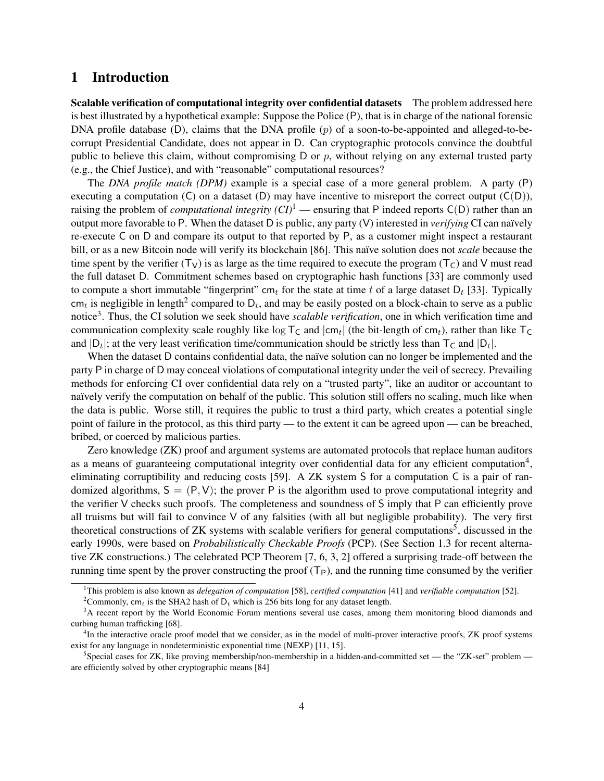# <span id="page-3-0"></span>1 Introduction

Scalable verification of computational integrity over confidential datasets The problem addressed here is best illustrated by a hypothetical example: Suppose the Police (P), that is in charge of the national forensic DNA profile database (D), claims that the DNA profile (p) of a soon-to-be-appointed and alleged-to-becorrupt Presidential Candidate, does not appear in D. Can cryptographic protocols convince the doubtful public to believe this claim, without compromising  $D$  or  $p$ , without relying on any external trusted party (e.g., the Chief Justice), and with "reasonable" computational resources?

The *DNA profile match (DPM)* example is a special case of a more general problem. A party (P) executing a computation (C) on a dataset (D) may have incentive to misreport the correct output  $(C(D))$ , raising the problem of *computational integrity*  $(Cl)^1$  $(Cl)^1$  — ensuring that P indeed reports  $C(D)$  rather than an output more favorable to P. When the dataset D is public, any party (V) interested in *verifying* CI can naïvely re-execute C on D and compare its output to that reported by P, as a customer might inspect a restaurant bill, or as a new Bitcoin node will verify its blockchain [\[86\]](#page-27-0). This naïve solution does not *scale* because the time spent by the verifier  $(T_V)$  is as large as the time required to execute the program  $(T_C)$  and V must read the full dataset D. Commitment schemes based on cryptographic hash functions [\[33\]](#page-25-0) are commonly used to compute a short immutable "fingerprint" cm<sub>t</sub> for the state at time t of a large dataset  $D_t$  [\[33\]](#page-25-0). Typically cm<sub>t</sub> is negligible in length<sup>[2](#page-3-2)</sup> compared to  $D_t$ , and may be easily posted on a block-chain to serve as a public notice<sup>[3](#page-3-3)</sup>. Thus, the CI solution we seek should have *scalable verification*, one in which verification time and communication complexity scale roughly like  $\log T_C$  and  $|cm_t|$  (the bit-length of cm<sub>t</sub>), rather than like T<sub>C</sub> and  $|D_t|$ ; at the very least verification time/communication should be strictly less than  $T_C$  and  $|D_t|$ .

When the dataset D contains confidential data, the naïve solution can no longer be implemented and the party P in charge of D may conceal violations of computational integrity under the veil of secrecy. Prevailing methods for enforcing CI over confidential data rely on a "trusted party", like an auditor or accountant to naïvely verify the computation on behalf of the public. This solution still offers no scaling, much like when the data is public. Worse still, it requires the public to trust a third party, which creates a potential single point of failure in the protocol, as this third party — to the extent it can be agreed upon — can be breached, bribed, or coerced by malicious parties.

Zero knowledge (ZK) proof and argument systems are automated protocols that replace human auditors as a means of guaranteeing computational integrity over confidential data for any efficient computation<sup>[4](#page-3-4)</sup>, eliminating corruptibility and reducing costs [\[59\]](#page-26-0). A ZK system S for a computation C is a pair of randomized algorithms,  $S = (P, V)$ ; the prover P is the algorithm used to prove computational integrity and the verifier V checks such proofs. The completeness and soundness of S imply that P can efficiently prove all truisms but will fail to convince V of any falsities (with all but negligible probability). The very first theoretical constructions of ZK systems with scalable verifiers for general computations<sup>[5](#page-3-5)</sup>, discussed in the early 1990s, were based on *Probabilistically Checkable Proofs* (PCP). (See Section [1.3](#page-8-0) for recent alternative ZK constructions.) The celebrated PCP Theorem [\[7,](#page-23-0) [6,](#page-23-1) [3,](#page-23-2) [2\]](#page-23-3) offered a surprising trade-off between the running time spent by the prover constructing the proof  $(T_P)$ , and the running time consumed by the verifier

<span id="page-3-1"></span><sup>1</sup>This problem is also known as *delegation of computation* [\[58\]](#page-26-1), *certified computation* [\[41\]](#page-25-1) and *verifiable computation* [\[52\]](#page-26-2).

<span id="page-3-3"></span><span id="page-3-2"></span><sup>&</sup>lt;sup>2</sup>Commonly, cm<sub>t</sub> is the SHA2 hash of  $D_t$  which is 256 bits long for any dataset length.

<sup>&</sup>lt;sup>3</sup>A recent report by the World Economic Forum mentions several use cases, among them monitoring blood diamonds and curbing human trafficking [\[68\]](#page-27-1).

<span id="page-3-4"></span><sup>&</sup>lt;sup>4</sup>In the interactive oracle proof model that we consider, as in the model of multi-prover interactive proofs, ZK proof systems exist for any language in nondeterministic exponential time (NEXP) [\[11,](#page-23-4) [15\]](#page-23-5).

<span id="page-3-5"></span> ${}^{5}$ Special cases for ZK, like proving membership/non-membership in a hidden-and-committed set — the "ZK-set" problem are efficiently solved by other cryptographic means [\[84\]](#page-27-2)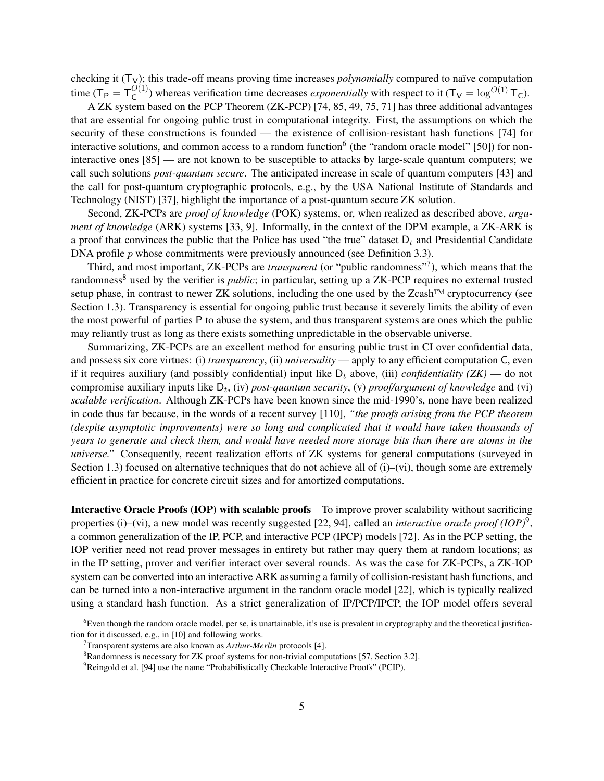checking it  $(T_V)$ ; this trade-off means proving time increases *polynomially* compared to naïve computation time (T<sub>P</sub> =  $T_c^{O(1)}$  $C^{(1)}$ ) whereas verification time decreases *exponentially* with respect to it ( $T_V = \log^{O(1)} T_C$ ).

A ZK system based on the PCP Theorem (ZK-PCP) [\[74,](#page-27-3) [85,](#page-27-4) [49,](#page-25-2) [75,](#page-27-5) [71\]](#page-27-6) has three additional advantages that are essential for ongoing public trust in computational integrity. First, the assumptions on which the security of these constructions is founded — the existence of collision-resistant hash functions [\[74\]](#page-27-3) for interactive solutions, and common access to a random function<sup>[6](#page-4-0)</sup> (the "random oracle model" [\[50\]](#page-25-3)) for noninteractive ones [\[85\]](#page-27-4) — are not known to be susceptible to attacks by large-scale quantum computers; we call such solutions *post-quantum secure*. The anticipated increase in scale of quantum computers [\[43\]](#page-25-4) and the call for post-quantum cryptographic protocols, e.g., by the USA National Institute of Standards and Technology (NIST) [\[37\]](#page-25-5), highlight the importance of a post-quantum secure ZK solution.

Second, ZK-PCPs are *proof of knowledge* (POK) systems, or, when realized as described above, *argument of knowledge* (ARK) systems [\[33,](#page-25-0) [9\]](#page-23-6). Informally, in the context of the DPM example, a ZK-ARK is a proof that convinces the public that the Police has used "the true" dataset  $D_t$  and Presidential Candidate DNA profile  $p$  whose commitments were previously announced (see Definition [3.3\)](#page-19-0).

Third, and most important, ZK-PCPs are *transparent* (or "public randomness"[7](#page-4-1) ), which means that the randomness<sup>[8](#page-4-2)</sup> used by the verifier is *public*; in particular, setting up a ZK-PCP requires no external trusted setup phase, in contrast to newer ZK solutions, including the one used by the Zcash™ cryptocurrency (see Section [1.3\)](#page-8-0). Transparency is essential for ongoing public trust because it severely limits the ability of even the most powerful of parties P to abuse the system, and thus transparent systems are ones which the public may reliantly trust as long as there exists something unpredictable in the observable universe.

Summarizing, ZK-PCPs are an excellent method for ensuring public trust in CI over confidential data, and possess six core virtues: (i) *transparency*, (ii) *universality* — apply to any efficient computation C, even if it requires auxiliary (and possibly confidential) input like  $D_t$  above, (iii) *confidentiality (ZK)* — do not compromise auxiliary inputs like  $D_t$ , (iv) *post-quantum security*, (v) *proof/argument of knowledge* and (vi) *scalable verification*. Although ZK-PCPs have been known since the mid-1990's, none have been realized in code thus far because, in the words of a recent survey [\[110\]](#page-29-0), *"the proofs arising from the PCP theorem (despite asymptotic improvements) were so long and complicated that it would have taken thousands of years to generate and check them, and would have needed more storage bits than there are atoms in the universe."* Consequently, recent realization efforts of ZK systems for general computations (surveyed in Section [1.3\)](#page-8-0) focused on alternative techniques that do not achieve all of (i)–(vi), though some are extremely efficient in practice for concrete circuit sizes and for amortized computations.

Interactive Oracle Proofs (IOP) with scalable proofs To improve prover scalability without sacrificing properties (i)–(vi), a new model was recently suggested [\[22,](#page-24-0) [94\]](#page-28-0), called an *interactive oracle proof (IOP)*[9](#page-4-3) , a common generalization of the IP, PCP, and interactive PCP (IPCP) models [\[72\]](#page-27-7). As in the PCP setting, the IOP verifier need not read prover messages in entirety but rather may query them at random locations; as in the IP setting, prover and verifier interact over several rounds. As was the case for ZK-PCPs, a ZK-IOP system can be converted into an interactive ARK assuming a family of collision-resistant hash functions, and can be turned into a non-interactive argument in the random oracle model [\[22\]](#page-24-0), which is typically realized using a standard hash function. As a strict generalization of IP/PCP/IPCP, the IOP model offers several

<span id="page-4-0"></span> $6$ Even though the random oracle model, per se, is unattainable, it's use is prevalent in cryptography and the theoretical justification for it discussed, e.g., in [\[10\]](#page-23-7) and following works.

<span id="page-4-1"></span><sup>7</sup>Transparent systems are also known as *Arthur-Merlin* protocols [\[4\]](#page-23-8).

<span id="page-4-2"></span><sup>&</sup>lt;sup>8</sup>Randomness is necessary for ZK proof systems for non-trivial computations [\[57,](#page-26-3) Section 3.2].

<span id="page-4-3"></span><sup>&</sup>lt;sup>9</sup>Reingold et al. [\[94\]](#page-28-0) use the name "Probabilistically Checkable Interactive Proofs" (PCIP).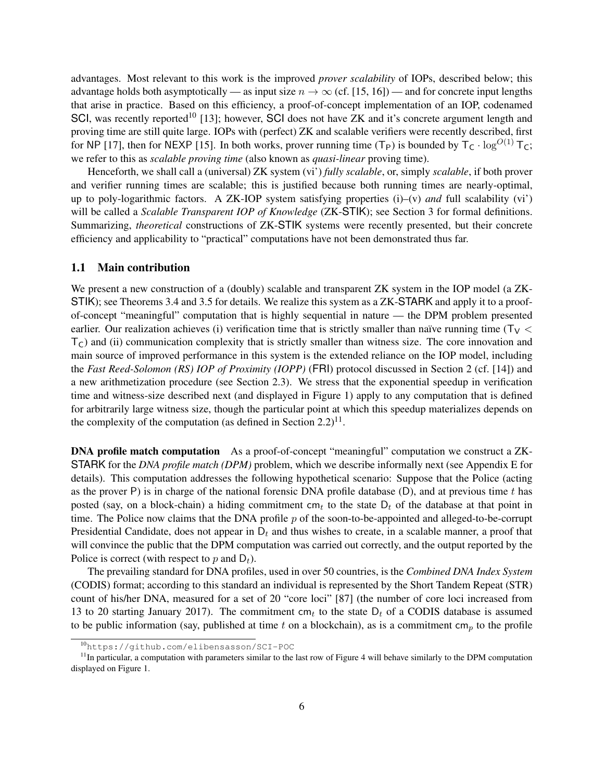advantages. Most relevant to this work is the improved *prover scalability* of IOPs, described below; this advantage holds both asymptotically — as input size  $n \to \infty$  (cf. [\[15,](#page-23-5) [16\]](#page-23-9)) — and for concrete input lengths that arise in practice. Based on this efficiency, a proof-of-concept implementation of an IOP, codenamed SCI, was recently reported<sup>[10](#page-5-1)</sup> [\[13\]](#page-23-10); however, SCI does not have ZK and it's concrete argument length and proving time are still quite large. IOPs with (perfect) ZK and scalable verifiers were recently described, first for NP [\[17\]](#page-24-1), then for NEXP [\[15\]](#page-23-5). In both works, prover running time  $(T_P)$  is bounded by  $T_C \cdot \log^{O(1)} T_C$ ; we refer to this as *scalable proving time* (also known as *quasi-linear* proving time).

Henceforth, we shall call a (universal) ZK system (vi') *fully scalable*, or, simply *scalable*, if both prover and verifier running times are scalable; this is justified because both running times are nearly-optimal, up to poly-logarithmic factors. A ZK-IOP system satisfying properties (i)–(v) *and* full scalability (vi') will be called a *Scalable Transparent IOP of Knowledge* (ZK-STIK); see Section [3](#page-18-0) for formal definitions. Summarizing, *theoretical* constructions of ZK-STIK systems were recently presented, but their concrete efficiency and applicability to "practical" computations have not been demonstrated thus far.

#### <span id="page-5-0"></span>1.1 Main contribution

We present a new construction of a (doubly) scalable and transparent ZK system in the IOP model (a ZK-STIK); see Theorems [3.4](#page-20-1) and [3.5](#page-20-2) for details. We realize this system as a ZK-STARK and apply it to a proofof-concept "meaningful" computation that is highly sequential in nature — the DPM problem presented earlier. Our realization achieves (i) verification time that is strictly smaller than naïve running time ( $T_V$  <  $T<sub>C</sub>$ ) and (ii) communication complexity that is strictly smaller than witness size. The core innovation and main source of improved performance in this system is the extended reliance on the IOP model, including the *Fast Reed-Solomon (RS) IOP of Proximity (IOPP)* (FRI) protocol discussed in Section [2](#page-13-0) (cf. [\[14\]](#page-23-11)) and a new arithmetization procedure (see Section [2.3\)](#page-14-0). We stress that the exponential speedup in verification time and witness-size described next (and displayed in Figure [1\)](#page-7-1) apply to any computation that is defined for arbitrarily large witness size, though the particular point at which this speedup materializes depends on the complexity of the computation (as defined in Section  $2.2$ )<sup>[11](#page-5-2)</sup>.

DNA profile match computation As a proof-of-concept "meaningful" computation we construct a ZK-STARK for the *DNA profile match (DPM)* problem, which we describe informally next (see Appendix [E](#page-70-0) for details). This computation addresses the following hypothetical scenario: Suppose that the Police (acting as the prover P) is in charge of the national forensic DNA profile database (D), and at previous time  $t$  has posted (say, on a block-chain) a hiding commitment cm<sub>t</sub> to the state  $D_t$  of the database at that point in time. The Police now claims that the DNA profile p of the soon-to-be-appointed and alleged-to-be-corrupt Presidential Candidate, does not appear in  $D_t$  and thus wishes to create, in a scalable manner, a proof that will convince the public that the DPM computation was carried out correctly, and the output reported by the Police is correct (with respect to  $p$  and  $D_t$ ).

The prevailing standard for DNA profiles, used in over 50 countries, is the *Combined DNA Index System* (CODIS) format; according to this standard an individual is represented by the Short Tandem Repeat (STR) count of his/her DNA, measured for a set of 20 "core loci" [\[87\]](#page-27-8) (the number of core loci increased from 13 to 20 starting January 2017). The commitment cm<sub>t</sub> to the state  $D_t$  of a CODIS database is assumed to be public information (say, published at time t on a blockchain), as is a commitment cm<sub>p</sub> to the profile

<span id="page-5-2"></span><span id="page-5-1"></span><sup>10</sup><https://github.com/elibensasson/SCI-POC>

 $11$ In particular, a computation with parameters similar to the last row of Figure [4](#page-15-0) will behave similarly to the DPM computation displayed on Figure [1.](#page-7-1)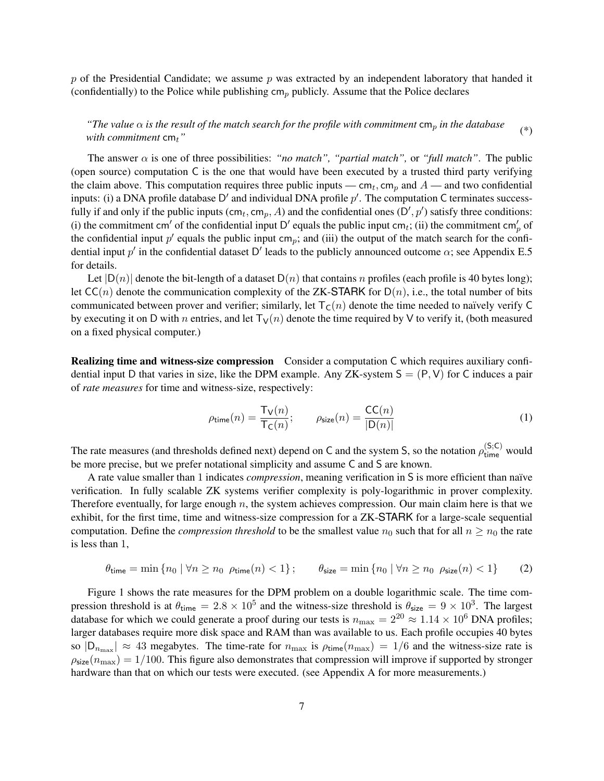<span id="page-6-0"></span> $p$  of the Presidential Candidate; we assume  $p$  was extracted by an independent laboratory that handed it (confidentially) to the Police while publishing  $cm_p$  publicly. Assume that the Police declares

*"The value*  $\alpha$  *is the result of the match search for the profile with commitment*  $cm_p$  *in the database with commitment*  $cm<sub>t</sub>$ " (\*)

The answer  $\alpha$  is one of three possibilities: *"no match"*, "*partial match"*, or "*full match*". The public (open source) computation C is the one that would have been executed by a trusted third party verifying the claim above. This computation requires three public inputs —  $cm_t$ , cm<sub>p</sub> and  $A$  — and two confidential inputs: (i) a DNA profile database D' and individual DNA profile  $p'$ . The computation C terminates successfully if and only if the public inputs  $(\text{cm}_t, \text{cm}_p, A)$  and the confidential ones  $(D', p')$  satisfy three conditions: (i) the commitment cm' of the confidential input D' equals the public input cm<sub>t</sub>; (ii) the commitment cm'<sub>p</sub> of the confidential input  $p'$  equals the public input cm<sub>p</sub>; and (iii) the output of the match search for the confidential input  $p'$  in the confidential dataset D' leads to the publicly announced outcome  $\alpha$ ; see Appendix [E.5](#page-75-0) for details.

Let  $|D(n)|$  denote the bit-length of a dataset  $D(n)$  that contains n profiles (each profile is 40 bytes long); let  $CC(n)$  denote the communication complexity of the ZK-STARK for  $D(n)$ , i.e., the total number of bits communicated between prover and verifier; similarly, let  $T_c(n)$  denote the time needed to naïvely verify C by executing it on D with n entries, and let  $\text{Ty}(n)$  denote the time required by V to verify it, (both measured on a fixed physical computer.)

Realizing time and witness-size compression Consider a computation C which requires auxiliary confidential input D that varies in size, like the DPM example. Any ZK-system  $S = (P, V)$  for C induces a pair of *rate measures* for time and witness-size, respectively:

$$
\rho_{\text{time}}(n) = \frac{\mathsf{T}_{\mathsf{V}}(n)}{\mathsf{T}_{\mathsf{C}}(n)}; \qquad \rho_{\text{size}}(n) = \frac{\mathsf{CC}(n)}{|\mathsf{D}(n)|} \tag{1}
$$

The rate measures (and thresholds defined next) depend on C and the system S, so the notation  $\rho_{time}^{(S;C)}$  would be more precise, but we prefer notational simplicity and assume C and S are known.

A rate value smaller than 1 indicates *compression*, meaning verification in S is more efficient than naïve verification. In fully scalable ZK systems verifier complexity is poly-logarithmic in prover complexity. Therefore eventually, for large enough  $n$ , the system achieves compression. Our main claim here is that we exhibit, for the first time, time and witness-size compression for a ZK-STARK for a large-scale sequential computation. Define the *compression threshold* to be the smallest value  $n_0$  such that for all  $n \geq n_0$  the rate is less than 1,

$$
\theta_{\text{time}} = \min \left\{ n_0 \mid \forall n \ge n_0 \ \rho_{\text{time}}(n) < 1 \right\}; \qquad \theta_{\text{size}} = \min \left\{ n_0 \mid \forall n \ge n_0 \ \rho_{\text{size}}(n) < 1 \right\} \tag{2}
$$

Figure [1](#page-7-1) shows the rate measures for the DPM problem on a double logarithmic scale. The time compression threshold is at  $\theta_{time} = 2.8 \times 10^5$  and the witness-size threshold is  $\theta_{size} = 9 \times 10^3$ . The largest database for which we could generate a proof during our tests is  $n_{\text{max}} = 2^{20} \approx 1.14 \times 10^6$  DNA profiles; larger databases require more disk space and RAM than was available to us. Each profile occupies 40 bytes so  $|D_{n_{\text{max}}}|\approx 43$  megabytes. The time-rate for  $n_{\text{max}}$  is  $\rho_{\text{time}}(n_{\text{max}}) = 1/6$  and the witness-size rate is  $\rho_{\text{size}}(n_{\text{max}}) = 1/100$ . This figure also demonstrates that compression will improve if supported by stronger hardware than that on which our tests were executed. (see Appendix [A](#page-30-0) for more measurements.)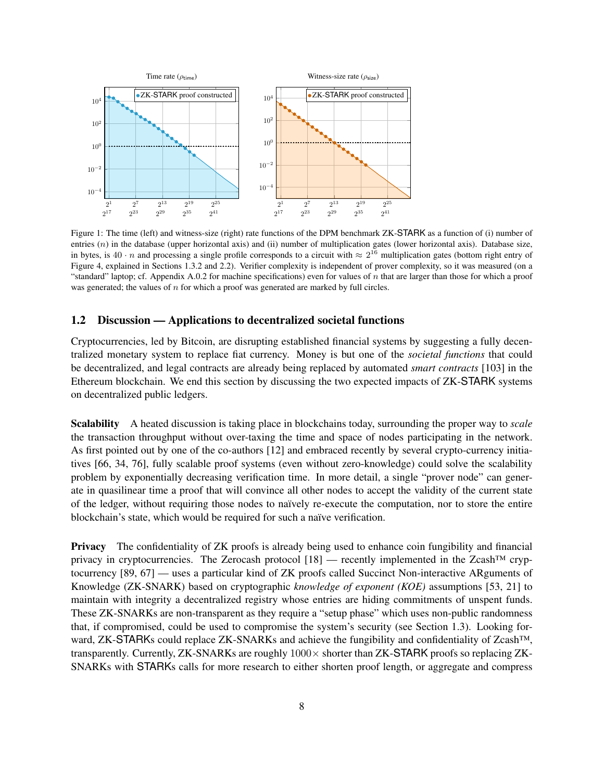<span id="page-7-1"></span>

Figure 1: The time (left) and witness-size (right) rate functions of the DPM benchmark ZK-STARK as a function of (i) number of entries  $(n)$  in the database (upper horizontal axis) and (ii) number of multiplication gates (lower horizontal axis). Database size, in bytes, is 40  $\cdot$  n and processing a single profile corresponds to a circuit with  $\approx 2^{16}$  multiplication gates (bottom right entry of Figure [4,](#page-15-0) explained in Sections [1.3.2](#page-10-0) and [2.2\)](#page-13-2). Verifier complexity is independent of prover complexity, so it was measured (on a "standard" laptop; cf. Appendix [A.0.2](#page-31-1) for machine specifications) even for values of  $n$  that are larger than those for which a proof was generated; the values of  $n$  for which a proof was generated are marked by full circles.

## <span id="page-7-0"></span>1.2 Discussion — Applications to decentralized societal functions

Cryptocurrencies, led by Bitcoin, are disrupting established financial systems by suggesting a fully decentralized monetary system to replace fiat currency. Money is but one of the *societal functions* that could be decentralized, and legal contracts are already being replaced by automated *smart contracts* [\[103\]](#page-28-1) in the Ethereum blockchain. We end this section by discussing the two expected impacts of ZK-STARK systems on decentralized public ledgers.

Scalability A heated discussion is taking place in blockchains today, surrounding the proper way to *scale* the transaction throughput without over-taxing the time and space of nodes participating in the network. As first pointed out by one of the co-authors [\[12\]](#page-23-12) and embraced recently by several crypto-currency initiatives [\[66,](#page-26-4) [34,](#page-25-6) [76\]](#page-27-9), fully scalable proof systems (even without zero-knowledge) could solve the scalability problem by exponentially decreasing verification time. In more detail, a single "prover node" can generate in quasilinear time a proof that will convince all other nodes to accept the validity of the current state of the ledger, without requiring those nodes to naïvely re-execute the computation, nor to store the entire blockchain's state, which would be required for such a naïve verification.

**Privacy** The confidentiality of ZK proofs is already being used to enhance coin fungibility and financial privacy in cryptocurrencies. The Zerocash protocol  $[18]$  — recently implemented in the Zcash<sup>TM</sup> cryptocurrency [\[89,](#page-28-2) [67\]](#page-26-5) — uses a particular kind of ZK proofs called Succinct Non-interactive ARguments of Knowledge (ZK-SNARK) based on cryptographic *knowledge of exponent (KOE)* assumptions [\[53,](#page-26-6) [21\]](#page-24-3) to maintain with integrity a decentralized registry whose entries are hiding commitments of unspent funds. These ZK-SNARKs are non-transparent as they require a "setup phase" which uses non-public randomness that, if compromised, could be used to compromise the system's security (see Section [1.3\)](#page-8-0). Looking forward, ZK-STARKs could replace ZK-SNARKs and achieve the fungibility and confidentiality of Zcash™, transparently. Currently,  $ZK-SNARKs$  are roughly  $1000\times$  shorter than  $ZK-STARK$  proofs so replacing  $ZK-$ SNARKs with STARKs calls for more research to either shorten proof length, or aggregate and compress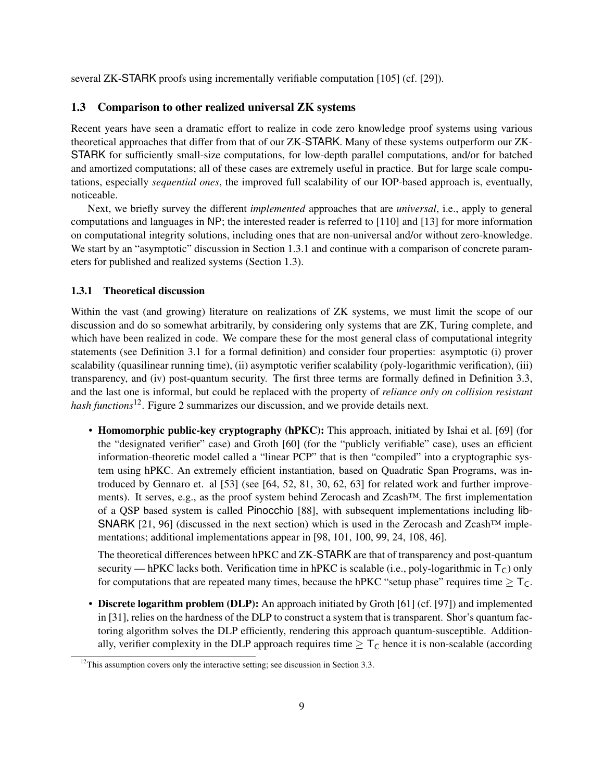several ZK-STARK proofs using incrementally verifiable computation [\[105\]](#page-28-3) (cf. [\[29\]](#page-24-4)).

#### <span id="page-8-0"></span>1.3 Comparison to other realized universal ZK systems

Recent years have seen a dramatic effort to realize in code zero knowledge proof systems using various theoretical approaches that differ from that of our ZK-STARK. Many of these systems outperform our ZK-STARK for sufficiently small-size computations, for low-depth parallel computations, and/or for batched and amortized computations; all of these cases are extremely useful in practice. But for large scale computations, especially *sequential ones*, the improved full scalability of our IOP-based approach is, eventually, noticeable.

Next, we briefly survey the different *implemented* approaches that are *universal*, i.e., apply to general computations and languages in NP; the interested reader is referred to [\[110\]](#page-29-0) and [\[13\]](#page-23-10) for more information on computational integrity solutions, including ones that are non-universal and/or without zero-knowledge. We start by an "asymptotic" discussion in Section [1.3.1](#page-8-1) and continue with a comparison of concrete parameters for published and realized systems (Section [1.3\)](#page-8-0).

#### <span id="page-8-1"></span>1.3.1 Theoretical discussion

Within the vast (and growing) literature on realizations of ZK systems, we must limit the scope of our discussion and do so somewhat arbitrarily, by considering only systems that are ZK, Turing complete, and which have been realized in code. We compare these for the most general class of computational integrity statements (see Definition [3.1](#page-18-2) for a formal definition) and consider four properties: asymptotic (i) prover scalability (quasilinear running time), (ii) asymptotic verifier scalability (poly-logarithmic verification), (iii) transparency, and (iv) post-quantum security. The first three terms are formally defined in Definition [3.3,](#page-19-0) and the last one is informal, but could be replaced with the property of *reliance only on collision resistant hash functions*[12](#page-8-2). Figure [2](#page-9-0) summarizes our discussion, and we provide details next.

• Homomorphic public-key cryptography (hPKC): This approach, initiated by Ishai et al. [\[69\]](#page-27-10) (for the "designated verifier" case) and Groth [\[60\]](#page-26-7) (for the "publicly verifiable" case), uses an efficient information-theoretic model called a "linear PCP" that is then "compiled" into a cryptographic system using hPKC. An extremely efficient instantiation, based on Quadratic Span Programs, was introduced by Gennaro et. al [\[53\]](#page-26-6) (see [\[64,](#page-26-8) [52,](#page-26-2) [81,](#page-27-11) [30,](#page-24-5) [62,](#page-26-9) [63\]](#page-26-10) for related work and further improvements). It serves, e.g., as the proof system behind Zerocash and Zcash™. The first implementation of a QSP based system is called Pinocchio [\[88\]](#page-27-12), with subsequent implementations including lib-SNARK [\[21,](#page-24-3) [96\]](#page-28-4) (discussed in the next section) which is used in the Zerocash and Zcash™ implementations; additional implementations appear in [\[98,](#page-28-5) [101,](#page-28-6) [100,](#page-28-7) [99,](#page-28-8) [24,](#page-24-6) [108,](#page-29-1) [46\]](#page-25-7).

The theoretical differences between hPKC and ZK-STARK are that of transparency and post-quantum security — hPKC lacks both. Verification time in hPKC is scalable (i.e., poly-logarithmic in  $T_c$ ) only for computations that are repeated many times, because the hPKC "setup phase" requires time  $\geq T_{C}$ .

• Discrete logarithm problem (DLP): An approach initiated by Groth [\[61\]](#page-26-11) (cf. [\[97\]](#page-28-9)) and implemented in [\[31\]](#page-24-7), relies on the hardness of the DLP to construct a system that is transparent. Shor's quantum factoring algorithm solves the DLP efficiently, rendering this approach quantum-susceptible. Additionally, verifier complexity in the DLP approach requires time  $\geq T_c$  hence it is non-scalable (according

<span id="page-8-2"></span> $12$ This assumption covers only the interactive setting; see discussion in Section [3.3.](#page-21-0)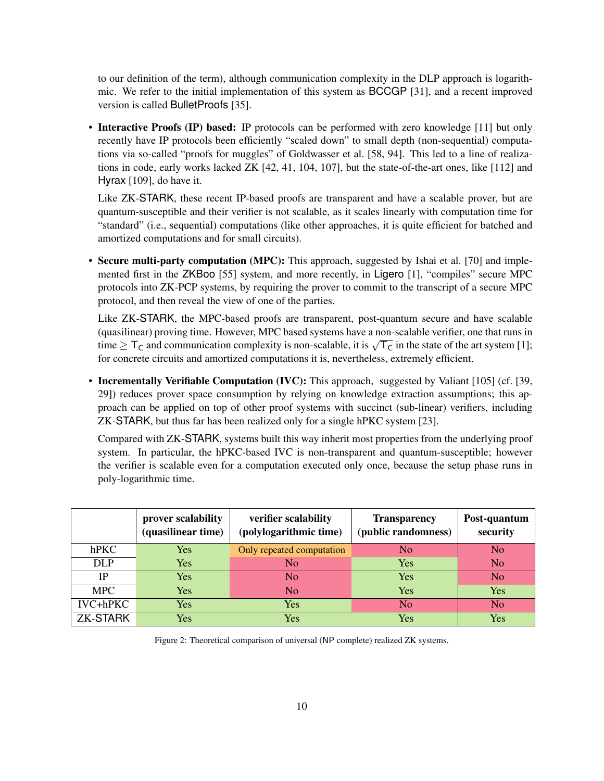to our definition of the term), although communication complexity in the DLP approach is logarithmic. We refer to the initial implementation of this system as BCCGP [\[31\]](#page-24-7), and a recent improved version is called BulletProofs [\[35\]](#page-25-8).

• Interactive Proofs (IP) based: IP protocols can be performed with zero knowledge [\[11\]](#page-23-4) but only recently have IP protocols been efficiently "scaled down" to small depth (non-sequential) computations via so-called "proofs for muggles" of Goldwasser et al. [\[58,](#page-26-1) [94\]](#page-28-0). This led to a line of realizations in code, early works lacked ZK [\[42,](#page-25-9) [41,](#page-25-1) [104,](#page-28-10) [107\]](#page-29-2), but the state-of-the-art ones, like [\[112\]](#page-29-3) and Hyrax [\[109\]](#page-29-4), do have it.

Like ZK-STARK, these recent IP-based proofs are transparent and have a scalable prover, but are quantum-susceptible and their verifier is not scalable, as it scales linearly with computation time for "standard" (i.e., sequential) computations (like other approaches, it is quite efficient for batched and amortized computations and for small circuits).

• Secure multi-party computation (MPC): This approach, suggested by Ishai et al. [\[70\]](#page-27-13) and implemented first in the ZKBoo [\[55\]](#page-26-12) system, and more recently, in Ligero [\[1\]](#page-23-13), "compiles" secure MPC protocols into ZK-PCP systems, by requiring the prover to commit to the transcript of a secure MPC protocol, and then reveal the view of one of the parties.

Like ZK-STARK, the MPC-based proofs are transparent, post-quantum secure and have scalable (quasilinear) proving time. However, MPC based systems have a non-scalable verifier, one that runs in  $t$  time  $\geq T_c$  and communication complexity is non-scalable, it is  $\sqrt{T_c}$  in the state of the art system [\[1\]](#page-23-13); for concrete circuits and amortized computations it is, nevertheless, extremely efficient.

• Incrementally Verifiable Computation (IVC): This approach, suggested by Valiant [\[105\]](#page-28-3) (cf. [\[39,](#page-25-10) [29\]](#page-24-4)) reduces prover space consumption by relying on knowledge extraction assumptions; this approach can be applied on top of other proof systems with succinct (sub-linear) verifiers, including ZK-STARK, but thus far has been realized only for a single hPKC system [\[23\]](#page-24-8).

Compared with ZK-STARK, systems built this way inherit most properties from the underlying proof system. In particular, the hPKC-based IVC is non-transparent and quantum-susceptible; however the verifier is scalable even for a computation executed only once, because the setup phase runs in poly-logarithmic time.

<span id="page-9-0"></span>

|                 | prover scalability<br>(quasilinear time) | verifier scalability<br>(polylogarithmic time) | <b>Transparency</b><br>(public randomness) | Post-quantum<br>security |
|-----------------|------------------------------------------|------------------------------------------------|--------------------------------------------|--------------------------|
| hPKC            | Yes                                      | Only repeated computation                      | No                                         | No                       |
| <b>DLP</b>      | Yes                                      | N <sub>o</sub>                                 | Yes                                        | N <sub>o</sub>           |
| <b>IP</b>       | Yes                                      | N <sub>o</sub>                                 | Yes                                        | N <sub>o</sub>           |
| <b>MPC</b>      | Yes                                      | N <sub>o</sub>                                 | Yes                                        | Yes                      |
| IVC+hPKC        | Yes                                      | Yes                                            | N <sub>0</sub>                             | N <sub>o</sub>           |
| <b>ZK-STARK</b> | Yes                                      | Yes                                            | Yes                                        | Yes                      |

Figure 2: Theoretical comparison of universal (NP complete) realized ZK systems.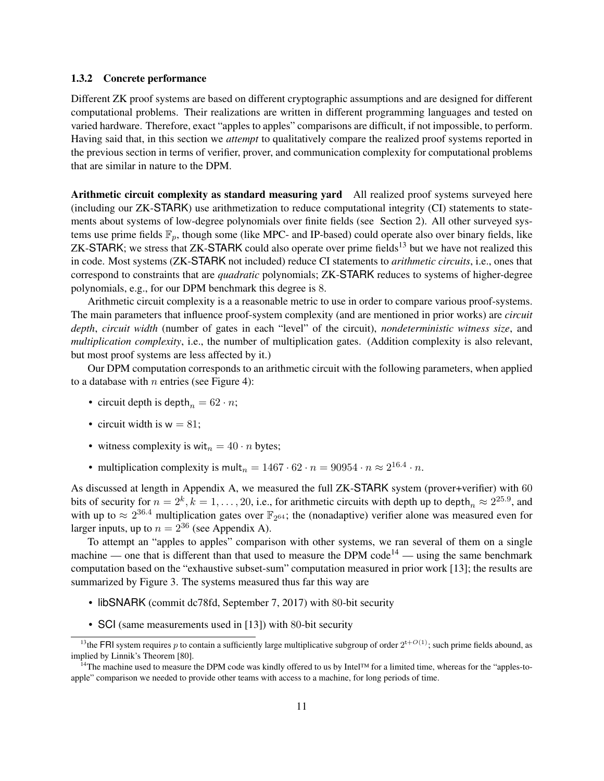#### <span id="page-10-0"></span>1.3.2 Concrete performance

Different ZK proof systems are based on different cryptographic assumptions and are designed for different computational problems. Their realizations are written in different programming languages and tested on varied hardware. Therefore, exact "apples to apples" comparisons are difficult, if not impossible, to perform. Having said that, in this section we *attempt* to qualitatively compare the realized proof systems reported in the previous section in terms of verifier, prover, and communication complexity for computational problems that are similar in nature to the DPM.

Arithmetic circuit complexity as standard measuring yard All realized proof systems surveyed here (including our ZK-STARK) use arithmetization to reduce computational integrity (CI) statements to statements about systems of low-degree polynomials over finite fields (see Section [2\)](#page-13-0). All other surveyed systems use prime fields  $\mathbb{F}_p$ , though some (like MPC- and IP-based) could operate also over binary fields, like ZK-STARK; we stress that ZK-STARK could also operate over prime fields<sup>[13](#page-10-1)</sup> but we have not realized this in code. Most systems (ZK-STARK not included) reduce CI statements to *arithmetic circuits*, i.e., ones that correspond to constraints that are *quadratic* polynomials; ZK-STARK reduces to systems of higher-degree polynomials, e.g., for our DPM benchmark this degree is 8.

Arithmetic circuit complexity is a a reasonable metric to use in order to compare various proof-systems. The main parameters that influence proof-system complexity (and are mentioned in prior works) are *circuit depth*, *circuit width* (number of gates in each "level" of the circuit), *nondeterministic witness size*, and *multiplication complexity*, i.e., the number of multiplication gates. (Addition complexity is also relevant, but most proof systems are less affected by it.)

Our DPM computation corresponds to an arithmetic circuit with the following parameters, when applied to a database with *n* entries (see Figure [4\)](#page-15-0):

- circuit depth is depth $_n = 62 \cdot n;$
- circuit width is  $w = 81$ ;
- witness complexity is wit<sub>n</sub> =  $40 \cdot n$  bytes;
- multiplication complexity is mult<sub>n</sub> =  $1467 \cdot 62 \cdot n = 90954 \cdot n \approx 2^{16.4} \cdot n$ .

As discussed at length in Appendix [A,](#page-30-0) we measured the full ZK-STARK system (prover+verifier) with 60 bits of security for  $n = 2^k, k = 1, ..., 20$ , i.e., for arithmetic circuits with depth up to depth $_n \approx 2^{25.9}$ , and with up to  $\approx 2^{36.4}$  multiplication gates over  $\mathbb{F}_{2^{64}}$ ; the (nonadaptive) verifier alone was measured even for larger inputs, up to  $n = 2^{36}$  (see Appendix [A\)](#page-30-0).

To attempt an "apples to apples" comparison with other systems, we ran several of them on a single machine — one that is different than that used to measure the DPM code<sup>[14](#page-10-2)</sup> — using the same benchmark computation based on the "exhaustive subset-sum" computation measured in prior work [\[13\]](#page-23-10); the results are summarized by Figure [3.](#page-11-0) The systems measured thus far this way are

- libSNARK (commit dc78fd, September 7, 2017) with 80-bit security
- SCI (same measurements used in [\[13\]](#page-23-10)) with 80-bit security

<span id="page-10-1"></span><sup>&</sup>lt;sup>13</sup>the FRI system requires p to contain a sufficiently large multiplicative subgroup of order  $2^{t+O(1)}$ ; such prime fields abound, as implied by Linnik's Theorem [\[80\]](#page-27-14).

<span id="page-10-2"></span> $14$ The machine used to measure the DPM code was kindly offered to us by Intel™ for a limited time, whereas for the "apples-toapple" comparison we needed to provide other teams with access to a machine, for long periods of time.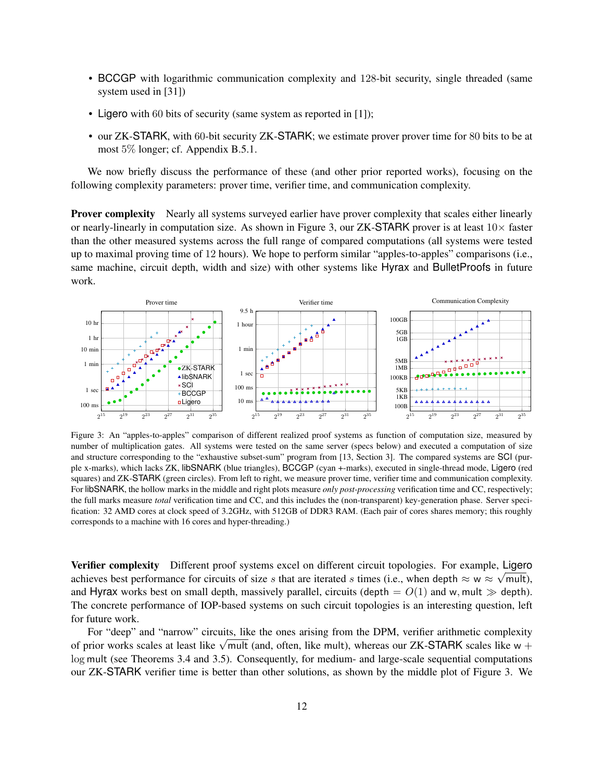- BCCGP with logarithmic communication complexity and 128-bit security, single threaded (same system used in [\[31\]](#page-24-7))
- Ligero with 60 bits of security (same system as reported in [\[1\]](#page-23-13));
- our ZK-STARK, with 60-bit security ZK-STARK; we estimate prover prover time for 80 bits to be at most 5% longer; cf. Appendix [B.5.1.](#page-43-0)

We now briefly discuss the performance of these (and other prior reported works), focusing on the following complexity parameters: prover time, verifier time, and communication complexity.

Prover complexity Nearly all systems surveyed earlier have prover complexity that scales either linearly or nearly-linearly in computation size. As shown in Figure [3,](#page-11-0) our ZK-STARK prover is at least  $10\times$  faster than the other measured systems across the full range of compared computations (all systems were tested up to maximal proving time of 12 hours). We hope to perform similar "apples-to-apples" comparisons (i.e., same machine, circuit depth, width and size) with other systems like Hyrax and BulletProofs in future work.

<span id="page-11-0"></span>

Figure 3: An "apples-to-apples" comparison of different realized proof systems as function of computation size, measured by number of multiplication gates. All systems were tested on the same server (specs below) and executed a computation of size and structure corresponding to the "exhaustive subset-sum" program from [\[13,](#page-23-10) Section 3]. The compared systems are SCI (purple x-marks), which lacks ZK, libSNARK (blue triangles), BCCGP (cyan +-marks), executed in single-thread mode, Ligero (red squares) and ZK-STARK (green circles). From left to right, we measure prover time, verifier time and communication complexity. For libSNARK, the hollow marks in the middle and right plots measure *only post-processing* verification time and CC, respectively; the full marks measure *total* verification time and CC, and this includes the (non-transparent) key-generation phase. Server specification: 32 AMD cores at clock speed of 3.2GHz, with 512GB of DDR3 RAM. (Each pair of cores shares memory; this roughly corresponds to a machine with 16 cores and hyper-threading.)

**Verifier complexity** Different proof systems excel on different circuit topologies. For example, **Ligero** achieves best performance for circuits of size s that are iterated s times (i.e., when depth  $\approx w \approx \sqrt{m}$ ult), and Hyrax works best on small depth, massively parallel, circuits (depth =  $O(1)$  and w, mult  $\gg$  depth). The concrete performance of IOP-based systems on such circuit topologies is an interesting question, left for future work.

For "deep" and "narrow" circuits, like the ones arising from the DPM, verifier arithmetic complexity For deep and narrow circuits, like the ones arising from the DPM, vertuer arithmetic complexity<br>of prior works scales at least like  $\sqrt{mult}$  (and, often, like mult), whereas our ZK-STARK scales like w + log mult (see Theorems [3.4](#page-20-1) and [3.5\)](#page-20-2). Consequently, for medium- and large-scale sequential computations our ZK-STARK verifier time is better than other solutions, as shown by the middle plot of Figure [3.](#page-11-0) We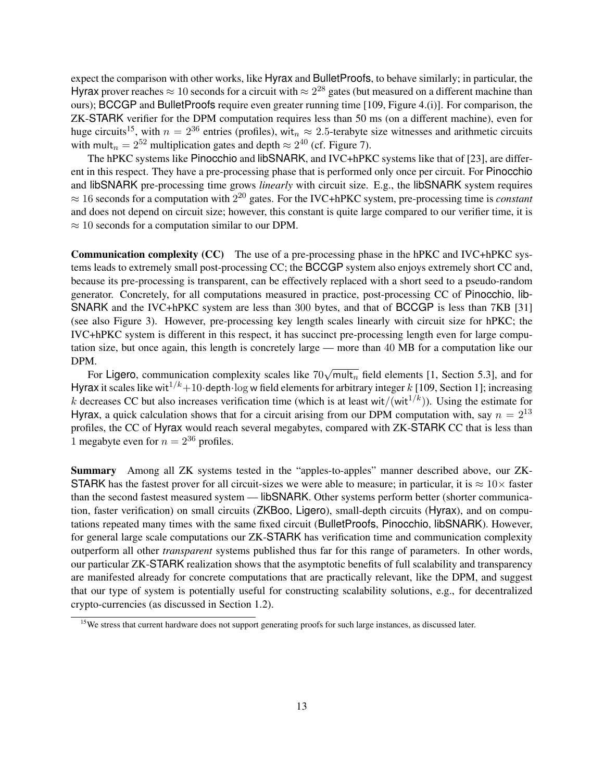expect the comparison with other works, like Hyrax and BulletProofs, to behave similarly; in particular, the Hyrax prover reaches  $\approx 10$  seconds for a circuit with  $\approx 2^{28}$  gates (but measured on a different machine than ours); BCCGP and BulletProofs require even greater running time [\[109,](#page-29-4) Figure 4.(i)]. For comparison, the ZK-STARK verifier for the DPM computation requires less than 50 ms (on a different machine), even for huge circuits<sup>[15](#page-12-0)</sup>, with  $n = 2^{36}$  entries (profiles), wit<sub>n</sub>  $\approx 2.5$ -terabyte size witnesses and arithmetic circuits with mult<sub>n</sub> =  $2^{52}$  multiplication gates and depth  $\approx 2^{40}$  (cf. Figure [7\)](#page-31-2).

The hPKC systems like Pinocchio and libSNARK, and IVC+hPKC systems like that of [\[23\]](#page-24-8), are different in this respect. They have a pre-processing phase that is performed only once per circuit. For Pinocchio and libSNARK pre-processing time grows *linearly* with circuit size. E.g., the libSNARK system requires  $\approx 16$  seconds for a computation with  $2^{20}$  gates. For the IVC+hPKC system, pre-processing time is *constant* and does not depend on circuit size; however, this constant is quite large compared to our verifier time, it is  $\approx$  10 seconds for a computation similar to our DPM.

Communication complexity (CC) The use of a pre-processing phase in the hPKC and IVC+hPKC systems leads to extremely small post-processing CC; the BCCGP system also enjoys extremely short CC and, because its pre-processing is transparent, can be effectively replaced with a short seed to a pseudo-random generator. Concretely, for all computations measured in practice, post-processing CC of Pinocchio, lib-SNARK and the IVC+hPKC system are less than 300 bytes, and that of BCCGP is less than 7KB [\[31\]](#page-24-7) (see also Figure [3\)](#page-11-0). However, pre-processing key length scales linearly with circuit size for hPKC; the IVC+hPKC system is different in this respect, it has succinct pre-processing length even for large computation size, but once again, this length is concretely large — more than 40 MB for a computation like our DPM.

w.<br>For Ligero, communication complexity scales like  $70\sqrt{ \mathsf{mult}_n }$  field elements [\[1,](#page-23-13) Section 5.3], and for Hyrax it scales like wit<sup>1/k</sup>+10·depth·log w field elements for arbitrary integer k [\[109,](#page-29-4) Section 1]; increasing k decreases CC but also increases verification time (which is at least wit/(wit<sup>1/k</sup>)). Using the estimate for Hyrax, a quick calculation shows that for a circuit arising from our DPM computation with, say  $n = 2^{13}$ profiles, the CC of Hyrax would reach several megabytes, compared with ZK-STARK CC that is less than 1 megabyte even for  $n = 2^{36}$  profiles.

Summary Among all ZK systems tested in the "apples-to-apples" manner described above, our ZK-STARK has the fastest prover for all circuit-sizes we were able to measure; in particular, it is  $\approx 10 \times$  faster than the second fastest measured system — libSNARK. Other systems perform better (shorter communication, faster verification) on small circuits (ZKBoo, Ligero), small-depth circuits (Hyrax), and on computations repeated many times with the same fixed circuit (BulletProofs, Pinocchio, libSNARK). However, for general large scale computations our ZK-STARK has verification time and communication complexity outperform all other *transparent* systems published thus far for this range of parameters. In other words, our particular ZK-STARK realization shows that the asymptotic benefits of full scalability and transparency are manifested already for concrete computations that are practically relevant, like the DPM, and suggest that our type of system is potentially useful for constructing scalability solutions, e.g., for decentralized crypto-currencies (as discussed in Section [1.2\)](#page-7-0).

<span id="page-12-0"></span><sup>&</sup>lt;sup>15</sup>We stress that current hardware does not support generating proofs for such large instances, as discussed later.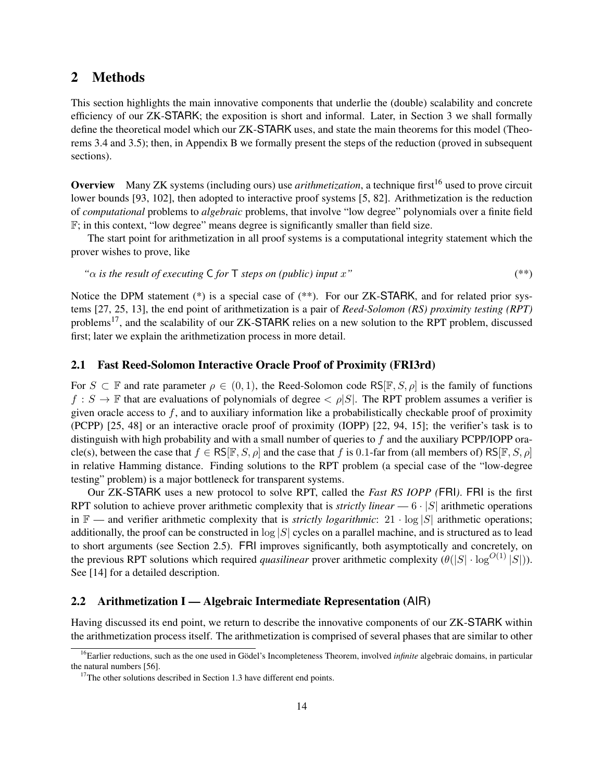# <span id="page-13-0"></span>2 Methods

This section highlights the main innovative components that underlie the (double) scalability and concrete efficiency of our ZK-STARK; the exposition is short and informal. Later, in Section [3](#page-18-0) we shall formally define the theoretical model which our ZK-STARK uses, and state the main theorems for this model (Theorems [3.4](#page-20-1) and [3.5\)](#page-20-2); then, in Appendix [B](#page-32-0) we formally present the steps of the reduction (proved in subsequent sections).

**Overview** Many ZK systems (including ours) use *arithmetization*, a technique first<sup>[16](#page-13-3)</sup> used to prove circuit lower bounds [\[93,](#page-28-11) [102\]](#page-28-12), then adopted to interactive proof systems [\[5,](#page-23-14) [82\]](#page-27-15). Arithmetization is the reduction of *computational* problems to *algebraic* problems, that involve "low degree" polynomials over a finite field  $\mathbb{F}$ ; in this context, "low degree" means degree is significantly smaller than field size.

The start point for arithmetization in all proof systems is a computational integrity statement which the prover wishes to prove, like

<span id="page-13-4"></span>" 
$$
\alpha
$$
 is the result of executing C for T steps on (public) input x"  $(**)$ 

Notice the DPM statement [\(\\*\)](#page-6-0) is a special case of [\(\\*\\*\)](#page-13-4). For our ZK-STARK, and for related prior systems [\[27,](#page-24-9) [25,](#page-24-10) [13\]](#page-23-10), the end point of arithmetization is a pair of *Reed-Solomon (RS) proximity testing (RPT)* problems<sup>[17](#page-13-5)</sup>, and the scalability of our ZK-STARK relies on a new solution to the RPT problem, discussed first; later we explain the arithmetization process in more detail.

### <span id="page-13-1"></span>2.1 Fast Reed-Solomon Interactive Oracle Proof of Proximity (FRI3rd)

For  $S \subset \mathbb{F}$  and rate parameter  $\rho \in (0, 1)$ , the Reed-Solomon code RS[ $\mathbb{F}, S, \rho$ ] is the family of functions  $f : S \to \mathbb{F}$  that are evaluations of polynomials of degree  $\langle \rho |S|$ . The RPT problem assumes a verifier is given oracle access to f, and to auxiliary information like a probabilistically checkable proof of proximity (PCPP) [\[25,](#page-24-10) [48\]](#page-25-11) or an interactive oracle proof of proximity (IOPP) [\[22,](#page-24-0) [94,](#page-28-0) [15\]](#page-23-5); the verifier's task is to distinguish with high probability and with a small number of queries to  $f$  and the auxiliary PCPP/IOPP oracle(s), between the case that  $f \in \mathsf{RS}[\mathbb{F}, S, \rho]$  and the case that f is 0.1-far from (all members of)  $\mathsf{RS}[\mathbb{F}, S, \rho]$ in relative Hamming distance. Finding solutions to the RPT problem (a special case of the "low-degree testing" problem) is a major bottleneck for transparent systems.

Our ZK-STARK uses a new protocol to solve RPT, called the *Fast RS IOPP (*FRI*)*. FRI is the first RPT solution to achieve prover arithmetic complexity that is *strictly linear* —  $6 \cdot |S|$  arithmetic operations in  $\mathbb{F}$  — and verifier arithmetic complexity that is *strictly logarithmic*: 21 · log |S| arithmetic operations; additionally, the proof can be constructed in  $\log |S|$  cycles on a parallel machine, and is structured as to lead to short arguments (see Section [2.5\)](#page-16-1). FRI improves significantly, both asymptotically and concretely, on the previous RPT solutions which required *quasilinear* prover arithmetic complexity  $(\theta(|S| \cdot \log^{O(1)} |S|))$ . See [\[14\]](#page-23-11) for a detailed description.

## <span id="page-13-2"></span>2.2 Arithmetization I — Algebraic Intermediate Representation (AIR)

Having discussed its end point, we return to describe the innovative components of our ZK-STARK within the arithmetization process itself. The arithmetization is comprised of several phases that are similar to other

<span id="page-13-3"></span><sup>&</sup>lt;sup>16</sup>Earlier reductions, such as the one used in Gödel's Incompleteness Theorem, involved *infinite* algebraic domains, in particular the natural numbers [\[56\]](#page-26-13).

<span id="page-13-5"></span> $17$ The other solutions described in Section [1.3](#page-8-0) have different end points.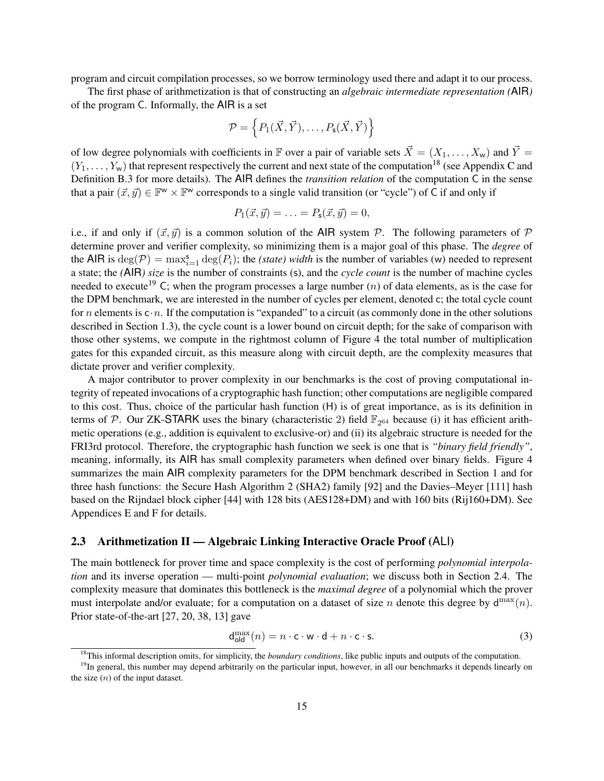program and circuit compilation processes, so we borrow terminology used there and adapt it to our process.

The first phase of arithmetization is that of constructing an *algebraic intermediate representation (*AIR*)* of the program C. Informally, the AIR is a set

$$
\mathcal{P} = \left\{ P_1(\vec{X}, \vec{Y}), \ldots, P_s(\vec{X}, \vec{Y}) \right\}
$$

of low degree polynomials with coefficients in F over a pair of variable sets  $\vec{X} = (X_1, \ldots, X_w)$  and  $\vec{Y} =$  $(Y_1, \ldots, Y_w)$  that represent respectively the current and next state of the computation<sup>[18](#page-14-1)</sup> (see Appendix [C](#page-51-0) and Definition [B.3](#page-34-1) for more details). The AIR defines the *transition relation* of the computation C in the sense that a pair  $(\vec{x}, \vec{y}) \in \mathbb{F}^w \times \mathbb{F}^w$  corresponds to a single valid transition (or "cycle") of C if and only if

$$
P_1(\vec{x},\vec{y})=\ldots=P_{\mathsf{s}}(\vec{x},\vec{y})=0,
$$

i.e., if and only if  $(\vec{x}, \vec{y})$  is a common solution of the AIR system P. The following parameters of P determine prover and verifier complexity, so minimizing them is a major goal of this phase. The *degree* of the AIR is  $deg(P) = max_{i=1}^{s} deg(P_i)$ ; the *(state) width* is the number of variables (w) needed to represent a state; the *(*AIR*) size* is the number of constraints (s), and the *cycle count* is the number of machine cycles needed to execute<sup>[19](#page-14-2)</sup> C; when the program processes a large number  $(n)$  of data elements, as is the case for the DPM benchmark, we are interested in the number of cycles per element, denoted c; the total cycle count for *n* elements is  $c \cdot n$ . If the computation is "expanded" to a circuit (as commonly done in the other solutions described in Section [1.3\)](#page-8-0), the cycle count is a lower bound on circuit depth; for the sake of comparison with those other systems, we compute in the rightmost column of Figure [4](#page-15-0) the total number of multiplication gates for this expanded circuit, as this measure along with circuit depth, are the complexity measures that dictate prover and verifier complexity.

A major contributor to prover complexity in our benchmarks is the cost of proving computational integrity of repeated invocations of a cryptographic hash function; other computations are negligible compared to this cost. Thus, choice of the particular hash function (H) is of great importance, as is its definition in terms of P. Our ZK-STARK uses the binary (characteristic 2) field  $\mathbb{F}_{2^{64}}$  because (i) it has efficient arithmetic operations (e.g., addition is equivalent to exclusive-or) and (ii) its algebraic structure is needed for the FRI3rd protocol. Therefore, the cryptographic hash function we seek is one that is *"binary field friendly"*, meaning, informally, its AIR has small complexity parameters when defined over binary fields. Figure [4](#page-15-0) summarizes the main AIR complexity parameters for the DPM benchmark described in Section [1](#page-3-0) and for three hash functions: the Secure Hash Algorithm 2 (SHA2) family [\[92\]](#page-28-13) and the Davies–Meyer [\[111\]](#page-29-5) hash based on the Rijndael block cipher [\[44\]](#page-25-12) with 128 bits (AES128+DM) and with 160 bits (Rij160+DM). See Appendices [E](#page-70-0) and [F](#page-79-0) for details.

### <span id="page-14-0"></span>2.3 Arithmetization II — Algebraic Linking Interactive Oracle Proof (ALI)

The main bottleneck for prover time and space complexity is the cost of performing *polynomial interpolation* and its inverse operation — multi-point *polynomial evaluation*; we discuss both in Section [2.4.](#page-16-0) The complexity measure that dominates this bottleneck is the *maximal degree* of a polynomial which the prover must interpolate and/or evaluate; for a computation on a dataset of size *n* denote this degree by  $d^{max}(n)$ . Prior state-of-the-art [\[27,](#page-24-9) [20,](#page-24-11) [38,](#page-25-13) [13\]](#page-23-10) gave

$$
\mathsf{d}_{\mathsf{old}}^{\max}(n) = n \cdot \mathsf{c} \cdot \mathsf{w} \cdot \mathsf{d} + n \cdot \mathsf{c} \cdot \mathsf{s}.\tag{3}
$$

<span id="page-14-2"></span><span id="page-14-1"></span><sup>&</sup>lt;sup>18</sup>This informal description omits, for simplicity, the *boundary conditions*, like public inputs and outputs of the computation.

<sup>&</sup>lt;sup>19</sup>In general, this number may depend arbitrarily on the particular input, however, in all our benchmarks it depends linearly on the size  $(n)$  of the input dataset.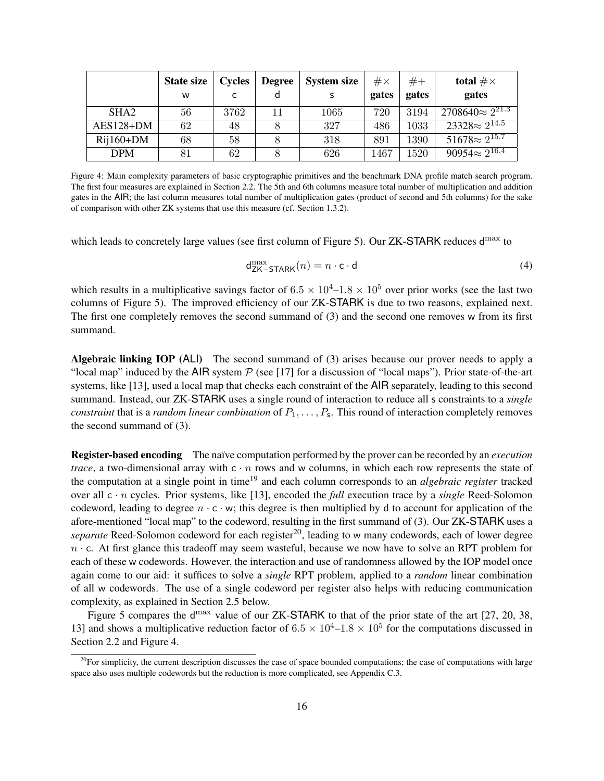<span id="page-15-0"></span>

|                  | <b>State size</b><br>w | <b>Cycles</b> | <b>Degree</b> | <b>System size</b> | #x<br>gates | $#+$<br>gates | total $\#\times$<br>gates             |
|------------------|------------------------|---------------|---------------|--------------------|-------------|---------------|---------------------------------------|
| SHA <sub>2</sub> | 56                     | 3762          | 11            | 1065               | 720         | 3194          | $2708640 \approx \overline{2^{21.3}}$ |
| AES128+DM        | 62                     | 48            |               | 327                | 486         | 1033          | $23328 \approx 2^{14.5}$              |
| $Rij160+DM$      | 68                     | 58            |               | 318                | 891         | 1390          | $51678 \approx 2^{15.7}$              |
| <b>DPM</b>       | 81                     | 62            |               | 626                | 1467        | 1520          | $90954 \approx 2^{16.4}$              |

Figure 4: Main complexity parameters of basic cryptographic primitives and the benchmark DNA profile match search program. The first four measures are explained in Section [2.2.](#page-13-2) The 5th and 6th columns measure total number of multiplication and addition gates in the AIR; the last column measures total number of multiplication gates (product of second and 5th columns) for the sake of comparison with other ZK systems that use this measure (cf. Section [1.3.2\)](#page-10-0).

which leads to concretely large values (see first column of Figure [5\)](#page-16-2). Our ZK-STARK reduces d<sup>max</sup> to

<span id="page-15-2"></span>
$$
d_{\text{ZK-STARK}}^{\text{max}}(n) = n \cdot c \cdot d \tag{4}
$$

which results in a multiplicative savings factor of  $6.5 \times 10^4$ – $1.8 \times 10^5$  over prior works (see the last two columns of Figure [5\)](#page-16-2). The improved efficiency of our ZK-STARK is due to two reasons, explained next. The first one completely removes the second summand of [\(3\)](#page-13-4) and the second one removes w from its first summand.

Algebraic linking IOP (ALI) The second summand of [\(3\)](#page-13-4) arises because our prover needs to apply a "local map" induced by the AIR system  $P$  (see [\[17\]](#page-24-1) for a discussion of "local maps"). Prior state-of-the-art systems, like [\[13\]](#page-23-10), used a local map that checks each constraint of the AIR separately, leading to this second summand. Instead, our ZK-STARK uses a single round of interaction to reduce all s constraints to a *single constraint* that is a *random linear combination* of  $P_1, \ldots, P_s$ . This round of interaction completely removes the second summand of [\(3\)](#page-13-4).

Register-based encoding The naïve computation performed by the prover can be recorded by an *execution trace*, a two-dimensional array with  $c \cdot n$  rows and w columns, in which each row represents the state of the computation at a single point in time[19](#page-14-2) and each column corresponds to an *algebraic register* tracked over all c · n cycles. Prior systems, like [\[13\]](#page-23-10), encoded the *full* execution trace by a *single* Reed-Solomon codeword, leading to degree  $n \cdot c \cdot w$ ; this degree is then multiplied by d to account for application of the afore-mentioned "local map" to the codeword, resulting in the first summand of [\(3\)](#page-13-4). Our ZK-STARK uses a *separate* Reed-Solomon codeword for each register<sup>[20](#page-15-1)</sup>, leading to w many codewords, each of lower degree  $n \cdot c$ . At first glance this tradeoff may seem wasteful, because we now have to solve an RPT problem for each of these w codewords. However, the interaction and use of randomness allowed by the IOP model once again come to our aid: it suffices to solve a *single* RPT problem, applied to a *random* linear combination of all w codewords. The use of a single codeword per register also helps with reducing communication complexity, as explained in Section [2.5](#page-16-1) below.

Figure [5](#page-16-2) compares the d<sup>max</sup> value of our ZK-STARK to that of the prior state of the art [\[27,](#page-24-9) [20,](#page-24-11) [38,](#page-25-13) [13\]](#page-23-10) and shows a multiplicative reduction factor of  $6.5 \times 10^4$ –1.8  $\times 10^5$  for the computations discussed in Section [2.2](#page-13-2) and Figure [4.](#page-15-0)

<span id="page-15-1"></span> $20$ For simplicity, the current description discusses the case of space bounded computations; the case of computations with large space also uses multiple codewords but the reduction is more complicated, see Appendix [C.3.](#page-55-0)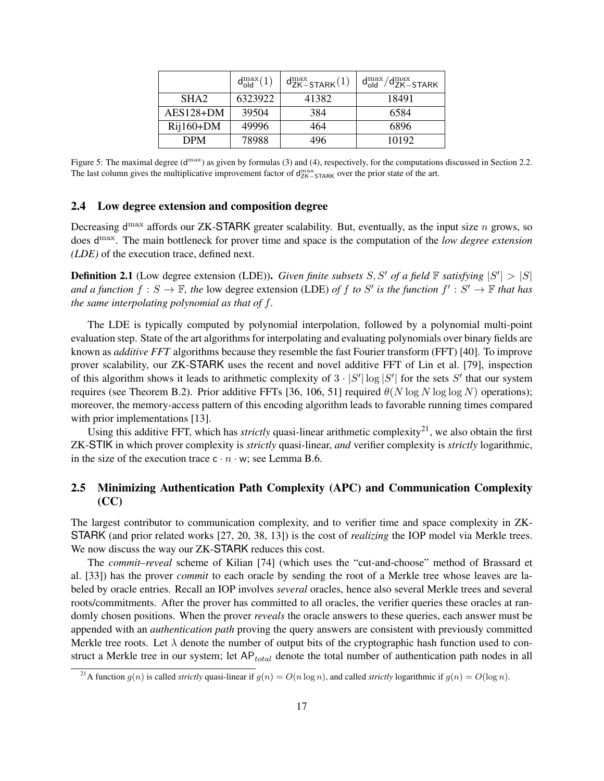<span id="page-16-2"></span>

|                  | $d_{old}^{max}(1)$ | $d_{ZK-STARK}^{max}(1)$ | $d_{old}^{max}/d_{ZK-STATE}^{max}$ |
|------------------|--------------------|-------------------------|------------------------------------|
| SHA <sub>2</sub> | 6323922            | 41382                   | 18491                              |
| $AES128+DM$      | 39504              | 384                     | 6584                               |
| $Rij160+DM$      | 49996              | 464                     | 6896                               |
| <b>DPM</b>       | 78988              | 496                     | 10192                              |

Figure 5: The maximal degree  $(d^{max})$  as given by formulas [\(3\)](#page-13-4) and [\(4\)](#page-15-2), respectively, for the computations discussed in Section [2.2.](#page-13-2) The last column gives the multiplicative improvement factor of  $d_{ZK-STARK}^{max}$  over the prior state of the art.

## <span id="page-16-0"></span>2.4 Low degree extension and composition degree

Decreasing  $d^{max}$  affords our ZK-STARK greater scalability. But, eventually, as the input size n grows, so does d max. The main bottleneck for prover time and space is the computation of the *low degree extension (LDE)* of the execution trace, defined next.

<span id="page-16-4"></span>**Definition 2.1** (Low degree extension (LDE)). *Given finite subsets* S, S' of a field  $\mathbb{F}$  *satisfying*  $|S'| > |S|$ *and a function*  $f : S \to \mathbb{F}$ , the low degree extension (LDE) *of* f to S' is the function  $f' : S' \to \mathbb{F}$  that has *the same interpolating polynomial as that of* f*.*

The LDE is typically computed by polynomial interpolation, followed by a polynomial multi-point evaluation step. State of the art algorithms for interpolating and evaluating polynomials over binary fields are known as *additive FFT* algorithms because they resemble the fast Fourier transform (FFT) [\[40\]](#page-25-14). To improve prover scalability, our ZK-STARK uses the recent and novel additive FFT of Lin et al. [\[79\]](#page-27-16), inspection of this algorithm shows it leads to arithmetic complexity of  $3 \cdot |S'| \log |S'|$  for the sets S' that our system requires (see Theorem [B.2\)](#page-34-2). Prior additive FFTs [\[36,](#page-25-15) [106,](#page-28-14) [51\]](#page-25-16) required  $\theta(N \log N \log \log N)$  operations); moreover, the memory-access pattern of this encoding algorithm leads to favorable running times compared with prior implementations [\[13\]](#page-23-10).

Using this additive FFT, which has *strictly* quasi-linear arithmetic complexity<sup>[21](#page-16-3)</sup>, we also obtain the first ZK-STIK in which prover complexity is *strictly* quasi-linear, *and* verifier complexity is *strictly* logarithmic, in the size of the execution trace  $c \cdot n \cdot w$ ; see Lemma [B.6.](#page-35-0)

# <span id="page-16-1"></span>2.5 Minimizing Authentication Path Complexity (APC) and Communication Complexity  $(CC)$

The largest contributor to communication complexity, and to verifier time and space complexity in ZK-STARK (and prior related works [\[27,](#page-24-9) [20,](#page-24-11) [38,](#page-25-13) [13\]](#page-23-10)) is the cost of *realizing* the IOP model via Merkle trees. We now discuss the way our **ZK-STARK** reduces this cost.

The *commit–reveal* scheme of Kilian [\[74\]](#page-27-3) (which uses the "cut-and-choose" method of Brassard et al. [\[33\]](#page-25-0)) has the prover *commit* to each oracle by sending the root of a Merkle tree whose leaves are labeled by oracle entries. Recall an IOP involves *several* oracles, hence also several Merkle trees and several roots/commitments. After the prover has committed to all oracles, the verifier queries these oracles at randomly chosen positions. When the prover *reveals* the oracle answers to these queries, each answer must be appended with an *authentication path* proving the query answers are consistent with previously committed Merkle tree roots. Let  $\lambda$  denote the number of output bits of the cryptographic hash function used to construct a Merkle tree in our system; let  $AP_{total}$  denote the total number of authentication path nodes in all

<span id="page-16-3"></span><sup>&</sup>lt;sup>21</sup>A function  $g(n)$  is called *strictly* quasi-linear if  $g(n) = O(n \log n)$ , and called *strictly* logarithmic if  $g(n) = O(\log n)$ .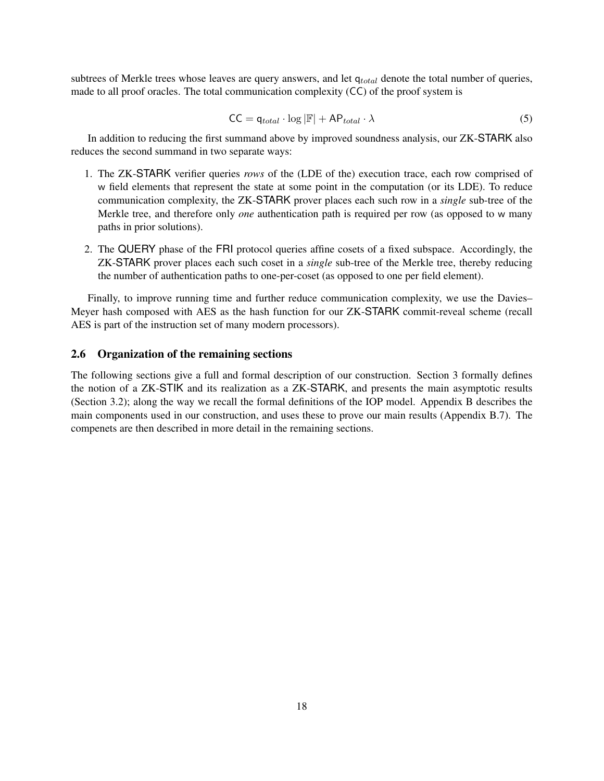subtrees of Merkle trees whose leaves are query answers, and let  $q_{total}$  denote the total number of queries, made to all proof oracles. The total communication complexity (CC) of the proof system is

$$
CC = q_{total} \cdot \log |\mathbb{F}| + AP_{total} \cdot \lambda \tag{5}
$$

In addition to reducing the first summand above by improved soundness analysis, our ZK-STARK also reduces the second summand in two separate ways:

- 1. The ZK-STARK verifier queries *rows* of the (LDE of the) execution trace, each row comprised of w field elements that represent the state at some point in the computation (or its LDE). To reduce communication complexity, the ZK-STARK prover places each such row in a *single* sub-tree of the Merkle tree, and therefore only *one* authentication path is required per row (as opposed to w many paths in prior solutions).
- 2. The QUERY phase of the FRI protocol queries affine cosets of a fixed subspace. Accordingly, the ZK-STARK prover places each such coset in a *single* sub-tree of the Merkle tree, thereby reducing the number of authentication paths to one-per-coset (as opposed to one per field element).

Finally, to improve running time and further reduce communication complexity, we use the Davies– Meyer hash composed with AES as the hash function for our ZK-STARK commit-reveal scheme (recall AES is part of the instruction set of many modern processors).

#### <span id="page-17-0"></span>2.6 Organization of the remaining sections

The following sections give a full and formal description of our construction. Section [3](#page-18-0) formally defines the notion of a ZK-STIK and its realization as a ZK-STARK, and presents the main asymptotic results (Section [3.2\)](#page-20-0); along the way we recall the formal definitions of the IOP model. Appendix [B](#page-32-0) describes the main components used in our construction, and uses these to prove our main results (Appendix [B.7\)](#page-44-1). The compenets are then described in more detail in the remaining sections.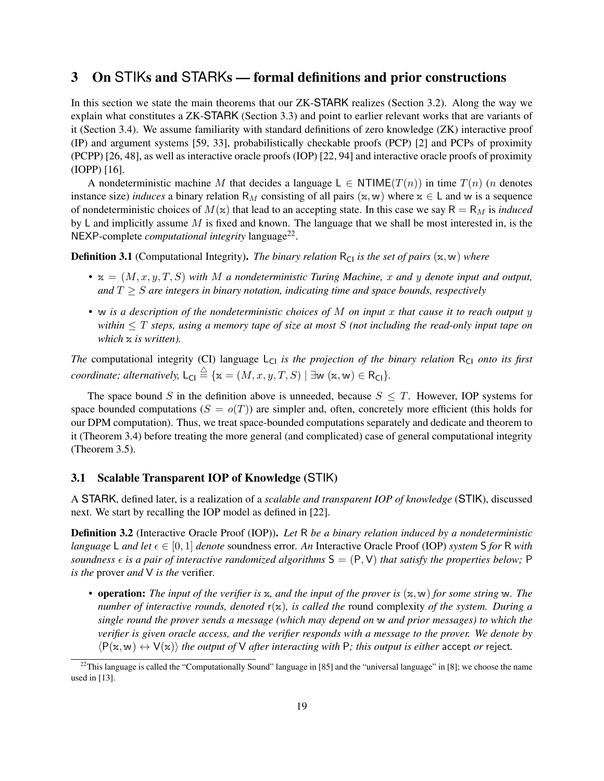# <span id="page-18-0"></span>3 On STIKs and STARKs — formal definitions and prior constructions

In this section we state the main theorems that our ZK-STARK realizes (Section [3.2\)](#page-20-0). Along the way we explain what constitutes a ZK-STARK (Section [3.3\)](#page-21-0) and point to earlier relevant works that are variants of it (Section [3.4\)](#page-22-0). We assume familiarity with standard definitions of zero knowledge (ZK) interactive proof (IP) and argument systems [\[59,](#page-26-0) [33\]](#page-25-0), probabilistically checkable proofs (PCP) [\[2\]](#page-23-3) and PCPs of proximity (PCPP) [\[26,](#page-24-12) [48\]](#page-25-11), as well as interactive oracle proofs (IOP) [\[22,](#page-24-0) [94\]](#page-28-0) and interactive oracle proofs of proximity (IOPP) [\[16\]](#page-23-9).

A nondeterministic machine M that decides a language  $L \in \text{NTIME}(T(n))$  in time  $T(n)$  (*n* denotes instance size) *induces* a binary relation  $R_M$  consisting of all pairs (x, w) where  $x \in L$  and w is a sequence of nondeterministic choices of  $M(x)$  that lead to an accepting state. In this case we say  $R = R_M$  is *induced* by L and implicitly assume  $M$  is fixed and known. The language that we shall be most interested in, is the NEXP-complete *computational integrity* language<sup>[22](#page-18-3)</sup>.

<span id="page-18-2"></span>**Definition 3.1** (Computational Integrity). *The binary relation*  $R<sub>Cl</sub>$  *is the set of pairs* ( $x, w$ ) *where* 

- *•* x = (M, x, y, T, S) *with* M *a nondeterministic Turing Machine,* x *and* y *denote input and output, and*  $T \geq S$  *are integers in binary notation, indicating time and space bounds, respectively*
- *•* w *is a description of the nondeterministic choices of* M *on input* x *that cause it to reach output* y *within* ≤ T *steps, using a memory tape of size at most* S *(not including the read-only input tape on which* x *is written).*

*The* computational integrity (CI) language L<sub>CI</sub> is the projection of the binary relation R<sub>CI</sub> onto its first *coordinate; alternatively,*  $L_{\text{Cl}} \stackrel{\triangle}{=} \{x = (M, x, y, T, S) \mid \exists w \ (x, w) \in R_{\text{Cl}}\}.$ 

The space bound S in the definition above is unneeded, because  $S \leq T$ . However, IOP systems for space bounded computations  $(S = o(T))$  are simpler and, often, concretely more efficient (this holds for our DPM computation). Thus, we treat space-bounded computations separately and dedicate and theorem to it (Theorem [3.4\)](#page-20-1) before treating the more general (and complicated) case of general computational integrity (Theorem [3.5\)](#page-20-2).

#### <span id="page-18-1"></span>3.1 Scalable Transparent IOP of Knowledge (STIK)

A STARK, defined later, is a realization of a *scalable and transparent IOP of knowledge* (STIK), discussed next. We start by recalling the IOP model as defined in [\[22\]](#page-24-0).

Definition 3.2 (Interactive Oracle Proof (IOP)). *Let* R *be a binary relation induced by a nondeterministic language* L *and let* ∈ [0, 1] *denote* soundness error*. An* Interactive Oracle Proof (IOP) *system* S *for* R *with soundness*  $\epsilon$  *is a pair of interactive randomized algorithms*  $S = (P, V)$  *that satisfy the properties below;* P *is the* prover *and* V *is the* verifier*.*

*•* operation: *The input of the verifier is* x*, and the input of the prover is* (x, w) *for some string* w*. The number of interactive rounds, denoted*  $r(x)$ *, is called the* round complexity *of the system. During a single round the prover sends a message (which may depend on* w *and prior messages) to which the verifier is given oracle access, and the verifier responds with a message to the prover. We denote by*  $\langle P(x, w) \leftrightarrow V(x) \rangle$  *the output of* V *after interacting with* P; *this output is either* accept *or* reject.

<span id="page-18-3"></span> $22$ This language is called the "Computationally Sound" language in [\[85\]](#page-27-4) and the "universal language" in [\[8\]](#page-23-15); we choose the name used in [\[13\]](#page-23-10).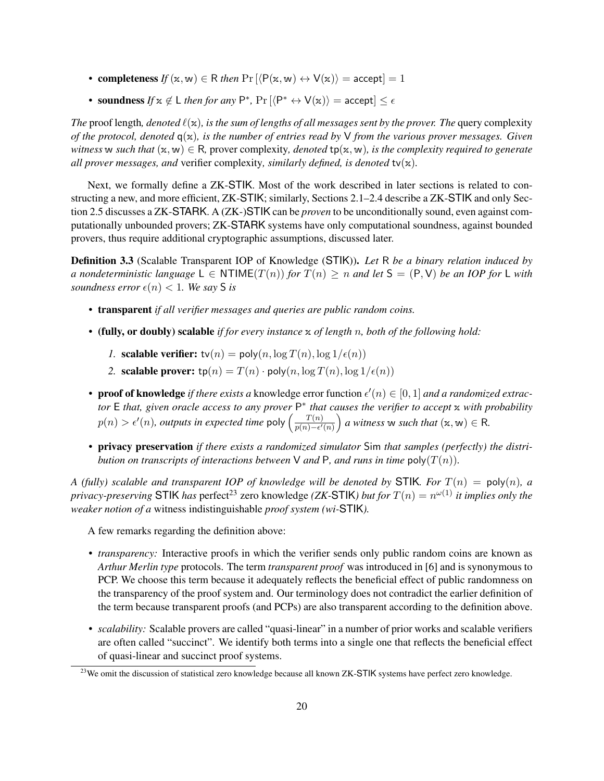- completeness  $If(x, w) \in R$  *then*  $Pr(\langle P(x, w) \leftrightarrow V(x) \rangle) =$  accept $] = 1$
- **soundness**  $If \mathbf{x} \notin \mathsf{L}$  *then for any*  $\mathsf{P}^*$ ,  $\Pr\left[\langle \mathsf{P}^* \leftrightarrow \mathsf{V}(\mathbf{x}) \rangle = \mathsf{accept}\right] \leq \epsilon$

*The* proof length, *denoted*  $\ell(x)$ *, is the sum of lengths of all messages sent by the prover. The* query complexity *of the protocol, denoted* q(x)*, is the number of entries read by* V *from the various prover messages. Given witness* w *such that*  $(x, w) \in R$ , prover complexity, *denoted*  $tp(x, w)$ *, is the complexity required to generate all prover messages, and* verifier complexity*, similarly defined, is denoted* tv(x)*.*

Next, we formally define a ZK-STIK. Most of the work described in later sections is related to constructing a new, and more efficient, ZK-STIK; similarly, Sections [2.1](#page-13-1)[–2.4](#page-16-0) describe a ZK-STIK and only Section [2.5](#page-16-1) discusses a ZK-STARK. A (ZK-)STIK can be *proven* to be unconditionally sound, even against computationally unbounded provers; ZK-STARK systems have only computational soundness, against bounded provers, thus require additional cryptographic assumptions, discussed later.

<span id="page-19-0"></span>Definition 3.3 (Scalable Transparent IOP of Knowledge (STIK)). *Let* R *be a binary relation induced by a* nondeterministic language  $L \in \text{NTIME}(T(n))$  *for*  $T(n) \geq n$  *and let*  $S = (P, V)$  *be an IOP for* L *with soundness error*  $\epsilon(n) < 1$ *. We say* S *is* 

- *•* transparent *if all verifier messages and queries are public random coins.*
- *•* (fully, or doubly) scalable *if for every instance* x *of length* n*, both of the following hold:*
	- *1.* scalable verifier:  $\mathsf{tv}(n) = \mathsf{poly}(n, \log T(n), \log 1/\epsilon(n))$
	- 2. scalable prover:  $tp(n) = T(n) \cdot poly(n, \log T(n), \log 1/\epsilon(n))$
- **proof of knowledge** *if there exists a* knowledge error function  $\epsilon'(n) \in [0,1]$  *and a randomized extractor* E *that, given oracle access to any prover* P ∗ *that causes the verifier to accept* x *with probability*  $p(n) > \epsilon'(n)$ , *outputs in expected time* poly  $\left(\frac{T(n)}{n(n)-\epsilon'}\right)$  $\frac{T(n)}{p(n)-\epsilon'(n)}$  a witness w such that  $(\mathbf{x}, \mathbf{w}) \in \mathsf{R}$ .
- *•* privacy preservation *if there exists a randomized simulator* Sim *that samples (perfectly) the distribution on transcripts of interactions between*  $V$  *and*  $P$ *, and runs in time*  $poly(T(n))$ *.*

*A* (fully) scalable and transparent IOP of knowledge will be denoted by STIK. For  $T(n) = \text{poly}(n)$ , a *privacy-preserving* STIK *has* perfect<sup>[23](#page-19-1)</sup> zero knowledge *(ZK-STIK) but for*  $T(n) = n^{\omega(1)}$  *it implies only the weaker notion of a* witness indistinguishable *proof system (wi-*STIK*).*

A few remarks regarding the definition above:

- *transparency:* Interactive proofs in which the verifier sends only public random coins are known as *Arthur Merlin type* protocols. The term *transparent proof* was introduced in [\[6\]](#page-23-1) and is synonymous to PCP. We choose this term because it adequately reflects the beneficial effect of public randomness on the transparency of the proof system and. Our terminology does not contradict the earlier definition of the term because transparent proofs (and PCPs) are also transparent according to the definition above.
- *scalability:* Scalable provers are called "quasi-linear" in a number of prior works and scalable verifiers are often called "succinct". We identify both terms into a single one that reflects the beneficial effect of quasi-linear and succinct proof systems.

<span id="page-19-1"></span> $^{23}$ We omit the discussion of statistical zero knowledge because all known ZK-STIK systems have perfect zero knowledge.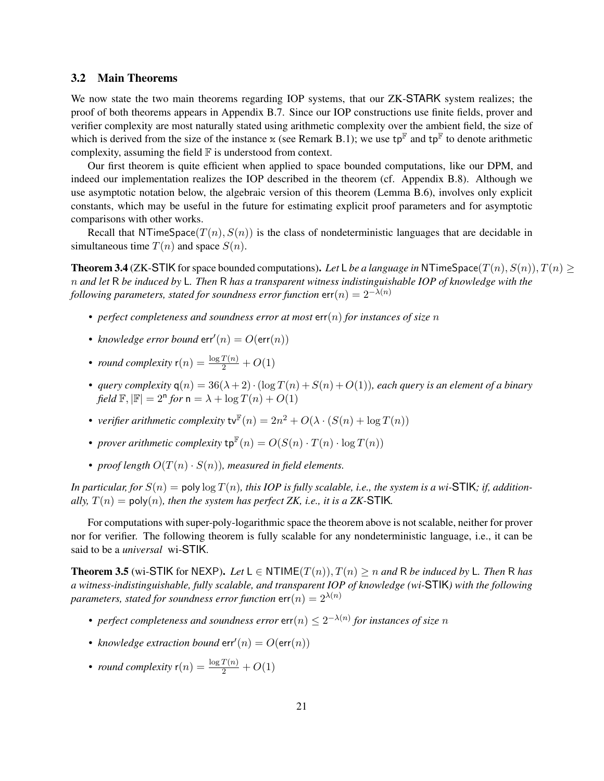#### <span id="page-20-0"></span>3.2 Main Theorems

We now state the two main theorems regarding IOP systems, that our ZK-STARK system realizes; the proof of both theorems appears in Appendix [B.7.](#page-44-1) Since our IOP constructions use finite fields, prover and verifier complexity are most naturally stated using arithmetic complexity over the ambient field, the size of which is derived from the size of the instance x (see Remark [B.1\)](#page-33-1); we use  $tp^F$  and  $tp^F$  to denote arithmetic complexity, assuming the field  $\mathbb F$  is understood from context.

Our first theorem is quite efficient when applied to space bounded computations, like our DPM, and indeed our implementation realizes the IOP described in the theorem (cf. Appendix [B.8\)](#page-50-0). Although we use asymptotic notation below, the algebraic version of this theorem (Lemma [B.6\)](#page-35-0), involves only explicit constants, which may be useful in the future for estimating explicit proof parameters and for asymptotic comparisons with other works.

Recall that NTimeSpace( $T(n)$ ,  $S(n)$ ) is the class of nondeterministic languages that are decidable in simultaneous time  $T(n)$  and space  $S(n)$ .

<span id="page-20-1"></span>**Theorem 3.4** (ZK-STIK for space bounded computations). Let L be a language in NTimeSpace( $T(n)$ ,  $S(n)$ ),  $T(n)$  > n *and let* R *be induced by* L*. Then* R *has a transparent witness indistinguishable IOP of knowledge with the following parameters, stated for soundness error function*  $err(n) = 2^{-\lambda(n)}$ 

- *• perfect completeness and soundness error at most* err(n) *for instances of size* n
- *knowledge error bound*  $err'(n) = O(\text{err}(n))$
- *round complexity*  $r(n) = \frac{\log T(n)}{2} + O(1)$
- *query complexity*  $q(n) = 36(\lambda + 2) \cdot (\log T(n) + S(n) + O(1))$ *, each query is an element of a binary field*  $\mathbb{F}, |\mathbb{F}| = 2^n$  *for*  $n = \lambda + \log T(n) + O(1)$
- *verifier arithmetic complexity*  $\mathsf{tv}^{\mathbb{F}}(n) = 2n^2 + O(\lambda \cdot (S(n) + \log T(n)))$
- *prover arithmetic complexity*  $\mathsf{tp}^{\mathbb{F}}(n) = O(S(n) \cdot T(n) \cdot \log T(n))$
- *proof length*  $O(T(n) \cdot S(n))$ *, measured in field elements.*

In particular, for  $S(n) = \text{poly} \log T(n)$ , this IOP is fully scalable, i.e., the system is a wi-STIK; if, addition*ally,*  $T(n) = \text{poly}(n)$ *, then the system has perfect ZK, i.e., it is a ZK-STIK.* 

For computations with super-poly-logarithmic space the theorem above is not scalable, neither for prover nor for verifier. The following theorem is fully scalable for any nondeterministic language, i.e., it can be said to be a *universal* wi-STIK.

<span id="page-20-2"></span>**Theorem 3.5** (wi-STIK for NEXP). Let L ∈ NTIME $(T(n))$ ,  $T(n) \geq n$  and R be induced by L. Then R has *a witness-indistinguishable, fully scalable, and transparent IOP of knowledge (wi-*STIK*) with the following parameters, stated for soundness error function*  $err(n) = 2^{\lambda(n)}$ 

- *• perfect completeness and soundness error* err(n) ≤ 2 −λ(n) *for instances of size* n
- *knowledge extraction bound*  $err'(n) = O(\text{err}(n))$
- *round complexity*  $r(n) = \frac{\log T(n)}{2} + O(1)$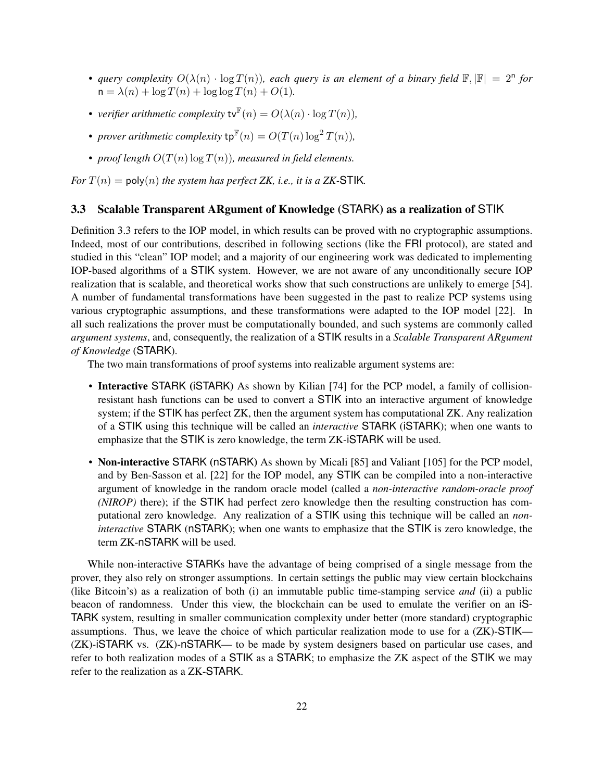- *query complexity*  $O(\lambda(n) \cdot \log T(n))$ , each query is an element of a binary field  $\mathbb{F}, |\mathbb{F}| = 2^n$  for  $n = \lambda(n) + \log T(n) + \log \log T(n) + O(1)$ .
- *verifier arithmetic complexity*  $\mathsf{tv}^{\mathbb{F}}(n) = O(\lambda(n) \cdot \log T(n)),$
- *prover arithmetic complexity*  $\mathsf{tp}^{\mathbb{F}}(n) = O(T(n) \log^2 T(n)),$
- *proof length*  $O(T(n) \log T(n))$ *, measured in field elements.*

*For*  $T(n) = \text{poly}(n)$  *the system has perfect ZK, i.e., it is a ZK-STIK.* 

#### <span id="page-21-0"></span>3.3 Scalable Transparent ARgument of Knowledge (STARK) as a realization of STIK

Definition [3.3](#page-19-0) refers to the IOP model, in which results can be proved with no cryptographic assumptions. Indeed, most of our contributions, described in following sections (like the FRI protocol), are stated and studied in this "clean" IOP model; and a majority of our engineering work was dedicated to implementing IOP-based algorithms of a STIK system. However, we are not aware of any unconditionally secure IOP realization that is scalable, and theoretical works show that such constructions are unlikely to emerge [\[54\]](#page-26-14). A number of fundamental transformations have been suggested in the past to realize PCP systems using various cryptographic assumptions, and these transformations were adapted to the IOP model [\[22\]](#page-24-0). In all such realizations the prover must be computationally bounded, and such systems are commonly called *argument systems*, and, consequently, the realization of a STIK results in a *Scalable Transparent ARgument of Knowledge* (STARK).

The two main transformations of proof systems into realizable argument systems are:

- Interactive STARK (iSTARK) As shown by Kilian [\[74\]](#page-27-3) for the PCP model, a family of collisionresistant hash functions can be used to convert a STIK into an interactive argument of knowledge system; if the STIK has perfect ZK, then the argument system has computational ZK. Any realization of a STIK using this technique will be called an *interactive* STARK (iSTARK); when one wants to emphasize that the STIK is zero knowledge, the term ZK-iSTARK will be used.
- Non-interactive STARK (nSTARK) As shown by Micali [\[85\]](#page-27-4) and Valiant [\[105\]](#page-28-3) for the PCP model, and by Ben-Sasson et al. [\[22\]](#page-24-0) for the IOP model, any STIK can be compiled into a non-interactive argument of knowledge in the random oracle model (called a *non-interactive random-oracle proof (NIROP)* there); if the STIK had perfect zero knowledge then the resulting construction has computational zero knowledge. Any realization of a STIK using this technique will be called an *noninteractive* STARK (nSTARK); when one wants to emphasize that the STIK is zero knowledge, the term ZK-nSTARK will be used.

While non-interactive STARKs have the advantage of being comprised of a single message from the prover, they also rely on stronger assumptions. In certain settings the public may view certain blockchains (like Bitcoin's) as a realization of both (i) an immutable public time-stamping service *and* (ii) a public beacon of randomness. Under this view, the blockchain can be used to emulate the verifier on an iS-TARK system, resulting in smaller communication complexity under better (more standard) cryptographic assumptions. Thus, we leave the choice of which particular realization mode to use for a (ZK)-STIK— (ZK)-iSTARK vs. (ZK)-nSTARK— to be made by system designers based on particular use cases, and refer to both realization modes of a STIK as a STARK; to emphasize the ZK aspect of the STIK we may refer to the realization as a ZK-STARK.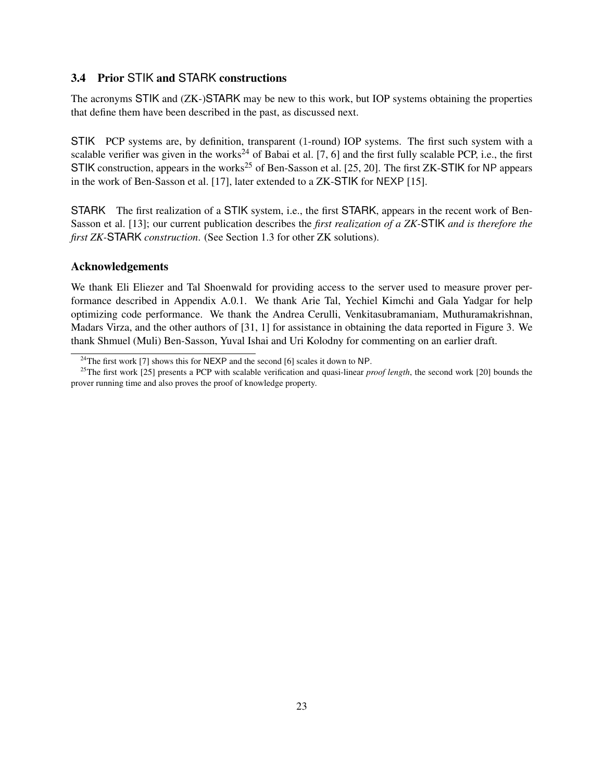# <span id="page-22-0"></span>3.4 Prior STIK and STARK constructions

The acronyms STIK and (ZK-)STARK may be new to this work, but IOP systems obtaining the properties that define them have been described in the past, as discussed next.

STIK PCP systems are, by definition, transparent (1-round) IOP systems. The first such system with a scalable verifier was given in the works<sup>[24](#page-22-1)</sup> of Babai et al. [\[7,](#page-23-0) [6\]](#page-23-1) and the first fully scalable PCP, i.e., the first STIK construction, appears in the works<sup>[25](#page-22-2)</sup> of Ben-Sasson et al. [\[25,](#page-24-10) [20\]](#page-24-11). The first ZK-STIK for NP appears in the work of Ben-Sasson et al. [\[17\]](#page-24-1), later extended to a ZK-STIK for NEXP [\[15\]](#page-23-5).

STARK The first realization of a STIK system, i.e., the first STARK, appears in the recent work of Ben-Sasson et al. [\[13\]](#page-23-10); our current publication describes the *first realization of a ZK-*STIK *and is therefore the first ZK-*STARK *construction*. (See Section [1.3](#page-8-0) for other ZK solutions).

## Acknowledgements

We thank Eli Eliezer and Tal Shoenwald for providing access to the server used to measure prover performance described in Appendix [A.0.1.](#page-30-1) We thank Arie Tal, Yechiel Kimchi and Gala Yadgar for help optimizing code performance. We thank the Andrea Cerulli, Venkitasubramaniam, Muthuramakrishnan, Madars Virza, and the other authors of [\[31,](#page-24-7) [1\]](#page-23-13) for assistance in obtaining the data reported in Figure [3.](#page-11-0) We thank Shmuel (Muli) Ben-Sasson, Yuval Ishai and Uri Kolodny for commenting on an earlier draft.

<span id="page-22-2"></span><span id="page-22-1"></span><sup>&</sup>lt;sup>24</sup>The first work [\[7\]](#page-23-0) shows this for NEXP and the second [\[6\]](#page-23-1) scales it down to NP.

<sup>25</sup>The first work [\[25\]](#page-24-10) presents a PCP with scalable verification and quasi-linear *proof length*, the second work [\[20\]](#page-24-11) bounds the prover running time and also proves the proof of knowledge property.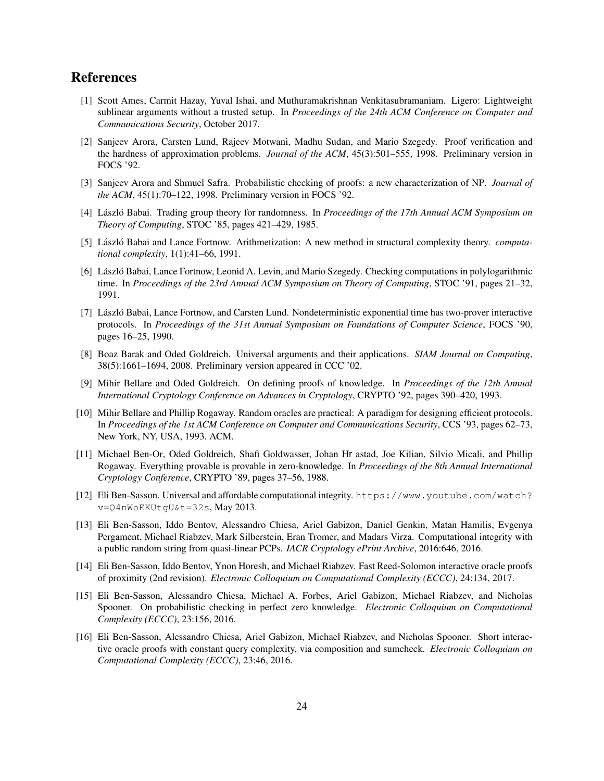# References

- <span id="page-23-13"></span>[1] Scott Ames, Carmit Hazay, Yuval Ishai, and Muthuramakrishnan Venkitasubramaniam. Ligero: Lightweight sublinear arguments without a trusted setup. In *Proceedings of the 24th ACM Conference on Computer and Communications Security*, October 2017.
- <span id="page-23-3"></span>[2] Sanjeev Arora, Carsten Lund, Rajeev Motwani, Madhu Sudan, and Mario Szegedy. Proof verification and the hardness of approximation problems. *Journal of the ACM*, 45(3):501–555, 1998. Preliminary version in FOCS '92.
- <span id="page-23-2"></span>[3] Sanjeev Arora and Shmuel Safra. Probabilistic checking of proofs: a new characterization of NP. *Journal of the ACM*, 45(1):70–122, 1998. Preliminary version in FOCS '92.
- <span id="page-23-8"></span>[4] László Babai. Trading group theory for randomness. In *Proceedings of the 17th Annual ACM Symposium on Theory of Computing*, STOC '85, pages 421–429, 1985.
- <span id="page-23-14"></span>[5] László Babai and Lance Fortnow. Arithmetization: A new method in structural complexity theory. *computational complexity*, 1(1):41–66, 1991.
- <span id="page-23-1"></span>[6] László Babai, Lance Fortnow, Leonid A. Levin, and Mario Szegedy. Checking computations in polylogarithmic time. In *Proceedings of the 23rd Annual ACM Symposium on Theory of Computing*, STOC '91, pages 21–32, 1991.
- <span id="page-23-0"></span>[7] László Babai, Lance Fortnow, and Carsten Lund. Nondeterministic exponential time has two-prover interactive protocols. In *Proceedings of the 31st Annual Symposium on Foundations of Computer Science*, FOCS '90, pages 16–25, 1990.
- <span id="page-23-15"></span>[8] Boaz Barak and Oded Goldreich. Universal arguments and their applications. *SIAM Journal on Computing*, 38(5):1661–1694, 2008. Preliminary version appeared in CCC '02.
- <span id="page-23-6"></span>[9] Mihir Bellare and Oded Goldreich. On defining proofs of knowledge. In *Proceedings of the 12th Annual International Cryptology Conference on Advances in Cryptology*, CRYPTO '92, pages 390–420, 1993.
- <span id="page-23-7"></span>[10] Mihir Bellare and Phillip Rogaway. Random oracles are practical: A paradigm for designing efficient protocols. In *Proceedings of the 1st ACM Conference on Computer and Communications Security*, CCS '93, pages 62–73, New York, NY, USA, 1993. ACM.
- <span id="page-23-4"></span>[11] Michael Ben-Or, Oded Goldreich, Shafi Goldwasser, Johan Hr astad, Joe Kilian, Silvio Micali, and Phillip Rogaway. Everything provable is provable in zero-knowledge. In *Proceedings of the 8th Annual International Cryptology Conference*, CRYPTO '89, pages 37–56, 1988.
- <span id="page-23-12"></span>[12] Eli Ben-Sasson. Universal and affordable computational integrity. [https://www.youtube.com/watch?](https://www.youtube.com/watch?v=Q4nWoEKUtgU&t=32s) [v=Q4nWoEKUtgU&t=32s](https://www.youtube.com/watch?v=Q4nWoEKUtgU&t=32s), May 2013.
- <span id="page-23-10"></span>[13] Eli Ben-Sasson, Iddo Bentov, Alessandro Chiesa, Ariel Gabizon, Daniel Genkin, Matan Hamilis, Evgenya Pergament, Michael Riabzev, Mark Silberstein, Eran Tromer, and Madars Virza. Computational integrity with a public random string from quasi-linear PCPs. *IACR Cryptology ePrint Archive*, 2016:646, 2016.
- <span id="page-23-11"></span>[14] Eli Ben-Sasson, Iddo Bentov, Ynon Horesh, and Michael Riabzev. Fast Reed-Solomon interactive oracle proofs of proximity (2nd revision). *Electronic Colloquium on Computational Complexity (ECCC)*, 24:134, 2017.
- <span id="page-23-5"></span>[15] Eli Ben-Sasson, Alessandro Chiesa, Michael A. Forbes, Ariel Gabizon, Michael Riabzev, and Nicholas Spooner. On probabilistic checking in perfect zero knowledge. *Electronic Colloquium on Computational Complexity (ECCC)*, 23:156, 2016.
- <span id="page-23-9"></span>[16] Eli Ben-Sasson, Alessandro Chiesa, Ariel Gabizon, Michael Riabzev, and Nicholas Spooner. Short interactive oracle proofs with constant query complexity, via composition and sumcheck. *Electronic Colloquium on Computational Complexity (ECCC)*, 23:46, 2016.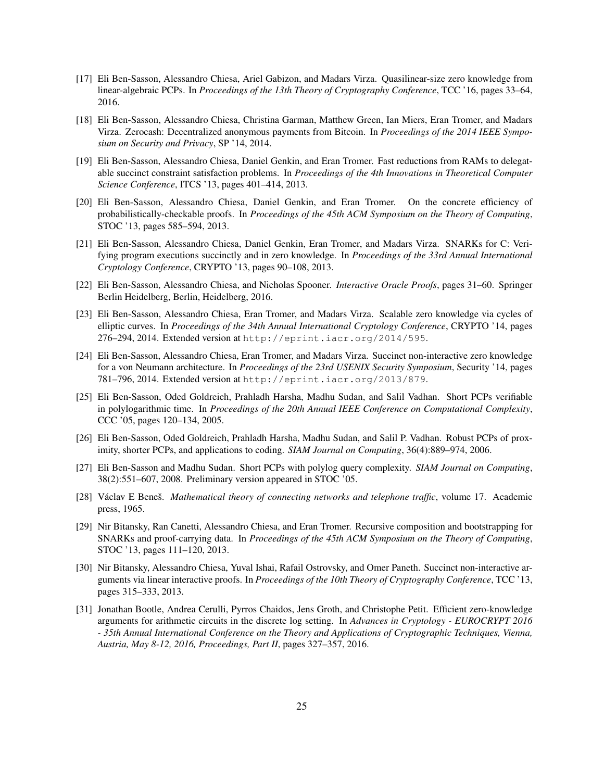- <span id="page-24-1"></span>[17] Eli Ben-Sasson, Alessandro Chiesa, Ariel Gabizon, and Madars Virza. Quasilinear-size zero knowledge from linear-algebraic PCPs. In *Proceedings of the 13th Theory of Cryptography Conference*, TCC '16, pages 33–64, 2016.
- <span id="page-24-2"></span>[18] Eli Ben-Sasson, Alessandro Chiesa, Christina Garman, Matthew Green, Ian Miers, Eran Tromer, and Madars Virza. Zerocash: Decentralized anonymous payments from Bitcoin. In *Proceedings of the 2014 IEEE Symposium on Security and Privacy*, SP '14, 2014.
- [19] Eli Ben-Sasson, Alessandro Chiesa, Daniel Genkin, and Eran Tromer. Fast reductions from RAMs to delegatable succinct constraint satisfaction problems. In *Proceedings of the 4th Innovations in Theoretical Computer Science Conference*, ITCS '13, pages 401–414, 2013.
- <span id="page-24-11"></span>[20] Eli Ben-Sasson, Alessandro Chiesa, Daniel Genkin, and Eran Tromer. On the concrete efficiency of probabilistically-checkable proofs. In *Proceedings of the 45th ACM Symposium on the Theory of Computing*, STOC '13, pages 585–594, 2013.
- <span id="page-24-3"></span>[21] Eli Ben-Sasson, Alessandro Chiesa, Daniel Genkin, Eran Tromer, and Madars Virza. SNARKs for C: Verifying program executions succinctly and in zero knowledge. In *Proceedings of the 33rd Annual International Cryptology Conference*, CRYPTO '13, pages 90–108, 2013.
- <span id="page-24-0"></span>[22] Eli Ben-Sasson, Alessandro Chiesa, and Nicholas Spooner. *Interactive Oracle Proofs*, pages 31–60. Springer Berlin Heidelberg, Berlin, Heidelberg, 2016.
- <span id="page-24-8"></span>[23] Eli Ben-Sasson, Alessandro Chiesa, Eran Tromer, and Madars Virza. Scalable zero knowledge via cycles of elliptic curves. In *Proceedings of the 34th Annual International Cryptology Conference*, CRYPTO '14, pages 276–294, 2014. Extended version at <http://eprint.iacr.org/2014/595>.
- <span id="page-24-6"></span>[24] Eli Ben-Sasson, Alessandro Chiesa, Eran Tromer, and Madars Virza. Succinct non-interactive zero knowledge for a von Neumann architecture. In *Proceedings of the 23rd USENIX Security Symposium*, Security '14, pages 781–796, 2014. Extended version at <http://eprint.iacr.org/2013/879>.
- <span id="page-24-10"></span>[25] Eli Ben-Sasson, Oded Goldreich, Prahladh Harsha, Madhu Sudan, and Salil Vadhan. Short PCPs verifiable in polylogarithmic time. In *Proceedings of the 20th Annual IEEE Conference on Computational Complexity*, CCC '05, pages 120–134, 2005.
- <span id="page-24-12"></span>[26] Eli Ben-Sasson, Oded Goldreich, Prahladh Harsha, Madhu Sudan, and Salil P. Vadhan. Robust PCPs of proximity, shorter PCPs, and applications to coding. *SIAM Journal on Computing*, 36(4):889–974, 2006.
- <span id="page-24-9"></span>[27] Eli Ben-Sasson and Madhu Sudan. Short PCPs with polylog query complexity. *SIAM Journal on Computing*, 38(2):551–607, 2008. Preliminary version appeared in STOC '05.
- [28] Václav E Beneš. *Mathematical theory of connecting networks and telephone traffic*, volume 17. Academic press, 1965.
- <span id="page-24-4"></span>[29] Nir Bitansky, Ran Canetti, Alessandro Chiesa, and Eran Tromer. Recursive composition and bootstrapping for SNARKs and proof-carrying data. In *Proceedings of the 45th ACM Symposium on the Theory of Computing*, STOC '13, pages 111–120, 2013.
- <span id="page-24-5"></span>[30] Nir Bitansky, Alessandro Chiesa, Yuval Ishai, Rafail Ostrovsky, and Omer Paneth. Succinct non-interactive arguments via linear interactive proofs. In *Proceedings of the 10th Theory of Cryptography Conference*, TCC '13, pages 315–333, 2013.
- <span id="page-24-7"></span>[31] Jonathan Bootle, Andrea Cerulli, Pyrros Chaidos, Jens Groth, and Christophe Petit. Efficient zero-knowledge arguments for arithmetic circuits in the discrete log setting. In *Advances in Cryptology - EUROCRYPT 2016 - 35th Annual International Conference on the Theory and Applications of Cryptographic Techniques, Vienna, Austria, May 8-12, 2016, Proceedings, Part II*, pages 327–357, 2016.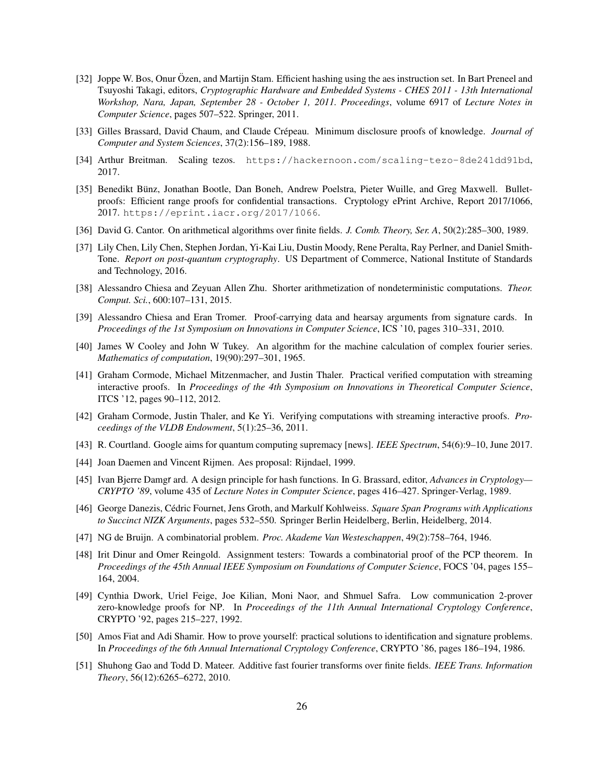- [32] Joppe W. Bos, Onur Özen, and Martijn Stam. Efficient hashing using the aes instruction set. In Bart Preneel and Tsuyoshi Takagi, editors, *Cryptographic Hardware and Embedded Systems - CHES 2011 - 13th International Workshop, Nara, Japan, September 28 - October 1, 2011. Proceedings*, volume 6917 of *Lecture Notes in Computer Science*, pages 507–522. Springer, 2011.
- <span id="page-25-0"></span>[33] Gilles Brassard, David Chaum, and Claude Crépeau. Minimum disclosure proofs of knowledge. *Journal of Computer and System Sciences*, 37(2):156–189, 1988.
- <span id="page-25-6"></span>[34] Arthur Breitman. Scaling tezos. <https://hackernoon.com/scaling-tezo-8de241dd91bd>, 2017.
- <span id="page-25-8"></span>[35] Benedikt Bünz, Jonathan Bootle, Dan Boneh, Andrew Poelstra, Pieter Wuille, and Greg Maxwell. Bulletproofs: Efficient range proofs for confidential transactions. Cryptology ePrint Archive, Report 2017/1066, 2017. <https://eprint.iacr.org/2017/1066>.
- <span id="page-25-15"></span>[36] David G. Cantor. On arithmetical algorithms over finite fields. *J. Comb. Theory, Ser. A*, 50(2):285–300, 1989.
- <span id="page-25-5"></span>[37] Lily Chen, Lily Chen, Stephen Jordan, Yi-Kai Liu, Dustin Moody, Rene Peralta, Ray Perlner, and Daniel Smith-Tone. *Report on post-quantum cryptography*. US Department of Commerce, National Institute of Standards and Technology, 2016.
- <span id="page-25-13"></span>[38] Alessandro Chiesa and Zeyuan Allen Zhu. Shorter arithmetization of nondeterministic computations. *Theor. Comput. Sci.*, 600:107–131, 2015.
- <span id="page-25-10"></span>[39] Alessandro Chiesa and Eran Tromer. Proof-carrying data and hearsay arguments from signature cards. In *Proceedings of the 1st Symposium on Innovations in Computer Science*, ICS '10, pages 310–331, 2010.
- <span id="page-25-14"></span>[40] James W Cooley and John W Tukey. An algorithm for the machine calculation of complex fourier series. *Mathematics of computation*, 19(90):297–301, 1965.
- <span id="page-25-1"></span>[41] Graham Cormode, Michael Mitzenmacher, and Justin Thaler. Practical verified computation with streaming interactive proofs. In *Proceedings of the 4th Symposium on Innovations in Theoretical Computer Science*, ITCS '12, pages 90–112, 2012.
- <span id="page-25-9"></span>[42] Graham Cormode, Justin Thaler, and Ke Yi. Verifying computations with streaming interactive proofs. *Proceedings of the VLDB Endowment*, 5(1):25–36, 2011.
- <span id="page-25-4"></span>[43] R. Courtland. Google aims for quantum computing supremacy [news]. *IEEE Spectrum*, 54(6):9–10, June 2017.
- <span id="page-25-12"></span>[44] Joan Daemen and Vincent Rijmen. Aes proposal: Rijndael, 1999.
- [45] Ivan Bjerre Damgr ard. A design principle for hash functions. In G. Brassard, editor, *Advances in Cryptology— CRYPTO '89*, volume 435 of *Lecture Notes in Computer Science*, pages 416–427. Springer-Verlag, 1989.
- <span id="page-25-7"></span>[46] George Danezis, Cédric Fournet, Jens Groth, and Markulf Kohlweiss. Square Span Programs with Applications *to Succinct NIZK Arguments*, pages 532–550. Springer Berlin Heidelberg, Berlin, Heidelberg, 2014.
- [47] NG de Bruijn. A combinatorial problem. *Proc. Akademe Van Westeschappen*, 49(2):758–764, 1946.
- <span id="page-25-11"></span>[48] Irit Dinur and Omer Reingold. Assignment testers: Towards a combinatorial proof of the PCP theorem. In *Proceedings of the 45th Annual IEEE Symposium on Foundations of Computer Science*, FOCS '04, pages 155– 164, 2004.
- <span id="page-25-2"></span>[49] Cynthia Dwork, Uriel Feige, Joe Kilian, Moni Naor, and Shmuel Safra. Low communication 2-prover zero-knowledge proofs for NP. In *Proceedings of the 11th Annual International Cryptology Conference*, CRYPTO '92, pages 215–227, 1992.
- <span id="page-25-3"></span>[50] Amos Fiat and Adi Shamir. How to prove yourself: practical solutions to identification and signature problems. In *Proceedings of the 6th Annual International Cryptology Conference*, CRYPTO '86, pages 186–194, 1986.
- <span id="page-25-16"></span>[51] Shuhong Gao and Todd D. Mateer. Additive fast fourier transforms over finite fields. *IEEE Trans. Information Theory*, 56(12):6265–6272, 2010.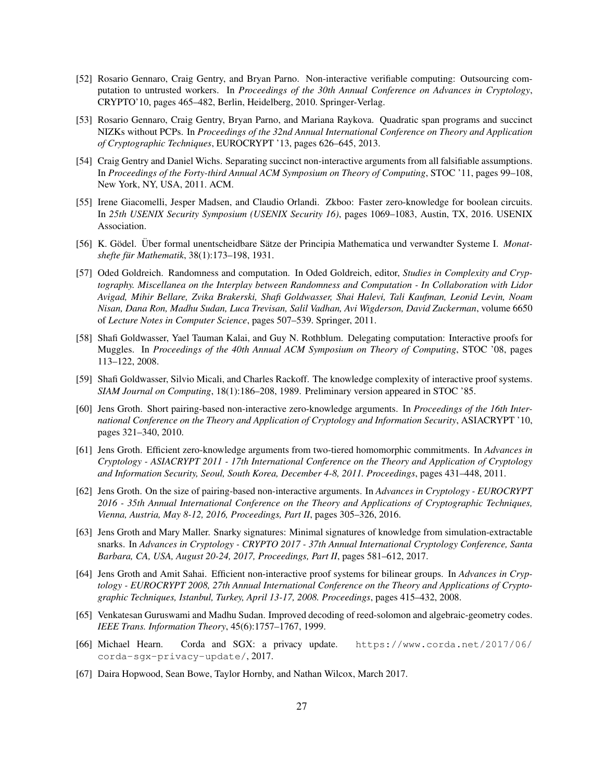- <span id="page-26-2"></span>[52] Rosario Gennaro, Craig Gentry, and Bryan Parno. Non-interactive verifiable computing: Outsourcing computation to untrusted workers. In *Proceedings of the 30th Annual Conference on Advances in Cryptology*, CRYPTO'10, pages 465–482, Berlin, Heidelberg, 2010. Springer-Verlag.
- <span id="page-26-6"></span>[53] Rosario Gennaro, Craig Gentry, Bryan Parno, and Mariana Raykova. Quadratic span programs and succinct NIZKs without PCPs. In *Proceedings of the 32nd Annual International Conference on Theory and Application of Cryptographic Techniques*, EUROCRYPT '13, pages 626–645, 2013.
- <span id="page-26-14"></span>[54] Craig Gentry and Daniel Wichs. Separating succinct non-interactive arguments from all falsifiable assumptions. In *Proceedings of the Forty-third Annual ACM Symposium on Theory of Computing*, STOC '11, pages 99–108, New York, NY, USA, 2011. ACM.
- <span id="page-26-12"></span>[55] Irene Giacomelli, Jesper Madsen, and Claudio Orlandi. Zkboo: Faster zero-knowledge for boolean circuits. In *25th USENIX Security Symposium (USENIX Security 16)*, pages 1069–1083, Austin, TX, 2016. USENIX Association.
- <span id="page-26-13"></span>[56] K. Gödel. Über formal unentscheidbare Sätze der Principia Mathematica und verwandter Systeme I. Monat*shefte fur Mathematik ¨* , 38(1):173–198, 1931.
- <span id="page-26-3"></span>[57] Oded Goldreich. Randomness and computation. In Oded Goldreich, editor, *Studies in Complexity and Cryptography. Miscellanea on the Interplay between Randomness and Computation - In Collaboration with Lidor Avigad, Mihir Bellare, Zvika Brakerski, Shafi Goldwasser, Shai Halevi, Tali Kaufman, Leonid Levin, Noam Nisan, Dana Ron, Madhu Sudan, Luca Trevisan, Salil Vadhan, Avi Wigderson, David Zuckerman*, volume 6650 of *Lecture Notes in Computer Science*, pages 507–539. Springer, 2011.
- <span id="page-26-1"></span>[58] Shafi Goldwasser, Yael Tauman Kalai, and Guy N. Rothblum. Delegating computation: Interactive proofs for Muggles. In *Proceedings of the 40th Annual ACM Symposium on Theory of Computing*, STOC '08, pages 113–122, 2008.
- <span id="page-26-0"></span>[59] Shafi Goldwasser, Silvio Micali, and Charles Rackoff. The knowledge complexity of interactive proof systems. *SIAM Journal on Computing*, 18(1):186–208, 1989. Preliminary version appeared in STOC '85.
- <span id="page-26-7"></span>[60] Jens Groth. Short pairing-based non-interactive zero-knowledge arguments. In *Proceedings of the 16th International Conference on the Theory and Application of Cryptology and Information Security*, ASIACRYPT '10, pages 321–340, 2010.
- <span id="page-26-11"></span>[61] Jens Groth. Efficient zero-knowledge arguments from two-tiered homomorphic commitments. In *Advances in Cryptology - ASIACRYPT 2011 - 17th International Conference on the Theory and Application of Cryptology and Information Security, Seoul, South Korea, December 4-8, 2011. Proceedings*, pages 431–448, 2011.
- <span id="page-26-9"></span>[62] Jens Groth. On the size of pairing-based non-interactive arguments. In *Advances in Cryptology - EUROCRYPT 2016 - 35th Annual International Conference on the Theory and Applications of Cryptographic Techniques, Vienna, Austria, May 8-12, 2016, Proceedings, Part II*, pages 305–326, 2016.
- <span id="page-26-10"></span>[63] Jens Groth and Mary Maller. Snarky signatures: Minimal signatures of knowledge from simulation-extractable snarks. In *Advances in Cryptology - CRYPTO 2017 - 37th Annual International Cryptology Conference, Santa Barbara, CA, USA, August 20-24, 2017, Proceedings, Part II*, pages 581–612, 2017.
- <span id="page-26-8"></span>[64] Jens Groth and Amit Sahai. Efficient non-interactive proof systems for bilinear groups. In *Advances in Cryptology - EUROCRYPT 2008, 27th Annual International Conference on the Theory and Applications of Cryptographic Techniques, Istanbul, Turkey, April 13-17, 2008. Proceedings*, pages 415–432, 2008.
- [65] Venkatesan Guruswami and Madhu Sudan. Improved decoding of reed-solomon and algebraic-geometry codes. *IEEE Trans. Information Theory*, 45(6):1757–1767, 1999.
- <span id="page-26-4"></span>[66] Michael Hearn. Corda and SGX: a privacy update. [https://www.corda.net/2017/06/](https://www.corda.net/2017/06/corda-sgx-privacy-update/) [corda-sgx-privacy-update/](https://www.corda.net/2017/06/corda-sgx-privacy-update/), 2017.
- <span id="page-26-5"></span>[67] Daira Hopwood, Sean Bowe, Taylor Hornby, and Nathan Wilcox, March 2017.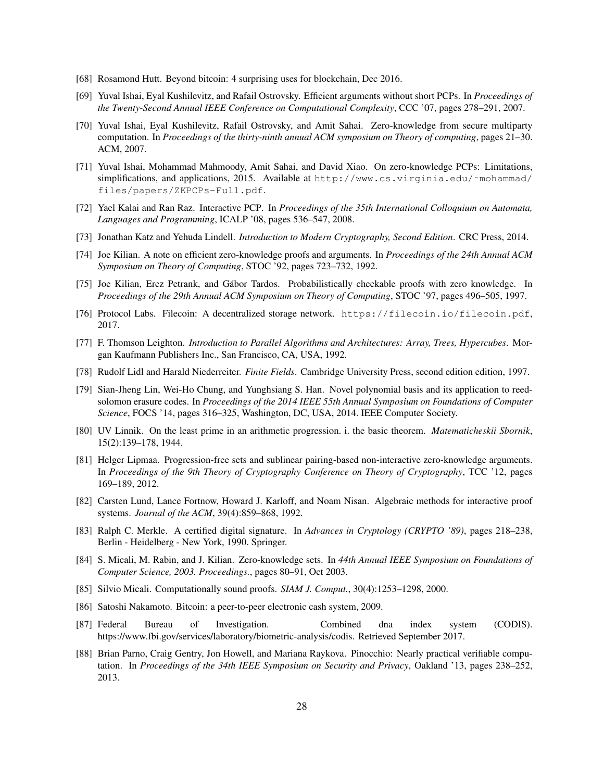- <span id="page-27-1"></span>[68] Rosamond Hutt. Beyond bitcoin: 4 surprising uses for blockchain, Dec 2016.
- <span id="page-27-10"></span>[69] Yuval Ishai, Eyal Kushilevitz, and Rafail Ostrovsky. Efficient arguments without short PCPs. In *Proceedings of the Twenty-Second Annual IEEE Conference on Computational Complexity*, CCC '07, pages 278–291, 2007.
- <span id="page-27-13"></span>[70] Yuval Ishai, Eyal Kushilevitz, Rafail Ostrovsky, and Amit Sahai. Zero-knowledge from secure multiparty computation. In *Proceedings of the thirty-ninth annual ACM symposium on Theory of computing*, pages 21–30. ACM, 2007.
- <span id="page-27-6"></span>[71] Yuval Ishai, Mohammad Mahmoody, Amit Sahai, and David Xiao. On zero-knowledge PCPs: Limitations, simplifications, and applications, 2015. Available at http://www.cs.virginia.edu/~mohammad/ [files/papers/ZKPCPs-Full.pdf](http://www.cs.virginia.edu/~mohammad/files/papers/ZKPCPs-Full.pdf).
- <span id="page-27-7"></span>[72] Yael Kalai and Ran Raz. Interactive PCP. In *Proceedings of the 35th International Colloquium on Automata, Languages and Programming*, ICALP '08, pages 536–547, 2008.
- [73] Jonathan Katz and Yehuda Lindell. *Introduction to Modern Cryptography, Second Edition*. CRC Press, 2014.
- <span id="page-27-3"></span>[74] Joe Kilian. A note on efficient zero-knowledge proofs and arguments. In *Proceedings of the 24th Annual ACM Symposium on Theory of Computing*, STOC '92, pages 723–732, 1992.
- <span id="page-27-5"></span>[75] Joe Kilian, Erez Petrank, and Gábor Tardos. Probabilistically checkable proofs with zero knowledge. In *Proceedings of the 29th Annual ACM Symposium on Theory of Computing*, STOC '97, pages 496–505, 1997.
- <span id="page-27-9"></span>[76] Protocol Labs. Filecoin: A decentralized storage network. <https://filecoin.io/filecoin.pdf>, 2017.
- [77] F. Thomson Leighton. *Introduction to Parallel Algorithms and Architectures: Array, Trees, Hypercubes*. Morgan Kaufmann Publishers Inc., San Francisco, CA, USA, 1992.
- <span id="page-27-17"></span>[78] Rudolf Lidl and Harald Niederreiter. *Finite Fields*. Cambridge University Press, second edition edition, 1997.
- <span id="page-27-16"></span>[79] Sian-Jheng Lin, Wei-Ho Chung, and Yunghsiang S. Han. Novel polynomial basis and its application to reedsolomon erasure codes. In *Proceedings of the 2014 IEEE 55th Annual Symposium on Foundations of Computer Science*, FOCS '14, pages 316–325, Washington, DC, USA, 2014. IEEE Computer Society.
- <span id="page-27-14"></span>[80] UV Linnik. On the least prime in an arithmetic progression. i. the basic theorem. *Matematicheskii Sbornik*, 15(2):139–178, 1944.
- <span id="page-27-11"></span>[81] Helger Lipmaa. Progression-free sets and sublinear pairing-based non-interactive zero-knowledge arguments. In *Proceedings of the 9th Theory of Cryptography Conference on Theory of Cryptography*, TCC '12, pages 169–189, 2012.
- <span id="page-27-15"></span>[82] Carsten Lund, Lance Fortnow, Howard J. Karloff, and Noam Nisan. Algebraic methods for interactive proof systems. *Journal of the ACM*, 39(4):859–868, 1992.
- [83] Ralph C. Merkle. A certified digital signature. In *Advances in Cryptology (CRYPTO '89)*, pages 218–238, Berlin - Heidelberg - New York, 1990. Springer.
- <span id="page-27-2"></span>[84] S. Micali, M. Rabin, and J. Kilian. Zero-knowledge sets. In *44th Annual IEEE Symposium on Foundations of Computer Science, 2003. Proceedings.*, pages 80–91, Oct 2003.
- <span id="page-27-4"></span>[85] Silvio Micali. Computationally sound proofs. *SIAM J. Comput.*, 30(4):1253–1298, 2000.
- <span id="page-27-0"></span>[86] Satoshi Nakamoto. Bitcoin: a peer-to-peer electronic cash system, 2009.
- <span id="page-27-8"></span>[87] Federal Bureau of Investigation. Combined dna index system (CODIS). https://www.fbi.gov/services/laboratory/biometric-analysis/codis. Retrieved September 2017.
- <span id="page-27-12"></span>[88] Brian Parno, Craig Gentry, Jon Howell, and Mariana Raykova. Pinocchio: Nearly practical verifiable computation. In *Proceedings of the 34th IEEE Symposium on Security and Privacy*, Oakland '13, pages 238–252, 2013.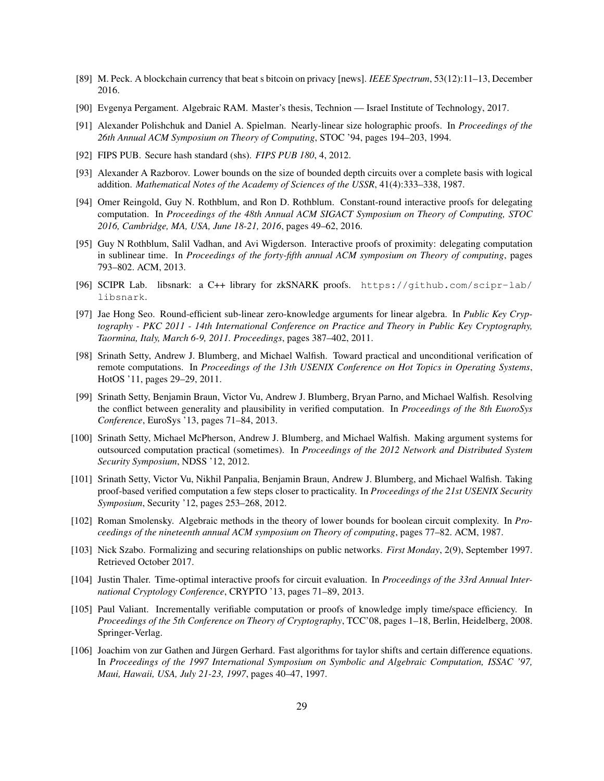- <span id="page-28-2"></span>[89] M. Peck. A blockchain currency that beat s bitcoin on privacy [news]. *IEEE Spectrum*, 53(12):11–13, December 2016.
- <span id="page-28-15"></span>[90] Evgenya Pergament. Algebraic RAM. Master's thesis, Technion — Israel Institute of Technology, 2017.
- [91] Alexander Polishchuk and Daniel A. Spielman. Nearly-linear size holographic proofs. In *Proceedings of the 26th Annual ACM Symposium on Theory of Computing*, STOC '94, pages 194–203, 1994.
- <span id="page-28-13"></span>[92] FIPS PUB. Secure hash standard (shs). *FIPS PUB 180*, 4, 2012.
- <span id="page-28-11"></span>[93] Alexander A Razborov. Lower bounds on the size of bounded depth circuits over a complete basis with logical addition. *Mathematical Notes of the Academy of Sciences of the USSR*, 41(4):333–338, 1987.
- <span id="page-28-0"></span>[94] Omer Reingold, Guy N. Rothblum, and Ron D. Rothblum. Constant-round interactive proofs for delegating computation. In *Proceedings of the 48th Annual ACM SIGACT Symposium on Theory of Computing, STOC 2016, Cambridge, MA, USA, June 18-21, 2016*, pages 49–62, 2016.
- [95] Guy N Rothblum, Salil Vadhan, and Avi Wigderson. Interactive proofs of proximity: delegating computation in sublinear time. In *Proceedings of the forty-fifth annual ACM symposium on Theory of computing*, pages 793–802. ACM, 2013.
- <span id="page-28-4"></span>[96] SCIPR Lab. libsnark: a C++ library for zkSNARK proofs. [https://github.com/scipr-lab/](https://github.com/scipr-lab/libsnark) [libsnark](https://github.com/scipr-lab/libsnark).
- <span id="page-28-9"></span>[97] Jae Hong Seo. Round-efficient sub-linear zero-knowledge arguments for linear algebra. In *Public Key Cryptography - PKC 2011 - 14th International Conference on Practice and Theory in Public Key Cryptography, Taormina, Italy, March 6-9, 2011. Proceedings*, pages 387–402, 2011.
- <span id="page-28-5"></span>[98] Srinath Setty, Andrew J. Blumberg, and Michael Walfish. Toward practical and unconditional verification of remote computations. In *Proceedings of the 13th USENIX Conference on Hot Topics in Operating Systems*, HotOS '11, pages 29–29, 2011.
- <span id="page-28-8"></span>[99] Srinath Setty, Benjamin Braun, Victor Vu, Andrew J. Blumberg, Bryan Parno, and Michael Walfish. Resolving the conflict between generality and plausibility in verified computation. In *Proceedings of the 8th EuoroSys Conference*, EuroSys '13, pages 71–84, 2013.
- <span id="page-28-7"></span>[100] Srinath Setty, Michael McPherson, Andrew J. Blumberg, and Michael Walfish. Making argument systems for outsourced computation practical (sometimes). In *Proceedings of the 2012 Network and Distributed System Security Symposium*, NDSS '12, 2012.
- <span id="page-28-6"></span>[101] Srinath Setty, Victor Vu, Nikhil Panpalia, Benjamin Braun, Andrew J. Blumberg, and Michael Walfish. Taking proof-based verified computation a few steps closer to practicality. In *Proceedings of the 21st USENIX Security Symposium*, Security '12, pages 253–268, 2012.
- <span id="page-28-12"></span>[102] Roman Smolensky. Algebraic methods in the theory of lower bounds for boolean circuit complexity. In *Proceedings of the nineteenth annual ACM symposium on Theory of computing*, pages 77–82. ACM, 1987.
- <span id="page-28-1"></span>[103] Nick Szabo. Formalizing and securing relationships on public networks. *First Monday*, 2(9), September 1997. Retrieved October 2017.
- <span id="page-28-10"></span>[104] Justin Thaler. Time-optimal interactive proofs for circuit evaluation. In *Proceedings of the 33rd Annual International Cryptology Conference*, CRYPTO '13, pages 71–89, 2013.
- <span id="page-28-3"></span>[105] Paul Valiant. Incrementally verifiable computation or proofs of knowledge imply time/space efficiency. In *Proceedings of the 5th Conference on Theory of Cryptography*, TCC'08, pages 1–18, Berlin, Heidelberg, 2008. Springer-Verlag.
- <span id="page-28-14"></span>[106] Joachim von zur Gathen and Jürgen Gerhard. Fast algorithms for taylor shifts and certain difference equations. In *Proceedings of the 1997 International Symposium on Symbolic and Algebraic Computation, ISSAC '97, Maui, Hawaii, USA, July 21-23, 1997*, pages 40–47, 1997.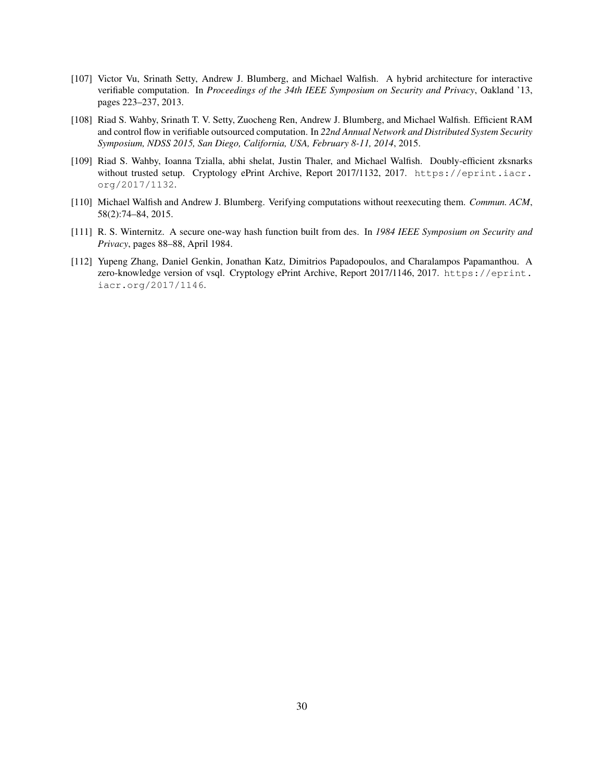- <span id="page-29-2"></span>[107] Victor Vu, Srinath Setty, Andrew J. Blumberg, and Michael Walfish. A hybrid architecture for interactive verifiable computation. In *Proceedings of the 34th IEEE Symposium on Security and Privacy*, Oakland '13, pages 223–237, 2013.
- <span id="page-29-1"></span>[108] Riad S. Wahby, Srinath T. V. Setty, Zuocheng Ren, Andrew J. Blumberg, and Michael Walfish. Efficient RAM and control flow in verifiable outsourced computation. In *22nd Annual Network and Distributed System Security Symposium, NDSS 2015, San Diego, California, USA, February 8-11, 2014*, 2015.
- <span id="page-29-4"></span>[109] Riad S. Wahby, Ioanna Tzialla, abhi shelat, Justin Thaler, and Michael Walfish. Doubly-efficient zksnarks without trusted setup. Cryptology ePrint Archive, Report 2017/1132, 2017. [https://eprint.iacr.](https://eprint.iacr.org/2017/1132) [org/2017/1132](https://eprint.iacr.org/2017/1132).
- <span id="page-29-0"></span>[110] Michael Walfish and Andrew J. Blumberg. Verifying computations without reexecuting them. *Commun. ACM*, 58(2):74–84, 2015.
- <span id="page-29-5"></span>[111] R. S. Winternitz. A secure one-way hash function built from des. In *1984 IEEE Symposium on Security and Privacy*, pages 88–88, April 1984.
- <span id="page-29-3"></span>[112] Yupeng Zhang, Daniel Genkin, Jonathan Katz, Dimitrios Papadopoulos, and Charalampos Papamanthou. A zero-knowledge version of vsql. Cryptology ePrint Archive, Report 2017/1146, 2017. [https://eprint.](https://eprint.iacr.org/2017/1146) [iacr.org/2017/1146](https://eprint.iacr.org/2017/1146).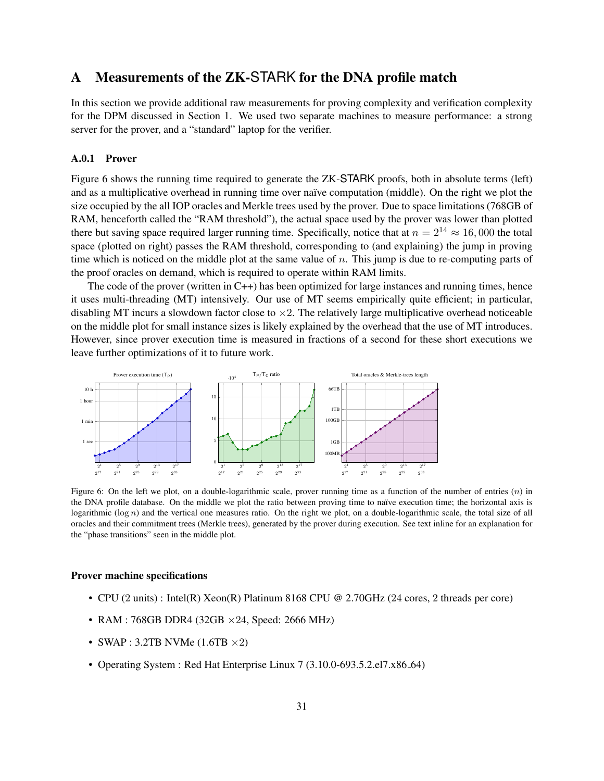# <span id="page-30-0"></span>A Measurements of the ZK-STARK for the DNA profile match

In this section we provide additional raw measurements for proving complexity and verification complexity for the DPM discussed in Section [1.](#page-3-0) We used two separate machines to measure performance: a strong server for the prover, and a "standard" laptop for the verifier.

#### <span id="page-30-1"></span>A.0.1 Prover

Figure [6](#page-30-2) shows the running time required to generate the ZK-STARK proofs, both in absolute terms (left) and as a multiplicative overhead in running time over naïve computation (middle). On the right we plot the size occupied by the all IOP oracles and Merkle trees used by the prover. Due to space limitations (768GB of RAM, henceforth called the "RAM threshold"), the actual space used by the prover was lower than plotted there but saving space required larger running time. Specifically, notice that at  $n = 2^{14} \approx 16,000$  the total space (plotted on right) passes the RAM threshold, corresponding to (and explaining) the jump in proving time which is noticed on the middle plot at the same value of  $n$ . This jump is due to re-computing parts of the proof oracles on demand, which is required to operate within RAM limits.

The code of the prover (written in C++) has been optimized for large instances and running times, hence it uses multi-threading (MT) intensively. Our use of MT seems empirically quite efficient; in particular, disabling MT incurs a slowdown factor close to  $\times$ 2. The relatively large multiplicative overhead noticeable on the middle plot for small instance sizes is likely explained by the overhead that the use of MT introduces. However, since prover execution time is measured in fractions of a second for these short executions we leave further optimizations of it to future work.

<span id="page-30-2"></span>

Figure 6: On the left we plot, on a double-logarithmic scale, prover running time as a function of the number of entries  $(n)$  in the DNA profile database. On the middle we plot the ratio between proving time to naïve execution time; the horizontal axis is logarithmic  $(\log n)$  and the vertical one measures ratio. On the right we plot, on a double-logarithmic scale, the total size of all oracles and their commitment trees (Merkle trees), generated by the prover during execution. See text inline for an explanation for the "phase transitions" seen in the middle plot.

#### Prover machine specifications

- CPU (2 units) : Intel(R) Xeon(R) Platinum 8168 CPU @ 2.70GHz (24 cores, 2 threads per core)
- RAM : 768GB DDR4 (32GB  $\times$  24, Speed: 2666 MHz)
- SWAP : 3.2TB NVMe  $(1.6TB \times 2)$
- Operating System : Red Hat Enterprise Linux 7 (3.10.0-693.5.2.el7.x86.64)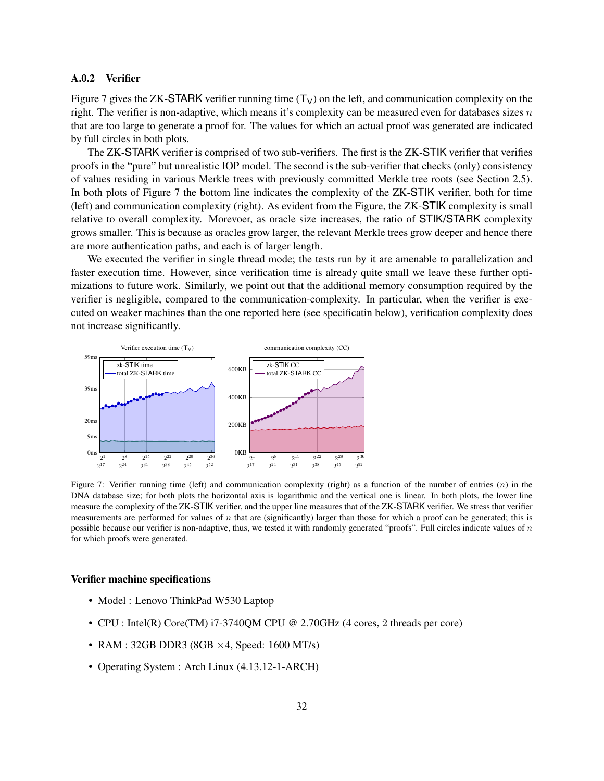#### <span id="page-31-0"></span>A.0.2 Verifier

Figure [7](#page-31-2) gives the ZK-STARK verifier running time  $(T_V)$  on the left, and communication complexity on the right. The verifier is non-adaptive, which means it's complexity can be measured even for databases sizes  $n$ that are too large to generate a proof for. The values for which an actual proof was generated are indicated by full circles in both plots.

The ZK-STARK verifier is comprised of two sub-verifiers. The first is the ZK-STIK verifier that verifies proofs in the "pure" but unrealistic IOP model. The second is the sub-verifier that checks (only) consistency of values residing in various Merkle trees with previously committed Merkle tree roots (see Section [2.5\)](#page-16-1). In both plots of Figure [7](#page-31-2) the bottom line indicates the complexity of the ZK-STIK verifier, both for time (left) and communication complexity (right). As evident from the Figure, the ZK-STIK complexity is small relative to overall complexity. Morevoer, as oracle size increases, the ratio of STIK/STARK complexity grows smaller. This is because as oracles grow larger, the relevant Merkle trees grow deeper and hence there are more authentication paths, and each is of larger length.

We executed the verifier in single thread mode; the tests run by it are amenable to parallelization and faster execution time. However, since verification time is already quite small we leave these further optimizations to future work. Similarly, we point out that the additional memory consumption required by the verifier is negligible, compared to the communication-complexity. In particular, when the verifier is executed on weaker machines than the one reported here (see specificatin below), verification complexity does not increase significantly.

<span id="page-31-2"></span>

Figure 7: Verifier running time (left) and communication complexity (right) as a function of the number of entries  $(n)$  in the DNA database size; for both plots the horizontal axis is logarithmic and the vertical one is linear. In both plots, the lower line measure the complexity of the ZK-STIK verifier, and the upper line measures that of the ZK-STARK verifier. We stress that verifier measurements are performed for values of  $n$  that are (significantly) larger than those for which a proof can be generated; this is possible because our verifier is non-adaptive, thus, we tested it with randomly generated "proofs". Full circles indicate values of n for which proofs were generated.

#### <span id="page-31-1"></span>Verifier machine specifications

- Model : Lenovo ThinkPad W530 Laptop
- CPU : Intel(R) Core(TM) i7-3740QM CPU @ 2.70GHz (4 cores, 2 threads per core)
- RAM : 32GB DDR3 (8GB  $\times$ 4, Speed: 1600 MT/s)
- Operating System : Arch Linux (4.13.12-1-ARCH)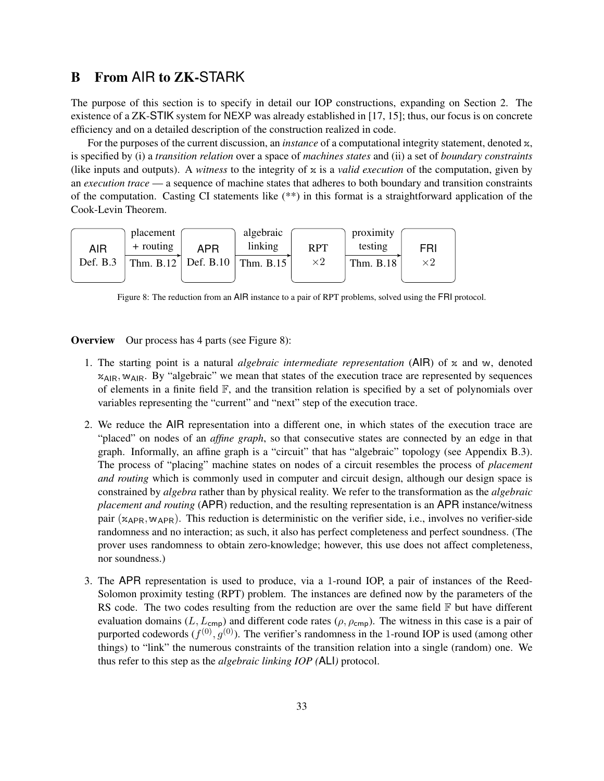# <span id="page-32-0"></span>B From AIR to ZK-STARK

The purpose of this section is to specify in detail our IOP constructions, expanding on Section [2.](#page-13-0) The existence of a ZK-STIK system for NEXP was already established in [\[17,](#page-24-1) [15\]](#page-23-5); thus, our focus is on concrete efficiency and on a detailed description of the construction realized in code.

For the purposes of the current discussion, an *instance* of a computational integrity statement, denoted x, is specified by (i) a *transition relation* over a space of *machines states* and (ii) a set of *boundary constraints* (like inputs and outputs). A *witness* to the integrity of x is a *valid execution* of the computation, given by an *execution trace* — a sequence of machine states that adheres to both boundary and transition constraints of the computation. Casting CI statements like [\(\\*\\*\)](#page-13-4) in this format is a straightforward application of the Cook-Levin Theorem.

<span id="page-32-1"></span>

Figure 8: The reduction from an AIR instance to a pair of RPT problems, solved using the FRI protocol.

#### Overview Our process has 4 parts (see Figure [8\)](#page-32-1):

- 1. The starting point is a natural *algebraic intermediate representation* (AIR) of x and w, denoted  $x_{AIR}$ ,  $w_{AIR}$ . By "algebraic" we mean that states of the execution trace are represented by sequences of elements in a finite field  $\mathbb{F}$ , and the transition relation is specified by a set of polynomials over variables representing the "current" and "next" step of the execution trace.
- 2. We reduce the AIR representation into a different one, in which states of the execution trace are "placed" on nodes of an *affine graph*, so that consecutive states are connected by an edge in that graph. Informally, an affine graph is a "circuit" that has "algebraic" topology (see Appendix [B.3\)](#page-38-0). The process of "placing" machine states on nodes of a circuit resembles the process of *placement and routing* which is commonly used in computer and circuit design, although our design space is constrained by *algebra* rather than by physical reality. We refer to the transformation as the *algebraic placement and routing* (APR) reduction, and the resulting representation is an APR instance/witness pair ( $x_{APR}$ ,  $w_{APR}$ ). This reduction is deterministic on the verifier side, i.e., involves no verifier-side randomness and no interaction; as such, it also has perfect completeness and perfect soundness. (The prover uses randomness to obtain zero-knowledge; however, this use does not affect completeness, nor soundness.)
- 3. The APR representation is used to produce, via a 1-round IOP, a pair of instances of the Reed-Solomon proximity testing (RPT) problem. The instances are defined now by the parameters of the RS code. The two codes resulting from the reduction are over the same field  $\mathbb F$  but have different evaluation domains (L,  $L_{\text{cmp}}$ ) and different code rates ( $\rho$ ,  $\rho_{\text{cmp}}$ ). The witness in this case is a pair of purported codewords  $(f^{(0)}, g^{(0)})$ . The verifier's randomness in the 1-round IOP is used (among other things) to "link" the numerous constraints of the transition relation into a single (random) one. We thus refer to this step as the *algebraic linking IOP (*ALI*)* protocol.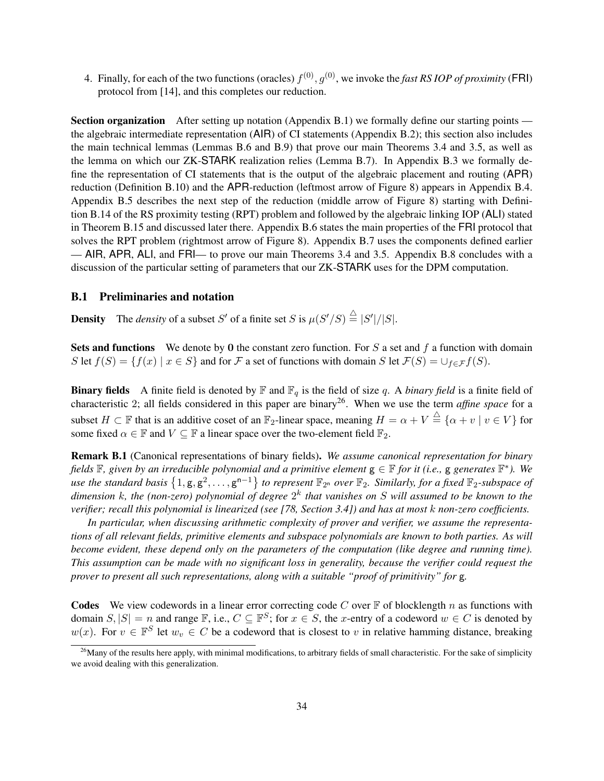4. Finally, for each of the two functions (oracles)  $f^{(0)}$ ,  $g^{(0)}$ , we invoke the *fast RS IOP of proximity* (FRI) protocol from [\[14\]](#page-23-11), and this completes our reduction.

Section organization After setting up notation (Appendix [B.1\)](#page-33-0) we formally define our starting points the algebraic intermediate representation (AIR) of CI statements (Appendix [B.2\)](#page-34-0); this section also includes the main technical lemmas (Lemmas [B.6](#page-35-0) and [B.9\)](#page-37-0) that prove our main Theorems [3.4](#page-20-1) and [3.5,](#page-20-2) as well as the lemma on which our ZK-STARK realization relies (Lemma [B.7\)](#page-36-0). In Appendix [B.3](#page-38-0) we formally define the representation of CI statements that is the output of the algebraic placement and routing (APR) reduction (Definition [B.10\)](#page-38-1) and the APR-reduction (leftmost arrow of Figure [8\)](#page-32-1) appears in Appendix [B.4.](#page-39-0) Appendix [B.5](#page-41-0) describes the next step of the reduction (middle arrow of Figure [8\)](#page-32-1) starting with Definition [B.14](#page-41-3) of the RS proximity testing (RPT) problem and followed by the algebraic linking IOP (ALI) stated in Theorem [B.15](#page-42-0) and discussed later there. Appendix [B.6](#page-44-0) states the main properties of the FRI protocol that solves the RPT problem (rightmost arrow of Figure [8\)](#page-32-1). Appendix [B.7](#page-44-1) uses the components defined earlier — AIR, APR, ALI, and FRI— to prove our main Theorems [3.4](#page-20-1) and [3.5.](#page-20-2) Appendix [B.8](#page-50-0) concludes with a discussion of the particular setting of parameters that our ZK-STARK uses for the DPM computation.

#### <span id="page-33-0"></span>B.1 Preliminaries and notation

**Density** The *density* of a subset S' of a finite set S is  $\mu(S'/S) \stackrel{\triangle}{=} |S'|/|S|$ .

**Sets and functions** We denote by 0 the constant zero function. For S a set and f a function with domain S let  $f(S) = \{f(x) | x \in S\}$  and for F a set of functions with domain S let  $\mathcal{F}(S) = \bigcup_{f \in \mathcal{F}} f(S)$ .

**Binary fields** A finite field is denoted by  $\mathbb{F}$  and  $\mathbb{F}_q$  is the field of size q. A *binary field* is a finite field of characteristic 2; all fields considered in this paper are binary[26](#page-33-2). When we use the term *affine space* for a subset  $H \subset \mathbb{F}$  that is an additive coset of an  $\mathbb{F}_2$ -linear space, meaning  $H = \alpha + V \stackrel{\triangle}{=} \{\alpha + v \mid v \in V\}$  for some fixed  $\alpha \in \mathbb{F}$  and  $V \subseteq \mathbb{F}$  a linear space over the two-element field  $\mathbb{F}_2$ .

<span id="page-33-1"></span>Remark B.1 (Canonical representations of binary fields). *We assume canonical representation for binary fields* F*, given by an irreducible polynomial and a primitive element* g ∈ F *for it (i.e.,* g *generates* F ∗ *). We* use the standard basis  $\{1, g, g^2, \ldots, g^{n-1}\}$  to represent  $\mathbb{F}_{2^n}$  over  $\mathbb{F}_2$ . Similarly, for a fixed  $\mathbb{F}_2$ -subspace of *dimension* k*, the (non-zero) polynomial of degree* 2 k *that vanishes on* S *will assumed to be known to the verifier; recall this polynomial is linearized (see [\[78,](#page-27-17) Section 3.4]) and has at most* k *non-zero coefficients.*

*In particular, when discussing arithmetic complexity of prover and verifier, we assume the representations of all relevant fields, primitive elements and subspace polynomials are known to both parties. As will become evident, these depend only on the parameters of the computation (like degree and running time). This assumption can be made with no significant loss in generality, because the verifier could request the prover to present all such representations, along with a suitable "proof of primitivity" for* g*.*

**Codes** We view codewords in a linear error correcting code C over  $\mathbb F$  of blocklength n as functions with domain  $S, |S| = n$  and range  $\mathbb{F}$ , i.e.,  $C \subseteq \mathbb{F}^S$ ; for  $x \in S$ , the x-entry of a codeword  $w \in C$  is denoted by  $w(x)$ . For  $v \in \mathbb{F}^S$  let  $w_v \in C$  be a codeword that is closest to v in relative hamming distance, breaking

<span id="page-33-2"></span> $^{26}$ Many of the results here apply, with minimal modifications, to arbitrary fields of small characteristic. For the sake of simplicity we avoid dealing with this generalization.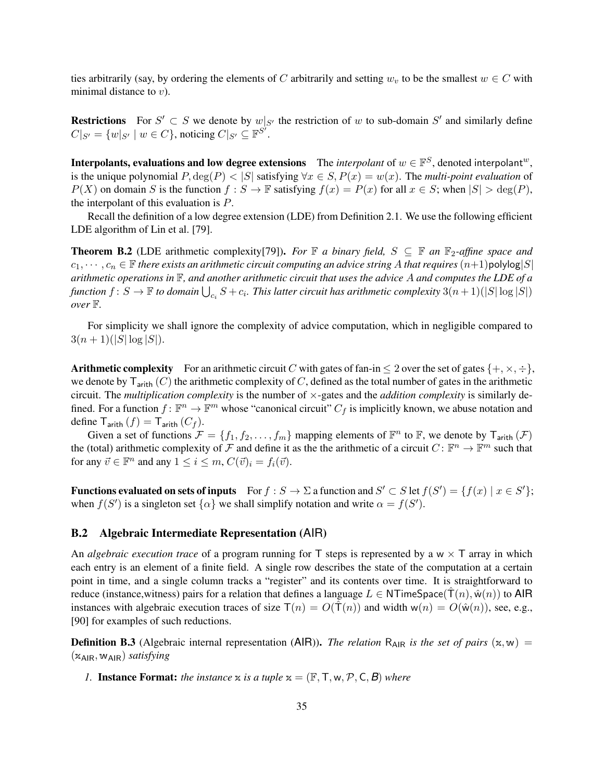ties arbitrarily (say, by ordering the elements of C arbitrarily and setting  $w_v$  to be the smallest  $w \in C$  with minimal distance to  $v$ ).

**Restrictions** For  $S' \subset S$  we denote by  $w|_{S'}$  the restriction of w to sub-domain  $S'$  and similarly define  $C|_{S'} = \{w|_{S'} \mid w \in C\}$ , noticing  $C|_{S'} \subseteq \mathbb{F}^{S'}$ .

**Interpolants, evaluations and low degree extensions** The *interpolant* of  $w \in \mathbb{F}^S$ , denoted interpolant<sup>w</sup>, is the unique polynomial  $P$ ,  $\deg(P)$  < |S| satisfying  $\forall x \in S$ ,  $P(x) = w(x)$ . The *multi-point evaluation* of  $P(X)$  on domain S is the function  $f : S \to \mathbb{F}$  satisfying  $f(x) = P(x)$  for all  $x \in S$ ; when  $|S| > \deg(P)$ , the interpolant of this evaluation is P.

Recall the definition of a low degree extension (LDE) from Definition [2.1.](#page-16-4) We use the following efficient LDE algorithm of Lin et al. [\[79\]](#page-27-16).

<span id="page-34-2"></span>**Theorem B.2** (LDE arithmetic complexity[\[79\]](#page-27-16)). *For*  $\mathbb{F}$  *a binary field,*  $S \subseteq \mathbb{F}$  *an*  $\mathbb{F}_2$ -affine space and  $c_1, \dots, c_n \in \mathbb{F}$  *there exists an arithmetic circuit computing an advice string A that requires*  $(n+1)$ polylog $|S|$ *arithmetic operations in* F*, and another arithmetic circuit that uses the advice* A *and computes the LDE of a*  $f$ unction  $f\colon S\to \mathbb F$  to domain  $\bigcup_{c_i}S+c_i.$  This latter circuit has arithmetic complexity  $3(n+1)(|S|\log |S|)$ *over* F*.*

For simplicity we shall ignore the complexity of advice computation, which in negligible compared to  $3(n+1)(|S|\log|S|).$ 

Arithmetic complexity For an arithmetic circuit C with gates of fan-in  $\leq 2$  over the set of gates  $\{+, \times, \div\}$ , we denote by  $T_{\text{arith}}(C)$  the arithmetic complexity of C, defined as the total number of gates in the arithmetic circuit. The *multiplication complexity* is the number of ×-gates and the *addition complexity* is similarly defined. For a function  $f: \mathbb{F}^n \to \mathbb{F}^m$  whose "canonical circuit"  $C_f$  is implicitly known, we abuse notation and define  $T_{\text{arith}}(f) = T_{\text{arith}}(C_f)$ .

Given a set of functions  $\mathcal{F} = \{f_1, f_2, \dots, f_m\}$  mapping elements of  $\mathbb{F}^n$  to  $\mathbb{F}$ , we denote by  $T_{\text{arith}}(\mathcal{F})$ the (total) arithmetic complexity of F and define it as the the arithmetic of a circuit  $C \colon \mathbb{F}^n \to \mathbb{F}^m$  such that for any  $\vec{v} \in \mathbb{F}^n$  and any  $1 \leq i \leq m$ ,  $C(\vec{v})_i = f_i(\vec{v})$ .

**Functions evaluated on sets of inputs** For  $f : S \to \Sigma$  a function and  $S' \subset S$  let  $f(S') = \{f(x) | x \in S'\};$ when  $f(S')$  is a singleton set  $\{\alpha\}$  we shall simplify notation and write  $\alpha = f(S')$ .

#### <span id="page-34-0"></span>B.2 Algebraic Intermediate Representation (AIR)

An *algebraic execution trace* of a program running for  $\top$  steps is represented by a w  $\times$   $\top$  array in which each entry is an element of a finite field. A single row describes the state of the computation at a certain point in time, and a single column tracks a "register" and its contents over time. It is straightforward to reduce (instance,witness) pairs for a relation that defines a language  $L \in NTimeSpace(T(n), \hat{w}(n))$  to AIR instances with algebraic execution traces of size  $T(n) = O(T(n))$  and width  $w(n) = O(\hat{w}(n))$ , see, e.g., [\[90\]](#page-28-15) for examples of such reductions.

<span id="page-34-1"></span>**Definition B.3** (Algebraic internal representation (AIR)). *The relation* R<sub>AIR</sub> *is the set of pairs* (x, w) = (xAIR, wAIR) *satisfying*

*1.* **Instance Format:** *the instance*  $x$  *is a tuple*  $x = (F, T, w, P, C, B)$  *where*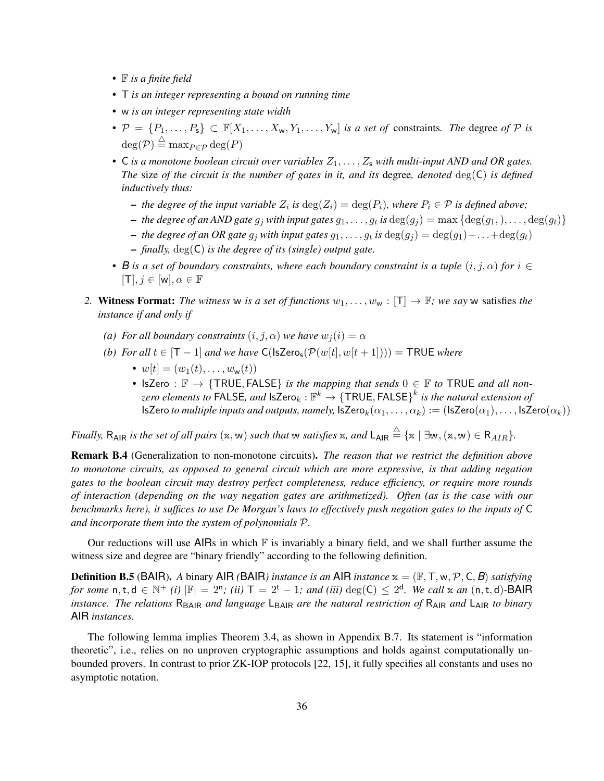- *•* F *is a finite field*
- *•* T *is an integer representing a bound on running time*
- *•* w *is an integer representing state width*
- $\mathcal{P} = \{P_1, \ldots, P_s\} \subset \mathbb{F}[X_1, \ldots, X_w, Y_1, \ldots, Y_w]$  *is a set of* constraints. The degree of  $\mathcal P$  *is*  $\deg(\mathcal{P}) \stackrel{\triangle}{=} \max_{P \in \mathcal{P}} \deg(P)$
- C *is a monotone boolean circuit over variables*  $Z_1, \ldots, Z_s$  *with multi-input AND and OR gates. The* size *of the circuit is the number of gates in it, and its* degree*, denoted* deg(C) *is defined inductively thus:*
	- $−$  the degree of the input variable  $Z_i$  is  $deg(Z_i) = deg(P_i)$ , where  $P_i ∈ P$  is defined above;
	- $-$  the degree of an AND gate  $g_j$  with input gates  $g_1,\ldots,g_t$  is  $\deg(g_j)=\max{\{\deg(g_1,),\ldots,\deg(g_t)\}}$
	- $-$  *the degree of an OR gate*  $g_j$  *with input gates*  $g_1, \ldots, g_t$  *is*  $\deg(g_j) = \deg(g_1) + \ldots + \deg(g_t)$
	- *finally,* deg(C) *is the degree of its (single) output gate.*
- *B is a set of boundary constraints, where each boundary constraint is a tuple*  $(i, j, \alpha)$  *for*  $i \in$  $[T], j \in [w], \alpha \in \mathbb{F}$
- 2. **Witness Format:** The witness w is a set of functions  $w_1, \ldots, w_w : [T] \rightarrow \mathbb{F}$ ; we say w satisfies the *instance if and only if*
	- *(a) For all boundary constraints*  $(i, j, \alpha)$  *we have*  $w_j(i) = \alpha$
	- *(b) For all*  $t \in [T 1]$  *and we have*  $C(\text{lsZero}_s(\mathcal{P}(w[t], w[t + 1])) = \text{TRUE}$  *where* 
		- $w[t] = (w_1(t), \ldots, w_w(t))$
		- IsZero :  $\mathbb{F} \to \{TRUE, FALSE\}$  *is the mapping that sends*  $0 \in \mathbb{F}$  to TRUE *and all non* $z$ ero elements to <code>FALSE</code>, and <code>lsZero</code><sub>k</sub> :  $\mathbb{F}^k \to \{\mathsf{TRUE},\mathsf{FALSE}\}^k$  is the natural extension of IsZero *to multiple inputs and outputs, namely,* IsZero $_k(\alpha_1, \ldots, \alpha_k) := (IsZero(\alpha_1), \ldots, IsZero(\alpha_k))$

*Finally,*  $R_{AIR}$  *is the set of all pairs* (x, w) *such that* w *satisfies* x, and  $L_{AIR} \stackrel{\triangle}{=} \{x \mid \exists w, (x, w) \in R_{AIR}\}.$ 

Remark B.4 (Generalization to non-monotone circuits). *The reason that we restrict the definition above to monotone circuits, as opposed to general circuit which are more expressive, is that adding negation gates to the boolean circuit may destroy perfect completeness, reduce efficiency, or require more rounds of interaction (depending on the way negation gates are arithmetized). Often (as is the case with our benchmarks here), it suffices to use De Morgan's laws to effectively push negation gates to the inputs of* C *and incorporate them into the system of polynomials* P*.*

Our reductions will use AIRs in which  $\mathbb F$  is invariably a binary field, and we shall further assume the witness size and degree are "binary friendly" according to the following definition.

**Definition B.5** (BAIR). *A* binary AIR *(BAIR) instance is an AIR instance*  $x = (F, T, w, P, C, B)$  *satisfying for some*  $n, t, d \in \mathbb{N}^+$  *(i)*  $|\mathbb{F}| = 2^n$ ; *(ii)*  $T = 2^t - 1$ ; *and (iii)* deg(C)  $\leq 2^d$ . We call  $\propto$  *an*  $(n, t, d)$ -BAIR *instance. The relations* R<sub>BAIR</sub> *and language* L<sub>BAIR</sub> *are the natural restriction of* R<sub>AIR</sub> *and* L<sub>AIR</sub> *to binary* AIR *instances.*

<span id="page-35-0"></span>The following lemma implies Theorem [3.4,](#page-20-1) as shown in Appendix [B.7.](#page-44-1) Its statement is "information theoretic", i.e., relies on no unproven cryptographic assumptions and holds against computationally unbounded provers. In contrast to prior ZK-IOP protocols [\[22,](#page-24-0) [15\]](#page-23-5), it fully specifies all constants and uses no asymptotic notation.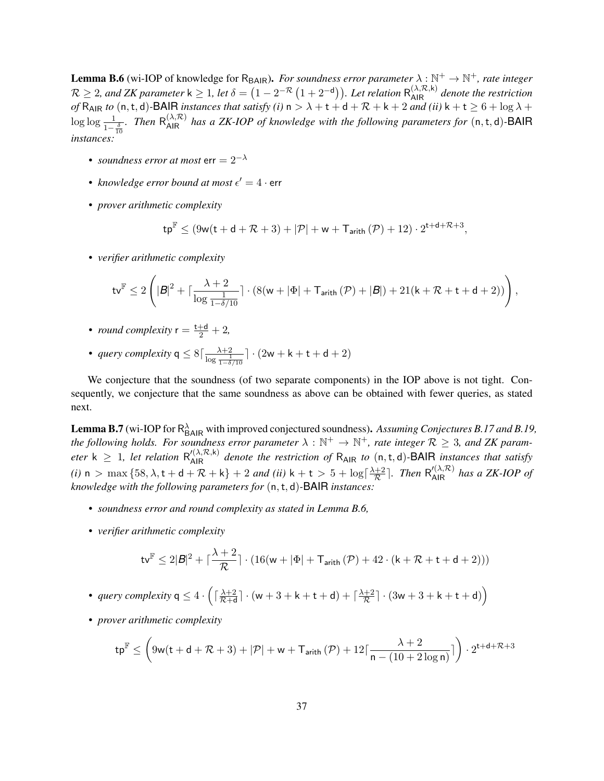**Lemma B.6** (wi-IOP of knowledge for R<sub>BAIR</sub>). *For soundness error parameter*  $\lambda : \mathbb{N}^+ \to \mathbb{N}^+$ , *rate integer*  $R\geq 2$ , and ZK parameter  $k\geq 1$ , let  $\delta=(1-2^{-\mathcal{R}}\left(1+2^{-\mathsf{d}}\right))$ . Let relation  $\mathsf{R}_{\mathsf{AIR}}^{(\lambda,\mathcal{R},k)}$  denote the restriction *of* R<sub>AIR</sub> *to* (n, t, d)-BAIR *instances that satisfy (i)*  $n > \lambda + t + d + \lambda + 2$  *and (ii)*  $k + t \ge 6 + \log \lambda +$  $\log \log \frac{1}{1-\frac{\delta}{10}}$ . Then  $R_{\text{AIR}}^{(\lambda,\mathcal{R})}$  has a ZK-IOP of knowledge with the following parameters for  $(n,t,d)$ -BAIR *instances:*

- *• soundness error at most* err = 2−<sup>λ</sup>
- *knowledge error bound at most*  $\epsilon' = 4 \cdot$  err
- *• prover arithmetic complexity*

$$
\mathsf{tp}^\mathbb{F} \leq \left( 9 \mathsf{w}(t + \mathsf{d} + \mathcal{R} + 3) + |\mathcal{P}| + \mathsf{w} + \mathsf{T}_{\mathsf{arith}}\left(\mathcal{P}\right) + 12 \right) \cdot 2^{\mathsf{t} + \mathsf{d} + \mathcal{R} + 3},
$$

*• verifier arithmetic complexity*

$$
tv^{\mathbb{F}}\leq 2\left(\left|\mathcal{B}\right|^{2}+\lceil \frac{\lambda+2}{\log\frac{1}{1-\delta/10}}\rceil \cdot \left(8(w+\left|\Phi\right|+T_{\mathsf{arith}}\left(\mathcal{P}\right)+\left|\mathcal{B}\right|\right)+21(k+\mathcal{R}+t+d+2))\right),
$$

- *round complexity*  $r = \frac{t+d}{2} + 2$ *,*
- *query complexity*  $q \le 8 \lceil \frac{\lambda+2}{\log \frac{1}{1-\delta/10}} \rceil \cdot (2w + k + t + d + 2)$

We conjecture that the soundness (of two separate components) in the IOP above is not tight. Consequently, we conjecture that the same soundness as above can be obtained with fewer queries, as stated next.

<span id="page-36-0"></span>**Lemma B.7** (wi-IOP for  $R_{\text{BAIR}}^{\lambda}$  with improved conjectured soundness). Assuming Conjectures [B.17](#page-43-0) and [B.19,](#page-44-0) the following holds. For soundness error parameter  $\lambda : \mathbb{N}^+ \to \mathbb{N}^+$ , rate integer  $\mathcal{R} \geq 3$ , and ZK param*eter*  $k \geq 1$ , let relation  $R_{AIR}^{/(\lambda,\mathcal{R},k)}$  denote the restriction of  $R_{AIR}$  to  $(n,t,d)$ -BAIR instances that satisfy  $(i)$  n > max  $\{58, \lambda, t+d+R+k\}$  + 2 *and (ii)* k + t > 5 + log  $\lceil \frac{\lambda+2}{R} \rceil$ . Then  $R_{AR}^{\prime(\lambda,R)}$  has a ZK-IOP of *knowledge with the following parameters for*  $(n, t, d)$ -BAIR *instances*:

- *• soundness error and round complexity as stated in Lemma [B.6,](#page-35-0)*
- *• verifier arithmetic complexity*

$$
\mathsf{tv}^{\mathbb{F}} \leq 2|\mathcal{B}|^2 + \lceil \frac{\lambda+2}{\mathcal{R}} \rceil \cdot (16(\mathsf{w} + |\Phi| + \mathsf{T}_{\mathsf{arith}}(\mathcal{P}) + 42 \cdot (\mathsf{k} + \mathcal{R} + \mathsf{t} + \mathsf{d} + 2)))
$$

• *query complexity*  $q \leq 4 \cdot (\lceil \frac{\lambda+2}{\mathcal{R}+d} \rceil \cdot (w+3+k+t+d) + \lceil \frac{\lambda+2}{\mathcal{R}} \rceil \cdot (3w+3+k+t+d) \Big)$ 

*• prover arithmetic complexity*

$$
\mathsf{tp}^\mathbb{F} \leq \left(9 \mathsf{w}(t + \mathsf{d} + \mathcal{R} + 3) + |\mathcal{P}| + \mathsf{w} + \mathsf{T}_{\mathsf{arith}}\left(\mathcal{P}\right) + 12 \lceil \frac{\lambda + 2}{\mathsf{n} - (10 + 2\log \mathsf{n})} \rceil\right) \cdot 2^{\mathsf{t} + \mathsf{d} + \mathcal{R} + 3}
$$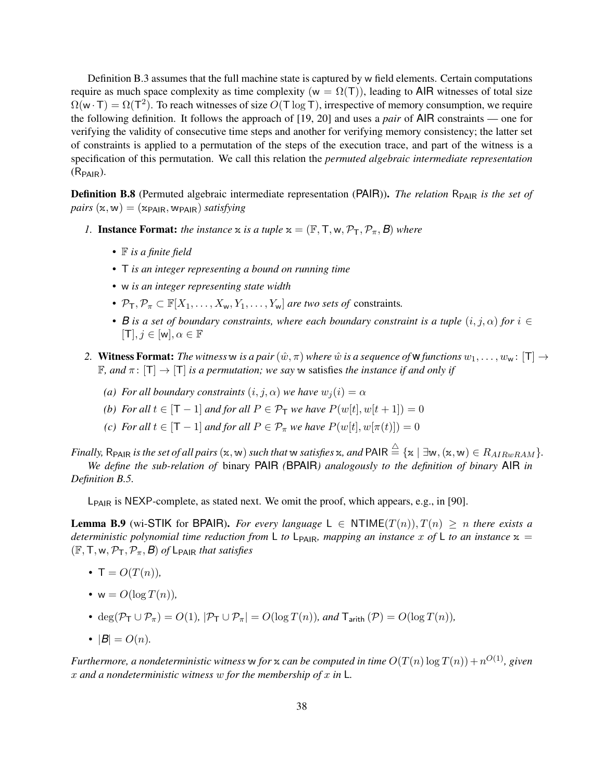Definition [B.3](#page-34-0) assumes that the full machine state is captured by w field elements. Certain computations require as much space complexity as time complexity ( $w = \Omega(T)$ ), leading to AIR witnesses of total size  $\Omega(w \cdot T) = \Omega(T^2)$ . To reach witnesses of size  $O(T \log T)$ , irrespective of memory consumption, we require the following definition. It follows the approach of [\[19,](#page-24-0) [20\]](#page-24-1) and uses a *pair* of AIR constraints — one for verifying the validity of consecutive time steps and another for verifying memory consistency; the latter set of constraints is applied to a permutation of the steps of the execution trace, and part of the witness is a specification of this permutation. We call this relation the *permuted algebraic intermediate representation*  $(R<sub>PAIR</sub>)$ .

Definition B.8 (Permuted algebraic intermediate representation (PAIR)). *The relation* R<sub>PAIR</sub> is the set of  $pairs(x, w) = (x_{PAIR}, w_{PAIR})$  *satisfying* 

- *1.* **Instance Format:** *the instance*  $\times$  *is a tuple*  $\times = (\mathbb{F}, \mathsf{T}, \mathsf{w}, \mathcal{P}_{\mathsf{T}}, \mathcal{P}_{\pi}, \mathsf{B})$  *where* 
	- *•* F *is a finite field*
	- *•* T *is an integer representing a bound on running time*
	- *•* w *is an integer representing state width*
	- $\mathcal{P}_{\mathsf{T}}, \mathcal{P}_{\pi} \subset \mathbb{F}[X_1, \ldots, X_{\mathsf{w}}, Y_1, \ldots, Y_{\mathsf{w}}]$  *are two sets of constraints.*
	- *B is a set of boundary constraints, where each boundary constraint is a tuple*  $(i, j, \alpha)$  *for*  $i \in$  $[T], j \in [w], \alpha \in \mathbb{F}$
- 2. **Witness Format:** *The witness* w *is a pair*  $(\hat{w}, \pi)$  *where*  $\hat{w}$  *is a sequence of* **w** *functions*  $w_1, \ldots, w_w$ :  $[T] \rightarrow$  $\mathbb{F}$ , and  $\pi$ :  $[T] \rightarrow [T]$  *is a permutation; we say* w satisfies *the instance if and only if* 
	- *(a) For all boundary constraints*  $(i, j, \alpha)$  *we have*  $w_i(i) = \alpha$
	- *(b)* For all  $t \in [T 1]$  and for all  $P \in \mathcal{P}_T$  we have  $P(w[t], w[t + 1]) = 0$
	- *(c) For all*  $t \in [T 1]$  *and for all*  $P \in \mathcal{P}_{\pi}$  *we have*  $P(w[t], w[\pi(t)]) = 0$

 $\emph{Finally, R}_{\text{PAIR}}$  is the set of all pairs  $(\mathsf{x},\mathsf{w})$  such that  $\mathsf{w}$  satisfies  $\mathsf{x},$  and  $\textsf{PAIR} \triangleq \{\mathsf{x} \mid \exists \mathsf{w}, (\mathsf{x},\mathsf{w}) \in R_{AIRwRAM}\}.$ 

*We define the sub-relation of* binary PAIR *(*BPAIR*) analogously to the definition of binary* AIR *in Definition [B.5.](#page-35-1)*

 $L_{PAIR}$  is NEXP-complete, as stated next. We omit the proof, which appears, e.g., in [\[90\]](#page-28-0).

<span id="page-37-0"></span>**Lemma B.9** (wi-STIK for BPAIR). *For every language*  $L \in NTIME(T(n)), T(n) \geq n$  *there exists a deterministic polynomial time reduction from* L *to* L<sub>PAIR</sub>, mapping an instance x of L *to an instance*  $x =$  $(\mathbb{F}, \mathsf{T}, \mathsf{w}, \mathcal{P}_{\mathsf{T}}, \mathcal{P}_{\pi}, \mathsf{B})$  of  $\mathsf{L}_{\mathsf{PAIR}}$  *that satisfies* 

- $T = O(T(n))$ ,
- $w = O(\log T(n))$ ,
- deg( $\mathcal{P}_{\mathsf{T}} \cup \mathcal{P}_{\pi}$ ) =  $O(1)$ *,*  $|\mathcal{P}_{\mathsf{T}} \cup \mathcal{P}_{\pi}| = O(\log T(n))$ *, and*  $\mathsf{T}_{\mathsf{arith}}(\mathcal{P}) = O(\log T(n))$ *,*
- $|B| = O(n)$ .

*Furthermore, a nondeterministic witness* w *for* x *can be computed in time*  $O(T(n) \log T(n)) + n^{O(1)}$ , given x *and a nondeterministic witness* w *for the membership of* x *in* L*.*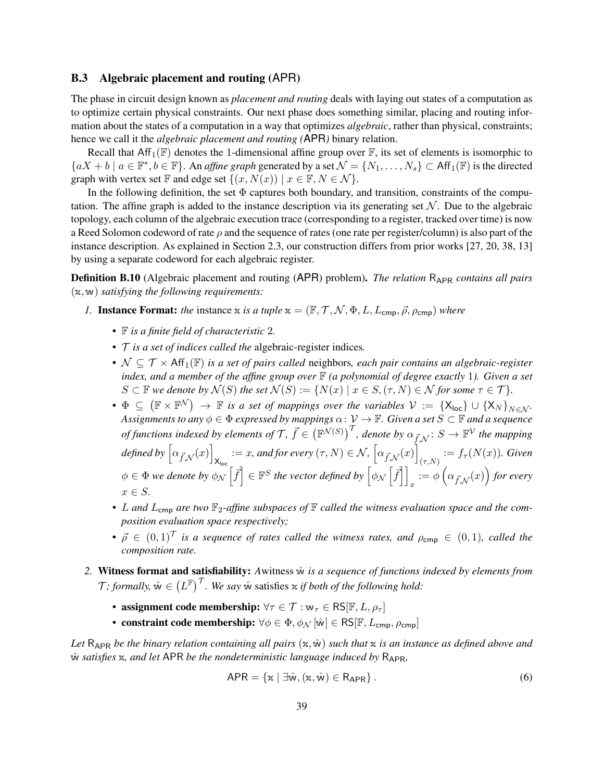# <span id="page-38-0"></span>B.3 Algebraic placement and routing (APR)

The phase in circuit design known as *placement and routing* deals with laying out states of a computation as to optimize certain physical constraints. Our next phase does something similar, placing and routing information about the states of a computation in a way that optimizes *algebraic*, rather than physical, constraints; hence we call it the *algebraic placement and routing (*APR*)* binary relation.

Recall that  $Aff_1(\mathbb{F})$  denotes the 1-dimensional affine group over  $\mathbb{F}$ , its set of elements is isomorphic to  ${aX + b \mid a \in \mathbb{F}^*, b \in \mathbb{F}}$ . An *affine graph* generated by a set  $\mathcal{N} = \{N_1, \ldots, N_s\} \subset \text{Aff}_1(\mathbb{F})$  is the directed graph with vertex set  $\mathbb F$  and edge set  $\{(x, N(x)) \mid x \in \mathbb F, N \in \mathcal N\}$ .

In the following definition, the set  $\Phi$  captures both boundary, and transition, constraints of the computation. The affine graph is added to the instance description via its generating set  $N$ . Due to the algebraic topology, each column of the algebraic execution trace (corresponding to a register, tracked over time) is now a Reed Solomon codeword of rate  $\rho$  and the sequence of rates (one rate per register/column) is also part of the instance description. As explained in Section [2.3,](#page-14-0) our construction differs from prior works [\[27,](#page-24-2) [20,](#page-24-1) [38,](#page-25-0) [13\]](#page-23-0) by using a separate codeword for each algebraic register.

<span id="page-38-1"></span>**Definition B.10** (Algebraic placement and routing (APR) problem). *The relation* R<sub>APR</sub> contains all pairs (x, w) *satisfying the following requirements:*

- *1.* **Instance Format:** *the* instance x *is a tuple*  $x = (\mathbb{F}, \mathcal{T}, \mathcal{N}, \Phi, L, L_{cmn}, \vec{\rho}, \rho_{cmn})$  *where* 
	- *•* F *is a finite field of characteristic* 2*.*
	- *•* T *is a set of indices called the* algebraic-register indices*.*
	- $\mathcal{N} \subseteq \mathcal{T} \times \mathsf{Aff}_1(\mathbb{F})$  *is a set of pairs called* neighbors, each pair contains an algebraic-register *index, and a member of the affine group over*  $\mathbb{F}$  *(a polynomial of degree exactly 1). Given a set*  $S \subset \mathbb{F}$  *we denote by*  $\mathcal{N}(S)$  *the set*  $\mathcal{N}(S) := \{ N(x) \mid x \in S, (\tau, N) \in \mathcal{N} \}$  *for some*  $\tau \in \mathcal{T} \}.$
	- $\Phi$   $\subseteq$   $(\mathbb{F} \times \mathbb{F}^{\mathcal{N}})$   $\rightarrow$   $\mathbb{F}$  *is a set of mappings over the variables*  $\mathcal{V}$  :=  $\{X_{\text{loc}}\}$  ∪  $\{X_N\}_{N \in \mathcal{N}}$ *. Assignments to any*  $\phi \in \Phi$  *expressed by mappings*  $\alpha: V \to \mathbb{F}$ *. Given a set*  $S \subset \mathbb{F}$  *and a sequence of functions indexed by elements of*  $\mathcal{T}$ *,*  $\vec{f}$   $\in$   $(\mathbb{F}^{N(S)})^{\mathcal{T}}$ *, denote by*  $\alpha_{\vec{f},\mathcal{N}}$ :  $S \to \mathbb{F}^{\mathcal{V}}$  the mapping *defined by*  $\left[\alpha_{\vec{f},\mathcal{N}}(x)\right]$  $X_{loc} := x$ , and for every  $(\tau, N) \in \mathcal{N}$ ,  $\left[\alpha_{\vec{f}, \mathcal{N}}(x)\right]$  $\mathfrak{f}_{\tau}(x) := f_{\tau}(N(x))$ *. Given*  $\phi \in \Phi$  we denote by  $\phi_{\mathcal{N}}\left[\vec{f}\right]\in\mathbb{F}^S$  the vector defined by  $\left[\phi_{\mathcal{N}}\left[\vec{f}\right]\right]$  $\mathcal{L}_x := \phi\left(\alpha_{\vec{f},\mathcal{N}}(x)\right)$  for every  $x \in S$ .
	- L and  $L_{\text{cmp}}$  are two  $\mathbb{F}_2$ -affine subspaces of  $\mathbb{F}$  called the witness evaluation space and the com*position evaluation space respectively;*
	- $\vec{\rho} \in (0,1)^T$  is a sequence of rates called the witness rates, and  $\rho_{\text{cmp}} \in (0,1)$ , called the *composition rate.*
- 2. **Witness format and satisfiability:** *Awitness ŵ is a sequence of functions indexed by elements from*  $\mathcal{T}$ *; formally,*  $\hat{w} \in (L^{\mathbb{F}})^{\mathcal{T}}$ . We say  $\hat{w}$  satisfies x *if both of the following hold:* 
	- assignment code membership:  $\forall \tau \in \mathcal{T} : w_{\tau} \in \mathsf{RS}[\mathbb{F}, L, \rho_{\tau}]$
	- constraint code membership:  $\forall \phi \in \Phi$ ,  $\phi_{\mathcal{N}}[\hat{\mathbf{w}}] \in \mathsf{RS}[\mathbb{F}, L_{\mathsf{cmp}}, \rho_{\mathsf{cmp}}]$

*Let*  $R_{APR}$  *be the binary relation containing all pairs*  $(x, \hat{w})$  *such that* x *is an instance as defined above and* wˆ *satisfies* x*, and let* APR *be the nondeterministic language induced by* RAPR*,*

$$
APR = \{x \mid \exists \hat{w}, (x, \hat{w}) \in R_{APR} \}.
$$
\n
$$
(6)
$$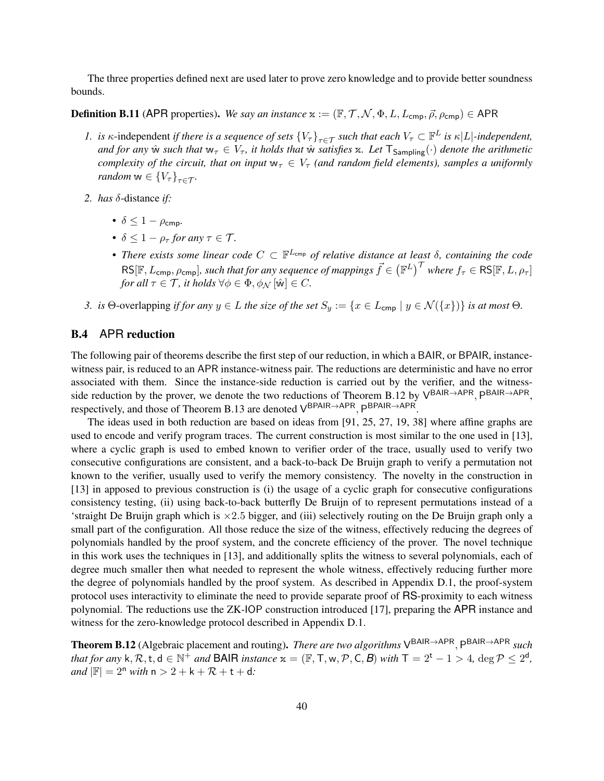The three properties defined next are used later to prove zero knowledge and to provide better soundness bounds.

<span id="page-39-2"></span>**Definition B.11** (APR properties). *We say an instance*  $x := (\mathbb{F}, \mathcal{T}, \mathcal{N}, \Phi, L, L_{\text{cmn}}, \vec{\rho}, \rho_{\text{cmn}}) \in APR$ 

- *1. is*  $\kappa$ -independent *if there is a sequence of sets*  $\{V_\tau\}_{\tau \in \mathcal{T}}$  *such that each*  $V_\tau \subset \mathbb{F}^L$  *is*  $\kappa |L|$ -*independent*, *and for any*  $\hat{w}$  *such that*  $w_{\tau} \in V_{\tau}$ , *it holds that*  $\hat{w}$  *satisfies* x. Let  $T_{\text{Sampling}}(\cdot)$  *denote the arithmetic complexity of the circuit, that on input*  $w_\tau \in V_\tau$  *(and random field elements), samples a uniformly random*  $w \in \{V_\tau\}_{\tau \in \mathcal{T}}$ *.*
- <span id="page-39-1"></span>*2. has* δ-distance *if:*
	- $\delta \leq 1 \rho_{\text{cmp}}$ .
	- $\delta$  < 1  $\rho_{\tau}$  *for any*  $\tau \in \mathcal{T}$ *.*
	- **•** *There exists some linear code*  $C \subset \mathbb{F}^{L_{\text{cmp}}}$  *of relative distance at least* δ, containing the code  $RS[\mathbb{F}, L_{\text{cmp}}, \rho_{\text{cmp}}]$ , such that for any sequence of mappings  $\vec{f} \in (\mathbb{F}^L)^{\mathcal{T}}$  where  $f_\tau \in RS[\mathbb{F}, L, \rho_\tau]$ *for all*  $\tau \in \mathcal{T}$ *, it holds*  $\forall \phi \in \Phi$ *,*  $\phi_{\mathcal{N}}[\hat{\mathbf{w}}] \in C$ *.*
- *3. is* Θ-overlapping *if for any*  $y \in L$  *the size of the set*  $S_y := \{x \in L_{\text{cmp}} \mid y \in \mathcal{N}(\{x\})\}$  *is at most*  $\Theta$ *.*

# B.4 APR reduction

The following pair of theorems describe the first step of our reduction, in which a BAIR, or BPAIR, instancewitness pair, is reduced to an APR instance-witness pair. The reductions are deterministic and have no error associated with them. Since the instance-side reduction is carried out by the verifier, and the witness-side reduction by the prover, we denote the two reductions of Theorem [B.12](#page-39-0) by  $V^{BAIR \rightarrow APR}$ ,  $P^{BAIR \rightarrow APR}$ , respectively, and those of Theorem [B.13](#page-40-0) are denoted  $\vee^{\text{BPAIR}\rightarrow\text{APR}}$ ,  $\mathsf{P}^{\text{BPAIR}\rightarrow\text{APR}}$ .

The ideas used in both reduction are based on ideas from [\[91,](#page-28-1) [25,](#page-24-3) [27,](#page-24-2) [19,](#page-24-0) [38\]](#page-25-0) where affine graphs are used to encode and verify program traces. The current construction is most similar to the one used in [\[13\]](#page-23-0), where a cyclic graph is used to embed known to verifier order of the trace, usually used to verify two consecutive configurations are consistent, and a back-to-back De Bruijn graph to verify a permutation not known to the verifier, usually used to verify the memory consistency. The novelty in the construction in [\[13\]](#page-23-0) in apposed to previous construction is (i) the usage of a cyclic graph for consecutive configurations consistency testing, (ii) using back-to-back butterfly De Bruijn of to represent permutations instead of a 'straight De Bruijn graph which is  $\times$  2.5 bigger, and (iii) selectively routing on the De Bruijn graph only a small part of the configuration. All those reduce the size of the witness, effectively reducing the degrees of polynomials handled by the proof system, and the concrete efficiency of the prover. The novel technique in this work uses the techniques in [\[13\]](#page-23-0), and additionally splits the witness to several polynomials, each of degree much smaller then what needed to represent the whole witness, effectively reducing further more the degree of polynomials handled by the proof system. As described in Appendix [D.1,](#page-62-0) the proof-system protocol uses interactivity to eliminate the need to provide separate proof of RS-proximity to each witness polynomial. The reductions use the ZK-IOP construction introduced [\[17\]](#page-24-4), preparing the APR instance and witness for the zero-knowledge protocol described in Appendix [D.1.](#page-62-0)

<span id="page-39-0"></span>Theorem B.12 (Algebraic placement and routing). *There are two algorithms* V BAIR→APR, P BAIR→APR *such that for any* k,  $\mathcal{R}, t, d \in \mathbb{N}^+$  *and* BAIR *instance*  $x = (\mathbb{F}, T, w, \mathcal{P}, C, B)$  *with*  $T = 2^t - 1 > 4$ ,  $\deg \mathcal{P} \leq 2^d$ , *and*  $|\mathbb{F}| = 2^n$  *with*  $n > 2 + k + \mathcal{R} + t + d$ *:*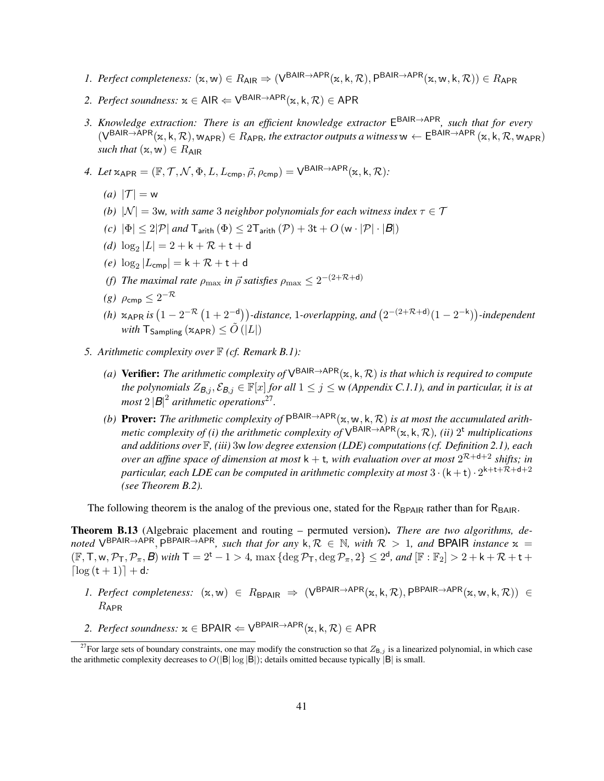- <span id="page-40-5"></span>1. Perfect completeness:  $(x, w) \in R_{\mathsf{AIR}} \Rightarrow (\mathsf{V}^{\mathsf{BAIR} \rightarrow \mathsf{APR}}(x, k, \mathcal{R}), \mathsf{P}^{\mathsf{BAIR} \rightarrow \mathsf{APR}}(x, w, k, \mathcal{R})) \in R_{\mathsf{APR}}$
- <span id="page-40-6"></span>2. *Perfect soundness:*  $x \in AIR \leftarrow V^{BAIR \rightarrow APR}(x, k, R) \in APR$
- <span id="page-40-3"></span>*3. Knowledge extraction: There is an efficient knowledge extractor* E BAIR→APR*, such that for every*  $(V^{BAIR\rightarrow APR}(x, k, R), w_{APR}) \in R_{APR}$ , the extractor outputs a witness  $w \leftarrow E^{BAIR\rightarrow APR}(x, k, R, w_{APR})$ *such that*  $(x, w) \in R_{\text{AIR}}$
- <span id="page-40-7"></span><span id="page-40-2"></span> $4. Let x_{APR} = (\mathbb{F}, \mathcal{T}, \mathcal{N}, \Phi, L, L_{cmp}, \vec{\rho}, \rho_{cmp}) = V^{BAIR \rightarrow APR}(x, k, \mathcal{R}).$ 
	- $(a) |T| = w$
	- *(b)*  $|N| = 3$ w, with same 3 neighbor polynomials for each witness index  $\tau \in \mathcal{T}$
	- *(c)*  $|\Phi| \leq 2|\mathcal{P}|$  *and*  $T_{\text{arith}}(\Phi) \leq 2T_{\text{arith}}(\mathcal{P}) + 3t + O(w \cdot |\mathcal{P}| \cdot |\mathcal{B}|)$
	- (*d*)  $\log_2 |L| = 2 + k + \mathcal{R} + t + d$
	- $(e) \log_2 |L_{\text{cmp}}| = k + \mathcal{R} + t + d$
	- *(f)* The maximal rate  $\rho_{\text{max}}$  in  $\vec{\rho}$  satisfies  $\rho_{\text{max}} \leq 2^{-(2+\mathcal{R}+\mathsf{d})}$
	- $(g)$   $\rho_{\textsf{cmp}} \leq 2^{-\mathcal{R}}$
	- *(h)*  $\propto$ <sub>APR</sub> is  $(1 2^{-R} (1 + 2^{-d}))$ -distance, 1-overlapping, and  $(2^{-(2+R+d)}(1 2^{-k}))$ -independent *with*  $T_{\text{Sampling}}$  ( $x_{\text{APR}}$ )  $\leq O(|L|)$
- <span id="page-40-4"></span>*5.* Arithmetic complexity over  $\mathbb{F}$  (cf. Remark [B.1\)](#page-33-0):
	- *(a)* Verifier: *The arithmetic complexity of* V BAIR→APR(x, k, R) *is that which is required to compute the polynomials*  $Z_{\mathcal{B},i}, \mathcal{E}_{\mathcal{B},j} \in \mathbb{F}[x]$  *for all*  $1 \leq j \leq w$  *(Appendix [C.1.1\)](#page-51-0), and in particular, it is at most*  $2 |B|^2$  *arithmetic operations*<sup>[27](#page-40-1)</sup>.
	- (b) **Prover:** The arithmetic complexity of  $P^{BAIR\rightarrow APR}(x, w, k, R)$  is at most the accumulated arith*metic complexity of (i) the arithmetic complexity of* V BAIR→APR(x, k, R)*, (ii)* 2 <sup>t</sup> *multiplications and additions over* F*, (iii)* 3w *low degree extension (LDE) computations (cf. Definition [2.1\)](#page-16-0), each over an affine space of dimension at most* k + t*, with evaluation over at most* 2 <sup>R</sup>+d+2 *shifts; in* particular, each LDE can be computed in arithmetic complexity at most  $3\cdot$   $({\sf k}+{\sf t})\cdot2^{{\sf k}+{\sf t}+\mathcal{R}+{\sf d}+2}$ *(see Theorem [B.2\)](#page-34-1).*

The following theorem is the analog of the previous one, stated for the  $R_{\text{BPAR}}$  rather than for  $R_{\text{BAIR}}$ .

<span id="page-40-0"></span>Theorem B.13 (Algebraic placement and routing – permuted version). *There are two algorithms, de-* $A_{\text{model}}$   $\vee$ <sup>BPAIR→APR</sup>,  $\overline{P}$ BPAIR→APR, such that for any k,  $\mathcal{R} \in \mathbb{N}$ , with  $\mathcal{R} \geq 1$ , and **BPAIR** instance  $x =$  $(\mathbb{F}, \mathsf{T}, \mathsf{w}, \mathcal{P}_\mathsf{T}, \mathcal{P}_\pi, \mathsf{B})$  *with*  $\mathsf{T} = 2^t - 1 > 4$ ,  $\max \{ \deg \mathcal{P}_\mathsf{T}, \deg \mathcal{P}_\pi, 2 \} \leq 2^d$ , and  $[\mathbb{F} : \mathbb{F}_2] > 2 + k + \mathcal{R} + t + \mathbb{F}_\mathsf{A}$  $\lceil \log (t + 1) \rceil + d$ :

- <span id="page-40-8"></span>1. Perfect completeness:  $(x, w) \in R_{\sf{BPAIR}} \Rightarrow (V^{\sf{BPAIR}\rightarrow{APR}}(x, k, R), P^{\sf{BPAIR}\rightarrow{APR}}(x, w, k, R)) \in$  $R_{\sf APR}$
- <span id="page-40-9"></span>2. *Perfect soundness:*  $x \in \text{BPAIR} \leftarrow \text{V}^{\text{BPAIR} \rightarrow \text{APR}}(x, k, \mathcal{R}) \in \text{APR}$

<span id="page-40-1"></span><sup>&</sup>lt;sup>27</sup>For large sets of boundary constraints, one may modify the construction so that  $Z_{B,j}$  is a linearized polynomial, in which case the arithmetic complexity decreases to  $O(|B| \log |B|)$ ; details omitted because typically  $|B|$  is small.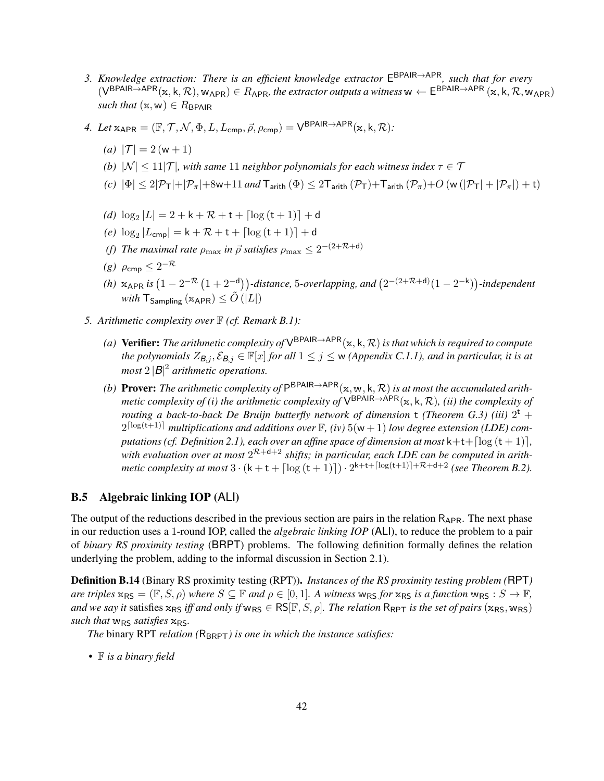- <span id="page-41-0"></span>*3. Knowledge extraction: There is an efficient knowledge extractor* E BPAIR→APR*, such that for every*  $(V^{BPAIR\rightarrow APR}(x, k, R), w_{APR}) \in R_{APR}$ , the extractor outputs a witness  $w \leftarrow E^{BPAIR\rightarrow APR}(x, k, R, w_{APR})$ *such that*  $(x, w) \in R_{\text{BPAIR}}$
- $4. Let x_{APR} = (\mathbb{F}, \mathcal{T}, \mathcal{N}, \Phi, L, L_{cmp}, \vec{\rho}, \rho_{cmp}) = V^{BPAIR \rightarrow APR}(x, k, \mathcal{R})$ :
	- *(a)*  $|\mathcal{T}| = 2(w + 1)$
	- *(b)*  $|N| \leq 11|\mathcal{T}|$ , with same 11 *neighbor polynomials for each witness index*  $\tau \in \mathcal{T}$
	- *(c)*  $|\Phi| \leq 2|\mathcal{P}_T| + |\mathcal{P}_\pi| + 8w + 11$  *and*  $T_{\text{arith}}(\Phi) \leq 2T_{\text{arith}}(\mathcal{P}_T) + T_{\text{arith}}(\mathcal{P}_\pi) + O(w(|\mathcal{P}_T| + |\mathcal{P}_\pi|) + t)$
	- (d)  $\log_2 |L| = 2 + k + \mathcal{R} + t + \lfloor \log(t + 1) \rfloor + d$
	- $(e) \log_2 |L_{\text{cmp}}| = k + \mathcal{R} + t + \lceil \log(t + 1) \rceil + d$
	- *(f)* The maximal rate  $\rho_{\text{max}}$  in  $\vec{\rho}$  satisfies  $\rho_{\text{max}} \leq 2^{-(2+\mathcal{R}+\mathsf{d})}$
	- $(g)$   $\rho_{\textsf{cmp}} \leq 2^{-\mathcal{R}}$
	- *(h)*  $\propto$ <sub>APR</sub> is  $(1 2^{-R} (1 + 2^{-d}))$ -distance, 5-overlapping, and  $(2^{-(2+R+d)}(1 2^{-k}))$ -independent *with*  $T_{\text{Sampling}}$  ( $x_{\text{APR}}$ )  $\leq \tilde{O}$  ( $|L|$ )
- <span id="page-41-1"></span>*5. Arithmetic complexity over* F *(cf. Remark [B.1\)](#page-33-0):*
	- *(a)* Verifier: *The arithmetic complexity of* V BPAIR→APR(x, k, R)*is that which is required to compute the polynomials*  $Z_{\mathcal{B},j}, \mathcal{E}_{\mathcal{B},j} \in \mathbb{F}[x]$  *for all*  $1 \leq j \leq w$  *(Appendix [C.1.1\)](#page-51-0), and in particular, it is at most*  $2 |B|^2$  *arithmetic operations.*
	- (b) **Prover:** The arithmetic complexity of  $P^{BPAIR\rightarrow APR}(x, w, k, R)$  is at most the accumulated arith*metic complexity of (i) the arithmetic complexity of* V BPAIR→APR(x, k, R)*, (ii) the complexity of routing a back-to-back De Bruijn butterfly network of dimension*  $t$  (*Theorem G.3*) (iii)  $2^t$  +  $2^{\lceil \log(t+1) \rceil}$  multiplications and additions over  $\mathbb{F}$ , (iv)  $5(w+1)$  low degree extension (LDE) com*putations (cf. Definition* [2.1\)](#page-16-0), each over an affine space of dimension at most  $k+t+[\log(t+1)]$ , with evaluation over at most  $2^{\mathcal{R}+d+2}$  shifts; in particular, each LDE can be computed in arith*metic complexity at most*  $3 \cdot (k + t + \lceil \log(t + 1) \rceil) \cdot 2^{k+t+\lceil \log(t+1) \rceil + \mathcal{R} + d + 2}$  *(see Theorem [B.2\)](#page-34-1).*

## B.5 Algebraic linking IOP (ALI)

The output of the reductions described in the previous section are pairs in the relation  $R_{APR}$ . The next phase in our reduction uses a 1-round IOP, called the *algebraic linking IOP* (ALI), to reduce the problem to a pair of *binary RS proximity testing* (BRPT) problems. The following definition formally defines the relation underlying the problem, adding to the informal discussion in Section [2.1\)](#page-13-0).

<span id="page-41-2"></span>Definition B.14 (Binary RS proximity testing (RPT)). *Instances of the RS proximity testing problem (*RPT*) are triples*  $x_{RS} = (\mathbb{F}, S, \rho)$  *where*  $S \subseteq \mathbb{F}$  *and*  $\rho \in [0, 1]$ *. A witness* w<sub>RS</sub> *for*  $x_{RS}$  *is a function* w<sub>RS</sub> :  $S \to \mathbb{F}$ *, and we say it* satisfies  $x_{RS}$  *iff and only if*  $w_{RS} \in RS[\mathbb{F}, S, \rho]$ *. The relation*  $R_{RPT}$  *is the set of pairs* ( $x_{RS}$ ,  $w_{RS}$ ) *such that*  $w_{RS}$  *satisfies*  $x_{RS}$ *.* 

*The* binary RPT *relation* ( $R_{BRFT}$ *) is one in which the instance satisfies:* 

*•* F *is a binary field*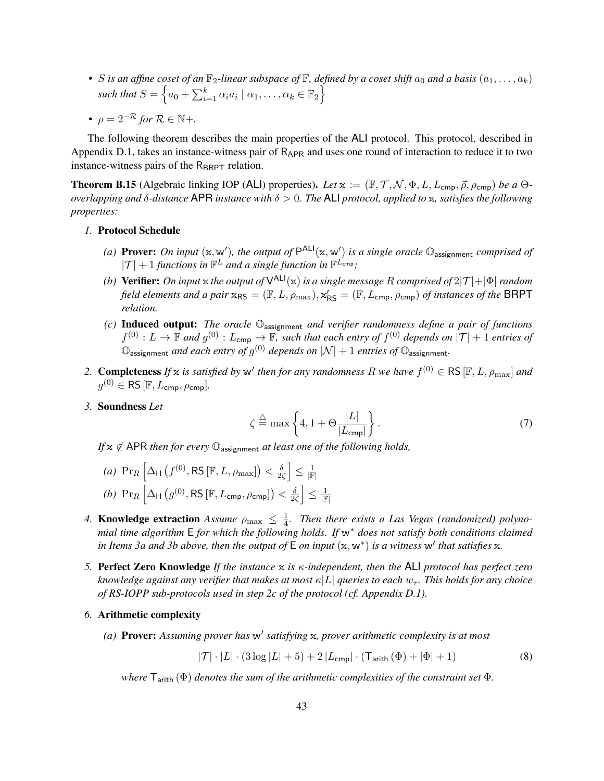- *S* is an affine coset of an  $\mathbb{F}_2$ -linear subspace of  $\mathbb{F}$ , defined by a coset shift  $a_0$  and a basis  $(a_1, \ldots, a_k)$ such that  $S = \left\{a_0 + \sum_{i=1}^k \alpha_i a_i \mid \alpha_1, \ldots, \alpha_k \in \mathbb{F}_2\right\}$
- $\rho = 2^{-\mathcal{R}}$  *for*  $\mathcal{R} \in \mathbb{N}+$ .

The following theorem describes the main properties of the ALI protocol. This protocol, described in Appendix [D.1,](#page-62-0) takes an instance-witness pair of  $R_{APR}$  and uses one round of interaction to reduce it to two instance-witness pairs of the  $R_{BRPT}$  relation.

<span id="page-42-7"></span>**Theorem B.15** (Algebraic linking IOP (ALI) properties). Let  $x := (\mathbb{F}, \mathcal{T}, \mathcal{N}, \Phi, L, L_{\text{cmp}}, \vec{\rho}, \rho_{\text{cmp}})$  be a  $\Theta$ *overlapping and* δ*-distance* APR *instance with* δ > 0*. The* ALI *protocol, applied to* x*, satisfies the following properties:*

- <span id="page-42-3"></span><span id="page-42-2"></span>*1.* Protocol Schedule
	- (a) **Prover:** On input  $(x, w')$ , the output of  $P^{ALL}(x, w')$  is a single oracle  $\mathbb{O}_{\text{assignment}}$  comprised of  $|{\cal T}| + 1$  *functions in*  $\mathbb{F}^L$  *and a single function in*  $\mathbb{F}^{L_{\text{cmp}}}$ *;*
	- *(b)* **Verifier:** On input x the output of  $V^{ALI}(x)$  is a single message R comprised of  $2|\mathcal{T}|+|\Phi|$  random *field elements and a pair*  $x_{RS} = (\mathbb{F}, L, \rho_{\text{max}}), x'_{RS} = (\mathbb{F}, L_{\text{cmp}}, \rho_{\text{cmp}})$  *of instances of the* BRPT *relation.*
	- *(c)* Induced output: *The oracle* Oassignment *and verifier randomness define a pair of functions*  $f^{(0)}: L \to \mathbb{F}$  and  $g^{(0)}: L_{\textsf{cmp}} \to \mathbb{F}$ , such that each entry of  $f^{(0)}$  depends on  $|\mathcal{T}|+1$  entries of  $\mathbb{O}_{\mathsf{assignment}}$  and each entry of  $g^{(0)}$  depends on  $|\mathcal{N}|+1$  entries of  $\mathbb{O}_{\mathsf{assignment}}$ .
- <span id="page-42-9"></span>2. **Completeness** If x is satisfied by w' then for any randomness R we have  $f^{(0)} \in \text{RS}[\mathbb{F}, L, \rho_{\max}]$  and  $g^{(0)} \in \mathsf{RS}\left[\mathbb{F}, L_{\mathsf{cmp}}, \rho_{\mathsf{cmp}}\right]$ .
- <span id="page-42-6"></span><span id="page-42-5"></span>*3.* Soundness *Let*

$$
\zeta \stackrel{\triangle}{=} \max\left\{4, 1 + \Theta \frac{|L|}{|L_{\text{cmp}}|}\right\}.
$$
\n(7)

<span id="page-42-0"></span>*If*  $x \notin$  APR *then for every*  $\mathbb{O}_{\text{assignment}}$  *at least one of the following holds,* 

- *(a)*  $\Pr_R\left[\Delta_{\sf H}\left(f^{(0)}, {\sf RS}\left[\mathbb{F}, L, \rho_{\text{max}}\right]\right) < \frac{\delta}{2\ell} \right]$  $\frac{\delta}{2\zeta}\Big]\leq \frac{1}{|\mathbb{F}|}$ (b)  $\Pr_R\left[\Delta_{\sf H}\left(g^{(0)},\textsf{RS}\left[\mathbb{F},L_{\textsf{cmp}},\rho_{\textsf{cmp}}\right]\right)<\frac{\delta}{2d}\right]$  $\frac{\delta}{2\zeta}\Big]\leq \frac{1}{|\mathbb{F}|}$
- <span id="page-42-10"></span><span id="page-42-1"></span>4. **Knowledge extraction** *Assume*  $\rho_{\text{max}} \leq \frac{1}{4}$ 4 *. Then there exists a Las Vegas (randomized) polynomial time algorithm* E *for which the following holds. If* w<sup>∗</sup> *does not satisfy both conditions claimed in Items [3a](#page-42-0) and [3b](#page-42-1) above, then the output of*  $E$  *on input*  $(x, w^*)$  *is a witness* w' *that satisfies*  $x$ *.*
- <span id="page-42-8"></span>*5.* Perfect Zero Knowledge *If the instance* x *is* κ*-independent, then the* ALI *protocol has perfect zero knowledge against any verifier that makes at most*  $\kappa |L|$  *queries to each*  $w_{\tau}$ *. This holds for any choice of RS-IOPP sub-protocols used in step [2c](#page-63-0) of the protocol (cf. Appendix [D.1\)](#page-62-0).*
- <span id="page-42-11"></span>*6.* Arithmetic complexity
	- (a) Prover: Assuming prover has w' satisfying x, prover arithmetic complexity is at most

<span id="page-42-4"></span> $|\mathcal{T}| \cdot |L| \cdot (3 \log |L| + 5) + 2 |L_{\text{cmp}}| \cdot (\text{T}_{\text{arith}} (\Phi) + |\Phi| + 1)$  (8)

*where*  $T_{\text{arith}}(\Phi)$  *denotes the sum of the arithmetic complexities of the constraint set*  $\Phi$ *.*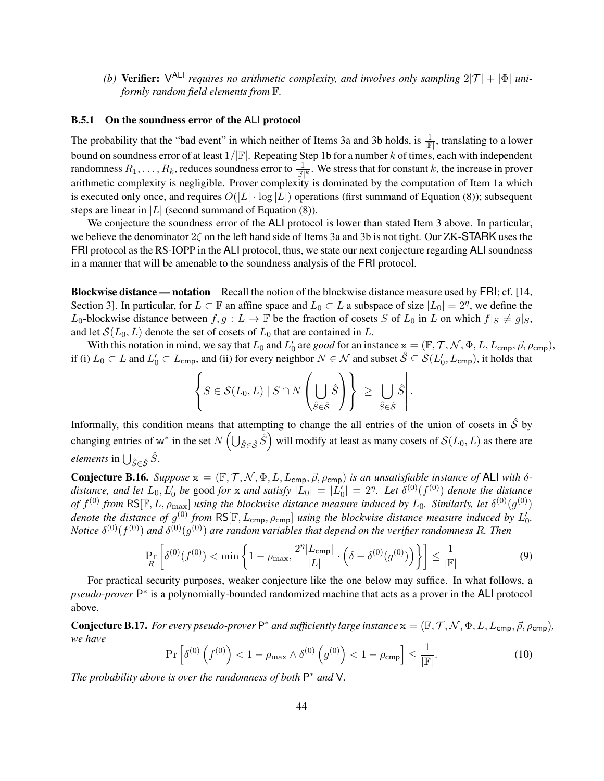(b) **Verifier:**  $V^{AL}$  *requires no arithmetic complexity, and involves only sampling*  $2|\mathcal{T}| + |\Phi|$  *uniformly random field elements from* F*.*

## B.5.1 On the soundness error of the ALI protocol

The probability that the "bad event" in which neither of Items [3a](#page-42-0) and [3b](#page-42-1) holds, is  $\frac{1}{\mathbb{F}}$ , translating to a lower bound on soundness error of at least  $1/|\mathbb{F}|$ . Repeating Step [1b](#page-42-2) for a number k of times, each with independent randomness  $R_1,\ldots,R_k,$  reduces soundness error to  $\frac{1}{\mathbb{F}^k}.$  We stress that for constant  $k,$  the increase in prover arithmetic complexity is negligible. Prover complexity is dominated by the computation of Item [1a](#page-42-3) which is executed only once, and requires  $O(|L| \cdot \log |L|)$  operations (first summand of Equation [\(8\)](#page-42-4)); subsequent steps are linear in  $|L|$  (second summand of Equation [\(8\)](#page-42-4)).

We conjecture the soundness error of the ALI protocol is lower than stated Item [3](#page-42-5) above. In particular, we believe the denominator  $2\zeta$  on the left hand side of Items [3a](#page-42-0) and [3b](#page-42-1) is not tight. Our ZK-STARK uses the FRI protocol as the RS-IOPP in the ALI protocol, thus, we state our next conjecture regarding ALI soundness in a manner that will be amenable to the soundness analysis of the FRI protocol.

Blockwise distance — notation Recall the notion of the blockwise distance measure used by FRI; cf. [\[14,](#page-23-1) Section 3]. In particular, for  $L \subset \mathbb{F}$  an affine space and  $L_0 \subset L$  a subspace of size  $|L_0| = 2^{\eta}$ , we define the  $L_0$ -blockwise distance between  $f, g: L \to \mathbb{F}$  be the fraction of cosets S of  $L_0$  in L on which  $f|_S \neq g|_S$ , and let  $S(L_0, L)$  denote the set of cosets of  $L_0$  that are contained in L.

With this notation in mind, we say that  $L_0$  and  $L'_0$  are *good* for an instance  $x = (\mathbb{F}, \mathcal{T}, \mathcal{N}, \Phi, L, L_{\text{cmp}}, \vec{\rho}, \rho_{\text{cmp}})$ , if (i)  $L_0 \subset L$  and  $L'_0 \subset L_{\text{cmp}}$ , and (ii) for every neighbor  $N \in \mathcal{N}$  and subset  $\hat{\mathcal{S}} \subseteq \mathcal{S}(L'_0, L_{\text{cmp}})$ , it holds that

<span id="page-43-2"></span>
$$
\left| \left\{ S \in \mathcal{S}(L_0, L) \mid S \cap N \left( \bigcup_{\hat{S} \in \hat{\mathcal{S}}} \hat{S} \right) \right\} \right| \geq \left| \bigcup_{\hat{S} \in \hat{\mathcal{S}}} \hat{S} \right|.
$$

Informally, this condition means that attempting to change the all entries of the union of cosets in  $\hat{S}$  by changing entries of w\* in the set  $N\left(\bigcup_{\hat{S}\in\hat{\mathcal{S}}}\hat{S}\right)$  will modify at least as many cosets of  $\mathcal{S}(L_0,L)$  as there are *elements* in  $\bigcup_{\hat{S}\in\hat{\mathcal{S}}}\hat{S}$ .

<span id="page-43-1"></span>**Conjecture B.16.** *Suppose*  $x = (\mathbb{F}, \mathcal{T}, \mathcal{N}, \Phi, L, L_{\text{cmp}}, \vec{\rho}, \rho_{\text{cmp}})$  *is an unsatisfiable instance of* ALI *with*  $\delta$ distance, and let  $L_0$ ,  $L'_0$  be good for x and satisfy  $|L_0| = |L'_0| = 2<sup>\eta</sup>$ . Let  $\delta^{(0)}(f^{(0)})$  denote the distance of  $f^{(0)}$  from RS[F, L,  $\rho_{\max}$ ] using the blockwise distance measure induced by L<sub>0</sub>. Similarly, let  $\delta^{(0)}(g^{(0)})$ denote the distance of  $g^{(0)}$  from  $RS[\mathbb{F}, L_{cmp}, \rho_{cmp}]$  using the blockwise distance measure induced by  $L'_0$ . *Notice*  $\delta^{(0)}(f^{(0)})$  and  $\delta^{(0)}(g^{(0)})$  are random variables that depend on the verifier randomness R. Then

$$
\Pr_{R}\left[\delta^{(0)}(f^{(0)}) < \min\left\{1-\rho_{\max}, \frac{2^{\eta}|L_{\text{cmp}}|}{|L|} \cdot \left(\delta - \delta^{(0)}(g^{(0)})\right)\right\}\right] \le \frac{1}{|\mathbb{F}|} \tag{9}
$$

For practical security purposes, weaker conjecture like the one below may suffice. In what follows, a *pseudo-prover* P<sup>\*</sup> is a polynomially-bounded randomized machine that acts as a prover in the ALI protocol above.

<span id="page-43-0"></span>**Conjecture B.17.** For every pseudo-prover  $P^*$  and sufficiently large instance  $x = (F, \mathcal{T}, \mathcal{N}, \Phi, L, L_{cmp}, \vec{\rho}, \rho_{cmp})$ , *we have*

$$
\Pr\left[\delta^{(0)}\left(f^{(0)}\right) < 1 - \rho_{\max} \wedge \delta^{(0)}\left(g^{(0)}\right) < 1 - \rho_{\text{cmp}}\right] \le \frac{1}{|\mathbb{F}|}.\tag{10}
$$

*The probability above is over the randomness of both* P <sup>∗</sup> *and* V*.*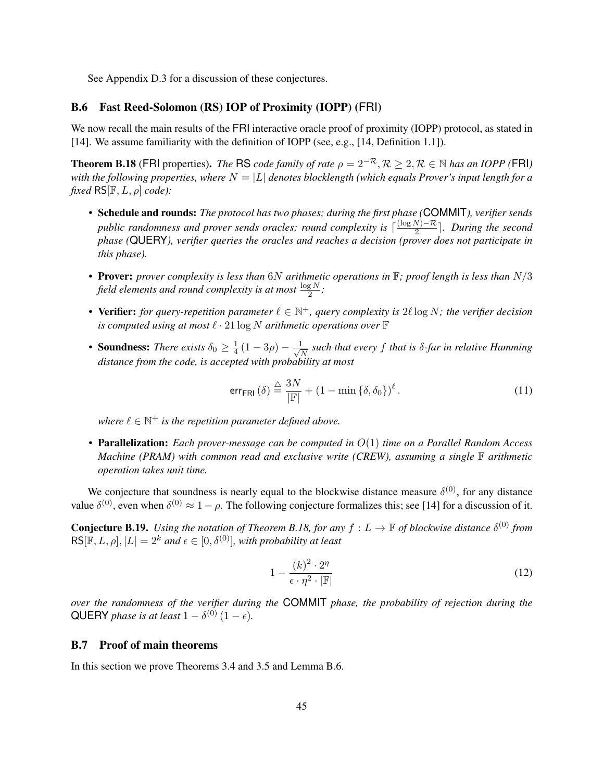See Appendix [D.3](#page-69-0) for a discussion of these conjectures.

## B.6 Fast Reed-Solomon (RS) IOP of Proximity (IOPP) (FRI)

We now recall the main results of the FRI interactive oracle proof of proximity (IOPP) protocol, as stated in [\[14\]](#page-23-1). We assume familiarity with the definition of IOPP (see, e.g., [\[14,](#page-23-1) Definition 1.1]).

<span id="page-44-1"></span>**Theorem B.18** (FRI properties). *The* RS *code family of rate*  $\rho = 2^{-\mathcal{R}}$ ,  $\mathcal{R} > 2$ ,  $\mathcal{R} \in \mathbb{N}$  *has an IOPP* (FRI) *with the following properties, where*  $N = |L|$  *denotes blocklength (which equals Prover's input length for a fixed*  $RS[F, L, \rho] code$ :

- *•* Schedule and rounds: *The protocol has two phases; during the first phase (*COMMIT*), verifier sends public randomness and prover sends oracles; round complexity is*  $\lceil \frac{(\log N)-\mathcal{R}}{2} \rceil$  $\frac{\sqrt{y}-\kappa}{2}$ . During the second *phase (*QUERY*), verifier queries the oracles and reaches a decision (prover does not participate in this phase).*
- *•* Prover: *prover complexity is less than* 6N *arithmetic operations in* F*; proof length is less than* N/3 field elements and round complexity is at most  $\frac{\log N}{2}$ ;
- **Verifier:** for query-repetition parameter  $\ell \in \mathbb{N}^+$ , query complexity is  $2\ell \log N$ ; the verifier decision *is computed using at most*  $\ell \cdot 21 \log N$  *arithmetic operations over*  $\mathbb F$
- **Soundness:** *There exists*  $\delta_0 \geq \frac{1}{4}$  $\frac{1}{4}\left(1-3\rho\right)-\frac{1}{\sqrt{2}}$  $\frac{1}{N}$  such that every  $f$  that is  $\delta$ -far in relative Hamming *distance from the code, is accepted with probability at most*

$$
\text{err}_{\text{FRI}}\left(\delta\right) \stackrel{\triangle}{=} \frac{3N}{\left|\mathbb{F}\right|} + \left(1 - \min\left\{\delta, \delta_0\right\}\right)^{\ell}.\tag{11}
$$

where  $\ell \in \mathbb{N}^+$  is the repetition parameter defined above.

*•* Parallelization: *Each prover-message can be computed in* O(1) *time on a Parallel Random Access Machine (PRAM) with common read and exclusive write (CREW), assuming a single* F *arithmetic operation takes unit time.*

We conjecture that soundness is nearly equal to the blockwise distance measure  $\delta^{(0)}$ , for any distance value  $\delta^{(0)}$ , even when  $\delta^{(0)} \approx 1 - \rho$ . The following conjecture formalizes this; see [\[14\]](#page-23-1) for a discussion of it.

<span id="page-44-0"></span>**Conjecture B.19.** *Using the notation of Theorem [B.18,](#page-44-1) for any*  $f: L \to \mathbb{F}$  *of blockwise distance*  $\delta^{(0)}$  *from*  $RS[\mathbb{F}, L, \rho], |L| = 2^k$  *and*  $\epsilon \in [0, \delta^{(0)}]$ *, with probability at least* 

$$
1 - \frac{(k)^2 \cdot 2^{\eta}}{\epsilon \cdot \eta^2 \cdot |\mathbb{F}|} \tag{12}
$$

*over the randomness of the verifier during the* COMMIT *phase, the probability of rejection during the* QUERY *phase is at least*  $1 - \delta^{(0)} (1 - \epsilon)$ *.* 

# B.7 Proof of main theorems

In this section we prove Theorems [3.4](#page-20-0) and [3.5](#page-20-1) and Lemma [B.6.](#page-35-0)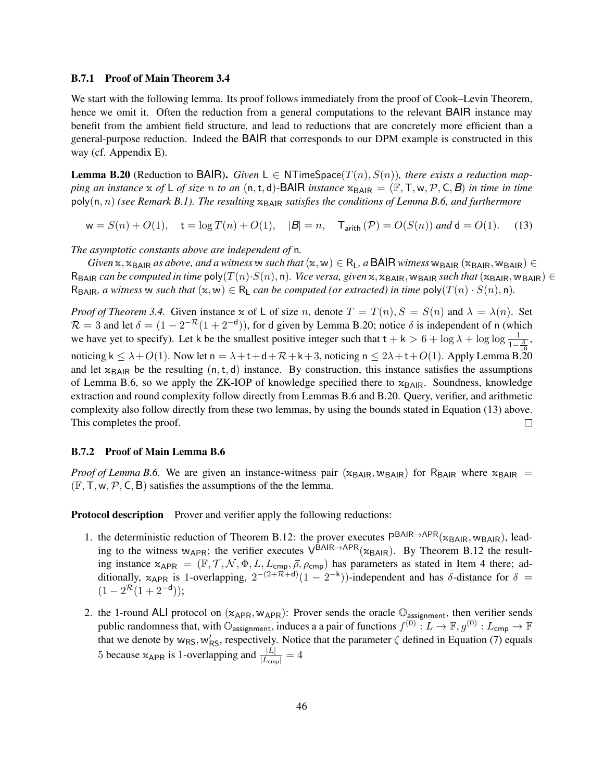#### B.7.1 Proof of Main Theorem [3.4](#page-20-0)

We start with the following lemma. Its proof follows immediately from the proof of Cook–Levin Theorem, hence we omit it. Often the reduction from a general computations to the relevant BAIR instance may benefit from the ambient field structure, and lead to reductions that are concretely more efficient than a general-purpose reduction. Indeed the BAIR that corresponds to our DPM example is constructed in this way (cf. Appendix [E\)](#page-70-0).

<span id="page-45-0"></span>**Lemma B.20** (Reduction to BAIR). *Given*  $L \in NTimeSpace(T(n), S(n))$ *, there exists a reduction mapping an instance*  $x$  *of* L *of size n to an* (n,t,d)-BAIR *instance*  $x_{\text{BAIR}} = (\mathbb{F}, \mathsf{T}, w, \mathcal{P}, \mathsf{C}, B)$  *in time in time*  $poly(n, n)$  *(see Remark [B.1\)](#page-33-0). The resulting*  $x_{\text{BAIR}}$  *satisfies the conditions of Lemma [B.6,](#page-35-0) and furthermore* 

<span id="page-45-1"></span> $w = S(n) + O(1)$ ,  $t = \log T(n) + O(1)$ ,  $|B| = n$ ,  $T_{\text{arith}}(\mathcal{P}) = O(S(n))$  and  $d = O(1)$ . (13)

*The asymptotic constants above are independent of* n*.*

*Given* x,  $x_{BAIR}$  *as above, and a witness* w *such that*  $(x, w) \in R_L$ , a BAIR *witness* w<sub>BAIR</sub> ( $x_{BAIR}$ , w<sub>BAIR</sub>) ∈  $R_{\text{BAIR}}$  can be computed in time poly( $T(n) \cdot S(n)$ , n). Vice versa, given x, x<sub>BAIR</sub>, w<sub>BAIR</sub> *such that* (x<sub>BAIR</sub>, w<sub>BAIR</sub>) ∈  $R_{\text{BAIR}}$ *, a witness* w *such that*  $(x, w) \in R_L$  *can be computed (or extracted) in time* poly $(T(n) \cdot S(n), n)$ *.* 

*Proof of Theorem* [3.4.](#page-20-0) Given instance x of L of size n, denote  $T = T(n)$ ,  $S = S(n)$  and  $\lambda = \lambda(n)$ . Set  $\mathcal{R} = 3$  and let  $\delta = (1 - 2^{-\mathcal{R}}(1 + 2^{-d}))$ , for d given by Lemma [B.20;](#page-45-0) notice  $\delta$  is independent of n (which we have yet to specify). Let k be the smallest positive integer such that  $t + k > 6 + \log \lambda + \log \log \frac{1}{1-\frac{\delta}{10}}$ , noticing  $k \leq \lambda + O(1)$ . Now let  $n = \lambda + t + d + \mathcal{R} + k + 3$ , noticing  $n \leq 2\lambda + t + O(1)$ . Apply Lemma [B.20](#page-45-0) and let  $x<sub>BAIR</sub>$  be the resulting  $(n, t, d)$  instance. By construction, this instance satisfies the assumptions of Lemma [B.6,](#page-35-0) so we apply the ZK-IOP of knowledge specified there to  $x_{BAIR}$ . Soundness, knowledge extraction and round complexity follow directly from Lemmas [B.6](#page-35-0) and [B.20.](#page-45-0) Query, verifier, and arithmetic complexity also follow directly from these two lemmas, by using the bounds stated in Equation [\(13\)](#page-45-1) above. This completes the proof.  $\Box$ 

#### B.7.2 Proof of Main Lemma [B.6](#page-35-0)

*Proof of Lemma [B.6.](#page-35-0)* We are given an instance-witness pair  $(x_{BAIR}, w_{BAIR})$  for R<sub>BAIR</sub> where  $x_{BAIR}$  =  $(F, T, w, P, C, B)$  satisfies the assumptions of the the lemma.

<span id="page-45-2"></span>**Protocol description** Prover and verifier apply the following reductions:

- 1. the deterministic reduction of Theorem [B.12:](#page-39-0) the prover executes  $P<sup>BAIR\rightarrow APR</sup>(x<sub>BAIR</sub>, w<sub>BAIR</sub>)$ , leading to the witness w<sub>APR</sub>; the verifier executes  $V^{BAIR\rightarrow APR}(\mathbf{x}_{BAIR})$ . By Theorem [B.12](#page-39-0) the resulting instance  $x_{APR} = (\mathbb{F}, \mathcal{T}, \mathcal{N}, \Phi, L, L_{cmp}, \vec{\rho}, \rho_{cmp})$  has parameters as stated in Item [4](#page-40-2) there; additionally,  $x_{APR}$  is 1-overlapping,  $2^{-(2+\mathcal{R}+d)}(1-2^{-k})$ -independent and has  $\delta$ -distance for  $\delta =$  $(1-2^{\mathcal{R}}(1+2^{-d}))$ ;
- 2. the 1-round ALI protocol on  $(x_{APR}, w_{APR})$ : Prover sends the oracle  $\mathbb{O}_{\text{assignment}}$ , then verifier sends public randomness that, with  $\mathbb{O}_{\sf assignment}$ , induces a a pair of functions  $f^{(0)}: L \to \mathbb{F}, g^{(0)}: L_{\sf comp} \to \mathbb{F}$ that we denote by  $w_{RS}$ ,  $w'_{RS}$ , respectively. Notice that the parameter  $\zeta$  defined in Equation [\(7\)](#page-42-6) equals 5 because  $x_{APR}$  is 1-overlapping and  $\frac{|L|}{|L_{cmp}|} = 4$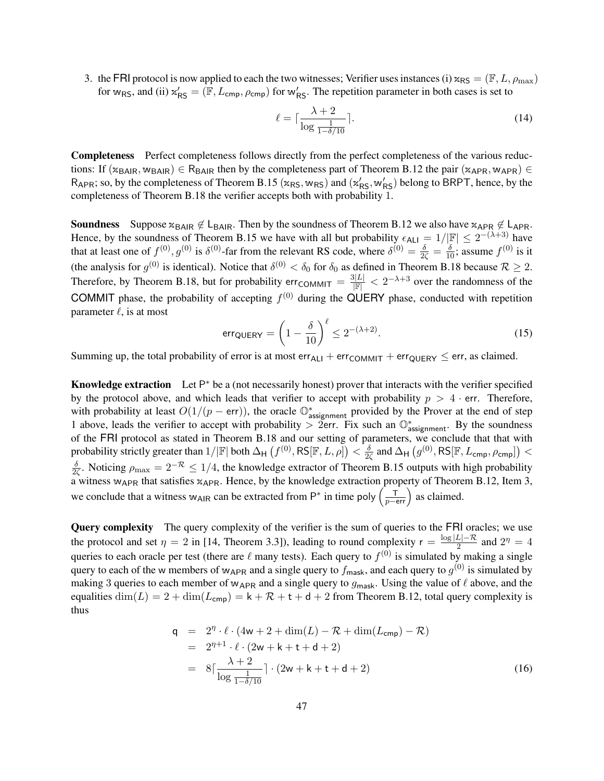<span id="page-46-0"></span>3. the FRI protocol is now applied to each the two witnesses; Verifier uses instances (i)  $x_{RS} = (F, L, \rho_{max})$ for w<sub>RS</sub>, and (ii)  $x'_{RS} = (\mathbb{F}, L_{cmp}, \rho_{cmp})$  for w<sub>RS</sub>. The repetition parameter in both cases is set to

<span id="page-46-1"></span>
$$
\ell = \lceil \frac{\lambda + 2}{\log \frac{1}{1 - \delta / 10}} \rceil. \tag{14}
$$

Completeness Perfect completeness follows directly from the perfect completeness of the various reductions: If ( $x_{BAIR}$ ,  $w_{BAIR}$ ) ∈ R<sub>BAIR</sub> then by the completeness part of Theorem [B.12](#page-39-0) the pair ( $x_{APR}$ ,  $w_{APR}$ ) ∈  $R_{APR}$ ; so, by the completeness of Theorem [B.15](#page-42-7) ( $x_{RS}$ ,  $w_{RS}$ ) and ( $x'_{RS}$ ,  $w'_{RS}$ ) belong to BRPT, hence, by the completeness of Theorem [B.18](#page-44-1) the verifier accepts both with probability 1.

**Soundness** Suppose  $x_{\text{BAIR}} \notin L_{\text{BAIR}}$ . Then by the soundness of Theorem [B.12](#page-39-0) we also have  $x_{\text{APR}} \notin L_{\text{APR}}$ . Hence, by the soundness of Theorem [B.15](#page-42-7) we have with all but probability  $\epsilon_{ALI} = 1/|\mathbb{F}| \leq 2^{-(\lambda+3)}$  have that at least one of  $f^{(0)}, g^{(0)}$  is  $\delta^{(0)}$ -far from the relevant RS code, where  $\delta^{(0)} = \frac{\delta}{2\zeta} = \frac{\delta}{10}$ ; assume  $f^{(0)}$  is it (the analysis for  $g^{(0)}$  is identical). Notice that  $\delta^{(0)} < \delta_0$  for  $\delta_0$  as defined in Theorem [B.18](#page-44-1) because  $\mathcal{R} \geq 2$ . Therefore, by Theorem [B.18,](#page-44-1) but for probability  $err_{COMMIT} = \frac{3|L|}{|F|} < 2^{-\lambda+3}$  over the randomness of the COMMIT phase, the probability of accepting  $f^{(0)}$  during the QUERY phase, conducted with repetition parameter  $\ell$ , is at most

<span id="page-46-2"></span>
$$
\text{err}_{\text{QUERY}} = \left(1 - \frac{\delta}{10}\right)^{\ell} \le 2^{-(\lambda + 2)}.
$$
\n(15)

Summing up, the total probability of error is at most  $err_{ALL}$  +  $err_{COMMIT}$  +  $err_{QUERV}$   $\le$  err, as claimed.

Knowledge extraction Let  $P^*$  be a (not necessarily honest) prover that interacts with the verifier specified by the protocol above, and which leads that verifier to accept with probability  $p > 4 \cdot$  err. Therefore, with probability at least  $O(1/(p - err))$ , the oracle  $\mathbb{O}^*_{\text{assignment}}$  provided by the Prover at the end of step 1 above, leads the verifier to accept with probability  $>$  2err. Fix such an  $\mathbb{O}^*_{\text{assignment}}$ . By the soundness of the FRI protocol as stated in Theorem [B.18](#page-44-1) and our setting of parameters, we conclude that that with probability strictly greater than  $1/|\mathbb{F}|$  both  $\Delta_H(f^{(0)}, \mathsf{RS}[\mathbb{F}, L, \rho]) < \frac{\delta}{2d}$  $\frac{\delta}{2\zeta}$  and  $\Delta_{\mathsf{H}}\left(g^{(0)},\mathsf{RS}[\mathbb{F},L_{\mathsf{cmp}},\rho_{\mathsf{cmp}}]\right)<$ δ  $\frac{\delta}{2\zeta}$ . Noticing  $\rho_{\text{max}} = 2^{-\mathcal{R}} \le 1/4$ , the knowledge extractor of Theorem [B.15](#page-42-7) outputs with high probability a witness w<sub>APR</sub> that satisfies  $x_{APR}$ . Hence, by the knowledge extraction property of Theorem [B.12,](#page-39-0) Item [3,](#page-40-3) we conclude that a witness w<sub>AIR</sub> can be extracted from P<sup>\*</sup> in time poly  $\left(\frac{T}{p-err}\right)$  as claimed.

**Query complexity** The query complexity of the verifier is the sum of queries to the FRI oracles; we use the protocol and set  $\eta = 2$  in [\[14,](#page-23-1) Theorem 3.3]), leading to round complexity  $r = \frac{\log |L| - \mathcal{R}}{2}$  $\frac{L|-R}{2}$  and  $2^{\eta} = 4$ queries to each oracle per test (there are  $\ell$  many tests). Each query to  $f^{(0)}$  is simulated by making a single query to each of the w members of w<sub>APR</sub> and a single query to  $f_{\sf{mask}}$ , and each query to  $g^{(0)}$  is simulated by making 3 queries to each member of  $w_{APR}$  and a single query to  $g_{mask}$ . Using the value of  $\ell$  above, and the equalities  $\dim(L) = 2 + \dim(L_{\text{cmp}}) = k + \mathcal{R} + t + d + 2$  from Theorem [B.12,](#page-39-0) total query complexity is thus

<span id="page-46-3"></span>
$$
q = 2n \cdot \ell \cdot (4w + 2 + \dim(L) - \mathcal{R} + \dim(L_{cmp}) - \mathcal{R})
$$
  
= 2<sup>n+1</sup> \cdot \ell \cdot (2w + k + t + d + 2)  
= 8\lceil \frac{\lambda + 2}{\log \frac{1}{1 - \delta/10}} \rceil \cdot (2w + k + t + d + 2) (16)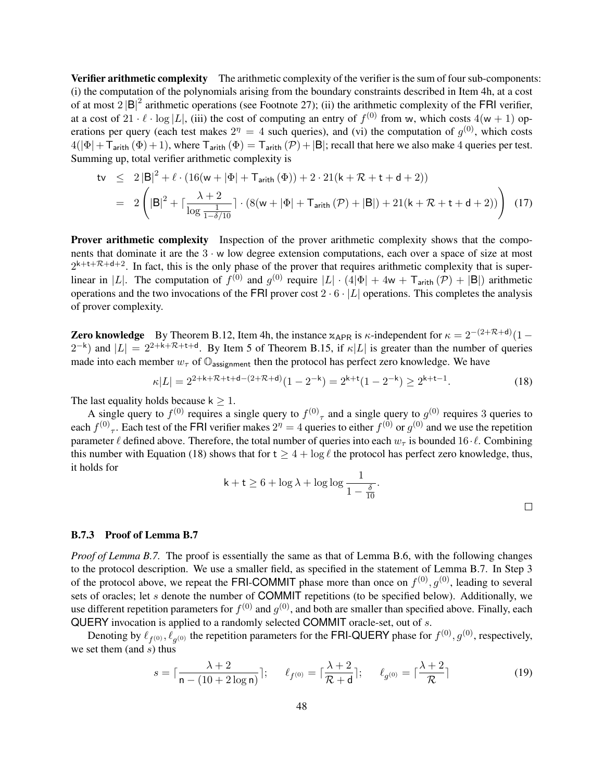Verifier arithmetic complexity The arithmetic complexity of the verifier is the sum of four sub-components: (i) the computation of the polynomials arising from the boundary constraints described in Item [4h,](#page-40-4) at a cost of at most  $2 |B|^2$  arithmetic operations (see Footnote [27\)](#page-40-1); (ii) the arithmetic complexity of the FRI verifier, at a cost of  $21 \cdot \ell \cdot \log |L|$ , (iii) the cost of computing an entry of  $f^{(0)}$  from w, which costs  $4(w + 1)$  operations per query (each test makes  $2^{n} = 4$  such queries), and (vi) the computation of  $g^{(0)}$ , which costs  $4(|\Phi|+T_{\text{arith}}(\Phi)+1)$ , where  $T_{\text{arith}}(\Phi)=T_{\text{arith}}(\mathcal{P})+|\mathsf{B}|$ ; recall that here we also make 4 queries per test. Summing up, total verifier arithmetic complexity is

$$
tv \leq 2 |\mathbf{B}|^2 + \ell \cdot (16(w + |\Phi| + T_{\text{arith}}(\Phi)) + 2 \cdot 21(k + \mathcal{R} + t + d + 2))
$$
  
= 
$$
2 \left( |\mathbf{B}|^2 + \left[ \frac{\lambda + 2}{\log \frac{1}{1 - \delta/10}} \right] \cdot (8(w + |\Phi| + T_{\text{arith}}(\mathcal{P}) + |\mathbf{B}|) + 21(k + \mathcal{R} + t + d + 2)) \right)
$$
(17)

Prover arithmetic complexity Inspection of the prover arithmetic complexity shows that the components that dominate it are the 3 · w low degree extension computations, each over a space of size at most  $2^{k+t+\mathcal{R}+d+2}$ . In fact, this is the only phase of the prover that requires arithmetic complexity that is superlinear in |L|. The computation of  $f^{(0)}$  and  $g^{(0)}$  require  $|L| \cdot (4|\Phi| + 4w + \mathsf{T}_{\mathsf{arith}}(\mathcal{P}) + |\mathsf{B}|)$  arithmetic operations and the two invocations of the FRI prover cost  $2 \cdot 6 \cdot |L|$  operations. This completes the analysis of prover complexity.

**Zero knowledge** By Theorem [B.12,](#page-39-0) Item [4h,](#page-40-4) the instance  $x_{APR}$  is  $\kappa$ -independent for  $\kappa = 2^{-(2+\mathcal{R}+d)}(1-\mathcal{R})$  $2^{-k}$ ) and  $|L| = 2^{2+k+\mathcal{R}+t+d}$ . By Item [5](#page-42-8) of Theorem [B.15,](#page-42-7) if  $\kappa |L|$  is greater than the number of queries made into each member  $w_{\tau}$  of  $\mathbb{O}_{\text{assignment}}$  then the protocol has perfect zero knowledge. We have

$$
\kappa |L| = 2^{2+k+\mathcal{R}+\mathsf{t}+\mathsf{d}-(2+\mathcal{R}+\mathsf{d})}(1-2^{-k}) = 2^{k+\mathsf{t}}(1-2^{-k}) \ge 2^{k+\mathsf{t}-1}.\tag{18}
$$

The last equality holds because  $k > 1$ .

A single query to  $f^{(0)}$  requires a single query to  $f^{(0)}_{\tau}$  and a single query to  $g^{(0)}$  requires 3 queries to each  $f^{(0)}_{\tau}$ . Each test of the FRI verifier makes  $2^{\eta} = 4$  queries to either  $f^{(0)}$  or  $g^{(0)}$  and we use the repetition parameter  $\ell$  defined above. Therefore, the total number of queries into each  $w_\tau$  is bounded 16 $\cdot \ell$ . Combining this number with Equation [\(18\)](#page-47-0) shows that for  $t \geq 4 + \log \ell$  the protocol has perfect zero knowledge, thus, it holds for

<span id="page-47-0"></span>
$$
k + t \ge 6 + \log \lambda + \log \log \frac{1}{1 - \frac{\delta}{10}}.
$$

#### B.7.3 Proof of Lemma [B.7](#page-36-0)

*Proof of Lemma [B.7.](#page-36-0)* The proof is essentially the same as that of Lemma [B.6,](#page-35-0) with the following changes to the protocol description. We use a smaller field, as specified in the statement of Lemma [B.7.](#page-36-0) In Step [3](#page-46-0) of the protocol above, we repeat the FRI-COMMIT phase more than once on  $f^{(0)}, g^{(0)}$ , leading to several sets of oracles; let s denote the number of COMMIT repetitions (to be specified below). Additionally, we use different repetition parameters for  $f^{(0)}$  and  $g^{(0)}$ , and both are smaller than specified above. Finally, each QUERY invocation is applied to a randomly selected COMMIT oracle-set, out of s.

Denoting by  $\ell_{f^{(0)}}, \ell_{g^{(0)}}$  the repetition parameters for the FRI-QUERY phase for  $f^{(0)}, g^{(0)}$ , respectively, we set them (and  $s$ ) thus

<span id="page-47-1"></span>
$$
s = \lceil \frac{\lambda + 2}{\mathsf{n} - (10 + 2\log \mathsf{n})} \rceil; \quad \ell_{f^{(0)}} = \lceil \frac{\lambda + 2}{\mathcal{R} + \mathsf{d}} \rceil; \quad \ell_{g^{(0)}} = \lceil \frac{\lambda + 2}{\mathcal{R}} \rceil
$$
 (19)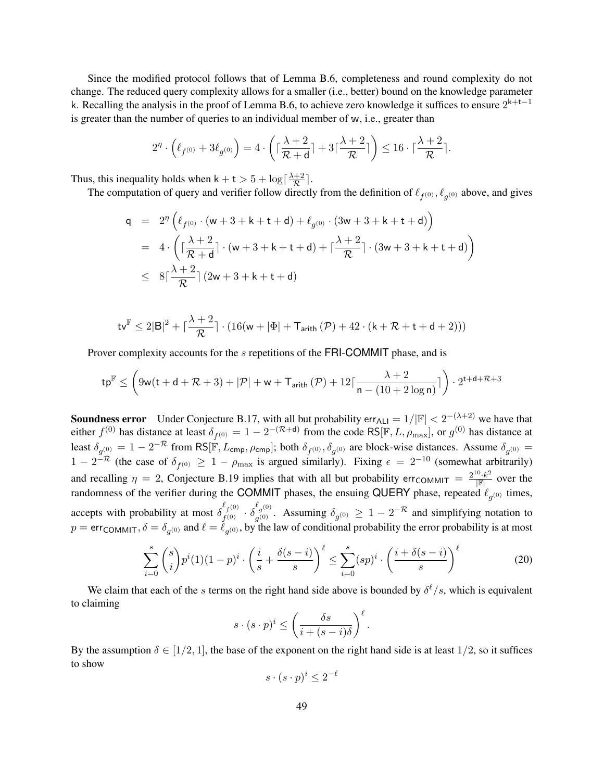Since the modified protocol follows that of Lemma [B.6,](#page-35-0) completeness and round complexity do not change. The reduced query complexity allows for a smaller (i.e., better) bound on the knowledge parameter k. Recalling the analysis in the proof of Lemma [B.6,](#page-35-0) to achieve zero knowledge it suffices to ensure  $2^{k+t-1}$ is greater than the number of queries to an individual member of w, i.e., greater than

$$
2^{\eta} \cdot \left(\ell_{f^{(0)}} + 3\ell_{g^{(0)}}\right) = 4 \cdot \left(\lceil \frac{\lambda + 2}{\mathcal{R} + d} \rceil + 3\lceil \frac{\lambda + 2}{\mathcal{R}} \rceil\right) \le 16 \cdot \lceil \frac{\lambda + 2}{\mathcal{R}} \rceil.
$$

Thus, this inequality holds when  $k + t > 5 + \log \lceil \frac{\lambda + 2}{\mathcal{R}} \rceil$ .

The computation of query and verifier follow directly from the definition of  $\ell_{f^{(0)}}, \ell_{g^{(0)}}$  above, and gives

$$
q = 2\eta \left( \ell_{f^{(0)}} \cdot (w+3+k+t+d) + \ell_{g^{(0)}} \cdot (3w+3+k+t+d) \right)
$$
  
=  $4 \cdot \left( \lceil \frac{\lambda+2}{\mathcal{R}+d} \rceil \cdot (w+3+k+t+d) + \lceil \frac{\lambda+2}{\mathcal{R}} \rceil \cdot (3w+3+k+t+d) \right)$   
 $\leq 8 \lceil \frac{\lambda+2}{\mathcal{R}} \rceil (2w+3+k+t+d)$ 

$$
\mathsf{tv}^{\mathbb{F}} \leq 2|\mathsf{B}|^2 + \lceil \frac{\lambda+2}{\mathcal{R}} \rceil \cdot (16(\mathsf{w} + |\Phi| + \mathsf{T}_{\mathsf{arith}}(\mathcal{P}) + 42 \cdot (\mathsf{k} + \mathcal{R} + \mathsf{t} + \mathsf{d} + 2)))
$$

Prover complexity accounts for the s repetitions of the FRI-COMMIT phase, and is

$$
\mathsf{tp}^\mathbb{F} \leq \left(9 \mathsf{w}(\mathsf{t}+\mathsf{d}+\mathcal{R}+3) + |\mathcal{P}| + \mathsf{w} + \mathsf{T}_{\mathsf{arith}}\left(\mathcal{P}\right) + 12 \lceil \frac{\lambda + 2}{\mathsf{n} - (10 + 2\log \mathsf{n})} \rceil\right) \cdot 2^{\mathsf{t} + \mathsf{d} + \mathcal{R} + 3}
$$

**Soundness error** Under Conjecture [B.17,](#page-43-0) with all but probability  $err_{ALL} = 1/|\mathbb{F}| < 2^{-(\lambda+2)}$  we have that either  $f^{(0)}$  has distance at least  $\delta_{f^{(0)}} = 1 - 2^{-(\mathcal{R} + d)}$  from the code RS[F, L,  $\rho_{\text{max}}$ ], or  $g^{(0)}$  has distance at least  $\delta_{g^{(0)}} = 1 - 2^{-\mathcal{R}}$  from RS[F,  $L_{\text{cmp}}, \rho_{\text{cmp}}$ ]; both  $\delta_{f^{(0)}}, \delta_{g^{(0)}}$  are block-wise distances. Assume  $\delta_{g^{(0)}} =$  $1 - 2^{-\mathcal{R}}$  (the case of  $\delta_{f^{(0)}} \geq 1 - \rho_{\text{max}}$  is argued similarly). Fixing  $\epsilon = 2^{-10}$  (somewhat arbitrarily) and recalling  $\eta = 2$ , Conjecture [B.19](#page-44-0) implies that with all but probability err<sub>COMMIT</sub> =  $\frac{2^{10} \cdot k^2}{\sqrt{\pi}}$  over the randomness of the verifier during the COMMIT phases, the ensuing QUERY phase, repeated  $\ell_{g^{(0)}}$  times, accepts with probability at most  $\delta_{t(0)}^{\ell_{f(0)}}$  $\frac{\ell_{f^{(0)}}}{f^{(0)}} \cdot \delta_{g^{(0)}}^{\ell_{g^{(0)}}}$  $g_{g^{(0)}}^{(0)}$ . Assuming  $\delta_{g^{(0)}} \geq 1 - 2^{-\mathcal{R}}$  and simplifying notation to  $p = \text{err}_{\text{COMMIT}}, \delta = \delta_{g^{(0)}}$  and  $\ell = \ell_{g^{(0)}},$  by the law of conditional probability the error probability is at most

$$
\sum_{i=0}^{s} \binom{s}{i} p^i (1)(1-p)^i \cdot \left(\frac{i}{s} + \frac{\delta(s-i)}{s}\right)^{\ell} \le \sum_{i=0}^{s} (sp)^i \cdot \left(\frac{i+\delta(s-i)}{s}\right)^{\ell} \tag{20}
$$

<span id="page-48-0"></span>We claim that each of the s terms on the right hand side above is bounded by  $\delta^{\ell}/s$ , which is equivalent to claiming

$$
s \cdot (s \cdot p)^i \le \left(\frac{\delta s}{i + (s - i)\delta}\right)^{\ell}.
$$

By the assumption  $\delta \in [1/2, 1]$ , the base of the exponent on the right hand side is at least  $1/2$ , so it suffices to show

$$
s \cdot (s \cdot p)^i \le 2^{-\ell}
$$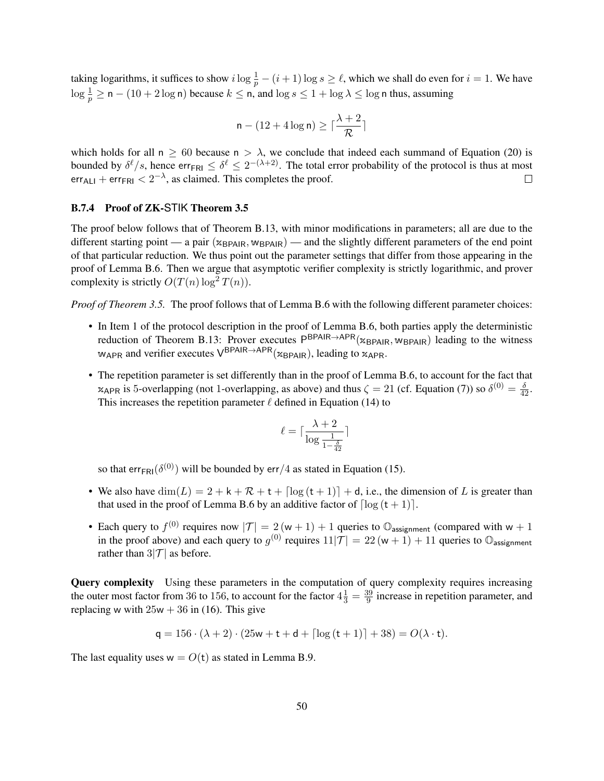taking logarithms, it suffices to show  $i\log\frac{1}{p} - (i+1)\log s \ge \ell$ , which we shall do even for  $i = 1$ . We have  $\log \frac{1}{p} \ge n - (10 + 2 \log n)$  because  $k \le n$ , and  $\log s \le 1 + \log \lambda \le \log n$  thus, assuming

$$
\mathsf{n} - (12 + 4\log \mathsf{n}) \ge \lceil \frac{\lambda + 2}{\mathcal{R}} \rceil
$$

which holds for all  $n \ge 60$  because  $n > \lambda$ , we conclude that indeed each summand of Equation [\(20\)](#page-48-0) is bounded by  $\delta^{\ell}/s$ , hence err<sub>FRI</sub>  $\leq \delta^{\ell} \leq 2^{-(\lambda+2)}$ . The total error probability of the protocol is thus at most err<sub>ALI</sub> + err<sub>FRI</sub> <  $2^{-\lambda}$ , as claimed. This completes the proof.  $\Box$ 

# B.7.4 Proof of ZK-STIK Theorem [3.5](#page-20-1)

The proof below follows that of Theorem [B.13,](#page-40-0) with minor modifications in parameters; all are due to the different starting point — a pair  $(x_{BPAIR}, w_{BPAIR})$  — and the slightly different parameters of the end point of that particular reduction. We thus point out the parameter settings that differ from those appearing in the proof of Lemma [B.6.](#page-35-0) Then we argue that asymptotic verifier complexity is strictly logarithmic, and prover complexity is strictly  $O(T(n) \log^2 T(n))$ .

*Proof of Theorem [3.5.](#page-20-1)* The proof follows that of Lemma [B.6](#page-35-0) with the following different parameter choices:

- In Item [1](#page-45-2) of the protocol description in the proof of Lemma [B.6,](#page-35-0) both parties apply the deterministic reduction of Theorem [B.13:](#page-40-0) Prover executes  $P^{BPAIR \to APR}(x_{BPAIR}, w_{BPAIR})$  leading to the witness w<sub>APR</sub> and verifier executes V<sup>BPAIR→APR</sup>(x<sub>BPAIR</sub>), leading to x<sub>APR</sub>.
- The repetition parameter is set differently than in the proof of Lemma [B.6,](#page-35-0) to account for the fact that  $x_{APR}$  is 5-overlapping (not 1-overlapping, as above) and thus  $\zeta = 21$  (cf. Equation [\(7\)](#page-42-6)) so  $\delta^{(0)} = \frac{\delta}{42}$ . This increases the repetition parameter  $\ell$  defined in Equation [\(14\)](#page-46-1) to

$$
\ell = \lceil \frac{\lambda + 2}{\log \frac{1}{1 - \frac{\delta}{42}}} \rceil
$$

so that err<sub>FRI</sub>( $\delta^{(0)}$ ) will be bounded by err/4 as stated in Equation [\(15\)](#page-46-2).

- We also have  $\dim(L) = 2 + k + \mathcal{R} + t + \lceil \log(t + 1) \rceil + d$ , i.e., the dimension of L is greater than that used in the proof of Lemma [B.6](#page-35-0) by an additive factor of  $\lceil \log{(t + 1)} \rceil$ .
- Each query to  $f^{(0)}$  requires now  $|\mathcal{T}| = 2(w+1) + 1$  queries to  $\mathbb{O}_{\text{assignment}}$  (compared with w + 1) in the proof above) and each query to  $g^{(0)}$  requires  $11|\mathcal{T}| = 22(w+1) + 11$  queries to  $\mathbb{O}_{\text{assignment}}$ rather than  $3|\mathcal{T}|$  as before.

Query complexity Using these parameters in the computation of query complexity requires increasing the outer most factor from 36 to 156, to account for the factor  $4\frac{1}{3} = \frac{39}{9}$  $\frac{39}{9}$  increase in repetition parameter, and replacing w with  $25w + 36$  in [\(16\)](#page-46-3). This give

$$
q = 156 \cdot (\lambda + 2) \cdot (25w + t + d + \lceil \log(t + 1) \rceil + 38) = O(\lambda \cdot t).
$$

The last equality uses  $w = O(t)$  as stated in Lemma [B.9.](#page-37-0)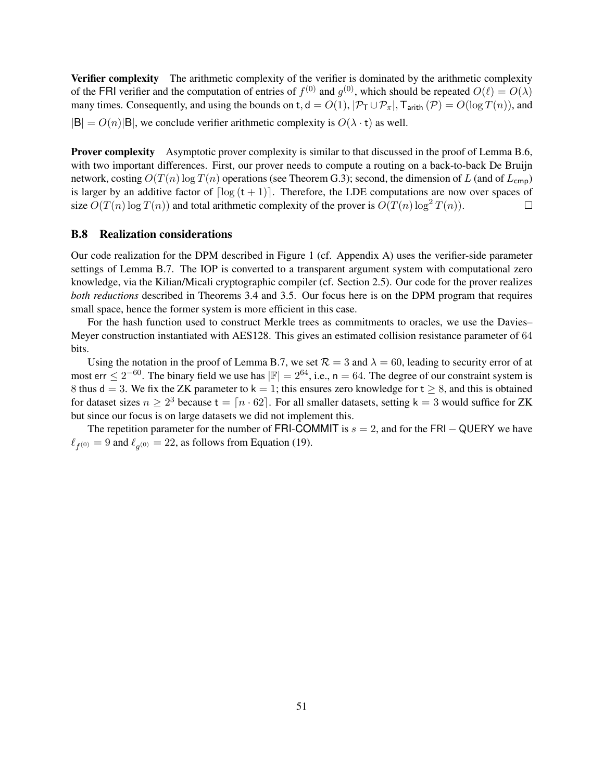**Verifier complexity** The arithmetic complexity of the verifier is dominated by the arithmetic complexity of the FRI verifier and the computation of entries of  $f^{(0)}$  and  $g^{(0)}$ , which should be repeated  $O(\ell) = O(\lambda)$ many times. Consequently, and using the bounds on t,  $d = O(1)$ ,  $|\mathcal{P}_T \cup \mathcal{P}_T|$ ,  $T_{\text{arith}}(\mathcal{P}) = O(\log T(n))$ , and  $|B| = O(n)|B|$ , we conclude verifier arithmetic complexity is  $O(\lambda \cdot t)$  as well.

Prover complexity Asymptotic prover complexity is similar to that discussed in the proof of Lemma [B.6,](#page-35-0) with two important differences. First, our prover needs to compute a routing on a back-to-back De Bruijn network, costing  $O(T(n) \log T(n)$  operations (see Theorem [G.3\)](#page-80-0); second, the dimension of L (and of  $L_{\text{cmp}}$ ) is larger by an additive factor of  $\lceil \log{(t + 1)} \rceil$ . Therefore, the LDE computations are now over spaces of size  $O(T(n) \log T(n))$  and total arithmetic complexity of the prover is  $O(T(n) \log^2 T(n))$ .  $\Box$ 

# B.8 Realization considerations

Our code realization for the DPM described in Figure [1](#page-7-0) (cf. Appendix [A\)](#page-30-0) uses the verifier-side parameter settings of Lemma [B.7.](#page-36-0) The IOP is converted to a transparent argument system with computational zero knowledge, via the Kilian/Micali cryptographic compiler (cf. Section [2.5\)](#page-16-1). Our code for the prover realizes *both reductions* described in Theorems [3.4](#page-20-0) and [3.5.](#page-20-1) Our focus here is on the DPM program that requires small space, hence the former system is more efficient in this case.

For the hash function used to construct Merkle trees as commitments to oracles, we use the Davies– Meyer construction instantiated with AES128. This gives an estimated collision resistance parameter of 64 bits.

Using the notation in the proof of Lemma [B.7,](#page-36-0) we set  $\mathcal{R} = 3$  and  $\lambda = 60$ , leading to security error of at most err  $\leq 2^{-60}$ . The binary field we use has  $|\mathbb{F}| = 2^{64}$ , i.e., n = 64. The degree of our constraint system is 8 thus d = 3. We fix the ZK parameter to  $k = 1$ ; this ensures zero knowledge for  $t \ge 8$ , and this is obtained for dataset sizes  $n \geq 2^3$  because  $t = \lceil n \cdot 62 \rceil$ . For all smaller datasets, setting  $k = 3$  would suffice for ZK but since our focus is on large datasets we did not implement this.

The repetition parameter for the number of FRI-COMMIT is  $s = 2$ , and for the FRI – QUERY we have  $\ell_{f^{(0)}} = 9$  and  $\ell_{g^{(0)}} = 22$ , as follows from Equation [\(19\)](#page-47-1).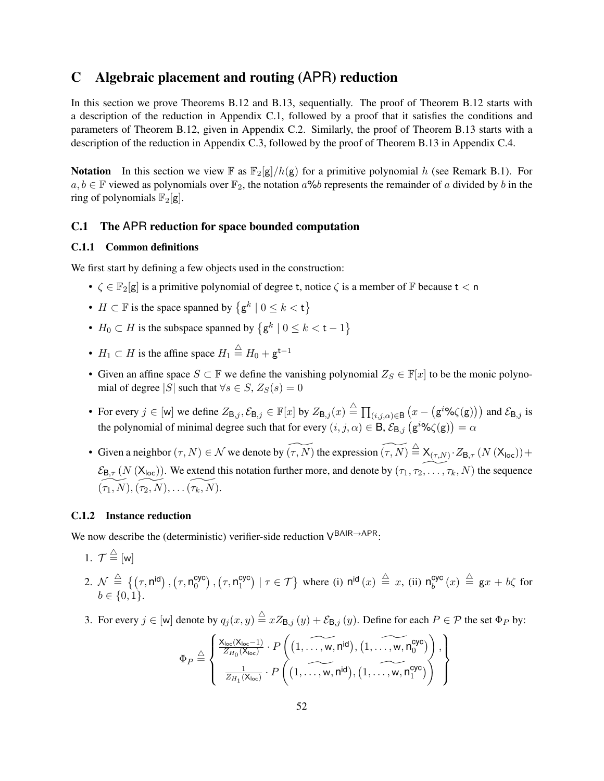# <span id="page-51-2"></span>C Algebraic placement and routing (APR) reduction

In this section we prove Theorems [B.12](#page-39-0) and [B.13,](#page-40-0) sequentially. The proof of Theorem [B.12](#page-39-0) starts with a description of the reduction in Appendix [C.1,](#page-51-1) followed by a proof that it satisfies the conditions and parameters of Theorem [B.12,](#page-39-0) given in Appendix [C.2.](#page-52-0) Similarly, the proof of Theorem [B.13](#page-40-0) starts with a description of the reduction in Appendix [C.3,](#page-55-0) followed by the proof of Theorem [B.13](#page-40-0) in Appendix [C.4.](#page-58-0)

**Notation** In this section we view  $\mathbb{F}$  as  $\mathbb{F}_2[g]/h(g)$  for a primitive polynomial h (see Remark [B.1\)](#page-33-0). For  $a, b \in \mathbb{F}$  viewed as polynomials over  $\mathbb{F}_2$ , the notation  $a\%b$  represents the remainder of a divided by b in the ring of polynomials  $\mathbb{F}_2[g]$ .

# <span id="page-51-1"></span>C.1 The APR reduction for space bounded computation

## <span id="page-51-0"></span>C.1.1 Common definitions

We first start by defining a few objects used in the construction:

- $\zeta \in \mathbb{F}_2[g]$  is a primitive polynomial of degree t, notice  $\zeta$  is a member of  $\mathbb F$  because  $t < n$
- $H \subset \mathbb{F}$  is the space spanned by  $\{ g^k \mid 0 \le k < t \}$
- $H_0 \subset H$  is the subspace spanned by  $\{g^k \mid 0 \le k < t-1\}$
- $H_1 \subset H$  is the affine space  $H_1 \stackrel{\triangle}{=} H_0 + g^{t-1}$
- Given an affine space  $S \subset \mathbb{F}$  we define the vanishing polynomial  $Z_S \in \mathbb{F}[x]$  to be the monic polynomial of degree |S| such that  $\forall s \in S$ ,  $Z_S(s) = 0$
- For every  $j \in [w]$  we define  $Z_{\mathsf{B},j}, \mathcal{E}_{\mathsf{B},j} \in \mathbb{F}[x]$  by  $Z_{\mathsf{B},j}(x) \stackrel{\triangle}{=} \prod_{(i,j,\alpha) \in \mathsf{B}} (x (\mathsf{g}^i \mathcal{A})(\mathsf{g})))$  and  $\mathcal{E}_{\mathsf{B},j}$  is the polynomial of minimal degree such that for every  $(i, j, \alpha) \in B$ ,  $\mathcal{E}_{B,j} (g^{i\phi}\phi\zeta(g)) = \alpha$
- Given a neighbor  $(\tau, N) \in \mathcal{N}$  we denote by  $\widetilde{(\tau, N)}$  the expression  $\widetilde{(\tau, N)} \stackrel{\triangle}{=} X_{(\tau, N)} \cdot Z_{\mathsf{B}, \tau}$   $(N(\mathsf{X}_{\mathsf{loc}}))$  +  $\mathcal{E}_{\mathsf{B},\tau}$  (N (X<sub>loc</sub>)). We extend this notation further more, and denote by  $(\tau_1, \tau_2, \ldots, \tau_k, N)$  the sequence  $(\tau_1, N), (\tau_2, N), \ldots, (\tau_k, N).$

## C.1.2 Instance reduction

We now describe the (deterministic) verifier-side reduction  $V^{BAIR \rightarrow APR}$ :

- 1.  $\mathcal{T} \stackrel{\triangle}{=} [w]$
- 2.  $\mathcal{N} \stackrel{\triangle}{=} \{(\tau, \mathsf{n}^{\mathsf{id}}), (\tau, \mathsf{n}^{\mathsf{cyc}}_0)$  $\binom{cyc}{0}$  ,  $(\tau, \textsf{n}_1^{\textsf{cyc}})$  $\binom{cyc}{1}$  |  $\tau \in \mathcal{T}$ } where (i)  $n^{id}(x) \triangleq x$ , (ii)  $n_b^{cyc}$  $\int_b^{\mathsf{cyc}} (x) \stackrel{\triangle}{=} \mathsf{g} x + b\zeta$  for  $b \in \{0, 1\}.$
- 3. For every  $j \in [w]$  denote by  $q_j(x, y) \stackrel{\triangle}{=} xZ_{\mathsf{B},j}(y) + \mathcal{E}_{\mathsf{B},j}(y)$ . Define for each  $P \in \mathcal{P}$  the set  $\Phi_P$  by:

$$
\Phi_P \stackrel{\triangle}{=} \left\{\begin{array}{l} \frac{\mathsf{X}_{\mathsf{loc}}(\mathsf{X}_{\mathsf{loc}}-1)}{Z_{H_0}(\mathsf{X}_{\mathsf{loc}})} \cdot P\left((1,\ldots,\mathsf{w},\mathsf{n}^{\mathsf{id}}), (1,\ldots,\mathsf{w},\mathsf{n}_0^{\mathsf{cyc}})\right), \\ \frac{1}{Z_{H_1}(\mathsf{X}_{\mathsf{loc}})} \cdot P\left((1,\ldots,\mathsf{w},\mathsf{n}^{\mathsf{id}}), (1,\ldots,\mathsf{w},\mathsf{n}_1^{\mathsf{cyc}})\right) \end{array}\right\}
$$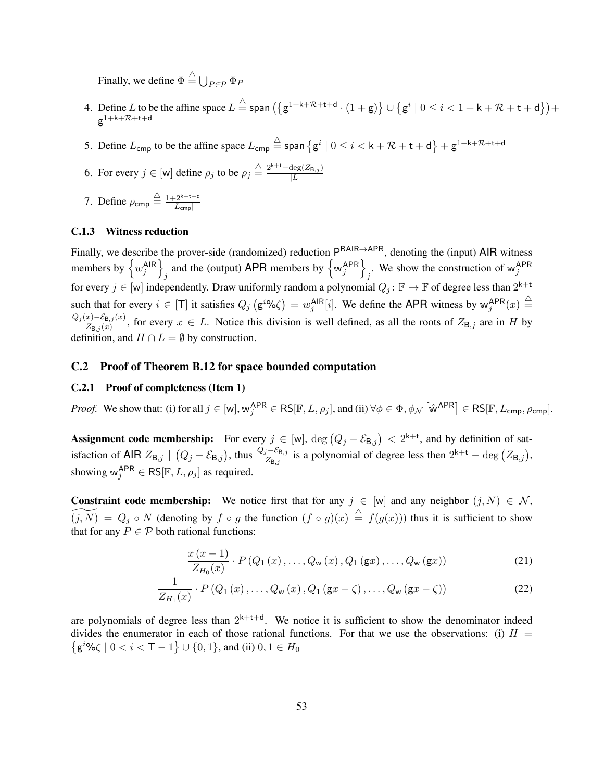Finally, we define  $\Phi \stackrel{\triangle}{=} \bigcup_{P \in \mathcal{P}} \Phi_P$ 

- 4. Define L to be the affine space  $L \stackrel{\triangle}{=}$  span  $(\{g^{1+k+R+t+d} \cdot (1+g)\} \cup \{g^i \mid 0 \le i < 1+k+R+t+d\})+$  $g^{1+k+\mathcal{R}+t+d}$
- 5. Define  $L_{\text{cmp}}$  to be the affine space  $L_{\text{cmp}} \stackrel{\triangle}{=}$  span  $\{g^i \mid 0 \le i \le k + \mathcal{R} + t + d\} + g^{1+k+\mathcal{R}+t+d}$
- 6. For every  $j \in [w]$  define  $\rho_j$  to be  $\rho_j \stackrel{\triangle}{=} \frac{2^{k+t}-\deg(Z_{\mathsf{B},j})}{|L|}$  $|L|$
- 7. Define  $\rho_{\text{cmp}} \stackrel{\triangle}{=} \frac{1+2^{k+t+d}}{|l_{\text{c}}|}$  $|L_{\mathsf{cmp}}|$

# C.1.3 Witness reduction

Finally, we describe the prover-side (randomized) reduction P<sup>BAIR→APR</sup>, denoting the (input) AIR witness members by  $\left\{w_j^{\text{AIR}}\right\}$ and the (output) APR members by  $\left\{ w_j^{APR} \right\}$ . We show the construction of  $w_j^{APR}$ for every  $j \in [w]$  independently. Draw uniformly random a polynomial  $Q_j: \mathbb{F} \to \mathbb{F}$  of degree less than  $2^{k+t}$ such that for every  $i \in [T]$  it satisfies  $Q_j(g^{i\%}\zeta) = w_j^{AIR}[i]$ . We define the APR witness by  $w_j^{APR}(x) \stackrel{\triangle}{=}$  $Q_j(x)-\mathcal{E}_{\mathsf{B},j}(x)$  $\frac{x_1-x_1}{Z_{\text{B},j}(x)}$ , for every  $x \in L$ . Notice this division is well defined, as all the roots of  $Z_{\text{B},j}$  are in H by definition, and  $H \cap L = \emptyset$  by construction.

## <span id="page-52-0"></span>C.2 Proof of Theorem [B.12](#page-39-0) for space bounded computation

#### C.2.1 Proof of completeness (Item [1\)](#page-40-5)

*Proof.* We show that: (i) for all  $j \in [w]$ ,  $w_j^{APR} \in RS[\mathbb{F}, L, \rho_j]$ , and (ii)  $\forall \phi \in \Phi$ ,  $\phi_{\mathcal{N}} [\hat{w}^{APR}] \in RS[\mathbb{F}, L_{cmp}, \rho_{cmp}]$ .

**Assignment code membership:** For every  $j \in [w]$ ,  $\deg (Q_j - \mathcal{E}_{B,j}) < 2^{k+t}$ , and by definition of satisfaction of AIR  $Z_{\text{B},j}$  |  $(Q_j - \mathcal{E}_{\text{B},j})$ , thus  $\frac{Q_j - \mathcal{E}_{\text{B},j}}{Z_{\text{B},j}}$  is a polynomial of degree less then  $2^{k+t} - \text{deg}(Z_{\text{B},j})$ , showing  $w_j^{APR} \in \text{RS}[\mathbb{F}, L, \rho_j]$  as required.

**Constraint code membership:** We notice first that for any  $j \in [w]$  and any neighbor  $(j, N) \in \mathcal{N}$ ,  $\widetilde{(j, N)} = Q_j \circ N$  (denoting by  $f \circ g$  the function  $(f \circ g)(x) \stackrel{\triangle}{=} f(g(x))$ ) thus it is sufficient to show that for any  $P \in \mathcal{P}$  both rational functions:

<span id="page-52-2"></span><span id="page-52-1"></span>
$$
\frac{x\left(x-1\right)}{Z_{H_0}(x)} \cdot P\left(Q_1\left(x\right),\ldots,Q_w\left(x\right),Q_1\left(\mathbf{g}x\right),\ldots,Q_w\left(\mathbf{g}x\right)\right) \tag{21}
$$

$$
\frac{1}{Z_{H_1}(x)} \cdot P\left(Q_1\left(x\right),\ldots,Q_w\left(x\right),Q_1\left(\mathbf{g}x-\zeta\right),\ldots,Q_w\left(\mathbf{g}x-\zeta\right)\right) \tag{22}
$$

are polynomials of degree less than  $2^{k+t+d}$ . We notice it is sufficient to show the denominator indeed divides the enumerator in each of those rational functions. For that we use the observations: (i)  $H =$  $\{g^{i\phi}\phi\zeta \mid 0 < i < T-1\} \cup \{0,1\}$ , and (ii)  $0, 1 \in H_0$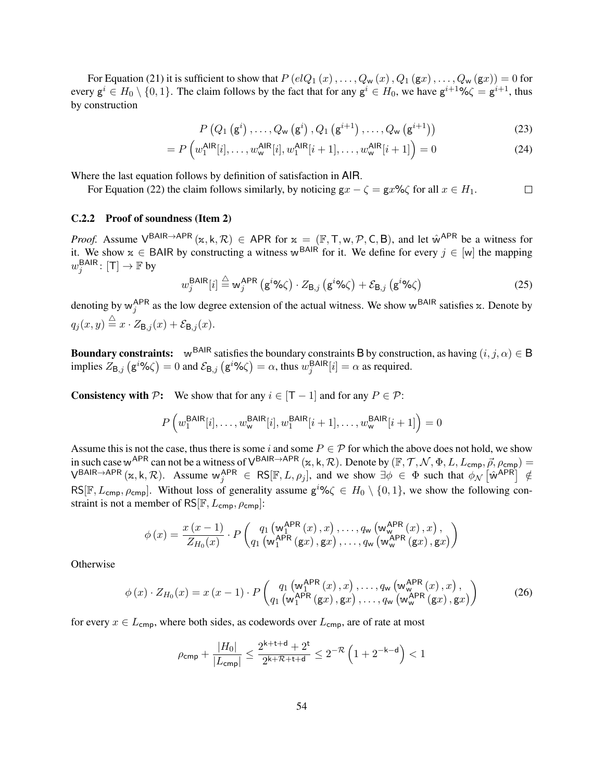For Equation [\(21\)](#page-52-1) it is sufficient to show that  $P$  (elQ<sub>1</sub> (x), ...,  $Q_w(x)$ ,  $Q_1(gx)$ , ...,  $Q_w(gx)$ ) = 0 for every  $g^i \in H_0 \setminus \{0, 1\}$ . The claim follows by the fact that for any  $g^i \in H_0$ , we have  $g^{i+1}$ % $\zeta = g^{i+1}$ , thus by construction

$$
P(Q_1(gi),...,Q_w(gi),Q_1(gi+1),...,Q_w(gi+1))
$$
\n(23)

$$
= P\left(w_1^{\text{AIR}}[i], \dots, w_w^{\text{AIR}}[i], w_1^{\text{AIR}}[i+1], \dots, w_w^{\text{AIR}}[i+1]\right) = 0 \tag{24}
$$

Where the last equation follows by definition of satisfaction in AIR.

For Equation [\(22\)](#page-52-2) the claim follows similarly, by noticing  $gx - \zeta = gx\%$  for all  $x \in H_1$ .  $\Box$ 

#### <span id="page-53-2"></span>C.2.2 Proof of soundness (Item [2\)](#page-40-6)

*Proof.* Assume  $V^{\text{BAIR}\rightarrow\text{APR}}(x, k, \mathcal{R}) \in \text{APR}$  for  $x = (\mathbb{F}, \mathsf{T}, w, \mathcal{P}, \mathsf{C}, \mathsf{B})$ , and let  $\hat{w}^{\text{APR}}$  be a witness for it. We show  $x \in BAIR$  by constructing a witness w<sup>BAIR</sup> for it. We define for every  $j \in [w]$  the mapping  $w_j^{\mathsf{BAIR}}\colon [\mathsf{T}]\to \mathbb{F}$  by

<span id="page-53-1"></span>
$$
w_j^{\text{BAIR}}[i] \stackrel{\triangle}{=} \mathsf{w}_j^{\text{APR}}\left(\mathsf{g}^i\% \zeta\right) \cdot Z_{\mathsf{B},j}\left(\mathsf{g}^i\% \zeta\right) + \mathcal{E}_{\mathsf{B},j}\left(\mathsf{g}^i\% \zeta\right) \tag{25}
$$

denoting by  $w_j^{APR}$  as the low degree extension of the actual witness. We show w<sup>BAIR</sup> satisfies x. Denote by  $q_j(x, y) \stackrel{\triangle}{=} x \cdot Z_{\mathsf{B},j}(x) + \mathcal{E}_{\mathsf{B},j}(x).$ 

**Boundary constraints:** w<sup>BAIR</sup> satisfies the boundary constraints B by construction, as having  $(i, j, \alpha) \in B$ implies  $Z_{\text{B},j}\left(\text{g}^{i\phi}\!\phi\zeta\right) = 0$  and  $\mathcal{E}_{\text{B},j}\left(\text{g}^{i\phi}\!\phi\zeta\right) = \alpha$ , thus  $w_j^{\text{BAIR}}[i] = \alpha$  as required.

**Consistency with P:** We show that for any  $i \in [T - 1]$  and for any  $P \in \mathcal{P}$ :

$$
P\left(w_1^{\mathsf{BAIR}}[i], \ldots, w_{\mathsf{w}}^{\mathsf{BAIR}}[i], w_1^{\mathsf{BAIR}}[i+1], \ldots, w_{\mathsf{w}}^{\mathsf{BAIR}}[i+1]\right) = 0
$$

Assume this is not the case, thus there is some i and some  $P \in \mathcal{P}$  for which the above does not hold, we show in such case w<sup>APR</sup> can not be a witness of V<sup>BAIR→APR</sup> (x, k, R). Denote by ( $\mathbb{F}, \mathcal{T}, \mathcal{N}, \Phi, L, L_{\text{cmp}}, \vec{\rho}, \rho_{\text{cmp}})$  =  $V^{\text{BAIR}\rightarrow \text{APR}}$  (x, k, R). Assume  $w_j^{\text{APR}} \in \text{RS}[\mathbb{F}, L, \rho_j]$ , and we show  $\exists \phi \in \Phi$  such that  $\phi_{\mathcal{N}}\left[\hat{w}^{\text{APR}}\right] \notin$ RS[F,  $L_{\text{cmp}}, \rho_{\text{cmp}}$ ]. Without loss of generality assume  $g^{i\%}\zeta \in H_0 \setminus \{0, 1\}$ , we show the following constraint is not a member of RS[ $\mathbb{F}, L_{\text{cmp}}, \rho_{\text{cmp}}$ ]:

$$
\phi(x) = \frac{x(x-1)}{Z_{H_0}(x)} \cdot P\left(\begin{matrix} q_1\left(\mathbf{w}_1^{\mathsf{APR}}(x), x\right), \dots, q_{\mathsf{w}}\left(\mathbf{w}_{\mathsf{w}}^{\mathsf{APR}}(x), x\right), \\ q_1\left(\mathbf{w}_1^{\mathsf{APR}}(g x), g x\right), \dots, q_{\mathsf{w}}\left(\mathbf{w}_{\mathsf{w}}^{\mathsf{APR}}(g x), g x\right)\right)\end{matrix}\right)
$$

**Otherwise** 

$$
\phi(x) \cdot Z_{H_0}(x) = x(x-1) \cdot P\left(\begin{array}{c} q_1\left(\mathbf{w}_1^{\mathsf{APR}}(x), x\right), \dots, q_\mathsf{w}\left(\mathbf{w}_\mathsf{w}^{\mathsf{APR}}(x), x\right), \\ q_1\left(\mathbf{w}_1^{\mathsf{APR}}(\mathbf{g}x), \mathbf{g}x\right), \dots, q_\mathsf{w}\left(\mathbf{w}_\mathsf{w}^{\mathsf{APR}}(\mathbf{g}x), \mathbf{g}x\right)\end{array}\right) \tag{26}
$$

for every  $x \in L_{\text{cmp}}$ , where both sides, as codewords over  $L_{\text{cmp}}$ , are of rate at most

<span id="page-53-0"></span>
$$
\rho_{\textsf{cmp}} + \frac{|H_0|}{|L_{\textsf{cmp}}|} \le \frac{2^{k+t+d} + 2^t}{2^{k+\mathcal{R}+t+d}} \le 2^{-\mathcal{R}} \left( 1 + 2^{-k-d} \right) < 1
$$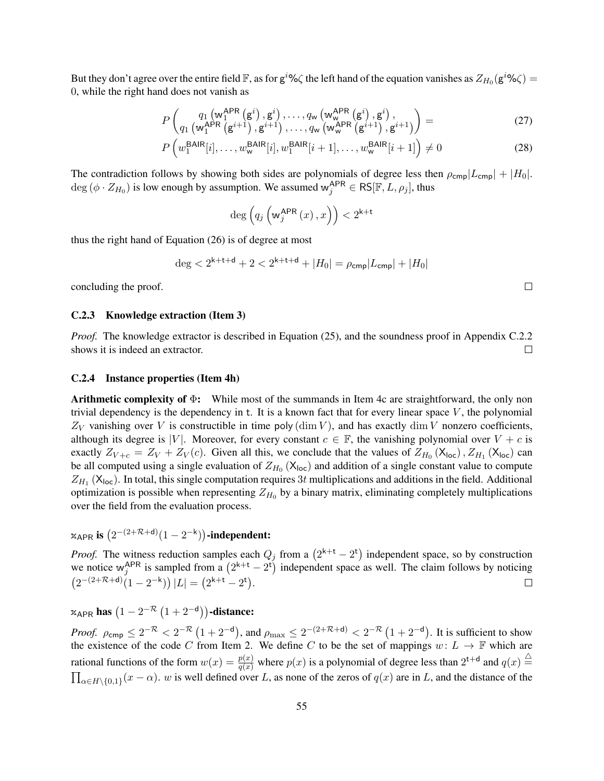But they don't agree over the entire field  $\mathbb F$ , as for  $g^{i\%}\zeta$  the left hand of the equation vanishes as  $Z_{H_0}(g^{i\%}\zeta) =$ 0, while the right hand does not vanish as

$$
P\begin{pmatrix} q_1 \left(\mathbf{w}_1^{\mathsf{APR}}(\mathbf{g}^i), \mathbf{g}^i\right), \dots, q_{\mathsf{w}} \left(\mathbf{w}_{\mathsf{w}}^{\mathsf{APR}}(\mathbf{g}^i), \mathbf{g}^i\right), \\ q_1 \left(\mathbf{w}_1^{\mathsf{APR}}(\mathbf{g}^{i+1}), \mathbf{g}^{i+1}\right), \dots, q_{\mathsf{w}} \left(\mathbf{w}_{\mathsf{w}}^{\mathsf{APR}}(\mathbf{g}^{i+1}), \mathbf{g}^{i+1}\right)\end{pmatrix} = (27)
$$

$$
P\left(w_1^{\mathsf{BAIR}}[i], \dots, w_\mathsf{w}^{\mathsf{BAIR}}[i], w_1^{\mathsf{BAIR}}[i+1], \dots, w_\mathsf{w}^{\mathsf{BAIR}}[i+1]\right) \neq 0\tag{28}
$$

The contradiction follows by showing both sides are polynomials of degree less then  $\rho_{\text{cmp}}|L_{\text{cmp}}| + |H_0|$ .  $deg(\phi \cdot Z_{H_0})$  is low enough by assumption. We assumed  $w_j^{APR} \in RS[\mathbb{F}, L, \rho_j]$ , thus

$$
\deg\left(q_j\left(\mathsf{w}_j^{\mathsf{APR}}\left(x\right),x\right)\right) < 2^{\mathsf{k}+\mathsf{t}}
$$

thus the right hand of Equation [\(26\)](#page-53-0) is of degree at most

$$
\deg < 2^{k+t+d} + 2 < 2^{k+t+d} + |H_0| = \rho_{\text{cmp}} |L_{\text{cmp}}| + |H_0|
$$

concluding the proof.

#### C.2.3 Knowledge extraction (Item [3\)](#page-40-3)

*Proof.* The knowledge extractor is described in Equation [\(25\)](#page-53-1), and the soundness proof in Appendix [C.2.2](#page-53-2) shows it is indeed an extractor.  $\Box$ 

## <span id="page-54-0"></span>C.2.4 Instance properties (Item [4h\)](#page-40-4)

Arithmetic complexity of Φ: While most of the summands in Item [4c](#page-40-7) are straightforward, the only non trivial dependency is the dependency in t. It is a known fact that for every linear space  $V$ , the polynomial  $Z_V$  vanishing over V is constructible in time poly (dim V), and has exactly dim V nonzero coefficients, although its degree is |V|. Moreover, for every constant  $c \in \mathbb{F}$ , the vanishing polynomial over  $V + c$  is exactly  $Z_{V+c} = Z_V + Z_V(c)$ . Given all this, we conclude that the values of  $Z_{H_0}(\mathsf{X}_{loc})$ ,  $Z_{H_1}(\mathsf{X}_{loc})$  can be all computed using a single evaluation of  $Z_{H_0}(\mathsf{X}_{\text{loc}})$  and addition of a single constant value to compute  $Z_{H_1}$  ( $X_{loc}$ ). In total, this single computation requires 3t multiplications and additions in the field. Additional optimization is possible when representing  $Z_{H_0}$  by a binary matrix, eliminating completely multiplications over the field from the evaluation process.

 $\propto_{\sf APR}$  is  $\left(2^{-(2+\mathcal{R}+{\sf d})}(1-2^{-{\sf k}})\right)$ -independent:

*Proof.* The witness reduction samples each  $Q_j$  from a  $(2^{k+t} - 2^t)$  independent space, so by construction we notice  $w_j^{APR}$  is sampled from a  $(2^{k+t} - 2^t)$  independent space as well. The claim follows by noticing  $(2^{-(2+\mathcal{R}+\mathsf{d})}(1-2^{-\mathsf{k}}))|L| = (2^{\mathsf{k}+\mathsf{t}}-2^{\mathsf{t}}).$  $\Box$ 

 $\propto_{\sf APR}$  has  $\left(1-2^{-\mathcal{R}}\left(1+2^{-\sf d}\right)\right)$ -distance:

*Proof.*  $\rho_{\text{cmp}} \leq 2^{-\mathcal{R}} < 2^{-\mathcal{R}} (1 + 2^{-d})$ , and  $\rho_{\text{max}} \leq 2^{-(2+\mathcal{R}+d)} < 2^{-\mathcal{R}} (1 + 2^{-d})$ . It is sufficient to show the existence of the code C from Item [2.](#page-39-1) We define C to be the set of mappings  $w: L \to \mathbb{F}$  which are rational functions of the form  $w(x) = \frac{p(x)}{q(x)}$  where  $p(x)$  is a polynomial of degree less than  $2^{t+d}$  and  $q(x) \stackrel{\triangle}{=}$  $\prod_{\alpha \in H\setminus\{0,1\}} (x-\alpha)$ . w is well defined over L, as none of the zeros of  $q(x)$  are in L, and the distance of the

 $\Box$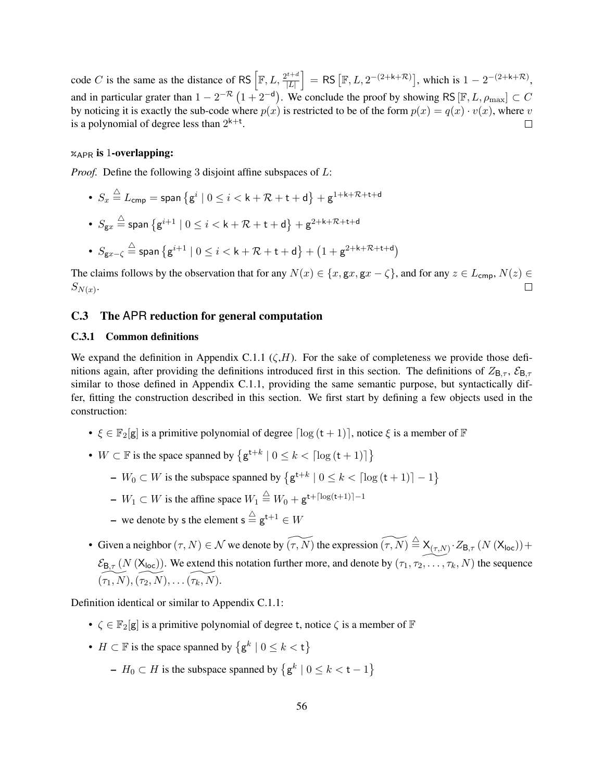code C is the same as the distance of RS  $\left[\mathbb{F}, L, \frac{2^{t+d}}{\left|L\right|}\right]$  $\left[ \frac{E^{t+d}}{|L|} \right] = \mathsf{RS} \left[ \mathbb{F}, L, 2^{-(2+k+\mathcal{R})} \right]$ , which is  $1 - 2^{-(2+k+\mathcal{R})}$ , and in particular grater than  $1 - 2^{-\mathcal{R}} (1 + 2^{-d})$ . We conclude the proof by showing RS  $[\mathbb{F}, L, \rho_{\max}] \subset C$ by noticing it is exactly the sub-code where  $p(x)$  is restricted to be of the form  $p(x) = q(x) \cdot v(x)$ , where v is a polynomial of degree less than  $2^{k+t}$ .  $\Box$ 

## $x<sub>APR</sub>$  is 1-overlapping:

*Proof.* Define the following 3 disjoint affine subspaces of L:

- $\bullet \ \ S_x \stackrel{\triangle}{=} L_{\mathsf{cmp}} = {\mathsf{span}}\left\{{\mathsf{g}}^i\mid 0 \leq i < \mathsf{k} + \mathcal{R} + \mathsf{t} + \mathsf{d}\right\} + {\mathsf{g}}^{1+\mathsf{k}+\mathcal{R}+\mathsf{t}+\mathsf{d}}$
- $S_{\mathbf{g}x} \stackrel{\triangle}{=}$  span  $\{ \mathsf{g}^{i+1} \mid 0 \leq i < \mathsf{k} + \mathcal{R} + \mathsf{t} + \mathsf{d} \} + \mathsf{g}^{2+\mathsf{k}+\mathcal{R}+\mathsf{t}+\mathsf{d}}$
- $S_{\mathbf{g}x-\zeta} \stackrel{\triangle}{=}$  span  $\left\{ \mathsf{g}^{i+1} \mid 0 \leq i < \mathsf{k} + \mathcal{R} + \mathsf{t} + \mathsf{d} \right\} + \left( 1 + \mathsf{g}^{2+\mathsf{k}+\mathcal{R}+\mathsf{t}+\mathsf{d}} \right)$

The claims follows by the observation that for any  $N(x) \in \{x, gx, gx - \zeta\}$ , and for any  $z \in L_{\text{cmp}}, N(z) \in L_{\text{trap}}$  $S_{N(x)}$ .  $\Box$ 

# <span id="page-55-0"></span>C.3 The APR reduction for general computation

# C.3.1 Common definitions

We expand the definition in Appendix [C.1.1](#page-51-0) ( $\zeta$ , H). For the sake of completeness we provide those definitions again, after providing the definitions introduced first in this section. The definitions of  $Z_{\text{B}}_{\tau}$ ,  $\mathcal{E}_{\text{B}}_{\tau}$ similar to those defined in Appendix [C.1.1,](#page-51-0) providing the same semantic purpose, but syntactically differ, fitting the construction described in this section. We first start by defining a few objects used in the construction:

- $\xi \in \mathbb{F}_2[\mathbf{g}]$  is a primitive polynomial of degree  $\lceil \log{(t+1)} \rceil$ , notice  $\xi$  is a member of  $\mathbb F$
- $W \subset \mathbb{F}$  is the space spanned by  $\{g^{t+k} \mid 0 \leq k < \lceil \log{(t+1)} \rceil \}$ 
	- $W_0 \subset W$  is the subspace spanned by  $\{g^{t+k} \mid 0 \le k < \lceil \log(t+1) \rceil 1\}$
	- $W_1 \subset W$  is the affine space  $W_1 \stackrel{\triangle}{=} W_0 + g^{t + \lceil \log(t+1) \rceil 1}$
	- we denote by s the element  $\mathsf{s} \stackrel{\triangle}{=} \mathsf{g}^{\mathsf{t}+1} \in W$
- Given a neighbor  $(\tau, N) \in \mathcal{N}$  we denote by  $\widetilde{(\tau, N)}$  the expression  $\widetilde{(\tau, N)} \stackrel{\triangle}{=} X_{(\tau, N)} \cdot Z_{\mathsf{B}, \tau}$   $(N(\mathsf{X}_{\mathsf{loc}}))$  +  $\mathcal{E}_{\mathsf{B},\tau}$  (N (X<sub>loc</sub>)). We extend this notation further more, and denote by  $(\tau_1, \tau_2, \ldots, \tau_k, N)$  the sequence  $(\tau_1, N), (\tau_2, N), \ldots(\tau_k, N).$

Definition identical or similar to Appendix [C.1.1:](#page-51-0)

- $\zeta \in \mathbb{F}_2[\mathsf{g}]$  is a primitive polynomial of degree t, notice  $\zeta$  is a member of  $\mathbb F$
- $H \subset \mathbb{F}$  is the space spanned by  $\{g^k \mid 0 \le k < t\}$ 
	- $-H_0 \subset H$  is the subspace spanned by  $\{g^k \mid 0 \le k < t-1\}$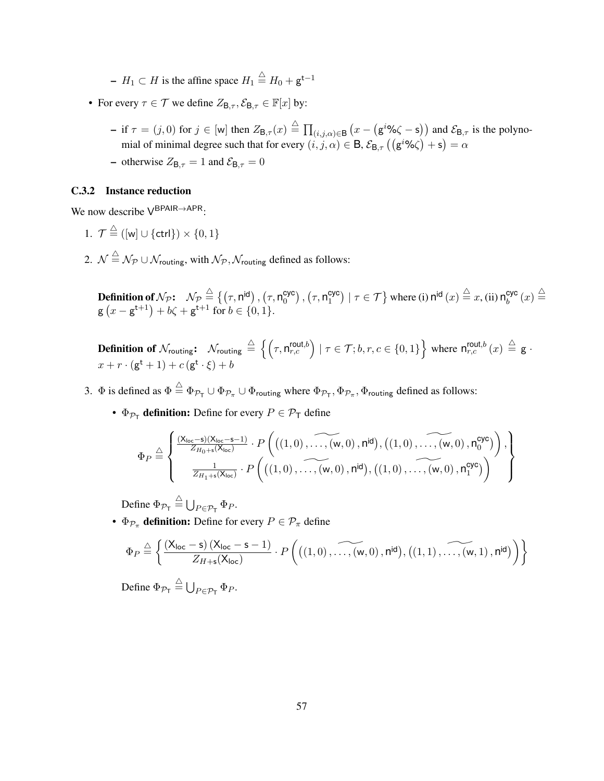- $H_1 \subset H$  is the affine space  $H_1 \stackrel{\triangle}{=} H_0 + g^{t-1}$
- For every  $\tau \in \mathcal{T}$  we define  $Z_{\mathsf{B},\tau}, \mathcal{E}_{\mathsf{B},\tau} \in \mathbb{F}[x]$  by:
	- $-$  if  $\tau = (j, 0)$  for  $j \in [w]$  then  $Z_{\mathsf{B}, \tau}(x) \stackrel{\triangle}{=} \prod_{(i,j,\alpha) \in \mathsf{B}} (x (\mathsf{g}^i \mathcal{A} \zeta \mathsf{s}))$  and  $\mathcal{E}_{\mathsf{B}, \tau}$  is the polynomial of minimal degree such that for every  $(i, j, \alpha) \in \mathsf{B}$ ,  $\mathcal{E}_{\mathsf{B},\tau}\left( (\mathsf{g}^i \% \zeta) + \mathsf{s} \right) = \alpha$
	- otherwise  $Z_{\text{B},\tau} = 1$  and  $\mathcal{E}_{\text{B},\tau} = 0$

## C.3.2 Instance reduction

We now describe  $\vee^{\text{BPAIR}\rightarrow\text{APR}}$ :

- 1.  $\mathcal{T} \stackrel{\triangle}{=} ([w] \cup \{\text{ctrl}\}) \times \{0, 1\}$
- 2.  $\mathcal{N} \stackrel{\triangle}{=} \mathcal{N}_{\mathcal{P}} \cup \mathcal{N}_{\text{routing}}$ , with  $\mathcal{N}_{\mathcal{P}}$ ,  $\mathcal{N}_{\text{routing}}$  defined as follows:

Definition of  $\mathcal{N}_\mathcal{P} \colon\;\; \mathcal{N}_\mathcal{P} \stackrel{\triangle}{=} \{(\tau, \mathsf{n}^{\mathsf{id}})\,,(\tau, \mathsf{n}_0^{\mathsf{cyc}})$  $\binom{cyc}{0}$  ,  $(\tau, n_1^{cyc})$  $\binom{cyc}{1}$  |  $\tau \in \mathcal{T}$ } where (i)  $n^{id}(x) \stackrel{\triangle}{=} x$ , (ii)  $n_b^{cyc}$  $_{b}^{\mathsf{cyc}}\left( x\right) \overset{\triangle}{=}% \left( \sum_{k=1}^{N}\left\vert \mathcal{A}_{\mathsf{c}}\left( x\right) \right\vert ^{2}\left\vert \mathcal{A}_{\mathsf{c}}\left( x\right) \right\rangle \left\vert \mathcal{A}_{\mathsf{c}}\left( x\right) \right\rangle \left\vert \mathcal{A}_{\mathsf{c}}\left( x\right) \right\rangle \left\vert \mathcal{A}_{\mathsf{c}}\left( x\right) \right\rangle \left\vert \mathcal{A}_{\mathsf{c}}\left( x\right) \right\rangle \left\vert \mathcal{A}_{\mathsf{c}}\$  $g(x-g^{t+1})+b\zeta+g^{t+1}$  for  $b \in \{0,1\}.$ 

**Definition of**  $\mathcal{N}_{\text{routing}}$ :  $\mathcal{N}_{\text{routing}} \triangleq \left\{ \left( \tau, \eta_{r,c}^{\text{rout},b} \right) \mid \tau \in \mathcal{T}; b, r, c \in \{0,1\} \right\}$  where  $\eta_{r,c}^{\text{rout},b}(x) \triangleq g$ .  $x + r \cdot (\mathsf{g}^{\mathsf{t}} + 1) + c (\mathsf{g}^{\mathsf{t}} \cdot \xi) + b$ 

- 3.  $\Phi$  is defined as  $\Phi \stackrel{\triangle}{=} \Phi_{\mathcal{P}_T} \cup \Phi_{\mathcal{P}_\pi} \cup \Phi_{\text{routing}}$  where  $\Phi_{\mathcal{P}_T}, \Phi_{\mathcal{P}_\pi}, \Phi_{\text{routing}}$  defined as follows:
	- $\Phi_{\mathcal{P}_\mathsf{T}}$  definition: Define for every  $P \in \mathcal{P}_\mathsf{T}$  define

$$
\Phi_P \stackrel{\triangle}{=} \left\{\n\begin{array}{l}\n\frac{(X_{\text{loc}}-s)(X_{\text{loc}}-s-1)}{Z_{H_0+s}(X_{\text{loc}})} \cdot P\left(((1,0),\ldots,(w,0),\text{n}^{\text{id}}),((1,0),\ldots,(w,0),\text{n}^{\text{cyc}})\right), \\
\frac{1}{Z_{H_1+s}(X_{\text{loc}})} \cdot P\left(((1,0),\ldots,(w,0),\text{n}^{\text{id}}),((1,0),\ldots,(w,0),\text{n}^{\text{cyc}})\right)\n\end{array}\n\right\}
$$

Define  $\Phi_{\mathcal{P}_T} \stackrel{\triangle}{=} \bigcup_{P \in \mathcal{P}_T} \Phi_P$ .

•  $\Phi_{\mathcal{P}_{\pi}}$  definition: Define for every  $P \in \mathcal{P}_{\pi}$  define

$$
\Phi_{P} \stackrel{\triangle}{=} \left\{ \frac{(\mathsf{X}_{\mathsf{loc}} - \mathsf{s}) \, (\mathsf{X}_{\mathsf{loc}} - \mathsf{s} - 1)}{Z_{H+\mathsf{s}}(\mathsf{X}_{\mathsf{loc}})} \cdot P\left(((1,0)\,,\, \ldots,\, (w,0)\,,\mathsf{n}^{\mathsf{id}}),\, ((1,1)\,,\, \ldots,\, (w,1)\,,\mathsf{n}^{\mathsf{id}})\right) \right\}
$$

Define  $\Phi_{\mathcal{P}_T} \stackrel{\triangle}{=} \bigcup_{P \in \mathcal{P}_T} \Phi_P$ .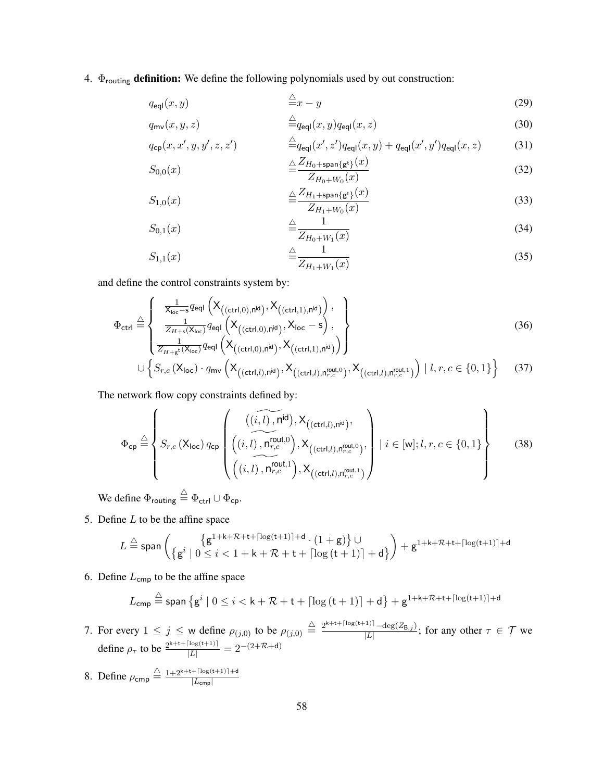4.  $\Phi_{\text{routing}}$  definition: We define the following polynomials used by out construction:

$$
q_{\text{eql}}(x,y) \qquad \qquad \stackrel{\triangle}{=} x-y \tag{29}
$$

$$
q_{\mathsf{mv}}(x, y, z) \qquad \qquad \stackrel{\triangle}{=} q_{\mathsf{eql}}(x, y) q_{\mathsf{eql}}(x, z) \tag{30}
$$

$$
q_{\text{cp}}(x, x', y, y', z, z') \qquad \qquad \triangleq_{\text{qq}(x', z')} q_{\text{eq}(x, y) + q_{\text{eq}(x', y')} q_{\text{eq}(x, z)}
$$
(31)  

$$
\triangle Z_{H_0 + \text{span}\{\text{g}^t\}}(x)
$$
(32)

$$
S_{0,0}(x) \qquad \qquad \stackrel{\triangle}{=} \frac{Z_{H_0 + \text{span}\{\mathbf{g}^t\}}(x)}{Z_{H_0 + W_0}(x)} \tag{32}
$$

$$
S_{1,0}(x) \qquad \qquad \stackrel{\triangle}{=} \frac{Z_{H_1 + \text{span}\{\mathbf{g}^t\}}(x)}{Z_{H_1 + W_0}(x)} \tag{33}
$$

$$
S_{0,1}(x) \qquad \qquad \stackrel{\triangle}{=} \frac{1}{Z_{H_0 + W_1}(x)}\tag{34}
$$

$$
S_{1,1}(x) \qquad \qquad \stackrel{\triangle}{=} \frac{1}{Z_{H_1+W_1}(x)}\tag{35}
$$

and define the control constraints system by:

$$
\Phi_{\text{ctrl}} \stackrel{\triangle}{=} \left\{ \begin{array}{l} \frac{1}{X_{\text{loc}} - s} q_{\text{eql}} \left( X_{\left( (\text{ctrl}, 0), \text{n}^{i d} \right)}, X_{\left( (\text{ctrl}, 1), \text{n}^{i d} \right)} \right), \\ \frac{1}{Z_{H+s}(X_{\text{loc}})} q_{\text{eql}} \left( X_{\left( (\text{ctrl}, 0), \text{n}^{i d} \right)}, X_{\text{loc}} - s \right), \\ \frac{1}{Z_{H+s}(X_{\text{loc}})} q_{\text{eql}} \left( X_{\left( (\text{ctrl}, 0), \text{n}^{i d} \right)}, X_{\left( (\text{ctrl}, 1), \text{n}^{i d} \right)} \right) \end{array} \right\}
$$
(36)

$$
\cup \left\{ S_{r,c} \left( X_{\text{loc}} \right) \cdot q_{\text{mv}} \left( X_{\left( (\text{ctrl}, l), \text{n}^{i d} \right)}, X_{\left( (\text{ctrl}, l), \text{n}^{r, \text{out}, 0}_r, \right)}, X_{\left( (\text{ctrl}, l), \text{n}^{r, \text{out}, 1}_r, c \right)} \right) \mid l, r, c \in \{0, 1\} \right\}
$$
(37)

The network flow copy constraints defined by:

$$
\Phi_{\text{cp}} \stackrel{\triangle}{=} \left\{ S_{r,c} \left( X_{\text{loc}} \right) q_{\text{cp}} \left( \overbrace{\left( (i,l), \overbrace{\mathsf{n}_{r,c}^{\text{rout},0}}^{((i,\overbrace{\mathsf{l}}),\overbrace{\mathsf{n}}^{\text{rot}})}^{(j)} , X_{\left( (\text{ctrl},l), \overbrace{\mathsf{n}_{r,c}^{\text{rout},0}}^{(j)} \right) }^{(j)} \right), \left\{ i \in [\text{w}] ; l, r, c \in \{0,1\} \right\} \right\} \tag{38}
$$

We define  $\Phi_{\text{routing}} \stackrel{\triangle}{=} \Phi_{\text{ctrl}} \cup \Phi_{\text{cp}}$ .

5. Define  $L$  to be the affine space

$$
L \stackrel{\triangle}{=} \text{span}\left(\{\mathbf{g}^i \mid 0 \leq i < 1 + \mathsf{k} + \mathcal{R} + \mathsf{t} + \lceil \log(\mathsf{t}+1) \rceil + \mathsf{d} \cdot (1+\mathsf{g})\}\cup \{\mathsf{g}^i + \mathsf{k} + \mathcal{R} + \mathsf{t} + \lceil \log(\mathsf{t}+1) \rceil + \mathsf{d}\}\right)
$$

6. Define  $L_{\text{cmp}}$  to be the affine space

$$
L_{\text{cmp}} \stackrel{\triangle}{=} \text{span} \left\{ \mathbf{g}^i \mid 0 \leq i < \mathsf{k} + \mathcal{R} + \mathsf{t} + \left\lceil \log \left( \mathsf{t} + 1 \right) \right\rceil + \mathsf{d} \right\} + \mathbf{g}^{1 + \mathsf{k} + \mathcal{R} + \mathsf{t} + \left\lceil \log(\mathsf{t} + 1) \right\rceil + \mathsf{d}}
$$

- 7. For every  $1 \leq j \leq w$  define  $\rho_{(j,0)}$  to be  $\rho_{(j,0)} \triangleq \frac{2^{k+t+\lceil \log(t+1) \rceil} \deg(Z_{B,j})}{|L|}$  $\frac{1}{|L|}$  =  $\frac{\text{deg}(2\mathsf{B},j)}{|L|}$ ; for any other  $\tau \in \mathcal{T}$  we define  $\rho_{\tau}$  to be  $\frac{2^{k+t+\lceil \log(t+1) \rceil}}{|L|} = 2^{-(2+\mathcal{R}+d)}$
- 8. Define  $\rho_{\text{cmp}} \stackrel{\triangle}{=} \frac{1+2^{k+t+\lceil \log(t+1) \rceil + d}}{|l_{\text{csm}}|}$  $|L_{\mathsf{cmp}}|$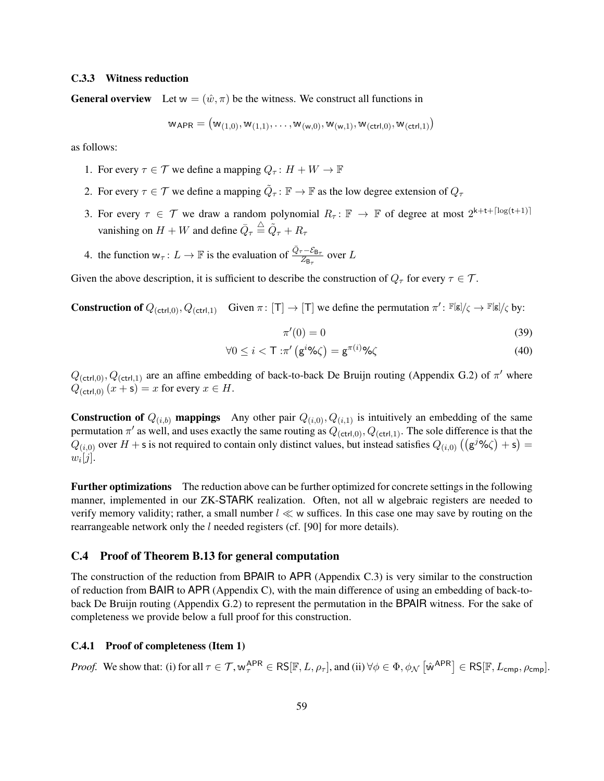## <span id="page-58-1"></span>C.3.3 Witness reduction

**General overview** Let  $w = (\hat{w}, \pi)$  be the witness. We construct all functions in

$$
w_{\mathsf{APR}} = \big(w_{(1,0)}, w_{(1,1)}, \ldots, w_{(w,0)}, w_{(w,1)}, w_{(\mathsf{ctrl},0)}, w_{(\mathsf{ctrl},1)}\big)
$$

as follows:

- 1. For every  $\tau \in \mathcal{T}$  we define a mapping  $Q_{\tau} : H + W \to \mathbb{F}$
- 2. For every  $\tau \in \mathcal{T}$  we define a mapping  $\tilde{Q}_\tau : \mathbb{F} \to \mathbb{F}$  as the low degree extension of  $Q_\tau$
- 3. For every  $\tau \in \mathcal{T}$  we draw a random polynomial  $R_{\tau} \colon \mathbb{F} \to \mathbb{F}$  of degree at most  $2^{k+t+\lceil \log(t+1) \rceil}$ vanishing on  $H + W$  and define  $\overline{Q}_\tau$  $\stackrel{\triangle}{=} \tilde{Q}_\tau + R_\tau$
- 4. the function  $w_\tau: L \to \mathbb{F}$  is the evaluation of  $\frac{\bar{Q}_\tau \mathcal{E}_{B_\tau}}{Z_{B_\tau}}$  over L

Given the above description, it is sufficient to describe the construction of  $Q_{\tau}$  for every  $\tau \in \mathcal{T}$ .

**Construction of**  $Q_{(ctrl,0)}, Q_{(ctrl,1)}$  Given  $\pi: [T] \to [T]$  we define the permutation  $\pi': \mathbb{F}[\mathsf{g}]/\zeta \to \mathbb{F}[\mathsf{g}]/\zeta$  by:

$$
\pi'(0) = 0\tag{39}
$$

$$
\forall 0 \leq i < T : \pi' \left( \mathbf{g}^i \mathbf{h} \zeta \right) = \mathbf{g}^{\pi(i)} \mathbf{h} \zeta \tag{40}
$$

 $Q_{(ctrl,0)}, Q_{(ctrl,1)}$  are an affine embedding of back-to-back De Bruijn routing (Appendix [G.2\)](#page-80-1) of  $\pi'$  where  $Q_{(ctrl,0)} (x + s) = x$  for every  $x \in H$ .

**Construction of**  $Q_{(i,b)}$  **mappings** Any other pair  $Q_{(i,0)}, Q_{(i,1)}$  is intuitively an embedding of the same permutation  $\pi'$  as well, and uses exactly the same routing as  $Q_{(ctrl,0)}, Q_{(ctrl,1)}$ . The sole difference is that the  $Q_{(i,0)}$  over  $H + s$  is not required to contain only distinct values, but instead satisfies  $Q_{(i,0)}((g^j\% \zeta) + s) =$  $w_i[j]$ .

Further optimizations The reduction above can be further optimized for concrete settings in the following manner, implemented in our ZK-STARK realization. Often, not all w algebraic registers are needed to verify memory validity; rather, a small number  $l \ll w$  suffices. In this case one may save by routing on the rearrangeable network only the *l* needed registers (cf. [\[90\]](#page-28-0) for more details).

# <span id="page-58-0"></span>C.4 Proof of Theorem [B.13](#page-40-0) for general computation

The construction of the reduction from BPAIR to APR (Appendix [C.3\)](#page-55-0) is very similar to the construction of reduction from BAIR to APR (Appendix [C\)](#page-51-2), with the main difference of using an embedding of back-toback De Bruijn routing (Appendix [G.2\)](#page-80-1) to represent the permutation in the BPAIR witness. For the sake of completeness we provide below a full proof for this construction.

## C.4.1 Proof of completeness (Item [1\)](#page-40-8)

*Proof.* We show that: (i) for all  $\tau \in \mathcal{T}$ ,  $w_{\tau}^{APR} \in RS[\mathbb{F}, L, \rho_{\tau}]$ , and (ii)  $\forall \phi \in \Phi$ ,  $\phi_{\mathcal{N}} \left[ \hat{w}^{APR} \right] \in RS[\mathbb{F}, L_{cmp}, \rho_{cmp}]$ .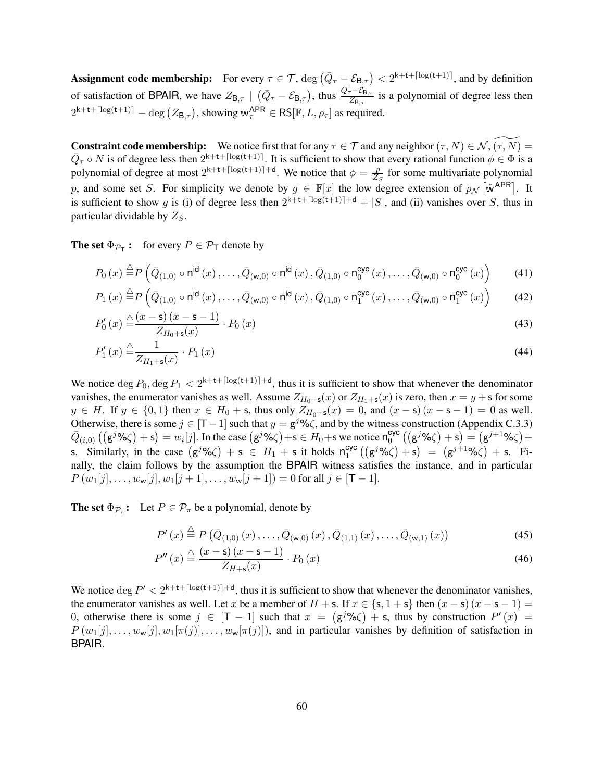Assignment code membership: For every  $\tau \in \mathcal{T}$ ,  $\deg(\bar{Q}_\tau - \mathcal{E}_{\mathsf{B},\tau}) < 2^{k+t+\lceil \log(t+1) \rceil}$ , and by definition of satisfaction of BPAIR, we have  $Z_{\text{B},\tau}$  |  $(\bar{Q}_{\tau} - \mathcal{E}_{\text{B},\tau})$ , thus  $\frac{\bar{Q}_{\tau} - \mathcal{E}_{\text{B},\tau}}{Z_{\text{B},\tau}}$  is a polynomial of degree less then  $2^{k+t+\lceil \log(t+1) \rceil} - \deg (Z_{\mathsf{B},\tau})$ , showing  $\mathsf{w}_{\tau}^{\mathsf{APR}} \in \mathsf{RS}[\mathbb{F}, L, \rho_{\tau}]$  as required.

**Constraint code membership:** We notice first that for any  $\tau \in \mathcal{T}$  and any neighbor  $(\tau, N) \in \mathcal{N}$ ,  $(\tau, N) =$  $\bar{Q}_\tau \circ N$  is of degree less then  $2^{k+t+\lceil \log(t+1) \rceil}$ . It is sufficient to show that every rational function  $\phi \in \Phi$  is a polynomial of degree at most  $2^{k+t+\lceil \log(t+1) \rceil+d}$ . We notice that  $\phi = \frac{p}{z}$ .  $\frac{p}{Z_s}$  for some multivariate polynomial p, and some set S. For simplicity we denote by  $g \in \mathbb{F}[x]$  the low degree extension of  $p_{\mathcal{N}}\left[\hat{w}^{APR}\right]$ . It is sufficient to show g is (i) of degree less then  $2^{k+t+\lceil \log(t+1) \rceil+d} + |S|$ , and (ii) vanishes over S, thus in particular dividable by  $Z_S$ .

**The set**  $\Phi_{\mathcal{P}_\mathsf{T}}$ : for every  $P \in \mathcal{P}_\mathsf{T}$  denote by

$$
P_0(x) \stackrel{\triangle}{=} P\left(\bar{Q}_{(1,0)} \circ \mathsf{n}^{\mathsf{id}}\,(x)\,,\ldots,\bar{Q}_{(\mathsf{w},0)} \circ \mathsf{n}^{\mathsf{id}}\,(x)\,,\bar{Q}_{(1,0)} \circ \mathsf{n}_0^{\mathsf{cyc}}\,(x)\,,\ldots,\bar{Q}_{(\mathsf{w},0)} \circ \mathsf{n}_0^{\mathsf{cyc}}\,(x)\right) \tag{41}
$$

$$
P_{1}(x) \stackrel{\triangle}{=} P\left(\bar{Q}_{(1,0)} \circ \mathsf{n}^{\mathsf{id}}\left(x\right), \ldots, \bar{Q}_{(\mathsf{w},0)} \circ \mathsf{n}^{\mathsf{id}}\left(x\right), \bar{Q}_{(1,0)} \circ \mathsf{n}_{1}^{\mathsf{cyc}}\left(x\right), \ldots, \bar{Q}_{(\mathsf{w},0)} \circ \mathsf{n}_{1}^{\mathsf{cyc}}\left(x\right)\right) \tag{42}
$$

$$
P_0'(x) \stackrel{\triangle}{=} \frac{(x - \mathsf{s}) (x - \mathsf{s} - 1)}{Z_{H_0 + \mathsf{s}}(x)} \cdot P_0(x)
$$
\n
$$
(43)
$$

$$
P'_{1}(x) \stackrel{\triangle}{=} \frac{1}{Z_{H_1 + s}(x)} \cdot P_{1}(x) \tag{44}
$$

We notice  $\deg P_0$ ,  $\deg P_1 < 2^{k+t+\lceil \log(t+1) \rceil + d}$ , thus it is sufficient to show that whenever the denominator vanishes, the enumerator vanishes as well. Assume  $Z_{H_0+s}(x)$  or  $Z_{H_1+s}(x)$  is zero, then  $x = y + s$  for some  $y \in H$ . If  $y \in \{0, 1\}$  then  $x \in H_0 + s$ , thus only  $Z_{H_0+s}(x) = 0$ , and  $(x - s)(x - s - 1) = 0$  as well. Otherwise, there is some  $j \in [T-1]$  such that  $y = g<sup>j</sup>$ % $\zeta$ , and by the witness construction (Appendix [C.3.3\)](#page-58-1)  $\overline{Q}_{(i,0)}((g^{j}\% \zeta) + s) = w_i[j]$ . In the case  $(g^{j}\% \zeta) + s \in H_0 + s$  we notice  $n_0^{cyc}$  $\mathsf{g}_0^{\mathsf{cyc}}\left(\left(\mathsf{g}^{j}\mathsf{%}\zeta\right)+\mathsf{s}\right)=\left(\mathsf{g}^{j+1}\mathsf{%}\zeta\right)+\right.$ s. Similarly, in the case  $(g^{j}\% \zeta) + s \in H_1 + s$  it holds  $n_1^{cyc}$  $\left( \frac{\mathsf{g}^j}{\mathsf{g}^j}\left( \mathsf{g}^j\mathsf{g}\zeta \right) + \mathsf{s} \right) \;=\; \left( \mathsf{g}^{j+1}\mathsf{g}\zeta \right) \,+\, \mathsf{s}. \quad \mathsf{Fi}\text{-}$ nally, the claim follows by the assumption the BPAIR witness satisfies the instance, and in particular  $P(w_1[j], \ldots, w_w[j], w_1[j+1], \ldots, w_w[j+1]) = 0$  for all  $j \in [T-1]$ .

**The set**  $\Phi_{\mathcal{P}_{\pi}}$ : Let  $P \in \mathcal{P}_{\pi}$  be a polynomial, denote by

<span id="page-59-1"></span><span id="page-59-0"></span>
$$
P'(x) \stackrel{\triangle}{=} P(\bar{Q}_{(1,0)}(x), \dots, \bar{Q}_{(w,0)}(x), \bar{Q}_{(1,1)}(x), \dots, \bar{Q}_{(w,1)}(x))
$$
\n(45)

$$
P''(x) \stackrel{\triangle}{=} \frac{(x - \mathsf{s}) (x - \mathsf{s} - 1)}{Z_{H + \mathsf{s}}(x)} \cdot P_0(x)
$$
\n
$$
(46)
$$

We notice  $\deg P' < 2^{k+t+\lceil \log(t+1) \rceil+d}$ , thus it is sufficient to show that whenever the denominator vanishes, the enumerator vanishes as well. Let x be a member of  $H + s$ . If  $x \in \{s, 1 + s\}$  then  $(x - s)(x - s - 1) =$ 0, otherwise there is some  $j \in [T-1]$  such that  $x = (g^{j} \& \zeta) + s$ , thus by construction  $P'(x) =$  $P(w_1[j], \ldots, w_w[j], w_1[\pi(j)], \ldots, w_w[\pi(j)])$ , and in particular vanishes by definition of satisfaction in BPAIR.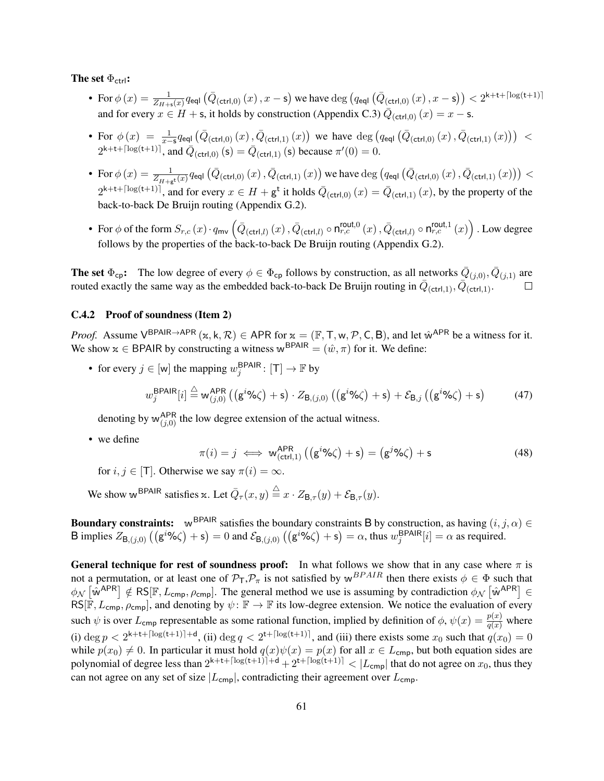#### The set  $\Phi_{\text{ctrl}}$ :

- For  $\phi(x) = \frac{1}{Z_{H+\mathsf{s}}(x)} q_{\mathsf{eql}}\left(\bar{Q}_{(\mathsf{ctrl},0)}\left(x\right), x-\mathsf{s}\right)$  we have  $\deg\left(q_{\mathsf{eql}}\left(\bar{Q}_{(\mathsf{ctrl},0)}\left(x\right), x-\mathsf{s}\right)\right) < 2^{\mathsf{k+t} + \lceil \log(\mathsf{t}+1) \rceil}$ and for every  $x \in H + s$ , it holds by construction (Appendix [C.3\)](#page-55-0)  $\overline{Q}_{(ctrl,0)}(x) = x - s$ .
- For  $\phi(x) = \frac{1}{x-s} q_{\text{eql}} \left( \bar{Q}_{(\text{ctrl},0)}(x), \bar{Q}_{(\text{ctrl},1)}(x) \right)$  we have deg  $\left( q_{\text{eql}} \left( \bar{Q}_{(\text{ctrl},0)}(x), \bar{Q}_{(\text{ctrl},1)}(x) \right) \right)$  <  $2^{k+t+\lceil \log(t+1) \rceil}$ , and  $\bar{Q}_{(ctrl,0)}(s) = \bar{Q}_{(ctrl,1)}(s)$  because  $\pi'(0) = 0$ .
- For  $\phi\left(x\right)=\frac{1}{Z_{H+\texttt{g}^\texttt{t}}(x)}q_\texttt{eql}\left(\bar{Q}_{(\texttt{ctrl},0)}\left(x\right),\bar{Q}_{(\texttt{ctrl},1)}\left(x\right)\right)$  we have  $\deg\left(q_\texttt{eql}\left(\bar{Q}_{(\texttt{ctrl},0)}\left(x\right),\bar{Q}_{(\texttt{ctrl},1)}\left(x\right)\right)\right)<$  $2^{k+t+\lceil \log(t+1) \rceil}$ , and for every  $x \in H + g^t$  it holds  $\overline{Q}_{(\text{ctrl},0)}(x) = \overline{Q}_{(\text{ctrl},1)}(x)$ , by the property of the back-to-back De Bruijn routing (Appendix [G.2\)](#page-80-1).
- For  $\phi$  of the form  $S_{r,c}(x) \cdot q_{\text{mv}}\left(\bar{Q}_{(\text{ctrl},l)}(x), \bar{Q}_{(\text{ctrl},l)} \circ \mathsf{n}_{r,c}^{\text{rout},0}(x), \bar{Q}_{(\text{ctrl},l)} \circ \mathsf{n}_{r,c}^{\text{rout},1}(x)\right)$ . Low degree follows by the properties of the back-to-back De Bruijn routing (Appendix [G.2\)](#page-80-1).

**The set**  $\Phi_{\text{cp}}$ : The low degree of every  $\phi \in \Phi_{\text{cp}}$  follows by construction, as all networks  $\bar{Q}_{(j,0)}, \bar{Q}_{(j,1)}$  are routed exactly the same way as the embedded back-to-back De Bruijn routing in  $\bar{Q}_{(ctrl,1)}, \bar{Q}_{(ctrl,1)}$ .  $\Box$ 

#### <span id="page-60-3"></span>C.4.2 Proof of soundness (Item [2\)](#page-40-9)

*Proof.* Assume  $V^{\text{BPAIR}\rightarrow\text{APR}}(x, k, \mathcal{R}) \in \text{APR}$  for  $x = (\mathbb{F}, \mathsf{T}, w, \mathcal{P}, \mathsf{C}, \mathsf{B})$ , and let  $\hat{w}^{\text{APR}}$  be a witness for it. We show  $x \in \text{BPAIR}$  by constructing a witness  $w^{\text{BPAIR}} = (\hat{w}, \pi)$  for it. We define:

• for every  $j \in [w]$  the mapping  $w_j^{\text{BPAIR}} : [T] \to \mathbb{F}$  by

<span id="page-60-2"></span>
$$
w_j^{\text{BPAIR}}[i] \stackrel{\triangle}{=} \mathsf{w}_{(j,0)}^{\text{APR}}\left( \left( \mathsf{g}^{i\mathsf{O}}\!\mathsf{s}\zeta \right) + \mathsf{s} \right) \cdot Z_{\mathsf{B},(j,0)}\left( \left( \mathsf{g}^{i\mathsf{O}}\!\mathsf{s}\zeta \right) + \mathsf{s} \right) + \mathcal{E}_{\mathsf{B},j}\left( \left( \mathsf{g}^{i\mathsf{O}}\!\mathsf{s}\zeta \right) + \mathsf{s} \right) \tag{47}
$$

denoting by  $w_{(j,0)}^{APR}$  the low degree extension of the actual witness.

• we define

<span id="page-60-1"></span>
$$
\pi(i) = j \iff \mathbf{w}_{(\text{ctrl}, 1)}^{\text{APR}} \left( \left( \mathbf{g}^i \% \zeta \right) + \mathbf{s} \right) = \left( \mathbf{g}^j \% \zeta \right) + \mathbf{s} \tag{48}
$$

for  $i, j \in [T]$ . Otherwise we say  $\pi(i) = \infty$ .

We show w<sup>BPAIR</sup> satisfies x. Let  $\overline{Q}_{\tau}(x, y) \stackrel{\triangle}{=} x \cdot Z_{\mathsf{B}, \tau}(y) + \mathcal{E}_{\mathsf{B}, \tau}(y)$ .

Boundary constraints: w<sup>BPAIR</sup> satisfies the boundary constraints B by construction, as having  $(i, j, \alpha) \in$ B implies  $Z_{\mathsf{B},(j,0)}\left( \left( \mathsf{g}^{i\%}\zeta \right) + \mathsf{s} \right) = 0$  and  $\mathcal{E}_{\mathsf{B},(j,0)}\left( \left( \mathsf{g}^{i\%}\zeta \right) + \mathsf{s} \right) = \alpha$ , thus  $w_j^{\mathsf{BPAIR}}[i] = \alpha$  as required.

<span id="page-60-0"></span>**General technique for rest of soundness proof:** In what follows we show that in any case where  $\pi$  is not a permutation, or at least one of  $\mathcal{P}_T, \mathcal{P}_T$  is not satisfied by  $w^{BPAIR}$  then there exists  $\phi \in \Phi$  such that  $\phi_{\mathcal{N}}\left[\hat{w}^{APR}\right] \notin \text{RS}[\mathbb{F}, L_{\text{cmp}}, \rho_{\text{cmp}}]$ . The general method we use is assuming by contradiction  $\phi_{\mathcal{N}}\left[\hat{w}^{APR}\right] \in$  $RS[\mathbb{F}, L_{cmp}, \rho_{cmp}]$ , and denoting by  $\psi \colon \mathbb{F} \to \mathbb{F}$  its low-degree extension. We notice the evaluation of every such  $\psi$  is over  $L_{\text{cmp}}$  representable as some rational function, implied by definition of  $\phi$ ,  $\psi(x) = \frac{p(x)}{q(x)}$  where (i)  $\deg p < 2^{k+t+\lceil \log(t+1) \rceil + d}$ , (ii)  $\deg q < 2^{t+\lceil \log(t+1) \rceil}$ , and (iii) there exists some  $x_0$  such that  $q(x_0) = 0$ while  $p(x_0) \neq 0$ . In particular it must hold  $q(x)\psi(x) = p(x)$  for all  $x \in L_{\text{cmp}}$ , but both equation sides are polynomial of degree less than  $2^{k+t+\lceil \log(t+1) \rceil+d}+2^{t+\lceil \log(t+1) \rceil} < |L_{\text{cmp}}|$  that do not agree on  $x_0$ , thus they can not agree on any set of size  $|L_{\text{cmp}}|$ , contradicting their agreement over  $L_{\text{cmp}}$ .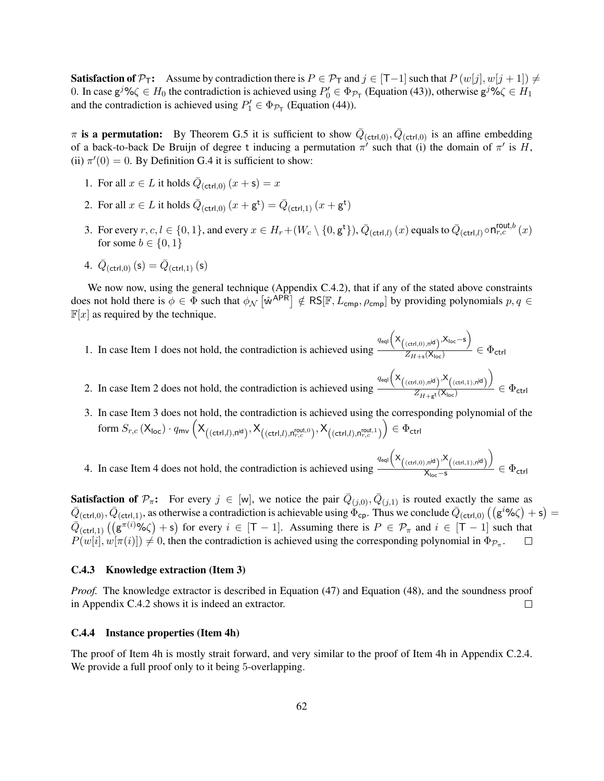**Satisfaction of**  $\mathcal{P}_\mathsf{T}$ **:** Assume by contradiction there is  $P \in \mathcal{P}_\mathsf{T}$  and  $j \in [\mathsf{T}-1]$  such that  $P(w[j], w[j+1]) \neq \emptyset$ 0. In case  $g^j\% \zeta \in H_0$  the contradiction is achieved using  $P'_0 \in \Phi_{\mathcal{P}_T}$  (Equation [\(43\)](#page-59-0)), otherwise  $g^j\% \zeta \in H_1$ and the contradiction is achieved using  $P'_1 \in \Phi_{\mathcal{P}_T}$  (Equation [\(44\)](#page-59-1)).

 $\pi$  is a permutation: By Theorem [G.5](#page-82-0) it is sufficient to show  $\bar{Q}_{(ctrl,0)}, \bar{Q}_{(ctrl,0)}$  is an affine embedding of a back-to-back De Bruijn of degree t inducing a permutation  $\pi'$  such that (i) the domain of  $\pi'$  is H, (ii)  $\pi'(0) = 0$ . By Definition [G.4](#page-80-2) it is sufficient to show:

- <span id="page-61-0"></span>1. For all  $x \in L$  it holds  $\overline{Q}_{(ctrl,0)}(x + s) = x$
- <span id="page-61-1"></span>2. For all  $x \in L$  it holds  $\overline{Q}_{(\text{ctrl},0)}(x + \mathsf{g}^{\mathsf{t}}) = \overline{Q}_{(\text{ctrl},1)}(x + \mathsf{g}^{\mathsf{t}})$
- <span id="page-61-2"></span>3. For every  $r, c, l \in \{0, 1\}$ , and every  $x \in H_r + (W_c \setminus \{0, \mathsf{g}^{\mathsf{t}}\}), \bar{Q}_{(\mathsf{ctrl}, l)}(x)$  equals to  $\bar{Q}_{(\mathsf{ctrl}, l)} \circ \mathsf{n}_{r,c}^{\mathsf{rout}, b}(x)$ for some  $b \in \{0, 1\}$
- <span id="page-61-3"></span>4.  $\bar{Q}_{\left(\text{ctrl},0\right)}\left(\mathsf{s}\right) = \bar{Q}_{\left(\text{ctrl},1\right)}\left(\mathsf{s}\right)$

We now now, using the general technique (Appendix [C.4.2\)](#page-60-0), that if any of the stated above constraints does not hold there is  $\phi \in \Phi$  such that  $\phi_{\mathcal{N}}[\hat{w}^{APR}] \notin \text{RS}[\mathbb{F}, L_{\text{cmp}}, \rho_{\text{cmp}}]$  by providing polynomials  $p, q \in$  $\mathbb{F}[x]$  as required by the technique.

#### 1. In case Item [1](#page-61-0) does not hold, the contradiction is achieved using  $q_{\mathsf{eql}}\left(\mathsf{X}_{\left((\mathsf{ctrl},0), \mathsf{n} \mathsf{id}\right)}, \mathsf{X}_{\mathsf{loc}}-\mathsf{s}\right)$  $\frac{Z_{H+s}(X_{loc})}{Z_{H+s}(X_{loc})} \in \Phi_{ctrl}$

- 2. In case Item [2](#page-61-1) does not hold, the contradiction is achieved using  $q_{\mathsf{eql}}\Big(\mathsf{X}_{\big((\mathsf{ctrl},0),\mathsf{n}^\mathsf{id}\big)},\mathsf{X}_{\big((\mathsf{ctrl},1),\mathsf{n}^\mathsf{id}\big)}$  $\setminus$  $\frac{Z_{H+{\rm g}^{\rm t}}(X_{\rm loc})}{Z_{H+{\rm g}^{\rm t}}(X_{\rm loc})} \in \Phi_{\textsf{ctrl}}$
- 3. In case Item [3](#page-61-2) does not hold, the contradiction is achieved using the corresponding polynomial of the  $\mathrm{form} \ S_{r,c}\left( \mathsf{X}_{\mathsf{loc}} \right) \cdot q_{\mathsf{mv}}\left( \mathsf{X}_{\left( (\mathsf{ctrl}, l), \mathsf{n}^{\mathsf{id}} \right)}, \mathsf{X}_{\left( (\mathsf{ctrl}, l), \mathsf{n}^{\mathsf{rout}, 0}_{{r}, c} \right)}, \mathsf{X}_{\left( (\mathsf{ctrl}, l), \mathsf{n}^{\mathsf{rout}, 1}_{{r}, c} \right)} \right)$  $\big) \in \Phi_{\mathsf{ctrl}}$
- 4. In case Item [4](#page-61-3) does not hold, the contradiction is achieved using  $q_{\mathsf{eql}}\Big(\mathsf{X}_{\big((\mathsf{ctrl},0),\mathsf{n}\mathsf{id}\big)},\mathsf{X}_{\big((\mathsf{ctrl},1),\mathsf{n}\mathsf{id}\big)}$  $\setminus$  $\frac{\overline{X}_{\text{loc}} - s}{\overline{X}_{\text{loc}} - s} \in \Phi_{\text{ctrl}}$

**Satisfaction of**  $\mathcal{P}_{\pi}$ : For every  $j \in [w]$ , we notice the pair  $\overline{Q}_{(j,0)}, \overline{Q}_{(j,1)}$  is routed exactly the same as  $\bar{Q}_{(ctrl,0)}, \bar{Q}_{(ctrl,1)},$  as otherwise a contradiction is achievable using  $\bar{\Phi}_{cp}$ . Thus we conclude  $\bar{Q}_{(ctrl,0)}((g^i\% \zeta) + s) =$  $\overline{Q}_{(ctrl,1)}((g^{\pi(i)}\% \zeta) + s)$  for every  $i \in [T-1]$ . Assuming there is  $P \in \mathcal{P}_{\pi}$  and  $i \in [T-1]$  such that  $P(w[i], w[\pi(i)]) \neq 0$ , then the contradiction is achieved using the corresponding polynomial in  $\Phi_{\mathcal{P}_{\pi}}$ .

## C.4.3 Knowledge extraction (Item [3\)](#page-41-0)

*Proof.* The knowledge extractor is described in Equation [\(47\)](#page-60-1) and Equation [\(48\)](#page-60-2), and the soundness proof in Appendix [C.4.2](#page-60-3) shows it is indeed an extractor.  $\Box$ 

# C.4.4 Instance properties (Item [4h\)](#page-41-1)

The proof of Item [4h](#page-41-1) is mostly strait forward, and very similar to the proof of Item [4h](#page-40-4) in Appendix [C.2.4.](#page-54-0) We provide a full proof only to it being 5-overlapping.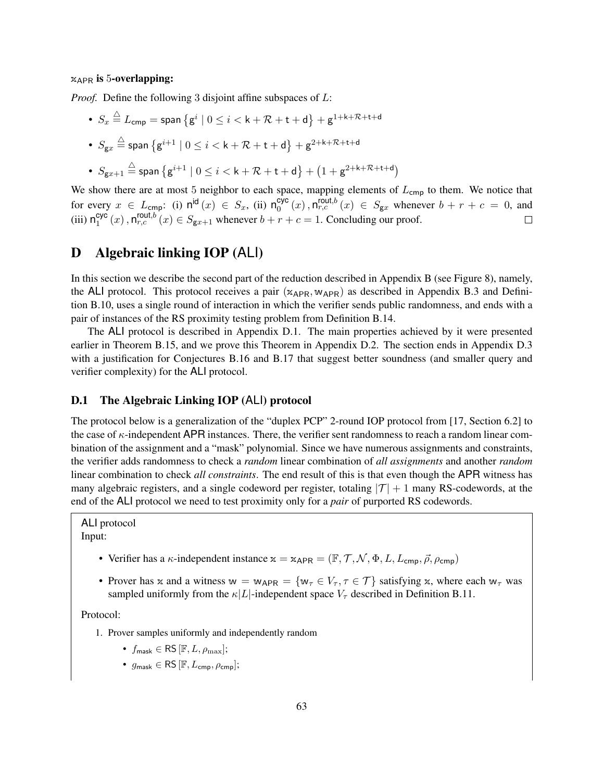## $x<sub>APR</sub>$  is 5-overlapping:

*Proof.* Define the following 3 disjoint affine subspaces of L:

- $\bullet \ \ S_x \stackrel{\triangle}{=} L_{\mathsf{cmp}} = {\mathsf{span}}\left\{{\mathsf{g}}^i\mid 0 \leq i < \mathsf{k} + \mathcal{R} + \mathsf{t} + \mathsf{d}\right\} + {\mathsf{g}}^{1+\mathsf{k}+\mathcal{R}+\mathsf{t}+\mathsf{d}}$ •  $S_{\mathsf{g}x} \stackrel{\triangle}{=}$  span  $\big\{\mathsf{g}^{i+1} \mid 0 \leq i < \mathsf{k} + \mathcal{R} + \mathsf{t} + \mathsf{d}\big\} + \mathsf{g}^{2+\mathsf{k}+\mathcal{R}+\mathsf{t}+\mathsf{d}}$
- $S_{\mathbf{g}x+1} \stackrel{\triangle}{=}$  span  $\left\{ \mathsf{g}^{i+1} \mid 0 \leq i < \mathsf{k} + \mathcal{R} + \mathsf{t} + \mathsf{d} \right\} + \left( 1 + \mathsf{g}^{2+\mathsf{k}+\mathcal{R}+\mathsf{t}+\mathsf{d}} \right)$

We show there are at most 5 neighbor to each space, mapping elements of  $L_{\text{cmp}}$  to them. We notice that for every  $x \in L_{\text{cmp}}$ : (i)  $n^{\text{id}}(x) \in S_x$ , (ii)  $n_0^{\text{cyc}}$  $_0^{\text{cyc}}(x)$ ,  $n_{r,c}^{\text{rout},b}(x) \in S_{gx}$  whenever  $b + r + c = 0$ , and  $(iii)$  n<sup>cyc</sup>  $I_1^{\text{cyc}}(x)$ ,  $n_{r,c}^{\text{rout},b}(x) \in S_{\mathbf{g}x+1}$  whenever  $b+r+c=1$ . Concluding our proof. П

# D Algebraic linking IOP (ALI)

In this section we describe the second part of the reduction described in Appendix [B](#page-32-0) (see Figure [8\)](#page-32-1), namely, the ALI protocol. This protocol receives a pair  $(x_{APR}, w_{APR})$  as described in Appendix [B.3](#page-38-0) and Definition [B.10,](#page-38-1) uses a single round of interaction in which the verifier sends public randomness, and ends with a pair of instances of the RS proximity testing problem from Definition [B.14.](#page-41-2)

The ALI protocol is described in Appendix [D.1.](#page-62-0) The main properties achieved by it were presented earlier in Theorem [B.15,](#page-42-7) and we prove this Theorem in Appendix [D.2.](#page-63-1) The section ends in Appendix [D.3](#page-69-0) with a justification for Conjectures [B.16](#page-43-1) and [B.17](#page-43-0) that suggest better soundness (and smaller query and verifier complexity) for the ALI protocol.

## <span id="page-62-0"></span>D.1 The Algebraic Linking IOP (ALI) protocol

The protocol below is a generalization of the "duplex PCP" 2-round IOP protocol from [\[17,](#page-24-4) Section 6.2] to the case of  $\kappa$ -independent APR instances. There, the verifier sent randomness to reach a random linear combination of the assignment and a "mask" polynomial. Since we have numerous assignments and constraints, the verifier adds randomness to check a *random* linear combination of *all assignments* and another *random* linear combination to check *all constraints*. The end result of this is that even though the APR witness has many algebraic registers, and a single codeword per register, totaling  $|\mathcal{T}| + 1$  many RS-codewords, at the end of the ALI protocol we need to test proximity only for a *pair* of purported RS codewords.

# ALI protocol

Input:

- Verifier has a  $\kappa$ -independent instance  $x = x_{APR} = (\mathbb{F}, \mathcal{T}, \mathcal{N}, \Phi, L, L_{cmp}, \vec{\rho}, \rho_{cmp})$
- Prover has x and a witness  $w = w_{APR} = \{w_{\tau} \in V_{\tau}, \tau \in \mathcal{T}\}\$  satisfying x, where each  $w_{\tau}$  was sampled uniformly from the  $\kappa |L|$ -independent space  $V_{\tau}$  described in Definition [B.11.](#page-39-2)

<span id="page-62-1"></span>Protocol:

- 1. Prover samples uniformly and independently random
	- $f_{\text{mask}} \in \text{RS}[\mathbb{F}, L, \rho_{\text{max}}];$
	- $g_{\text{mask}} \in \text{RS}[\mathbb{F}, L_{\text{cmp}}, \rho_{\text{cmp}}];$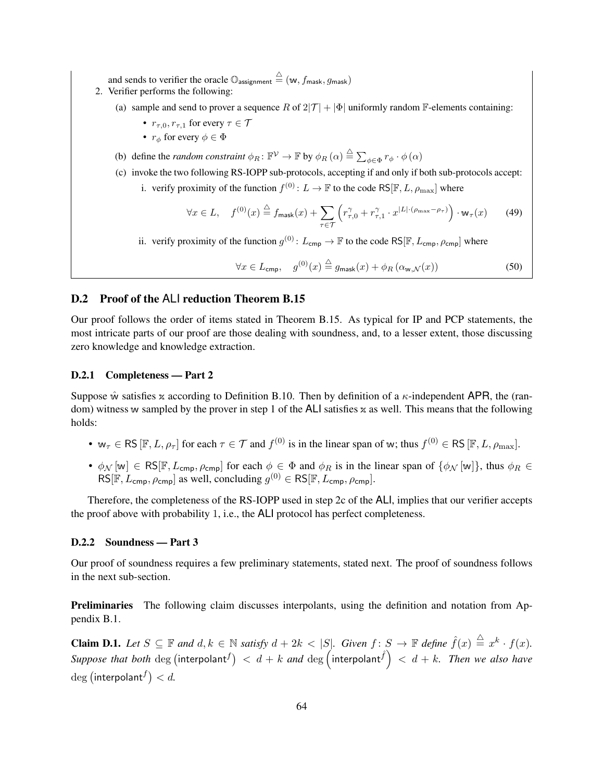and sends to verifier the oracle  $\mathbb{O}_{\text{assignment}} \stackrel{\triangle}{=} (w, f_{\text{mask}}, g_{\text{mask}})$ 

- <span id="page-63-3"></span><span id="page-63-0"></span>2. Verifier performs the following:
	- (a) sample and send to prover a sequence R of  $2|\mathcal{T}| + |\Phi|$  uniformly random F-elements containing:
		- $r_{\tau,0}, r_{\tau,1}$  for every  $\tau \in \mathcal{T}$
		- $r_{\phi}$  for every  $\phi \in \Phi$
	- (b) define the *random constraint*  $\phi_R \colon \mathbb{F}^{\mathcal{V}} \to \mathbb{F}$  by  $\phi_R(\alpha) \stackrel{\triangle}{=} \sum_{\phi \in \Phi} r_{\phi} \cdot \phi(\alpha)$
	- (c) invoke the two following RS-IOPP sub-protocols, accepting if and only if both sub-protocols accept:
		- i. verify proximity of the function  $f^{(0)}: L \to \mathbb{F}$  to the code RS[ $\mathbb{F}, L, \rho_{\max}$ ] where

$$
\forall x \in L, \quad f^{(0)}(x) \stackrel{\triangle}{=} f_{\text{mask}}(x) + \sum_{\tau \in \mathcal{T}} \left( r_{\tau,0}^{\gamma} + r_{\tau,1}^{\gamma} \cdot x^{|L| \cdot (\rho_{\text{max}} - \rho_{\tau})} \right) \cdot \mathbf{w}_{\tau}(x) \tag{49}
$$

<span id="page-63-6"></span><span id="page-63-5"></span><span id="page-63-4"></span>ii. verify proximity of the function  $g^{(0)}$ :  $L_{\text{cmp}} \to \mathbb{F}$  to the code RS[ $\mathbb{F}, L_{\text{cmp}}, \rho_{\text{cmp}}]$  where

<span id="page-63-7"></span>
$$
\forall x \in L_{\text{cmp}}, \quad g^{(0)}(x) \stackrel{\triangle}{=} g_{\text{mask}}(x) + \phi_R\left(\alpha_{\text{w},\mathcal{N}}(x)\right) \tag{50}
$$

# <span id="page-63-1"></span>D.2 Proof of the ALI reduction Theorem [B.15](#page-42-7)

Our proof follows the order of items stated in Theorem [B.15.](#page-42-7) As typical for IP and PCP statements, the most intricate parts of our proof are those dealing with soundness, and, to a lesser extent, those discussing zero knowledge and knowledge extraction.

# D.2.1 Completeness — Part [2](#page-42-9)

Suppose  $\hat{w}$  satisfies x according to Definition [B.10.](#page-38-1) Then by definition of a  $\kappa$ -independent APR, the (ran-dom) witness w sampled by the prover in step [1](#page-62-1) of the ALI satisfies  $x$  as well. This means that the following holds:

- $w_{\tau} \in \text{RS}[\mathbb{F}, L, \rho_{\tau}]$  for each  $\tau \in \mathcal{T}$  and  $f^{(0)}$  is in the linear span of w; thus  $f^{(0)} \in \text{RS}[\mathbb{F}, L, \rho_{\text{max}}]$ .
- $\phi_{\mathcal{N}}[w] \in \mathsf{RS}[\mathbb{F}, L_{\mathsf{cmp}}, \rho_{\mathsf{cmp}}]$  for each  $\phi \in \Phi$  and  $\phi_R$  is in the linear span of  $\{\phi_{\mathcal{N}}[w]\}$ , thus  $\phi_R \in$  $\mathsf{RS}[\mathbb{F}, L_{\mathsf{cmp}}, \rho_{\mathsf{cmp}}]$  as well, concluding  $g^{(0)} \in \mathsf{RS}[\mathbb{F}, L_{\mathsf{cmp}}, \rho_{\mathsf{cmp}}]$ .

Therefore, the completeness of the RS-IOPP used in step [2c](#page-63-0) of the ALI, implies that our verifier accepts the proof above with probability 1, i.e., the ALI protocol has perfect completeness.

# D.2.2 Soundness — Part [3](#page-42-5)

Our proof of soundness requires a few preliminary statements, stated next. The proof of soundness follows in the next sub-section.

Preliminaries The following claim discusses interpolants, using the definition and notation from Appendix [B.1.](#page-33-1)

<span id="page-63-2"></span>**Claim D.1.** Let  $S \subseteq \mathbb{F}$  and  $d, k \in \mathbb{N}$  satisfy  $d + 2k < |S|$ . Given  $f \colon S \to \mathbb{F}$  define  $\hat{f}(x) \stackrel{\triangle}{=} x^k \cdot f(x)$ .  $\emph{Suppose that both $\deg\big(\text{interpolant}^f\big)< d+k$ and $\deg\big(\text{interpolant}^{\hat{f}}\big)< d+k$. Then we also have$  $\deg$  (interpolant $^f$ )  $< d$ .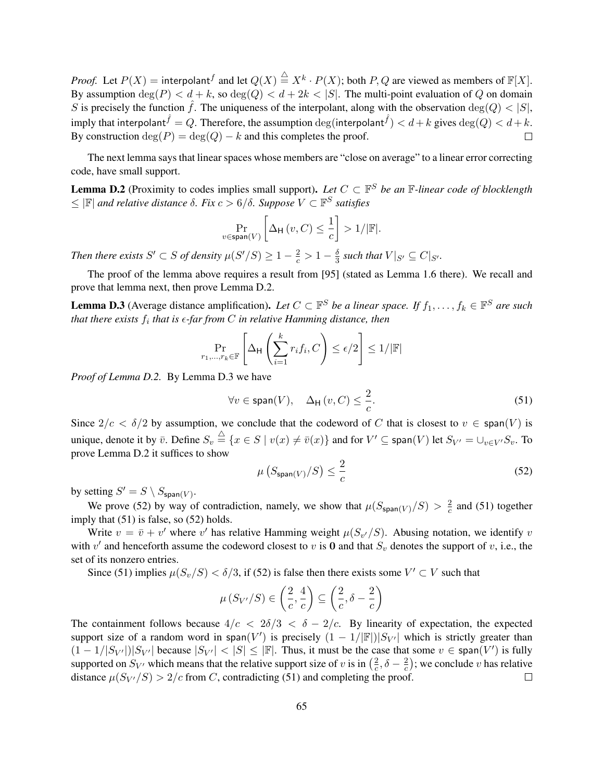*Proof.* Let  $P(X) =$  interpolant f and let  $Q(X) \stackrel{\triangle}{=} X^k \cdot P(X)$ ; both  $P, Q$  are viewed as members of  $\mathbb{F}[X]$ . By assumption  $\deg(P) < d + k$ , so  $\deg(Q) < d + 2k < |S|$ . The multi-point evaluation of Q on domain S is precisely the function  $\hat{f}$ . The uniqueness of the interpolant, along with the observation deg(Q) < |S|, imply that interpolant ${\hat f}=Q.$  Therefore, the assumption  $\deg(\mathsf{interpolant}^{\hat f}) < d+k$  gives  $\deg(Q) < d+k.$ By construction  $deg(P) = deg(Q) - k$  and this completes the proof.  $\Box$ 

The next lemma says that linear spaces whose members are "close on average" to a linear error correcting code, have small support.

<span id="page-64-0"></span>**Lemma D.2** (Proximity to codes implies small support). Let  $C \subset \mathbb{F}^S$  be an  $\mathbb{F}$ -linear code of blocklength  $\leq$  | $\mathbb{F}$ | and relative distance  $\delta$ . Fix  $c > 6/\delta$ . Suppose  $V \subset \mathbb{F}^S$  satisfies

$$
\Pr_{v \in \text{span}(V)} \left[ \Delta_{\mathsf{H}} \left( v, C \right) \le \frac{1}{c} \right] > 1/|\mathbb{F}|.
$$

*Then there exists*  $S' \subset S$  *of density*  $\mu(S'/S) \geq 1 - \frac{2}{c} > 1 - \frac{\delta}{3}$  $\frac{\delta}{3}$  such that  $V|_{S'} \subseteq C|_{S'}$ .

The proof of the lemma above requires a result from [\[95\]](#page-28-2) (stated as Lemma 1.6 there). We recall and prove that lemma next, then prove Lemma [D.2.](#page-64-0)

<span id="page-64-1"></span>**Lemma D.3** (Average distance amplification). Let  $C \subset \mathbb{F}^S$  be a linear space. If  $f_1, \ldots, f_k \in \mathbb{F}^S$  are such that there exists  $f_i$  that is  $\epsilon\text{-}$  *far from*  $C$  *in relative Hamming distance, then* 

$$
\Pr_{r_1,\ldots,r_k\in\mathbb{F}}\left[\Delta_{\mathsf{H}}\left(\sum_{i=1}^kr_if_i,C\right)\leq\epsilon/2\right]\leq1/|\mathbb{F}|
$$

*Proof of Lemma [D.2.](#page-64-0)* By Lemma [D.3](#page-64-1) we have

<span id="page-64-3"></span>
$$
\forall v \in \text{span}(V), \quad \Delta_{\mathsf{H}}(v, C) \le \frac{2}{c}.\tag{51}
$$

Since  $2/c < \delta/2$  by assumption, we conclude that the codeword of C that is closest to  $v \in span(V)$  is unique, denote it by  $\bar{v}$ . Define  $S_v \stackrel{\triangle}{=} \{x \in S \mid v(x) \neq \bar{v}(x)\}$  and for  $V' \subseteq \textsf{span}(V)$  let  $S_{V'} = \cup_{v \in V'} S_v$ . To prove Lemma [D.2](#page-64-0) it suffices to show

<span id="page-64-2"></span>
$$
\mu\left(S_{\text{span}(V)}/S\right) \le \frac{2}{c} \tag{52}
$$

by setting  $S' = S \setminus S_{\text{span}(V)}$ .

We prove [\(52\)](#page-64-2) by way of contradiction, namely, we show that  $\mu(S_{\text{span}(V)}/S) > \frac{2}{c}$  $\frac{2}{c}$  and [\(51\)](#page-64-3) together imply that [\(51\)](#page-64-3) is false, so [\(52\)](#page-64-2) holds.

Write  $v = \bar{v} + v'$  where v' has relative Hamming weight  $\mu(S_{v'}/S)$ . Abusing notation, we identify v with  $v'$  and henceforth assume the codeword closest to v is 0 and that  $S_v$  denotes the support of v, i.e., the set of its nonzero entries.

Since [\(51\)](#page-64-3) implies  $\mu(S_v/S) < \delta/3$ , if [\(52\)](#page-64-2) is false then there exists some  $V' \subset V$  such that

$$
\mu\left(S_{V'}/S\right) \in \left(\frac{2}{c}, \frac{4}{c}\right) \subseteq \left(\frac{2}{c}, \delta - \frac{2}{c}\right)
$$

The containment follows because  $4/c < 2\delta/3 < \delta - 2/c$ . By linearity of expectation, the expected support size of a random word in span $(V')$  is precisely  $(1 - 1/|\mathbb{F}|)|S_{V'}|$  which is strictly greater than  $(1 - 1/|S_{V'}|)|S_{V'}|$  because  $|S_{V'}| < |S| \leq |\mathbb{F}|$ . Thus, it must be the case that some  $v \in \text{span}(V')$  is fully supported on  $S_{V'}$  which means that the relative support size of v is in  $\left(\frac{2}{c}\right)$  $\frac{2}{c}, \delta - \frac{2}{c}$  $(\frac{2}{c})$ ; we conclude v has relative distance  $\mu(S_V/S) > 2/c$  from C, contradicting [\(51\)](#page-64-3) and completing the proof.  $\Box$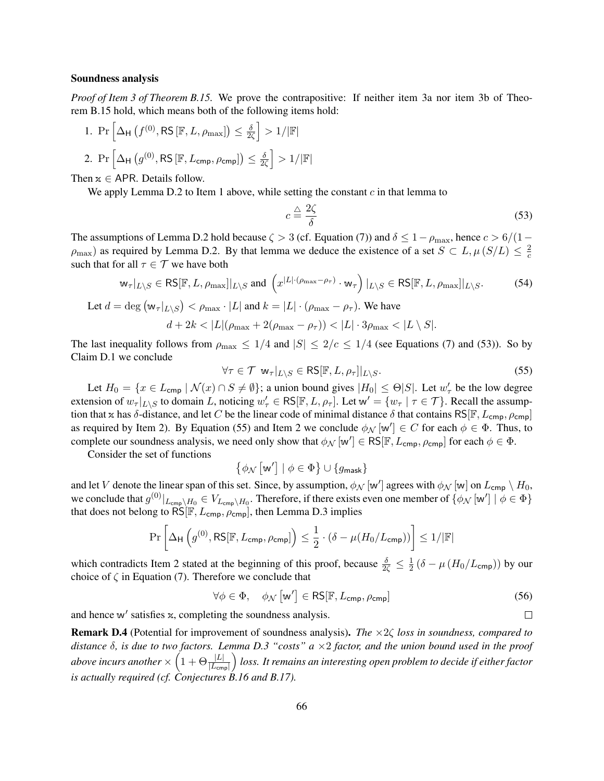#### Soundness analysis

*Proof of Item [3](#page-42-5) of Theorem [B.15.](#page-42-7)* We prove the contrapositive: If neither item [3a](#page-42-0) nor item [3b](#page-42-1) of Theorem [B.15](#page-42-7) hold, which means both of the following items hold:

<span id="page-65-3"></span><span id="page-65-0"></span>1. Pr  $\left[\Delta_{\mathsf{H}}\left(f^{(0)},\mathsf{RS}\left[\mathbb{F},L,\rho_{\mathrm{max}}\right]\right)\leq \frac{\delta}{2d}$  $\left\lfloor\frac{\delta}{2\zeta}\right\rfloor > 1/|\mathbb{F}|$ 2. Pr  $\left[\Delta_{\mathsf{H}}\left(g^{(0)},\mathsf{RS}\left[\mathbb{F},L_{\mathsf{cmp}},\rho_{\mathsf{cmp}}\right]\right)\leq \frac{\delta}{2d}$  $\left\lfloor\frac{\delta}{2\zeta}\right\rfloor > 1/|\mathbb{F}|$ 

Then  $x \in APR$ . Details follow.

We apply Lemma [D.2](#page-64-0) to Item [1](#page-65-0) above, while setting the constant  $c$  in that lemma to

<span id="page-65-1"></span>
$$
c \stackrel{\triangle}{=} \frac{2\zeta}{\delta} \tag{53}
$$

The assumptions of Lemma [D.2](#page-64-0) hold because  $\zeta > 3$  (cf. Equation [\(7\)](#page-42-6)) and  $\delta \leq 1-\rho_{\text{max}}$ , hence  $c > 6/(1-\rho_{\text{max}})$  $\rho_{\text{max}}$ ) as required by Lemma [D.2.](#page-64-0) By that lemma we deduce the existence of a set  $S \subset L$ ,  $\mu(S/L) \leq \frac{2}{c}$ c such that for all  $\tau \in \mathcal{T}$  we have both

 $\overline{\phantom{a}}$ 

$$
\mathbf{w}_{\tau}|_{L\setminus S} \in \mathsf{RS}[\mathbb{F}, L, \rho_{\max}]|_{L\setminus S} \text{ and } \left(x^{|L|\cdot(\rho_{\max}-\rho_{\tau})} \cdot \mathbf{w}_{\tau}\right)|_{L\setminus S} \in \mathsf{RS}[\mathbb{F}, L, \rho_{\max}]|_{L\setminus S}. \tag{54}
$$

Let 
$$
d = \deg (\mathbf{w}_{\tau}|_{L \setminus S}) < \rho_{\max} \cdot |L|
$$
 and  $k = |L| \cdot (\rho_{\max} - \rho_{\tau})$ . We have  
\n
$$
d + 2k < |L|(\rho_{\max} + 2(\rho_{\max} - \rho_{\tau})) < |L| \cdot 3\rho_{\max} < |L \setminus S|.
$$

The last inequality follows from  $\rho_{\text{max}} \leq 1/4$  and  $|S| \leq 2/c \leq 1/4$  (see Equations [\(7\)](#page-42-6) and [\(53\)](#page-65-1)). So by Claim [D.1](#page-63-2) we conclude

<span id="page-65-2"></span>
$$
\forall \tau \in \mathcal{T} \ \mathbf{w}_{\tau} |_{L \setminus S} \in \mathsf{RS}[\mathbb{F}, L, \rho_{\tau}]|_{L \setminus S}.
$$

Let  $H_0 = \{x \in L_{\text{cmp}} \mid \mathcal{N}(x) \cap S \neq \emptyset\}$ ; a union bound gives  $|H_0| \leq \Theta |S|$ . Let  $w'_\tau$  be the low degree extension of  $w_{\tau}|_{L\setminus S}$  to domain L, noticing  $w_{\tau}' \in \mathsf{RS}[\mathbb{F}, L, \rho_{\tau}]$ . Let  $w' = \{w_{\tau} \mid \tau \in \mathcal{T}\}\)$ . Recall the assumption that x has δ-distance, and let C be the linear code of minimal distance δ that contains RS[F,  $L_{\text{cmp}}$ ,  $\rho_{\text{cmp}}$ ] as required by Item [2\)](#page-39-1). By Equation [\(55\)](#page-65-2) and Item [2](#page-39-1) we conclude  $\phi_N[w'] \in C$  for each  $\phi \in \Phi$ . Thus, to complete our soundness analysis, we need only show that  $\phi_N$   $[w'] \in RS[\mathbb{F}, L_{cmp}, \rho_{cmp}]$  for each  $\phi \in \Phi$ .

Consider the set of functions

$$
\left\{\phi_{\mathcal{N}}\left[\mathbf{w}'\right]\mid\phi\in\Phi\right\}\cup\left\{g_{\mathsf{mask}}\right\}
$$

and let V denote the linear span of this set. Since, by assumption,  $\phi_N$  [w'] agrees with  $\phi_N$  [w] on  $L_{\text{cmp}} \setminus H_0$ , we conclude that  $g^{(0)}|_{L_{\text{cmp}}\setminus H_0} \in V_{L_{\text{cmp}}\setminus H_0}$ . Therefore, if there exists even one member of  $\{\phi_{\mathcal{N}}[w'] \mid \phi \in \Phi\}$ that does not belong to  $\mathsf{RS}[\mathbb{F}, L_{\mathsf{cmp}}, \rho_{\mathsf{cmp}}]$ , then Lemma [D.3](#page-64-1) implies

$$
\Pr\left[\Delta_{\mathsf{H}}\left(g^{(0)},\mathsf{RS}[\mathbb{F},L_{\mathsf{cmp}},\rho_{\mathsf{cmp}}]\right)\leq \frac{1}{2}\cdot(\delta-\mu(H_0/L_{\mathsf{cmp}}))\right]\leq 1/|\mathbb{F}|
$$

which contradicts Item [2](#page-65-3) stated at the beginning of this proof, because  $\frac{\delta}{2\zeta} \leq \frac{1}{2}$  $\frac{1}{2}$   $(\delta - \mu \left( H_0/L_{\text{cmp}} \right))$  by our choice of  $\zeta$  in Equation [\(7\)](#page-42-6). Therefore we conclude that

$$
\forall \phi \in \Phi, \quad \phi_{\mathcal{N}} \left[ \mathbf{w}' \right] \in \mathsf{RS}[\mathbb{F}, L_{\mathsf{cmp}}, \rho_{\mathsf{cmp}}] \tag{56}
$$

and hence w' satisfies x, completing the soundness analysis.

Remark D.4 (Potential for improvement of soundness analysis). *The* ×2ζ *loss in soundness, compared to distance* δ*, is due to two factors. Lemma [D.3](#page-64-1) "costs" a* ×2 *factor, and the union bound used in the proof* above incurs another  $\times\left(1+\Theta\frac{|L|}{|L_{\mathsf{cmp}}|}\right)$  *loss. It remains an interesting open problem to decide if either factor is actually required (cf. Conjectures [B.16](#page-43-1) and [B.17\)](#page-43-0).*

 $\Box$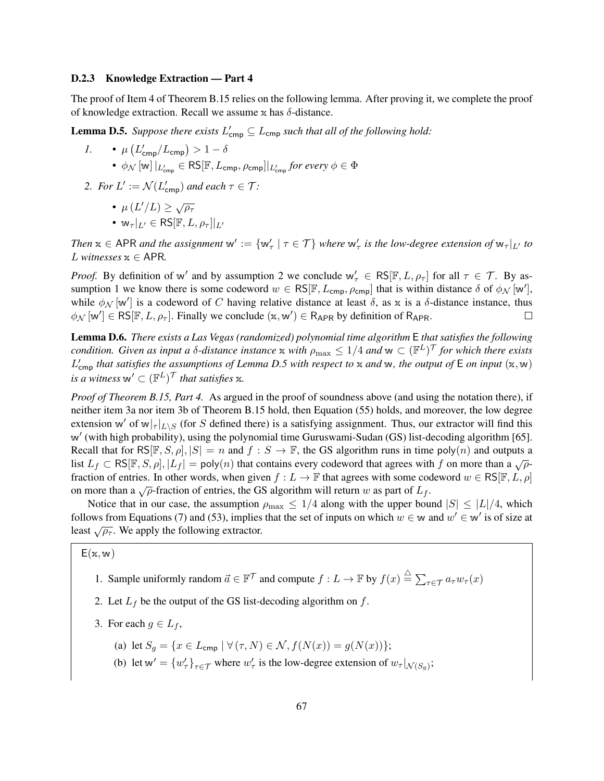#### D.2.3 Knowledge Extraction — Part [4](#page-42-10)

The proof of Item [4](#page-42-10) of Theorem [B.15](#page-42-7) relies on the following lemma. After proving it, we complete the proof of knowledge extraction. Recall we assume  $x$  has  $\delta$ -distance.

<span id="page-66-2"></span>**Lemma D.5.** Suppose there exists  $L'_{\text{cmp}} \subseteq L_{\text{cmp}}$  such that all of the following hold:

<span id="page-66-1"></span>1. 
$$
\bullet \mu (L'_{\text{cmp}}/L_{\text{cmp}}) > 1 - \delta
$$
  
\n $\bullet \phi_{\mathcal{N}} [\mathbf{w}] |_{L'_{\text{cmp}}} \in \text{RS}[\mathbb{F}, L_{\text{cmp}}, \rho_{\text{cmp}}] |_{L'_{\text{cmp}}} \text{ for every } \phi \in \Phi$ 

<span id="page-66-0"></span>2. For 
$$
L' := \mathcal{N}(L'_{\text{cmp}})
$$
 and each  $\tau \in \mathcal{T}$ :

• 
$$
\mu(L'/L) \geq \sqrt{\rho_{\tau}}
$$

• 
$$
w_{\tau}|_{L'} \in \text{RS}[\mathbb{F}, L, \rho_{\tau}]|_{L'}
$$

Then  $x \in$  APR *and the assignment*  $w' := \{w'_\tau \mid \tau \in \mathcal{T}\}\$  *where*  $w'_\tau$  *is the low-degree extension of*  $w_\tau|_{L'}$  *to*  $L$  *witnesses*  $x$  ∈ APR.

*Proof.* By definition of w' and by assumption [2](#page-66-0) we conclude  $w'_\tau \in \mathsf{RS}[\mathbb{F}, L, \rho_\tau]$  for all  $\tau \in \mathcal{T}$ . By as-sumption [1](#page-66-1) we know there is some codeword  $w \in \mathsf{RS}[\mathbb{F}, L_{\mathsf{cmp}}, \rho_{\mathsf{cmp}}]$  that is within distance  $\delta$  of  $\phi_{\mathcal{N}}[w']$ , while  $\phi_N$  [w'] is a codeword of C having relative distance at least  $\delta$ , as x is a  $\delta$ -distance instance, thus  $\phi_{\mathcal{N}}[w'] \in \mathsf{RS}[\mathbb{F}, L, \rho_{\tau}]$ . Finally we conclude  $(x, w') \in \mathsf{R}_{\mathsf{APR}}$  by definition of  $\mathsf{R}_{\mathsf{APR}}$ .  $\Box$ 

<span id="page-66-3"></span>Lemma D.6. *There exists a Las Vegas (randomized) polynomial time algorithm* E *that satisfies the following condition. Given as input a δ-distance instance* x *with*  $\rho_{\max} \leq 1/4$  *and* w  $\subset (\mathbb{F}^L)^\mathcal{T}$  *for which there exists*  $L'_{\text{cmp}}$  that satisfies the assumptions of Lemma [D.5](#page-66-2) with respect to x and w, the output of  $E$  on input  $(x, w)$ *is a witness*  $w' \subset (\mathbb{F}^L)^\mathcal{T}$  *that satisfies* x.

*Proof of Theorem [B.15,](#page-42-7) Part [4.](#page-42-10)* As argued in the proof of soundness above (and using the notation there), if neither item [3a](#page-42-0) nor item [3b](#page-42-1) of Theorem [B.15](#page-42-7) hold, then Equation [\(55\)](#page-65-2) holds, and moreover, the low degree extension w' of w $\vert_{\tau}\vert_{L\setminus S}$  (for S defined there) is a satisfying assignment. Thus, our extractor will find this w' (with high probability), using the polynomial time Guruswami-Sudan (GS) list-decoding algorithm [\[65\]](#page-26-0). Recall that for  $RS[\mathbb{F}, S, \rho], |S| = n$  and  $f : S \to \mathbb{F}$ , the GS algorithm runs in time poly $(n)$  and outputs a list  $L_f \subset \text{RS}[\mathbb{F}, S, \rho], |L_f| = \text{poly}(n)$  that contains every codeword that agrees with f on more than a  $\sqrt{\rho}$ fraction of entries. In other words, when given  $f : L \to \mathbb{F}$  that agrees with some codeword  $w \in \mathsf{RS}[\mathbb{F}, L, \rho]$ on more than a  $\sqrt{\rho}$ -fraction of entries, the GS algorithm will return w as part of  $L_f$ .

Notice that in our case, the assumption  $\rho_{\text{max}} \leq 1/4$  along with the upper bound  $|S| \leq |L|/4$ , which follows from Equations [\(7\)](#page-42-6) and [\(53\)](#page-65-1), implies that the set of inputs on which  $w \in \mathbb{W}$  and  $w' \in \mathbb{W}'$  is of size at least  $\sqrt{\rho_{\tau}}$ . We apply the following extractor.

 $E(x, w)$ 

- 1. Sample uniformly random  $\vec{a} \in \mathbb{F}^{\mathcal{T}}$  and compute  $f : L \to \mathbb{F}$  by  $f(x) \stackrel{\triangle}{=} \sum_{\tau \in \mathcal{T}} a_{\tau} w_{\tau}(x)$
- 2. Let  $L_f$  be the output of the GS list-decoding algorithm on f.
- 3. For each  $g \in L_f$ ,
	- (a) let  $S_g = \{x \in L_{\text{cmp}} \mid \forall (\tau, N) \in \mathcal{N}, f(N(x)) = g(N(x))\};$
	- (b) let  $w' = \{w'_{\tau}\}_{\tau \in \mathcal{T}}$  where  $w'_{\tau}$  is the low-degree extension of  $w_{\tau}|_{\mathcal{N}(S_g)}$ ;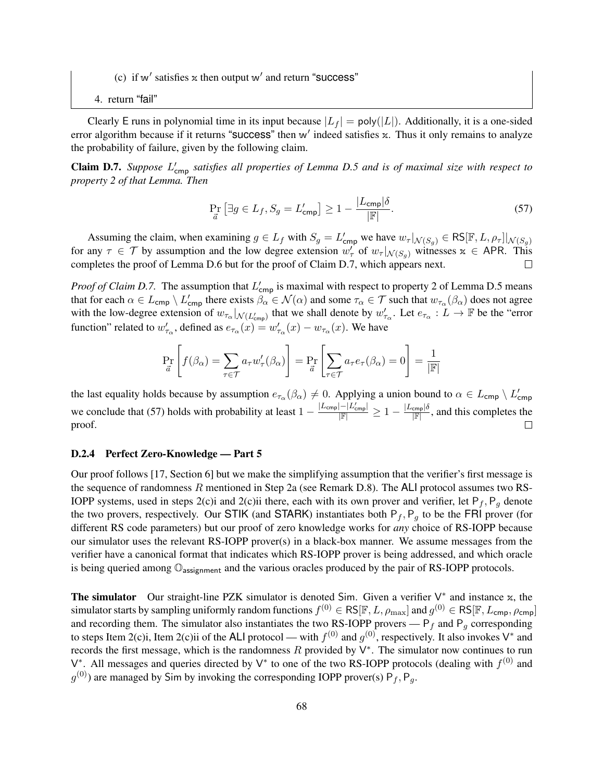(c) if  $w'$  satisfies  $x$  then output  $w'$  and return "success"

4. return "fail"

Clearly E runs in polynomial time in its input because  $|L_f| = \text{poly}(|L|)$ . Additionally, it is a one-sided error algorithm because if it returns "Success" then w' indeed satisfies x. Thus it only remains to analyze the probability of failure, given by the following claim.

<span id="page-67-0"></span>**Claim D.7.** Suppose  $L'_{\text{cmp}}$  satisfies all properties of Lemma [D.5](#page-66-2) and is of maximal size with respect to *property [2](#page-66-0) of that Lemma. Then*

<span id="page-67-1"></span>
$$
\Pr_{\vec{a}}\left[\exists g \in L_f, S_g = L'_{\text{cmp}}\right] \ge 1 - \frac{|L_{\text{cmp}}|\delta}{|\mathbb{F}|}. \tag{57}
$$

Assuming the claim, when examining  $g \in L_f$  with  $S_g = L'_{\text{cmp}}$  we have  $w_\tau |_{\mathcal{N}(S_g)} \in \text{RS}[\mathbb{F}, L, \rho_\tau] |_{\mathcal{N}(S_g)}$ for any  $\tau \in \mathcal{T}$  by assumption and the low degree extension  $w_{\tau}$  of  $w_{\tau}|_{\mathcal{N}(S_g)}$  witnesses  $x \in APR$ . This completes the proof of Lemma [D.6](#page-66-3) but for the proof of Claim [D.7,](#page-67-0) which appears next.  $\Box$ 

*Proof of Claim [D.7.](#page-67-0)* The assumption that  $L'_{\text{cmp}}$  is maximal with respect to property [2](#page-66-0) of Lemma [D.5](#page-66-2) means that for each  $\alpha \in L_{\text{cmp}} \setminus L'_{\text{cmp}}$  there exists  $\beta_{\alpha} \in \mathcal{N}(\alpha)$  and some  $\tau_{\alpha} \in \mathcal{T}$  such that  $w_{\tau_{\alpha}}(\beta_{\alpha})$  does not agree with the low-degree extension of  $w_{\tau_{\alpha}}|_{\mathcal{N}(L'_{\text{cmp}})}$  that we shall denote by  $w'_{\tau_{\alpha}}$ . Let  $e_{\tau_{\alpha}} : L \to \mathbb{F}$  be the "error" function" related to  $w'_{\tau_{\alpha}}$ , defined as  $e_{\tau_{\alpha}}(x) = w'_{\tau_{\alpha}}(x) - w_{\tau_{\alpha}}(x)$ . We have

$$
\Pr_{\vec{a}}\left[f(\beta_{\alpha}) = \sum_{\tau \in \mathcal{T}} a_{\tau} w_{\tau}'(\beta_{\alpha})\right] = \Pr_{\vec{a}}\left[\sum_{\tau \in \mathcal{T}} a_{\tau} e_{\tau}(\beta_{\alpha}) = 0\right] = \frac{1}{|\mathbb{F}|}
$$

the last equality holds because by assumption  $e_{\tau_\alpha}(\beta_\alpha) \neq 0$ . Applying a union bound to  $\alpha \in L_{\text{cmp}} \setminus L'_{\text{cmp}}$ we conclude that [\(57\)](#page-67-1) holds with probability at least  $1 - \frac{|L_{\text{cmp}}| - |L'_{\text{cmp}}|}{\sqrt{\mathbb{F}}}\geq 1 - \frac{|L_{\text{cmp}}|\delta}{\sqrt{\mathbb{F}}},$  and this completes the proof.  $\Box$ 

#### D.2.4 Perfect Zero-Knowledge — Part [5](#page-42-8)

Our proof follows [\[17,](#page-24-4) Section 6] but we make the simplifying assumption that the verifier's first message is the sequence of randomness  $R$  mentioned in Step [2a](#page-63-3) (see Remark [D.8\)](#page-69-1). The ALI protocol assumes two RS-IOPP systems, used in steps [2\(c\)i](#page-63-4) and [2\(c\)ii](#page-63-5) there, each with its own prover and verifier, let  $P_f$ ,  $P_g$  denote the two provers, respectively. Our STIK (and STARK) instantiates both  $P_f$ ,  $P_g$  to be the FRI prover (for different RS code parameters) but our proof of zero knowledge works for *any* choice of RS-IOPP because our simulator uses the relevant RS-IOPP prover(s) in a black-box manner. We assume messages from the verifier have a canonical format that indicates which RS-IOPP prover is being addressed, and which oracle is being queried among  $\mathbb{O}_{\text{assignment}}$  and the various oracles produced by the pair of RS-IOPP protocols.

The simulator Our straight-line PZK simulator is denoted Sim. Given a verifier  $V^*$  and instance x, the simulator starts by sampling uniformly random functions  $f^{(0)} \in \sf{RS}[\mathbb{F},L,\rho_{\max}]$  and  $g^{(0)} \in \sf{RS}[\mathbb{F},L_{\textsf{cmp}},\rho_{\textsf{cmp}}]$ and recording them. The simulator also instantiates the two RS-IOPP provers —  $P_f$  and  $P_g$  corresponding to steps Item [2\(c\)i,](#page-63-4) Item [2\(c\)ii](#page-63-5) of the ALI protocol — with  $f^{(0)}$  and  $g^{(0)}$ , respectively. It also invokes V<sup>\*</sup> and records the first message, which is the randomness R provided by  $V^*$ . The simulator now continues to run V<sup>\*</sup>. All messages and queries directed by V<sup>\*</sup> to one of the two RS-IOPP protocols (dealing with  $f^{(0)}$  and  $g^{(0)}$ ) are managed by Sim by invoking the corresponding IOPP prover(s)  $P_f$ ,  $P_g$ .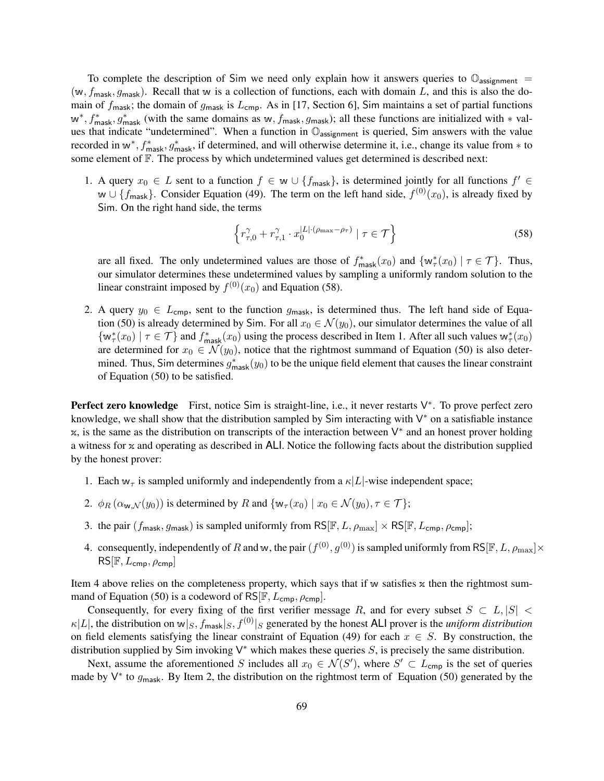To complete the description of Sim we need only explain how it answers queries to  $\mathbb{O}_{\text{assignment}} =$ (w,  $f_{\text{mask}}, g_{\text{mask}}$ ). Recall that w is a collection of functions, each with domain L, and this is also the domain of  $f_{\text{mask}}$ ; the domain of  $g_{\text{mask}}$  is  $L_{\text{cmp}}$ . As in [\[17,](#page-24-4) Section 6], Sim maintains a set of partial functions  $w^*$ ,  $f_{\text{mask}}^*$ ,  $g_{\text{mask}}^*$  (with the same domains as w,  $f_{\text{mask}}$ ,  $g_{\text{mask}}$ ); all these functions are initialized with  $*$  values that indicate "undetermined". When a function in  $\mathbb{O}_{\text{assignment}}$  is queried, Sim answers with the value recorded in w<sup>\*</sup>,  $f_{\text{mask}}^*$ ,  $g_{\text{mask}}^*$ , if determined, and will otherwise determine it, i.e., change its value from  $*$  to some element of  $F$ . The process by which undetermined values get determined is described next:

<span id="page-68-1"></span>1. A query  $x_0 \in L$  sent to a function  $f \in \mathbb{W} \cup \{f_{\text{mask}}\}$ , is determined jointly for all functions  $f' \in$ w ∪ { $f<sub>mask</sub>$ }. Consider Equation [\(49\)](#page-63-6). The term on the left hand side,  $f<sup>(0)</sup>(x<sub>0</sub>)$ , is already fixed by Sim. On the right hand side, the terms

<span id="page-68-0"></span>
$$
\left\{ r_{\tau,0}^{\gamma} + r_{\tau,1}^{\gamma} \cdot x_0^{|L|\cdot(\rho_{\max} - \rho_{\tau})} \mid \tau \in \mathcal{T} \right\}
$$
\n
$$
\tag{58}
$$

are all fixed. The only undetermined values are those of  $f_{\text{mask}}^*(x_0)$  and  $\{w_\tau^*(x_0) \mid \tau \in \mathcal{T}\}\$ . Thus, our simulator determines these undetermined values by sampling a uniformly random solution to the linear constraint imposed by  $f^{(0)}(x_0)$  and Equation [\(58\)](#page-68-0).

2. A query  $y_0 \in L_{\text{cmp}}$ , sent to the function  $g_{\text{mask}}$ , is determined thus. The left hand side of Equa-tion [\(50\)](#page-63-7) is already determined by Sim. For all  $x_0 \in \mathcal{N}(y_0)$ , our simulator determines the value of all  $\{w^*_\tau(x_0) \mid \tau \in \mathcal{T}\}\$  and  $f^*_{\text{mask}}(x_0)$  using the process described in Item [1.](#page-68-1) After all such values  $w^*_\tau(x_0)$ are determined for  $x_0 \in \mathcal{N}(y_0)$ , notice that the rightmost summand of Equation [\(50\)](#page-63-7) is also determined. Thus, Sim determines  $g_{\text{mask}}^*(y_0)$  to be the unique field element that causes the linear constraint of Equation [\(50\)](#page-63-7) to be satisfied.

Perfect zero knowledge First, notice Sim is straight-line, i.e., it never restarts V<sup>\*</sup>. To prove perfect zero knowledge, we shall show that the distribution sampled by  $Sim$  interacting with  $V^*$  on a satisfiable instance x, is the same as the distribution on transcripts of the interaction between V<sup>\*</sup> and an honest prover holding a witness for x and operating as described in ALI. Notice the following facts about the distribution supplied by the honest prover:

- 1. Each  $w_{\tau}$  is sampled uniformly and independently from a  $\kappa |L|$ -wise independent space;
- <span id="page-68-3"></span>2.  $\phi_R(\alpha_{\mathbf{w},\mathcal{N}}(y_0))$  is determined by R and  $\{\mathbf{w}_\tau(x_0) \mid x_0 \in \mathcal{N}(y_0), \tau \in \mathcal{T}\}\;;$
- <span id="page-68-4"></span>3. the pair  $(f_{\text{mask}}, g_{\text{mask}})$  is sampled uniformly from RS[F, L,  $\rho_{\text{max}} \times \text{RS}[\mathbb{F}, L_{\text{cmp}}, \rho_{\text{cmp}}]$ ;
- <span id="page-68-2"></span>4. consequently, independently of  $R$  and w, the pair  $(f^{(0)}, g^{(0)})$  is sampled uniformly from RS[F,  $L, \rho_{\max}]\times$  $RS[F, L_{cmp}, \rho_{cmp}]$

Item [4](#page-68-2) above relies on the completeness property, which says that if w satisfies  $x$  then the rightmost sum-mand of Equation [\(50\)](#page-63-7) is a codeword of RS $[F, L_{\text{cmp}}, \rho_{\text{cmp}}]$ .

Consequently, for every fixing of the first verifier message R, and for every subset  $S \subset L, |S|$  $\kappa |L|$ , the distribution on w $|S, f_{\text{mask}}|S, f^{(0)}|S$  generated by the honest ALI prover is the *uniform distribution* on field elements satisfying the linear constraint of Equation [\(49\)](#page-63-6) for each  $x \in S$ . By construction, the distribution supplied by Sim invoking  $V^*$  which makes these queries S, is precisely the same distribution.

Next, assume the aforementioned S includes all  $x_0 \in \mathcal{N}(S')$ , where  $S' \subset L_{\text{cmp}}$  is the set of queries made by  $V^*$  to  $g_{\text{mask}}$ . By Item [2,](#page-68-3) the distribution on the rightmost term of Equation [\(50\)](#page-63-7) generated by the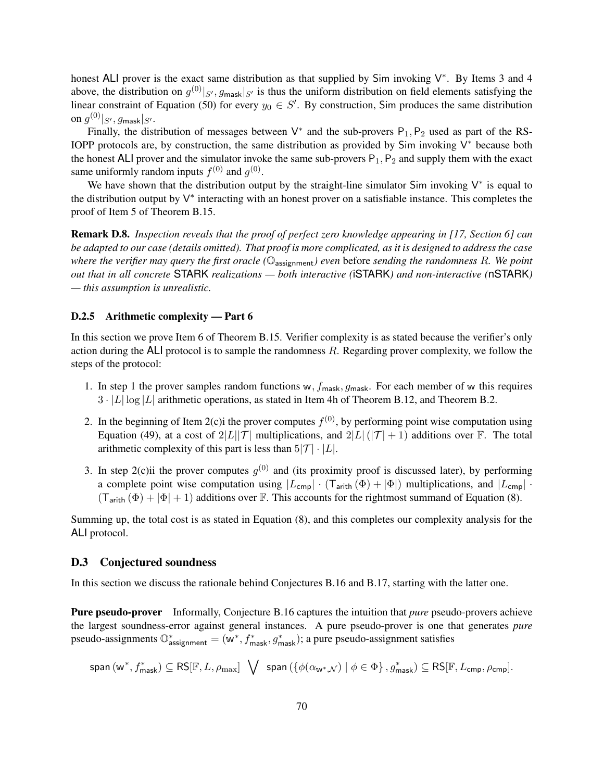honest ALI prover is the exact same distribution as that supplied by Sim invoking V<sup>\*</sup>. By Items [3](#page-68-4) and [4](#page-68-2) above, the distribution on  $g^{(0)}|_{S'}$ ,  $g_{\sf mask}|_{S'}$  is thus the uniform distribution on field elements satisfying the linear constraint of Equation [\(50\)](#page-63-7) for every  $y_0 \in S'$ . By construction, Sim produces the same distribution on  $g^{(0)}|_{S'}, g_{\mathsf{mask}}|_{S'}.$ 

Finally, the distribution of messages between  $V^*$  and the sub-provers  $P_1, P_2$  used as part of the RS-IOPP protocols are, by construction, the same distribution as provided by Sim invoking V<sup>∗</sup> because both the honest ALI prover and the simulator invoke the same sub-provers  $P_1$ ,  $P_2$  and supply them with the exact same uniformly random inputs  $f^{(0)}$  and  $g^{(0)}$ .

We have shown that the distribution output by the straight-line simulator Sim invoking V<sup>\*</sup> is equal to the distribution output by V<sup>\*</sup> interacting with an honest prover on a satisfiable instance. This completes the proof of Item [5](#page-42-8) of Theorem [B.15.](#page-42-7)

<span id="page-69-1"></span>Remark D.8. *Inspection reveals that the proof of perfect zero knowledge appearing in [\[17,](#page-24-4) Section 6] can be adapted to our case (details omitted). That proof is more complicated, as it is designed to address the case where the verifier may query the first oracle (*Oassignment*) even* before *sending the randomness* R*. We point out that in all concrete* STARK *realizations — both interactive (*iSTARK*) and non-interactive (*nSTARK*) — this assumption is unrealistic.*

#### D.2.5 Arithmetic complexity — Part [6](#page-42-11)

In this section we prove Item [6](#page-42-11) of Theorem [B.15.](#page-42-7) Verifier complexity is as stated because the verifier's only action during the ALI protocol is to sample the randomness  $R$ . Regarding prover complexity, we follow the steps of the protocol:

- [1](#page-62-1). In step 1 the prover samples random functions w,  $f_{\text{mask}}$ ,  $g_{\text{mask}}$ . For each member of w this requires  $3 \cdot |L| \log |L|$  arithmetic operations, as stated in Item [4h](#page-40-4) of Theorem [B.12,](#page-39-0) and Theorem [B.2.](#page-34-1)
- 2. In the beginning of Item 2(c) the prover computes  $f^{(0)}$ , by performing point wise computation using Equation [\(49\)](#page-63-6), at a cost of  $2|L||T|$  multiplications, and  $2|L|(|T|+1)$  additions over F. The total arithmetic complexity of this part is less than  $5|\mathcal{T}| \cdot |L|$ .
- 3. In step [2\(c\)ii](#page-63-5) the prover computes  $g^{(0)}$  and (its proximity proof is discussed later), by performing a complete point wise computation using  $|L_{\text{cmp}}| \cdot (\mathsf{T}_{\text{arith}}(\Phi) + |\Phi|)$  multiplications, and  $|L_{\text{cmp}}| \cdot$  $(T_{\text{arith}} (\Phi) + |\Phi| + 1)$  additions over F. This accounts for the rightmost summand of Equation [\(8\)](#page-42-4).

Summing up, the total cost is as stated in Equation [\(8\)](#page-42-4), and this completes our complexity analysis for the ALI protocol.

## <span id="page-69-0"></span>D.3 Conjectured soundness

In this section we discuss the rationale behind Conjectures [B.16](#page-43-1) and [B.17,](#page-43-0) starting with the latter one.

Pure pseudo-prover Informally, Conjecture [B.16](#page-43-1) captures the intuition that *pure* pseudo-provers achieve the largest soundness-error against general instances. A pure pseudo-prover is one that generates *pure* pseudo-assignments  $\mathbb{O}^*_{\sf assignment} = (w^*, f^*_{\sf mask}, g^*_{\sf mask})$ ; a pure pseudo-assignment satisfies

$$
\mathsf{span}\left(\mathsf{w}^*, f^*_{\mathsf{mask}}\right) \subseteq {\mathsf{RS}}[\mathbb{F}, L, \rho_{\max}] \ \ \bigvee \ \ \mathsf{span}\left(\{\phi(\alpha_{\mathsf{w}^*, \mathcal{N}}) \mid \phi \in \Phi\}\,, g^*_{\mathsf{mask}}\right) \subseteq {\mathsf{RS}}[\mathbb{F}, L_{\mathsf{cmp}}, \rho_{\mathsf{cmp}}].
$$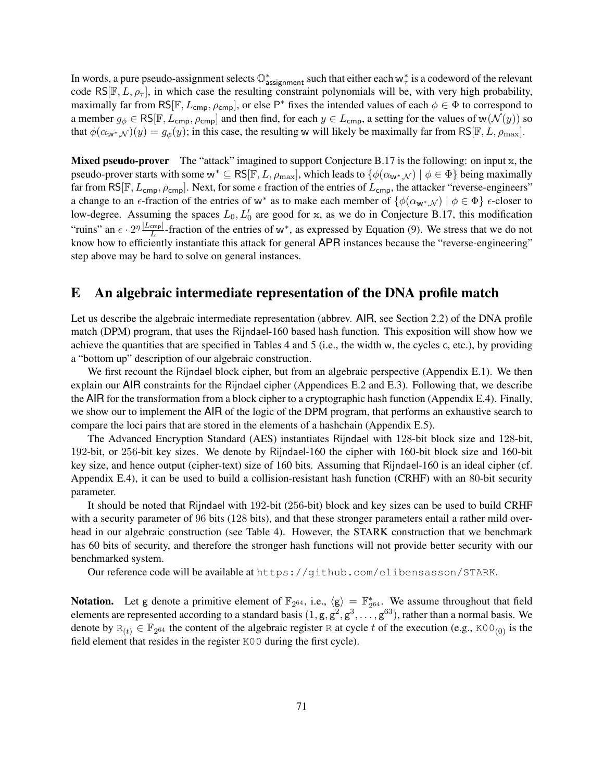In words, a pure pseudo-assignment selects  $\mathbb{O}_{\text{assignment}}^*$  such that either each  $w^*_\tau$  is a codeword of the relevant code RS[F,  $L, \rho_{\tau}$ ], in which case the resulting constraint polynomials will be, with very high probability, maximally far from RS[ $\mathbb{F}, L_{\text{cmp}}, \rho_{\text{cmp}}$ ], or else P\* fixes the intended values of each  $\phi \in \Phi$  to correspond to a member  $g_{\phi} \in \text{RS}[\mathbb{F}, L_{\text{cmp}}, \rho_{\text{cmp}}]$  and then find, for each  $y \in L_{\text{cmp}}$ , a setting for the values of w $(\mathcal{N}(y))$  so that  $\phi(\alpha_{w^*,N})(y) = g_\phi(y)$ ; in this case, the resulting w will likely be maximally far from RS[F, L,  $\rho_{\text{max}}$ ].

Mixed pseudo-prover The "attack" imagined to support Conjecture [B.17](#page-43-0) is the following: on input x, the pseudo-prover starts with some w<sup>∗</sup>  $\subseteq$  RS[F, L,  $\rho_{\text{max}}$ ], which leads to  $\{\phi(\alpha_w*,y) \mid \phi \in \Phi\}$  being maximally far from RS[F,  $L_{\text{cmp}}, \rho_{\text{cmp}}$ ]. Next, for some  $\epsilon$  fraction of the entries of  $L_{\text{cmp}}$ , the attacker "reverse-engineers" a change to an  $\epsilon$ -fraction of the entries of w<sup>\*</sup> as to make each member of  $\{\phi(\alpha_{w^*,N}) \mid \phi \in \Phi\}$   $\epsilon$ -closer to low-degree. Assuming the spaces  $L_0$ ,  $L'_0$  are good for x, as we do in Conjecture [B.17,](#page-43-0) this modification "ruins" an  $\epsilon \cdot 2^{\eta} \frac{|L_{\text{cmp}}|}{L}$ -fraction of the entries of w<sup>\*</sup>, as expressed by Equation [\(9\)](#page-43-2). We stress that we do not know how to efficiently instantiate this attack for general APR instances because the "reverse-engineering" step above may be hard to solve on general instances.

# <span id="page-70-0"></span>E An algebraic intermediate representation of the DNA profile match

Let us describe the algebraic intermediate representation (abbrev. AIR, see Section [2.2\)](#page-13-1) of the DNA profile match (DPM) program, that uses the Rijndael-160 based hash function. This exposition will show how we achieve the quantities that are specified in Tables [4](#page-15-0) and [5](#page-16-2) (i.e., the width w, the cycles c, etc.), by providing a "bottom up" description of our algebraic construction.

We first recount the Rijndael block cipher, but from an algebraic perspective (Appendix [E.1\)](#page-71-0). We then explain our AIR constraints for the Rijndael cipher (Appendices [E.2](#page-71-1) and [E.3\)](#page-72-0). Following that, we describe the AIR for the transformation from a block cipher to a cryptographic hash function (Appendix [E.4\)](#page-73-0). Finally, we show our to implement the AIR of the logic of the DPM program, that performs an exhaustive search to compare the loci pairs that are stored in the elements of a hashchain (Appendix [E.5\)](#page-75-0).

The Advanced Encryption Standard (AES) instantiates Rijndael with 128-bit block size and 128-bit, 192-bit, or 256-bit key sizes. We denote by Rijndael-160 the cipher with 160-bit block size and 160-bit key size, and hence output (cipher-text) size of 160 bits. Assuming that Rijndael-160 is an ideal cipher (cf. Appendix [E.4\)](#page-73-0), it can be used to build a collision-resistant hash function (CRHF) with an 80-bit security parameter.

It should be noted that Rijndael with 192-bit (256-bit) block and key sizes can be used to build CRHF with a security parameter of 96 bits (128 bits), and that these stronger parameters entail a rather mild overhead in our algebraic construction (see Table [4\)](#page-15-0). However, the STARK construction that we benchmark has 60 bits of security, and therefore the stronger hash functions will not provide better security with our benchmarked system.

Our reference code will be available at <https://github.com/elibensasson/STARK>.

**Notation.** Let g denote a primitive element of  $\mathbb{F}_{2^{64}}$ , i.e.,  $\langle g \rangle = \mathbb{F}_{2^{64}}^*$ . We assume throughout that field elements are represented according to a standard basis  $(1, g, g^2, g^3, \ldots, g^{63})$ , rather than a normal basis. We denote by  $R_{(t)} \in \mathbb{F}_{2^{64}}$  the content of the algebraic register R at cycle t of the execution (e.g., K00<sub>(0)</sub> is the field element that resides in the register K00 during the first cycle).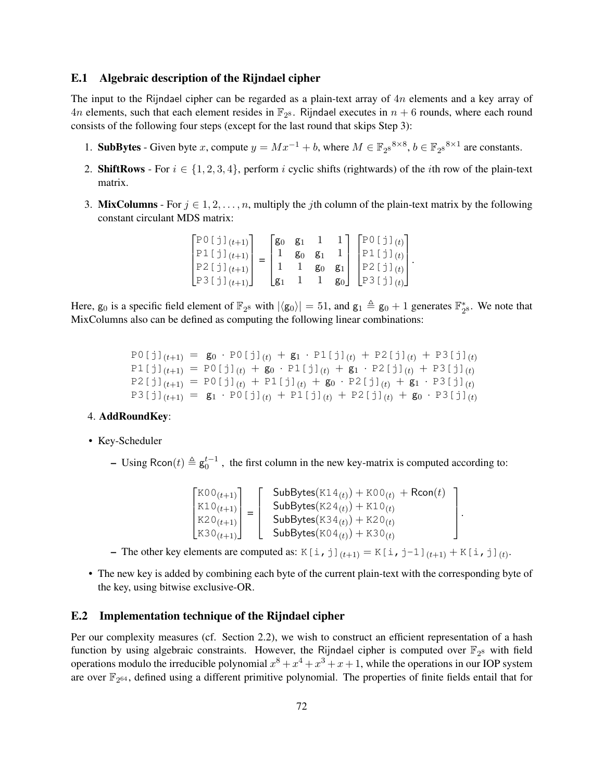# <span id="page-71-0"></span>E.1 Algebraic description of the Rijndael cipher

The input to the Rijndael cipher can be regarded as a plain-text array of  $4n$  elements and a key array of 4*n* elements, such that each element resides in  $\mathbb{F}_{2^8}$ . Rijndael executes in  $n + 6$  rounds, where each round consists of the following four steps (except for the last round that skips Step 3):

- 1. **SubBytes** Given byte x, compute  $y = Mx^{-1} + b$ , where  $M \in \mathbb{F}_{2^8}^{8 \times 8}$ ,  $b \in \mathbb{F}_{2^8}^{8 \times 1}$  are constants.
- 2. **ShiftRows** For  $i \in \{1, 2, 3, 4\}$ , perform i cyclic shifts (rightwards) of the ith row of the plain-text matrix.
- 3. MixColumns For  $j \in 1, 2, \ldots, n$ , multiply the jth column of the plain-text matrix by the following constant circulant MDS matrix:

| $(P0[j](t+1))$    |  | $1g_0$ | $g_1$ |    |       | $1 P0[j]_{(t)}$                                                                                |
|-------------------|--|--------|-------|----|-------|------------------------------------------------------------------------------------------------|
| $1 P1[j]_{(t+1)}$ |  |        | ደ∩    | g1 |       | P1[j](t)                                                                                       |
| $IP2[j]_{(t+1)}$  |  |        |       | ደቦ | $g_1$ | P2[j](t)                                                                                       |
| $IP3[j](t+1)$     |  | $g_1$  |       |    | $g_0$ | $\left[\begin{array}{c} P \, 3 \end{array}\right] \left[\begin{array}{c} j \end{array}\right]$ |

.

Here,  $g_0$  is a specific field element of  $\mathbb{F}_{2^8}$  with  $|\langle g_0 \rangle| = 51$ , and  $g_1 \triangleq g_0 + 1$  generates  $\mathbb{F}_{2^8}^*$ . We note that MixColumns also can be defined as computing the following linear combinations:

```
PO[j]_{(t+1)} = g_0 \cdot PO[j]_{(t)} + g_1 \cdot PI[j]_{(t)} + P2[j]_{(t)} + P3[j]_{(t)}P1[j]_{(t+1)} = P0[j]_{(t)} + g_0 \cdot P1[j]_{(t)} + g_1 \cdot P2[j]_{(t)} + P3[j]_{(t)}P2[j]_{(t+1)} = PO[j]_{(t)} + P1[j]_{(t)} + g_0 \cdot P2[j]_{(t)} + g_1 \cdot P3[j]_{(t)}P3[j]_{(t+1)} = g_1 \cdot P0[j]_{(t)} + P1[j]_{(t)} + P2[j]_{(t)} + g_0 \cdot P3[j]_{(t)}
```
#### 4. AddRoundKey:

- Key-Scheduler
	- Using Rcon(*t*)  $\triangleq g_0^{t-1}$ , the first column in the new key-matrix is computed according to:

| $\lceil K00_{(t+1)} \rceil$              | $SubBytes(K14_{(t)}) + KO0_{(t)} + Rcon(t)$ |  |
|------------------------------------------|---------------------------------------------|--|
| $K10_{(t+1)}$ l                          | $SubBytes(K24_{(t)}) + K10_{(t)}$           |  |
| $K20_{(t+1)}$ i                          | $SubBytes(K34_{(t)}) + K20_{(t)}$           |  |
| $\lfloor$ K30 <sub>(t+1)</sub> $\rfloor$ | $SubBytes(K04_{(t)}) + K30_{(t)}$           |  |

- The other key elements are computed as:  $K[i, j]_{(t+1)} = K[i, j-1]_{(t+1)} + K[i, j]_{(t)}$ .

• The new key is added by combining each byte of the current plain-text with the corresponding byte of the key, using bitwise exclusive-OR.

# <span id="page-71-1"></span>E.2 Implementation technique of the Rijndael cipher

Per our complexity measures (cf. Section [2.2\)](#page-13-1), we wish to construct an efficient representation of a hash function by using algebraic constraints. However, the Rijndael cipher is computed over  $\mathbb{F}_{2^8}$  with field operations modulo the irreducible polynomial  $x^8 + x^4 + x^3 + x + 1$ , while the operations in our IOP system are over  $\mathbb{F}_{2^{64}}$ , defined using a different primitive polynomial. The properties of finite fields entail that for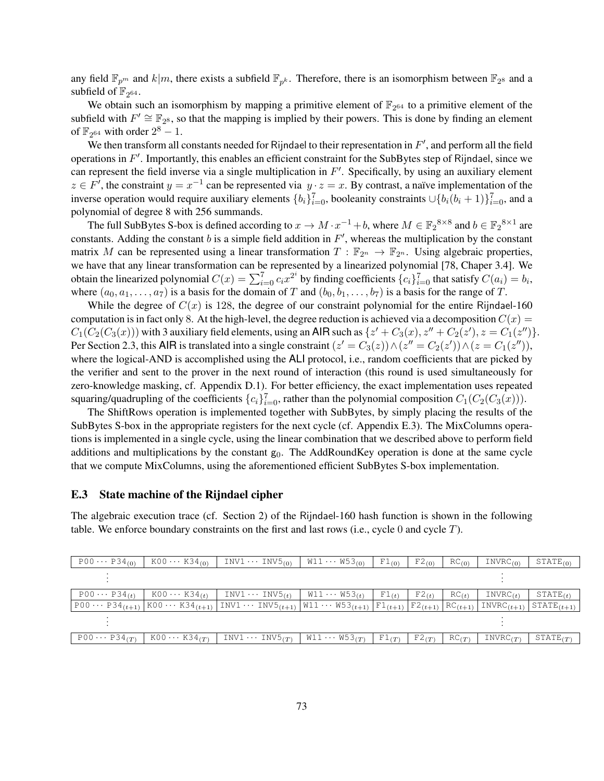any field  $\mathbb{F}_{p^m}$  and  $k|m$ , there exists a subfield  $\mathbb{F}_{p^k}$ . Therefore, there is an isomorphism between  $\mathbb{F}_{2^8}$  and a subfield of  $\mathbb{F}_{2^{64}}$ .

We obtain such an isomorphism by mapping a primitive element of  $\mathbb{F}_{2^{64}}$  to a primitive element of the subfield with  $F' \cong \mathbb{F}_{2^8}$ , so that the mapping is implied by their powers. This is done by finding an element of  $\mathbb{F}_{2^{64}}$  with order  $2^8 - 1$ .

We then transform all constants needed for Rijndael to their representation in  $F'$ , and perform all the field operations in  $F'$ . Importantly, this enables an efficient constraint for the SubBytes step of Rijndael, since we can represent the field inverse via a single multiplication in  $F'$ . Specifically, by using an auxiliary element  $z \in F'$ , the constraint  $y = x^{-1}$  can be represented via  $y \cdot z = x$ . By contrast, a naïve implementation of the inverse operation would require auxiliary elements  ${b_i}_{i=0}^7$ , booleanity constraints  $\cup \{b_i(b_i+1)\}_{i=0}^7$ , and a polynomial of degree 8 with 256 summands.

The full SubBytes S-box is defined according to  $x \to M \cdot x^{-1} + b$ , where  $M \in \mathbb{F}_2^{8 \times 8}$  and  $b \in \mathbb{F}_2^{8 \times 1}$  are constants. Adding the constant b is a simple field addition in  $F'$ , whereas the multiplication by the constant matrix M can be represented using a linear transformation  $T : \mathbb{F}_{2^n} \to \mathbb{F}_{2^n}$ . Using algebraic properties, we have that any linear transformation can be represented by a linearized polynomial [\[78,](#page-27-0) Chaper 3.4]. We obtain the linearized polynomial  $C(x) = \sum_{i=0}^{7} c_i x^{2^i}$  by finding coefficients  $\{c_i\}_{i=0}^{7}$  that satisfy  $C(a_i) = b_i$ , where  $(a_0, a_1, \ldots, a_7)$  is a basis for the domain of T and  $(b_0, b_1, \ldots, b_7)$  is a basis for the range of T.

While the degree of  $C(x)$  is 128, the degree of our constraint polynomial for the entire Rijndael-160 computation is in fact only 8. At the high-level, the degree reduction is achieved via a decomposition  $C(x)$  =  $C_1(C_2(C_3(x)))$  with 3 auxiliary field elements, using an AIR such as  $\{z' + C_3(x), z'' + C_2(z'), z = C_1(z'')\}.$ Per Section [2.3,](#page-14-0) this AIR is translated into a single constraint  $(z' = C_3(z)) \wedge (z'' = C_2(z')) \wedge (z = C_1(z''))$ , where the logical-AND is accomplished using the ALI protocol, i.e., random coefficients that are picked by the verifier and sent to the prover in the next round of interaction (this round is used simultaneously for zero-knowledge masking, cf. Appendix [D.1\)](#page-62-0). For better efficiency, the exact implementation uses repeated squaring/quadrupling of the coefficients  $\{c_i\}_{i=0}^7$ , rather than the polynomial composition  $C_1(C_2(C_3(x)))$ .

The ShiftRows operation is implemented together with SubBytes, by simply placing the results of the SubBytes S-box in the appropriate registers for the next cycle (cf. Appendix [E.3\)](#page-72-0). The MixColumns operations is implemented in a single cycle, using the linear combination that we described above to perform field additions and multiplications by the constant  $g_0$ . The AddRoundKey operation is done at the same cycle that we compute MixColumns, using the aforementioned efficient SubBytes S-box implementation.

## <span id="page-72-0"></span>E.3 State machine of the Rijndael cipher

The algebraic execution trace (cf. Section [2\)](#page-13-0) of the Rijndael-160 hash function is shown in the following table. We enforce boundary constraints on the first and last rows (i.e., cycle 0 and cycle T).

| $P00 \cdots P34_{(0)}$   | $K00 \cdots K34_{(0)}$ | $INV1 \cdots INV5_{(0)}$                                                                                                                                   | $W11 \cdots W53_{(0)}$ | $F1_{(0)}$ | F2(0)         | RC <sub>(0)</sub> | INVRC <sub>(0)</sub>           | $STATE_{(0)}$                               |
|--------------------------|------------------------|------------------------------------------------------------------------------------------------------------------------------------------------------------|------------------------|------------|---------------|-------------------|--------------------------------|---------------------------------------------|
|                          |                        |                                                                                                                                                            |                        |            |               |                   |                                |                                             |
| $PO0 \cdots P34_{(t)}$   | $K00 \cdots K34_{(t)}$ | $INV1 \cdots INV5_{(t)}$                                                                                                                                   | $W11 \cdots W53(t)$    | F1(t)      | F2(t)         | RC(t)             | INVRC(t)                       | STATE(t)                                    |
| $PO0 \cdots P34_{(t+1)}$ |                        | $K00 \cdots K34_{(t+1)}$ INV1 $\cdots$ INV5 <sub>(t+1)</sub> W11 $\cdots$ W53 <sub>(t+1)</sub> F1 <sub>(t+1)</sub> F2 <sub>(t+1)</sub> RC <sub>(t+1)</sub> |                        |            |               |                   | $+$ INVRC $(t+1)$ <sup>+</sup> | $+$ STATE $(t+1)$ <sup><math>+</math></sup> |
|                          |                        |                                                                                                                                                            |                        |            |               |                   |                                |                                             |
| $PO0 \cdots P34(T)$      | $KO0 \cdots K34(T)$    | $INV1 \cdots INV5(r)$                                                                                                                                      | $W11 \cdots W53(r)$    | F1(T)      | $F^2(T)^{-1}$ | RC(T)             | INVRC(T)                       | STATE(T)                                    |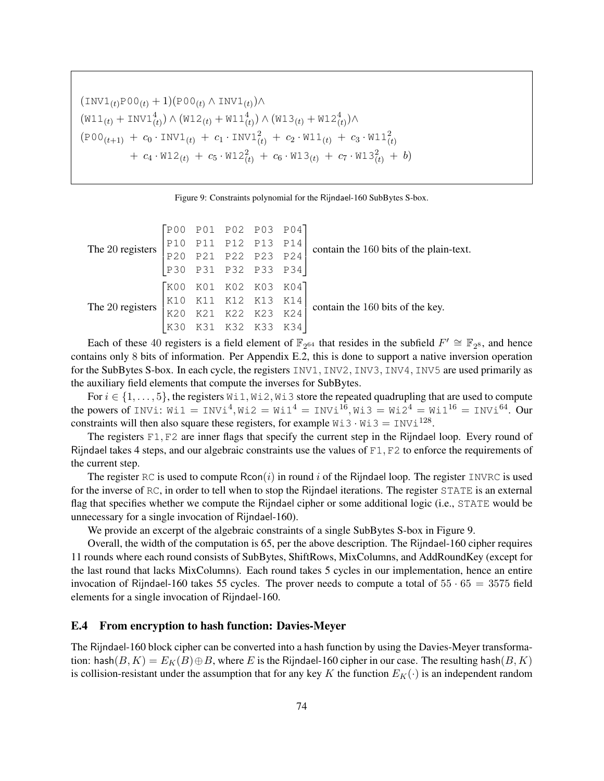<span id="page-73-0"></span> $(\text{INV1}_{(t)}\text{PO0}_{(t)} + 1)(\text{PO0}_{(t)} \wedge \text{INV1}_{(t)}) \wedge$  $(W11_{(t)} + \text{INV1}_{(t)}^4) \wedge (W12_{(t)} + W11_{(t)}^4) \wedge (W13_{(t)} + W12_{(t)}^4) \wedge$  $(1000_{(t+1)} + c_0 \cdot \text{INV1}_{(t)} + c_1 \cdot \text{INV1}_{(t)}^2 + c_2 \cdot \text{W11}_{(t)} + c_3 \cdot \text{W11}_{(t)}^2)$ +  $c_4 \cdot \text{W12}_{(t)} + c_5 \cdot \text{W12}_{(t)}^2 + c_6 \cdot \text{W13}_{(t)} + c_7 \cdot \text{W13}_{(t)}^2 + b)$ 

Figure 9: Constraints polynomial for the Rijndael-160 SubBytes S-box.

|                                                                                                                                            |  | [P00 P01 P02 P03 P04] |  |                                         |
|--------------------------------------------------------------------------------------------------------------------------------------------|--|-----------------------|--|-----------------------------------------|
|                                                                                                                                            |  |                       |  | contain the 160 bits of the plain-text. |
| The 20 registers $\begin{bmatrix} P10 & P11 & P12 & P13 & P14 \\ P20 & P21 & P22 & P23 & P24 \end{bmatrix}$                                |  |                       |  |                                         |
|                                                                                                                                            |  | P30 P31 P32 P33 P34   |  |                                         |
| The 20 registers $\begin{bmatrix} 600 & 601 & 602 & 603 & 604 \\ 610 & 611 & 612 & 613 & 614 \\ 620 & 621 & 622 & 623 & 624 \end{bmatrix}$ |  |                       |  |                                         |
|                                                                                                                                            |  |                       |  | contain the 160 bits of the key.        |
|                                                                                                                                            |  | K21 K22 K23 K24       |  |                                         |
|                                                                                                                                            |  | K30 K31 K32 K33 K34   |  |                                         |

Each of these 40 registers is a field element of  $\mathbb{F}_{2^{64}}$  that resides in the subfield  $F' \cong \mathbb{F}_{2^8}$ , and hence contains only 8 bits of information. Per Appendix [E.2,](#page-71-0) this is done to support a native inversion operation for the SubBytes S-box. In each cycle, the registers INV1, INV2, INV3, INV4, INV5 are used primarily as the auxiliary field elements that compute the inverses for SubBytes.

For  $i \in \{1, \ldots, 5\}$ , the registers Wi1, Wi2, Wi3 store the repeated quadrupling that are used to compute the powers of INVi: Wi1 = INVi $^4$ , Wi2 = Wi1 $^4$  = INVi $^{16}$ , Wi3 = Wi2 $^4$  = Wi1 $^{16}$  = INVi $^{64}$ . Our constraints will then also square these registers, for example  $\text{Wi3} \cdot \text{Wi3} = \text{INVi}^{128}$ .

The registers F1, F2 are inner flags that specify the current step in the Rijndael loop. Every round of Rijndael takes 4 steps, and our algebraic constraints use the values of  $F1, F2$  to enforce the requirements of the current step.

The register RC is used to compute  $Rcon(i)$  in round i of the Rijndael loop. The register INVRC is used for the inverse of RC, in order to tell when to stop the Rijndael iterations. The register STATE is an external flag that specifies whether we compute the Rijndael cipher or some additional logic (i.e., STATE would be unnecessary for a single invocation of Rijndael-160).

We provide an excerpt of the algebraic constraints of a single SubBytes S-box in Figure [9.](#page-73-0)

Overall, the width of the computation is 65, per the above description. The Rijndael-160 cipher requires 11 rounds where each round consists of SubBytes, ShiftRows, MixColumns, and AddRoundKey (except for the last round that lacks MixColumns). Each round takes 5 cycles in our implementation, hence an entire invocation of Rijndael-160 takes 55 cycles. The prover needs to compute a total of  $55 \cdot 65 = 3575$  field elements for a single invocation of Rijndael-160.

### <span id="page-73-1"></span>E.4 From encryption to hash function: Davies-Meyer

The Rijndael-160 block cipher can be converted into a hash function by using the Davies-Meyer transformation: hash $(B, K) = E_K(B) \oplus B$ , where E is the Rijndael-160 cipher in our case. The resulting hash $(B, K)$ is collision-resistant under the assumption that for any key K the function  $E_K(\cdot)$  is an independent random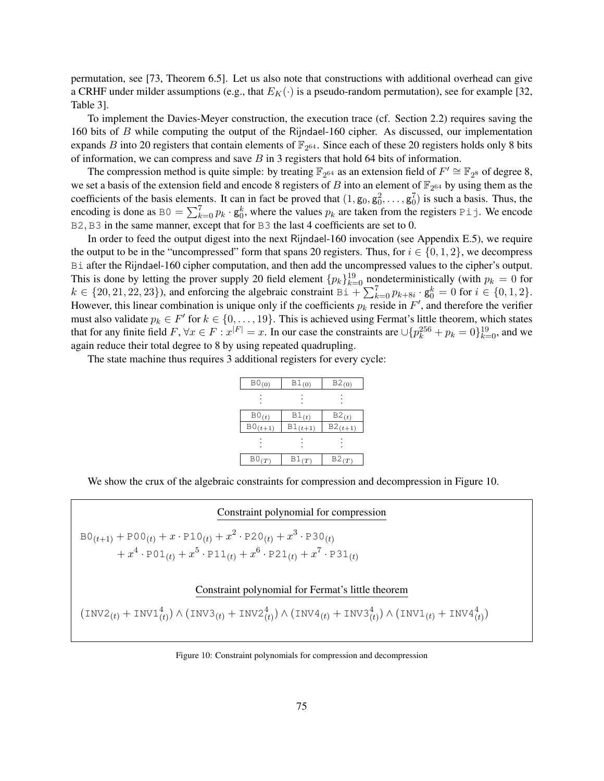permutation, see [\[73,](#page-27-1) Theorem 6.5]. Let us also note that constructions with additional overhead can give a CRHF under milder assumptions (e.g., that  $E_K(\cdot)$  is a pseudo-random permutation), see for example [\[32,](#page-25-0) Table 3].

To implement the Davies-Meyer construction, the execution trace (cf. Section [2.2\)](#page-13-1) requires saving the 160 bits of B while computing the output of the Rijndael-160 cipher. As discussed, our implementation expands B into 20 registers that contain elements of  $\mathbb{F}_{2^{64}}$ . Since each of these 20 registers holds only 8 bits of information, we can compress and save  $B$  in 3 registers that hold 64 bits of information.

The compression method is quite simple: by treating  $\mathbb{F}_{2^{64}}$  as an extension field of  $F' \cong \mathbb{F}_{2^8}$  of degree 8, we set a basis of the extension field and encode 8 registers of B into an element of  $\mathbb{F}_{2^{64}}$  by using them as the coefficients of the basis elements. It can in fact be proved that  $(1, g_0, g_0^2, \dots, g_0^7)$  is such a basis. Thus, the encoding is done as  $B0 = \sum_{k=0}^{7} p_k \cdot g_0^k$ , where the values  $p_k$  are taken from the registers Pij. We encode B2, B3 in the same manner, except that for B3 the last 4 coefficients are set to 0.

In order to feed the output digest into the next Rijndael-160 invocation (see Appendix [E.5\)](#page-75-0), we require the output to be in the "uncompressed" form that spans 20 registers. Thus, for  $i \in \{0, 1, 2\}$ , we decompress Bi after the Rijndael-160 cipher computation, and then add the uncompressed values to the cipher's output. This is done by letting the prover supply 20 field element  $\{p_k\}_{k=0}^{19}$  nondeterministically (with  $p_k = 0$  for  $k \in \{20, 21, 22, 23\}$ , and enforcing the algebraic constraint  $\overline{Bi} + \sum_{k=0}^{7} p_{k+8i} \cdot \overline{\mathbf{g}}_0^k = 0$  for  $i \in \{0, 1, 2\}$ . However, this linear combination is unique only if the coefficients  $p_k$  reside in  $F'$ , and therefore the verifier must also validate  $p_k \in F'$  for  $k \in \{0, \ldots, 19\}$ . This is achieved using Fermat's little theorem, which states that for any finite field  $F$ ,  $\forall x \in F : x^{|F|} = x$ . In our case the constraints are  $\cup \{p_k^{256} + p_k = 0\}_{k=0}^{19}$ , and we again reduce their total degree to 8 by using repeated quadrupling.

The state machine thus requires 3 additional registers for every cycle:

| $B0_{(0)}$   | $B1_{(0)}$   | $B2_{(0)}$   |
|--------------|--------------|--------------|
|              |              |              |
| B0(t)        | B1(t)        | B2(t)        |
| $B0_{(t+1)}$ | $B1_{(t+1)}$ | $B2_{(t+1)}$ |
|              |              |              |
| $B0_{(T)}$   | B1(T)        | B2(T)        |

We show the crux of the algebraic constraints for compression and decompression in Figure [10.](#page-74-0)

<span id="page-74-0"></span>Constraint polynomial for compression  $BO_{(t+1)} + POO_{(t)} + x \cdot P1O_{(t)} + x^2 \cdot PO2O_{(t)} + x^3 \cdot PO3O_{(t)}$  $+x^4 \cdot \text{PO1}_{(t)} + x^5 \cdot \text{P11}_{(t)} + x^6 \cdot \text{P21}_{(t)} + x^7 \cdot \text{P31}_{(t)}$ 

### Constraint polynomial for Fermat's little theorem

$$
\left(\text{INV2}_{(t)} + \text{INV1}_{(t)}^4\right) \wedge \left(\text{INV3}_{(t)} + \text{INV2}_{(t)}^4\right) \wedge \left(\text{INV4}_{(t)} + \text{INV3}_{(t)}^4\right) \wedge \left(\text{INV1}_{(t)} + \text{INV4}_{(t)}^4\right)
$$

Figure 10: Constraint polynomials for compression and decompression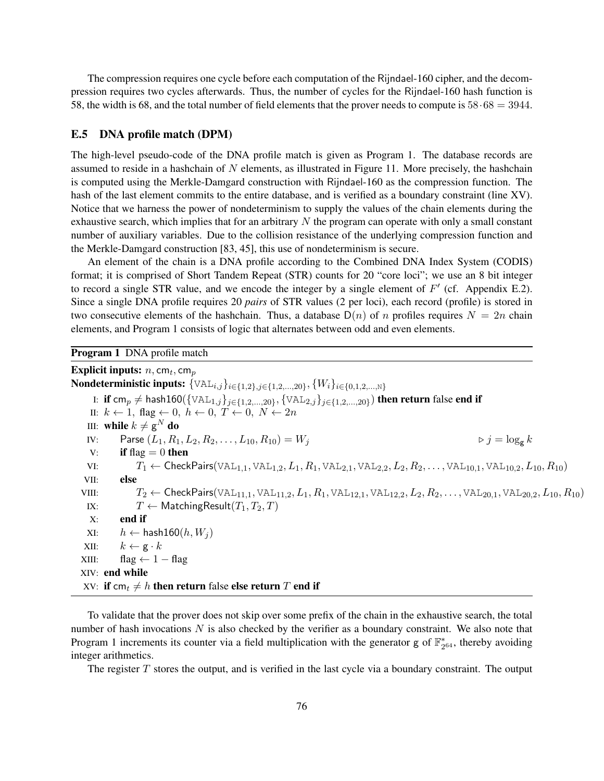The compression requires one cycle before each computation of the Rijndael-160 cipher, and the decompression requires two cycles afterwards. Thus, the number of cycles for the Rijndael-160 hash function is 58, the width is 68, and the total number of field elements that the prover needs to compute is  $58.68 = 3944$ .

## <span id="page-75-0"></span>E.5 DNA profile match (DPM)

The high-level pseudo-code of the DNA profile match is given as Program [1.](#page-75-1) The database records are assumed to reside in a hashchain of N elements, as illustrated in Figure [11.](#page-76-0) More precisely, the hashchain is computed using the Merkle-Damgard construction with Rijndael-160 as the compression function. The hash of the last element commits to the entire database, and is verified as a boundary constraint (line XV). Notice that we harness the power of nondeterminism to supply the values of the chain elements during the exhaustive search, which implies that for an arbitrary  $N$  the program can operate with only a small constant number of auxiliary variables. Due to the collision resistance of the underlying compression function and the Merkle-Damgard construction [\[83,](#page-27-2) [45\]](#page-25-1), this use of nondeterminism is secure.

An element of the chain is a DNA profile according to the Combined DNA Index System (CODIS) format; it is comprised of Short Tandem Repeat (STR) counts for 20 "core loci"; we use an 8 bit integer to record a single STR value, and we encode the integer by a single element of  $F'$  (cf. Appendix [E.2\)](#page-71-0). Since a single DNA profile requires 20 *pairs* of STR values (2 per loci), each record (profile) is stored in two consecutive elements of the hashchain. Thus, a database  $D(n)$  of n profiles requires  $N = 2n$  chain elements, and Program [1](#page-75-1) consists of logic that alternates between odd and even elements.

<span id="page-75-1"></span>Program 1 DNA profile match

**Explicit inputs:**  $n, \mathsf{cm}_t, \mathsf{cm}_p$ Nondeterministic inputs:  $\{ \textnormal{\texttt{VAL}}_{i,j} \}_{i \in \{1,2\}, j \in \{1,2,...,20\}}, \{ W_i \}_{i \in \{0,1,2,...,{\texttt{N}}\}}$ I:  $\textbf{if } \textsf{cm}_p\neq \textsf{hash160}(\{\textsf{VAL}_{1,j}\}_{j\in\{1,2,...,20\}}, \{\textsf{VAL}_{2,j}\}_{j\in\{1,2,...,20\}}) \textbf{ then return false end if }$ II:  $k \leftarrow 1$ , flag  $\leftarrow 0$ ,  $h \leftarrow 0$ ,  $T \leftarrow 0$ ,  $N \leftarrow 2n$ III: while  $k\neq {\sf g}^N$  do IV: Parse  $(L_1, R_1, L_2, R_2, \ldots, L_{10}, R_{10}) = W_j$  .  $\triangleright j = \log_{\sigma} k$  $V:$  if flag  $= 0$  then VI:  $T_1 \leftarrow \text{CheckPairs}(\text{VAL}_{1,1}, \text{VAL}_{1,2}, L_1, R_1, \text{VAL}_{2,1}, \text{VAL}_{2,2}, L_2, R_2, \dots, \text{VAL}_{10,1}, \text{VAL}_{10,2}, L_{10}, R_{10})$ VII: else VIII:  $T_2 \leftarrow \text{CheckPairs}(\text{VAL}_{11,1}, \text{VAL}_{11,2}, L_1, R_1, \text{VAL}_{12,1}, \text{VAL}_{12,2}, L_2, R_2, \dots, \text{VAL}_{20,1}, \text{VAL}_{20,2}, L_{10}, R_{10})$ IX:  $T \leftarrow$  Matching Result $(T_1, T_2, T)$ X: end if XI:  $h \leftarrow$  hash160(h,  $W_i$ ) XII:  $k \leftarrow \mathbf{g} \cdot k$ XIII: flag  $\leftarrow$  1 − flag XIV: end while XV: if cm<sub>t</sub>  $\neq h$  then return false else return T end if

To validate that the prover does not skip over some prefix of the chain in the exhaustive search, the total number of hash invocations  $N$  is also checked by the verifier as a boundary constraint. We also note that Program [1](#page-75-1) increments its counter via a field multiplication with the generator g of  $\mathbb{F}_{2^{64}}^*$ , thereby avoiding integer arithmetics.

The register T stores the output, and is verified in the last cycle via a boundary constraint. The output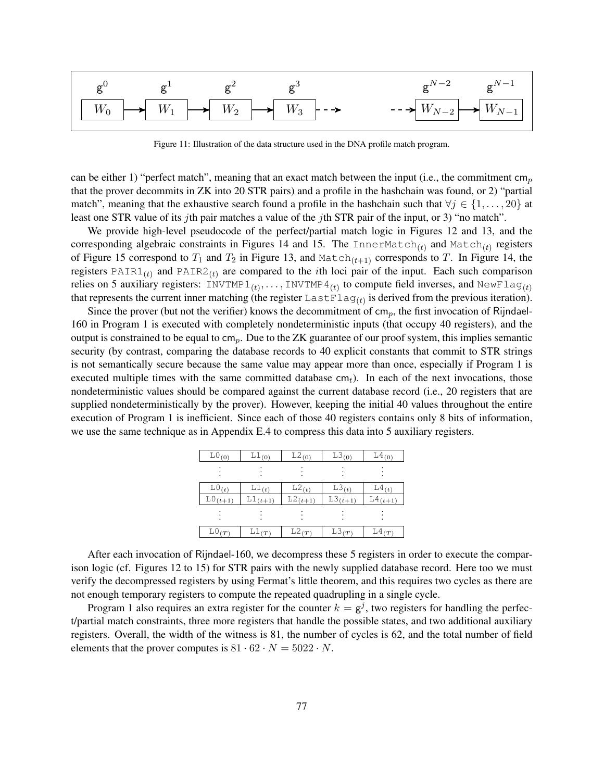<span id="page-76-0"></span>

Figure 11: Illustration of the data structure used in the DNA profile match program.

can be either 1) "perfect match", meaning that an exact match between the input (i.e., the commitment  $\mathsf{cm}_p$ that the prover decommits in ZK into 20 STR pairs) and a profile in the hashchain was found, or 2) "partial match", meaning that the exhaustive search found a profile in the hashchain such that  $\forall j \in \{1, \ldots, 20\}$  at least one STR value of its jth pair matches a value of the jth STR pair of the input, or 3) "no match".

We provide high-level pseudocode of the perfect/partial match logic in Figures [12](#page-77-0) and [13,](#page-77-1) and the corresponding algebraic constraints in Figures [14](#page-78-0) and [15.](#page-78-1) The  $\texttt{InnerMatch}_{(t)}$  and  $\texttt{Match}_{(t)}$  registers of Figure [15](#page-78-1) correspond to  $T_1$  and  $T_2$  in Figure [13,](#page-77-1) and Match $_{(t+1)}$  corresponds to T. In Figure [14,](#page-78-0) the registers  $\text{PAIR1}_{(t)}$  and  $\text{PAIR2}_{(t)}$  are compared to the *i*th loci pair of the input. Each such comparison relies on 5 auxiliary registers:  $INVTMP1_{(t)}, \ldots, INVTMP4_{(t)}$  to compute field inverses, and  $NewFlag_{(t)}$ that represents the current inner matching (the register  $LastFlag(t)$  is derived from the previous iteration).

Since the prover (but not the verifier) knows the decommitment of  $cm_p$ , the first invocation of Rijndael-160 in Program [1](#page-75-1) is executed with completely nondeterministic inputs (that occupy 40 registers), and the output is constrained to be equal to  $\text{cm}_p$ . Due to the ZK guarantee of our proof system, this implies semantic security (by contrast, comparing the database records to 40 explicit constants that commit to STR strings is not semantically secure because the same value may appear more than once, especially if Program [1](#page-75-1) is executed multiple times with the same committed database  $cm<sub>t</sub>$ ). In each of the next invocations, those nondeterministic values should be compared against the current database record (i.e., 20 registers that are supplied nondeterministically by the prover). However, keeping the initial 40 values throughout the entire execution of Program [1](#page-75-1) is inefficient. Since each of those 40 registers contains only 8 bits of information, we use the same technique as in Appendix [E.4](#page-73-1) to compress this data into 5 auxiliary registers.

| $L0_{(0)}$   | $L1_{(0)}$   | $L2_{(0)}$  | $L3_{(0)}$   | $L4_{(0)}$   |
|--------------|--------------|-------------|--------------|--------------|
|              |              |             |              |              |
| L0(t)        | L1(t)        | L2(t)       | L3(t)        | L4(t)        |
| $L0_{(t+1)}$ | $L1_{(t+1)}$ | $L_{(t+1)}$ | $L3_{(t+1)}$ | $L4_{(t+1)}$ |
|              |              |             |              |              |
| L0(T)        | L1(T)        | L2(T)       | L3(T)        | L4(T)        |

After each invocation of Rijndael-160, we decompress these 5 registers in order to execute the comparison logic (cf. Figures [12](#page-77-0) to [15\)](#page-78-1) for STR pairs with the newly supplied database record. Here too we must verify the decompressed registers by using Fermat's little theorem, and this requires two cycles as there are not enough temporary registers to compute the repeated quadrupling in a single cycle.

Program [1](#page-75-1) also requires an extra register for the counter  $k = g^j$ , two registers for handling the perfect/partial match constraints, three more registers that handle the possible states, and two additional auxiliary registers. Overall, the width of the witness is 81, the number of cycles is 62, and the total number of field elements that the prover computes is  $81 \cdot 62 \cdot N = 5022 \cdot N$ .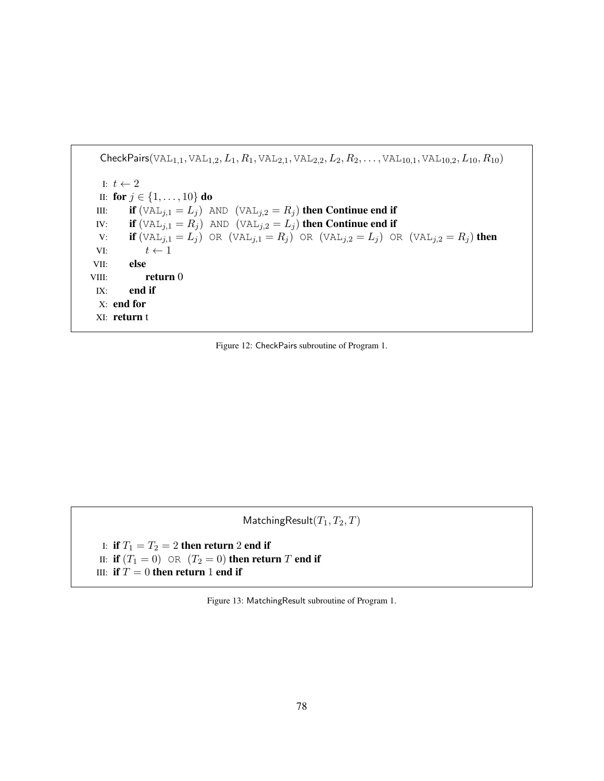```
CheckPairs(VAL<sub>1,1</sub>, VAL<sub>1,2</sub>, L<sub>1</sub>, R<sub>1</sub>, VAL<sub>2,1</sub>, VAL<sub>2,2</sub>, L<sub>2</sub>, R<sub>2</sub>, ..., VAL<sub>10,1</sub>, VAL<sub>10,2</sub>, L<sub>10</sub>, R<sub>10</sub>)I: t \leftarrow 2II: for j ∈ {1, . . . , 10} do
 III: if (\forall A \mathbb{L}_{j,1} = L_j) AND (\forall A \mathbb{L}_{j,2} = R_j) then Continue end if
 IV: if (\forall A \mathbb{L}_{j,1} = R_j) AND (\forall A \mathbb{L}_{j,2} = L_j) then Continue end if
  V: if (\text{VAL}_{j,1} = L_j) OR (\text{VAL}_{j,1} = R_j) OR (\text{VAL}_{j,2} = L_j) OR (\text{VAL}_{j,2} = R_j) then
 VI: t \leftarrow 1VII: else
VIII: return 0
 IX: end if
  X: end for
 XI: return t
```
Figure 12: CheckPairs subroutine of Program [1.](#page-75-1)

<span id="page-77-1"></span>MatchingResult $(T_1, T_2, T)$ I: if  $T_1 = T_2 = 2$  then return 2 end if II: if  $(T_1 = 0)$  OR  $(T_2 = 0)$  then return T end if III: if  $T = 0$  then return 1 end if

Figure 13: MatchingResult subroutine of Program [1.](#page-75-1)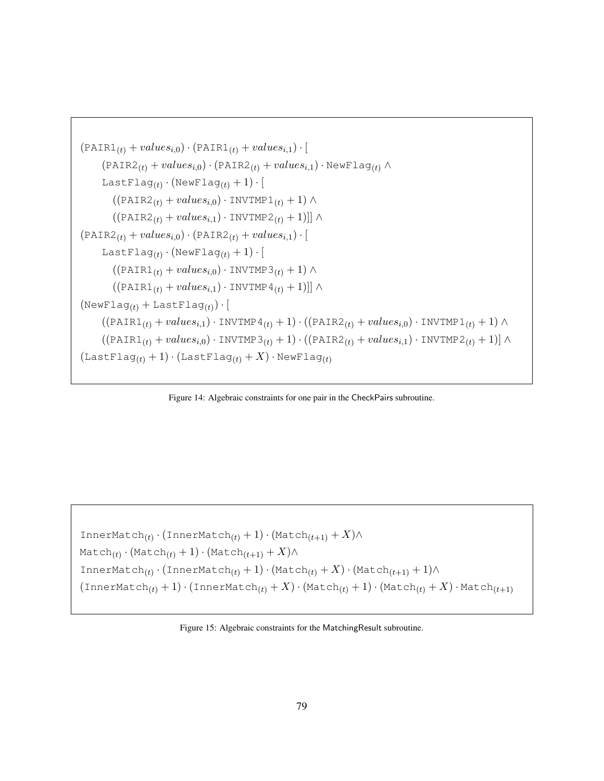```
(PAIR1_{(t)} + values_{i,0}) \cdot (PAIR1_{(t)} + values_{i,1}) \cdot [(PAIR2(t) + values_{i,0}) \cdot (PAIR2(t) + values_{i,1}) \cdot NewFlag(t) ^
       LastFlag_{(t)}\cdot (\hbox{NewFlag}_{(t)}+1)\cdot [((\text{PAIR2}_{(t)} + \textit{values}_{i,0}) \cdot \text{INVIMP1}_{(t)} + 1) \land((\text{PAIR2}_{(t)} + \text{values}_{i,1}) \cdot \text{INVIMP2}_{(t)} + 1)|| \wedge(PAIR2_{(t)} + values_{i,0}) \cdot (PAIR2_{(t)} + values_{i,1}) \cdot [LastFlag_{(t)}\cdot (\hbox{NewFlag}_{(t)}+1)\cdot [((\text{PATH}_{(t)} + values_{i,0}) \cdot \text{INVTMP } 3_{(t)} + 1) \wedge((\text{PATH}_{(t)} + values_{i,1}) \cdot \text{INTMP}4_{(t)} + 1)] \wedge(\text{NewFlag}_{(t)} + \text{LastFlag}_{(t)}) \cdot [((\text{PATH}_{(t)} + values_{i,1}) \cdot \text{INTMP4}_{(t)} + 1) \cdot ((\text{PATH}_{(t)} + values_{i,0}) \cdot \text{INTMP1}_{(t)} + 1) \wedge((\text{PATH}_{(t)} + values_{i,0}) \cdot \text{INTMP3}_{(t)} + 1) \cdot ((\text{PATH}_{(t)} + values_{i,1}) \cdot \text{INTMP2}_{(t)} + 1)) ^
(LastFlag_{(t)} + 1) \cdot (LastFlag_{(t)} + X) \cdot NewFlag_{(t)}
```
Figure 14: Algebraic constraints for one pair in the CheckPairs subroutine.

```
InnerMatch<sub>(t)</sub> · (InnerMatch<sub>(t)</sub> + 1) · (Match<sub>(t+1)</sub> + X)\wedge\texttt{Match}_{(t)} \cdot (\texttt{Match}_{(t)} + 1) \cdot (\texttt{Match}_{(t+1)} + X) \wedgeInnerMatch<sub>(t)</sub> · (InnerMatch<sub>(t)</sub> + 1) · (Match<sub>(t)</sub> + X) · (Match<sub>(t+1)</sub> + 1)\wedge(InnerMatch<sub>(t)</sub> + 1) \cdot (InnerMatch<sub>(t)</sub> + X) \cdot (Match<sub>(t)</sub> + 1) \cdot (Match<sub>(t)</sub> + X) \cdot Match<sub>(t+1)</sub>
```
Figure 15: Algebraic constraints for the MatchingResult subroutine.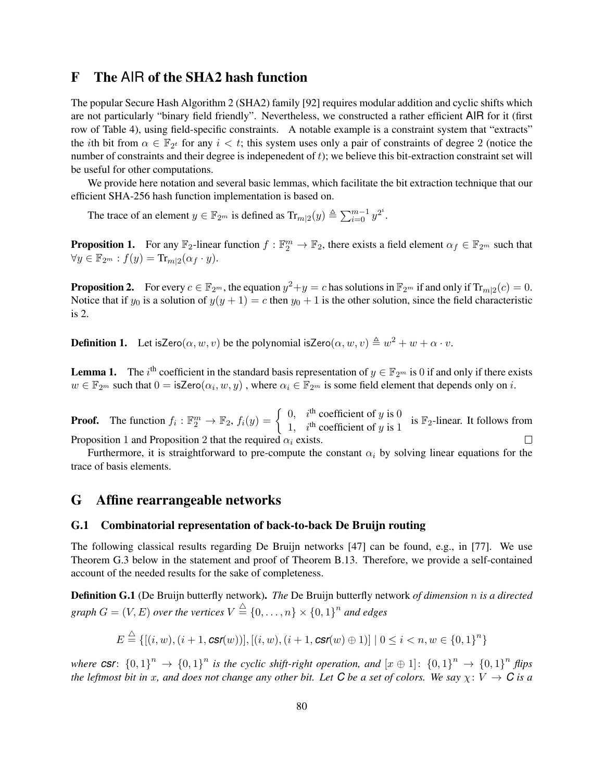# F The AIR of the SHA2 hash function

The popular Secure Hash Algorithm 2 (SHA2) family [\[92\]](#page-28-0) requires modular addition and cyclic shifts which are not particularly "binary field friendly". Nevertheless, we constructed a rather efficient AIR for it (first row of Table [4\)](#page-15-0), using field-specific constraints. A notable example is a constraint system that "extracts" the *i*th bit from  $\alpha \in \mathbb{F}_{2^t}$  for any  $i < t$ ; this system uses only a pair of constraints of degree 2 (notice the number of constraints and their degree is indepenedent of  $t$ ); we believe this bit-extraction constraint set will be useful for other computations.

We provide here notation and several basic lemmas, which facilitate the bit extraction technique that our efficient SHA-256 hash function implementation is based on.

The trace of an element  $y \in \mathbb{F}_{2^m}$  is defined as  $\text{Tr}_{m|2}(y) \triangleq \sum_{i=0}^{m-1} y^{2^i}$ .

**Proposition 1.** For any  $\mathbb{F}_2$ -linear function  $f : \mathbb{F}_2^m \to \mathbb{F}_2$ , there exists a field element  $\alpha_f \in \mathbb{F}_{2^m}$  such that  $\forall y \in \mathbb{F}_{2^m} : f(y) = \text{Tr}_{m|2}(\alpha_f \cdot y).$ 

**Proposition 2.** For every  $c \in \mathbb{F}_{2^m}$ , the equation  $y^2 + y = c$  has solutions in  $\mathbb{F}_{2^m}$  if and only if  $\text{Tr}_{m|2}(c) = 0$ . Notice that if  $y_0$  is a solution of  $y(y + 1) = c$  then  $y_0 + 1$  is the other solution, since the field characteristic is 2.

**Definition 1.** Let isZero $(\alpha, w, v)$  be the polynomial isZero $(\alpha, w, v) \triangleq w^2 + w + \alpha \cdot v$ .

**Lemma 1.** The  $i^{\text{th}}$  coefficient in the standard basis representation of  $y \in \mathbb{F}_{2^m}$  is 0 if and only if there exists  $w \in \mathbb{F}_{2^m}$  such that  $0 = \textsf{isZero}(\alpha_i, w, y)$ , where  $\alpha_i \in \mathbb{F}_{2^m}$  is some field element that depends only on i.

**Proof.** The function  $f_i : \mathbb{F}_2^m \to \mathbb{F}_2$ ,  $f_i(y) = \begin{cases} 0, & i^{\text{th}} \text{ coefficient of } y \text{ is } 0 \\ 1, & i^{\text{th}} \text{ coefficient of } y \text{ is } 1 \end{cases}$ 0,  $\frac{y}{x}$  coefficient of y is 0<br>1,  $i^{\text{th}}$  coefficient of y is 1 Proposition 1 and Proposition 2 that the required  $\alpha_i$  exists.  $\Box$ 

Furthermore, it is straightforward to pre-compute the constant  $\alpha_i$  by solving linear equations for the trace of basis elements.

# G Affine rearrangeable networks

## G.1 Combinatorial representation of back-to-back De Bruijn routing

The following classical results regarding De Bruijn networks [\[47\]](#page-25-2) can be found, e.g., in [\[77\]](#page-27-3). We use Theorem [G.3](#page-80-0) below in the statement and proof of Theorem [B.13.](#page-40-0) Therefore, we provide a self-contained account of the needed results for the sake of completeness.

Definition G.1 (De Bruijn butterfly network). *The* De Bruijn butterfly network *of dimension* n *is a directed* graph  $G=(V,E)$  over the vertices  $V\stackrel{\triangle}{=} \{0,\ldots,n\}\times \{0,1\}^n$  and edges

$$
E \stackrel{\triangle}{=} \{[(i, w), (i + 1, \text{csr}(w))], [(i, w), (i + 1, \text{csr}(w) \oplus 1)] \mid 0 \le i < n, w \in \{0, 1\}^n\}
$$

*where csr*:  $\{0,1\}^n \to \{0,1\}^n$  *is the cyclic shift-right operation, and*  $[x \oplus 1]$ :  $\{0,1\}^n \to \{0,1\}^n$  *flips the leftmost bit in* x, and does not change any other bit. Let C be a set of colors. We say  $\chi: V \to C$  *is a*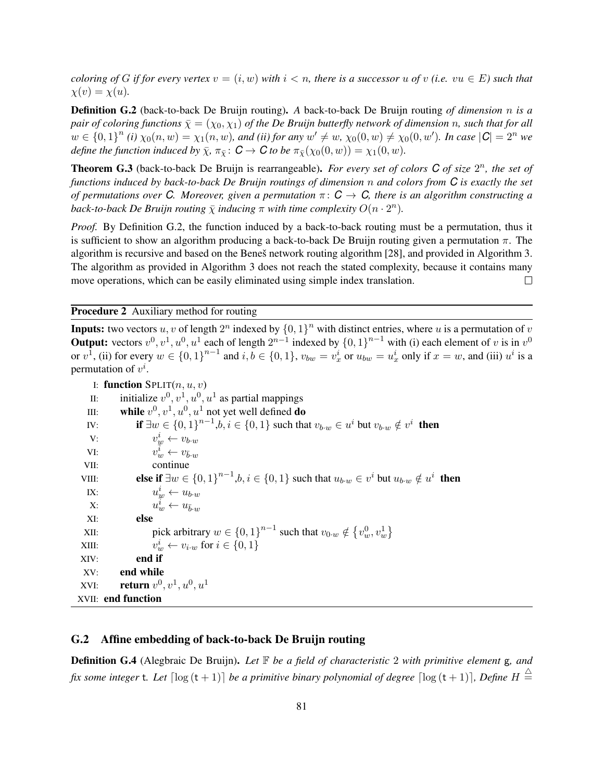*coloring of* G *if for every vertex*  $v = (i, w)$  *with*  $i < n$ *, there is a successor* u *of*  $v$  (*i.e.*  $vu \in E$ ) *such that*  $\chi(v) = \chi(u)$ .

<span id="page-80-1"></span>Definition G.2 (back-to-back De Bruijn routing). *A* back-to-back De Bruijn routing *of dimension* n *is a pair of coloring functions*  $\bar{\chi} = (\chi_0, \chi_1)$  *of the De Bruijn butterfly network of dimension n, such that for all*  $w \in \{0,1\}^n$  (i)  $\chi_0(n,w) = \chi_1(n,w)$ , and (ii) for any  $w' \neq w$ ,  $\chi_0(0,w) \neq \chi_0(0,w')$ . In case  $|\mathcal{C}| = 2^n$  we *define the function induced by*  $\bar{\chi}$ ,  $\pi_{\bar{x}}$ :  $C \to C$  *to be*  $\pi_{\bar{x}}(\chi_0(0, w)) = \chi_1(0, w)$ *.* 

<span id="page-80-0"></span>Theorem G.3 (back-to-back De Bruijn is rearrangeable). For every set of colors C of size  $2^n$ , the set of *functions induced by back-to-back De Bruijn routings of dimension* n *and colors from C is exactly the set of permutations over C. Moreover, given a permutation*  $\pi: C \to C$ *, there is an algorithm constructing a back-to-back De Bruijn routing*  $\bar{\chi}$  *inducing*  $\pi$  *with time complexity*  $O(n \cdot 2^n)$ *.* 

*Proof.* By Definition [G.2,](#page-80-1) the function induced by a back-to-back routing must be a permutation, thus it is sufficient to show an algorithm producing a back-to-back De Bruijn routing given a permutation  $\pi$ . The algorithm is recursive and based on the Benes network routing algorithm [[28\]](#page-24-0), and provided in Algorithm [3.](#page-81-0) The algorithm as provided in Algorithm [3](#page-81-0) does not reach the stated complexity, because it contains many move operations, which can be easily eliminated using simple index translation.  $\Box$ 

Procedure 2 Auxiliary method for routing

**Inputs:** two vectors u, v of length  $2^n$  indexed by  $\{0, 1\}^n$  with distinct entries, where u is a permutation of v **Output:** vectors  $v^0, v^1, u^0, u^1$  each of length  $2^{n-1}$  indexed by  $\{0, 1\}^{n-1}$  with (i) each element of v is in  $v^0$ or  $v^{\overline{1}}$ , (ii) for every  $w \in \{0,1\}^{n-1}$  and  $i, b \in \{0,1\}$ ,  $v_{bw} = v_x^i$  or  $u_{bw} = u_x^i$  only if  $x = w$ , and (iii)  $u^i$  is a permutation of  $v^i$ .

|       | I: function $SPLIT(n, u, v)$                                                                                                         |
|-------|--------------------------------------------------------------------------------------------------------------------------------------|
| II:   | initialize $v^0$ , $v^1$ , $u^0$ , $u^1$ as partial mappings                                                                         |
| Ш:    | while $v^0$ , $v^1$ , $u^0$ , $u^1$ not yet well defined <b>do</b>                                                                   |
| IV:   | <b>if</b> $\exists w \in \{0,1\}^{n-1}, b, i \in \{0,1\}$ such that $v_{b \cdot w} \in u^i$ but $v_{b \cdot w} \notin v^i$ then      |
| V:    | $v^{i}_{w} \leftarrow v_{b \cdot w} \ v^{i}_{w} \leftarrow v_{\bar{b} \cdot w}$                                                      |
| VI:   |                                                                                                                                      |
| VII:  | continue                                                                                                                             |
| VIII: | <b>else if</b> $\exists w \in \{0,1\}^{n-1}, b, i \in \{0,1\}$ such that $u_{b \cdot w} \in v^i$ but $u_{b \cdot w} \notin u^i$ then |
| IX:   | $u^i_w \leftarrow u_{b \cdot w}$<br>$u^i_w \leftarrow u_{\bar{b} \cdot w}$                                                           |
| X:    |                                                                                                                                      |
| XI:   | else                                                                                                                                 |
| XII:  | pick arbitrary $w \in \{0,1\}^{n-1}$ such that $v_{0,w} \notin \{v_w^0, v_w^1\}$                                                     |
| XIII: | $v_w^i \leftarrow v_{i \cdot w}$ for $i \in \{0, 1\}$                                                                                |
| XIV:  | end if                                                                                                                               |
| XV:   | end while                                                                                                                            |
| XVI:  | <b>return</b> $v^0, v^1, u^0, u^1$                                                                                                   |
|       | XVII: <b>end function</b>                                                                                                            |

# G.2 Affine embedding of back-to-back De Bruijn routing

Definition G.4 (Alegbraic De Bruijn). *Let* F *be a field of characteristic* 2 *with primitive element* g*, and* fix some integer t. Let  $\lceil \log{(\texttt{t}+1)} \rceil$  be a primitive binary polynomial of degree  $\lceil \log{(\texttt{t}+1)} \rceil$ , Define  $H \stackrel{\triangle}{=}$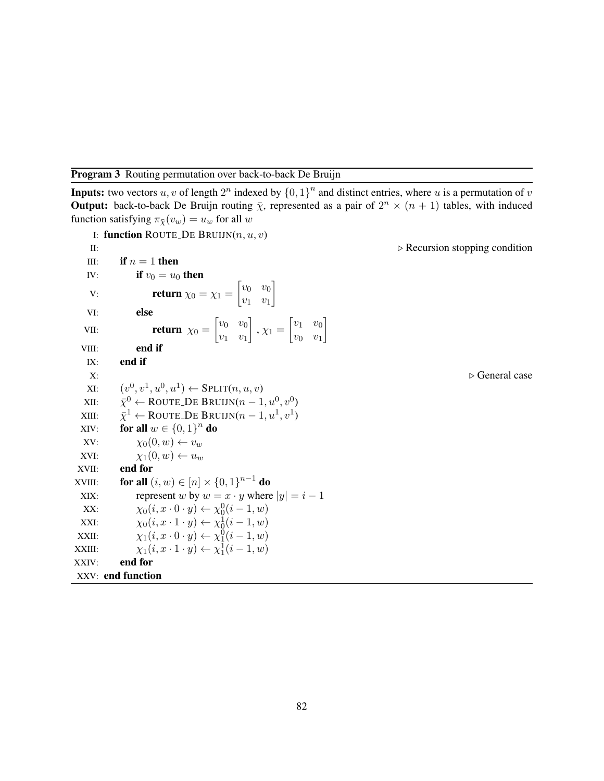#### <span id="page-81-0"></span>Program 3 Routing permutation over back-to-back De Bruijn

**Inputs:** two vectors u, v of length  $2^n$  indexed by  $\{0, 1\}^n$  and distinct entries, where u is a permutation of v **Output:** back-to-back De Bruijn routing  $\bar{\chi}$ , represented as a pair of  $2^n \times (n + 1)$  tables, with induced function satisfying  $\pi_{\bar{x}}(v_w) = u_w$  for all w

```
I: function ROUTE_DE BRUIJN(n, u, v)II: \triangleright Recursion stopping condition
   III: if n = 1 then
   IV: if v_0 = u_0 then
    V: return \chi_0 = \chi_1 = \begin{bmatrix} v_0 & v_0 \end{bmatrix}v_1 v_11
   VI: else
  VII: return \chi_0 = \begin{bmatrix} v_0 & v_0 \ v_1 & v_1 \end{bmatrix}v_1 v_1\Bigg], \chi_1 = \begin{bmatrix} v_1 & v_0 \\ v_1 & v_1 \end{bmatrix}v_0 v_11
 VIII: end if
   IX: end if
   X: \triangleright General case
   XI: (v^0, v^1, u^0, u^1) \leftarrow \text{SPLIT}(n, u, v)XII:
             \mathbf{0} \leftarrow \texttt{ROUTE\_DE} \text{ BRUIN}(n-1,u^0,v^0)XIII:
             1 \leftarrow \text{ROUTE\_DE BRUIN}(n-1,u^1,v^1)XIV: for all w \in \{0,1\}^n do
  XV: \chi_0(0, w) \leftarrow v_wXVI: \chi_1(0, w) \leftarrow u_wXVII: end for
XVIII: for all (i, w) \in [n] \times \{0, 1\}^{n-1} do
 XIX: represent w by w = x \cdot y where |y| = i - 1XX: \chi_0(i, x \cdot 0 \cdot y) \leftarrow \chi_0^0(i-1, w)XXI: \chi_0(i, x \cdot 1 \cdot y) \leftarrow \chi_0^1(i-1, w)XXII: \chi_1(i, x \cdot 0 \cdot y) \leftarrow \chi_1^0(i-1, w)XXIII: \chi_1(i, x \cdot 1 \cdot y) \leftarrow \chi_1^1(i-1, w)XXIV: end for
XXV: end function
```